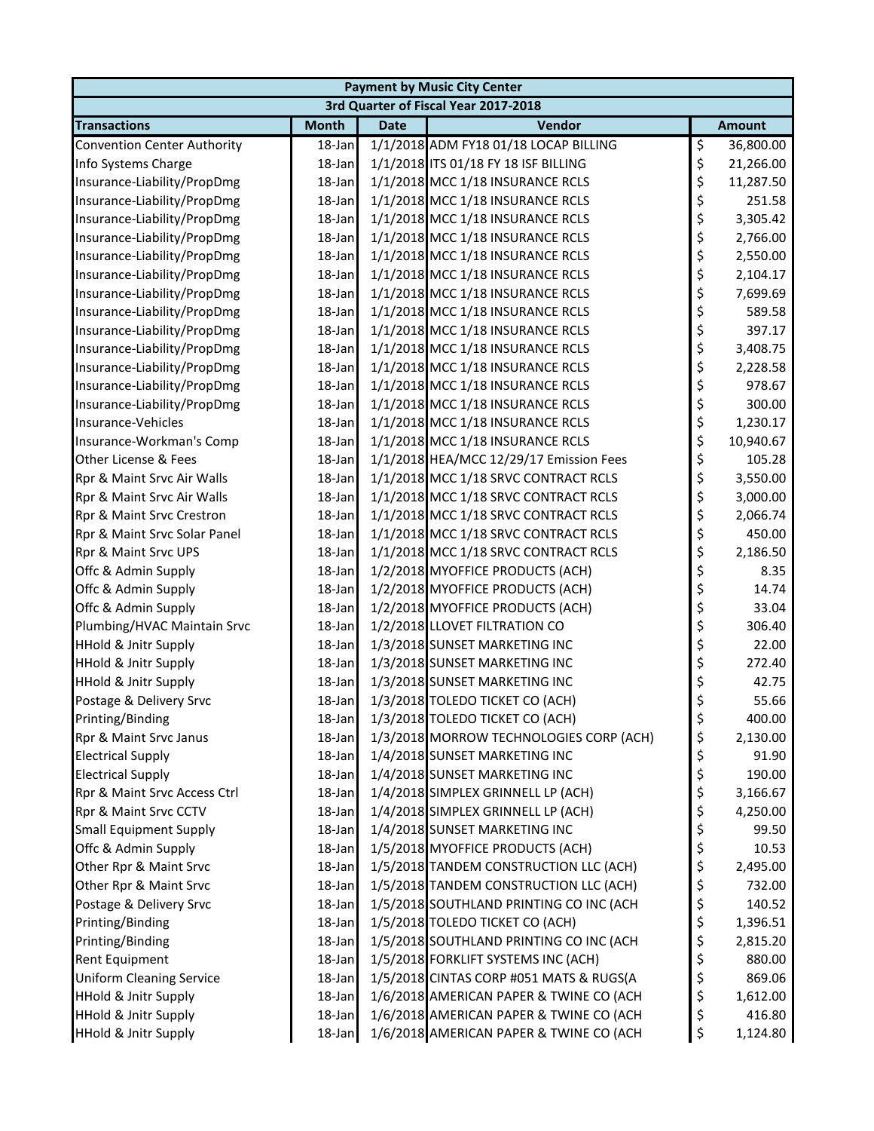| <b>Payment by Music City Center</b>  |              |             |                                         |    |               |  |  |  |
|--------------------------------------|--------------|-------------|-----------------------------------------|----|---------------|--|--|--|
| 3rd Quarter of Fiscal Year 2017-2018 |              |             |                                         |    |               |  |  |  |
| <b>Transactions</b>                  | <b>Month</b> | <b>Date</b> | Vendor                                  |    | <b>Amount</b> |  |  |  |
| <b>Convention Center Authority</b>   | 18-Jan       |             | 1/1/2018 ADM FY18 01/18 LOCAP BILLING   | \$ | 36,800.00     |  |  |  |
| Info Systems Charge                  | 18-Jan       |             | 1/1/2018 ITS 01/18 FY 18 ISF BILLING    | \$ | 21,266.00     |  |  |  |
| Insurance-Liability/PropDmg          | 18-Jan       |             | 1/1/2018 MCC 1/18 INSURANCE RCLS        | \$ | 11,287.50     |  |  |  |
| Insurance-Liability/PropDmg          | 18-Jan       |             | 1/1/2018 MCC 1/18 INSURANCE RCLS        | \$ | 251.58        |  |  |  |
| Insurance-Liability/PropDmg          | 18-Jan       |             | 1/1/2018 MCC 1/18 INSURANCE RCLS        | \$ | 3,305.42      |  |  |  |
| Insurance-Liability/PropDmg          | 18-Jan       |             | 1/1/2018 MCC 1/18 INSURANCE RCLS        | \$ | 2,766.00      |  |  |  |
| Insurance-Liability/PropDmg          | 18-Jan       |             | 1/1/2018 MCC 1/18 INSURANCE RCLS        | \$ | 2,550.00      |  |  |  |
| Insurance-Liability/PropDmg          | 18-Jan       |             | 1/1/2018 MCC 1/18 INSURANCE RCLS        | \$ | 2,104.17      |  |  |  |
| Insurance-Liability/PropDmg          | 18-Jan       |             | 1/1/2018 MCC 1/18 INSURANCE RCLS        | \$ | 7,699.69      |  |  |  |
| Insurance-Liability/PropDmg          | 18-Jan       |             | 1/1/2018 MCC 1/18 INSURANCE RCLS        | \$ | 589.58        |  |  |  |
| Insurance-Liability/PropDmg          | $18$ -Jan    |             | 1/1/2018 MCC 1/18 INSURANCE RCLS        | \$ | 397.17        |  |  |  |
| Insurance-Liability/PropDmg          | $18$ -Jan    |             | 1/1/2018 MCC 1/18 INSURANCE RCLS        | \$ | 3,408.75      |  |  |  |
| Insurance-Liability/PropDmg          | 18-Jan       |             | 1/1/2018 MCC 1/18 INSURANCE RCLS        | \$ | 2,228.58      |  |  |  |
| Insurance-Liability/PropDmg          | 18-Jan       |             | 1/1/2018 MCC 1/18 INSURANCE RCLS        | \$ | 978.67        |  |  |  |
| Insurance-Liability/PropDmg          | 18-Jan       |             | 1/1/2018 MCC 1/18 INSURANCE RCLS        | \$ | 300.00        |  |  |  |
| Insurance-Vehicles                   | 18-Jan       |             | 1/1/2018 MCC 1/18 INSURANCE RCLS        | \$ | 1,230.17      |  |  |  |
| Insurance-Workman's Comp             | 18-Jan       |             | 1/1/2018 MCC 1/18 INSURANCE RCLS        | \$ | 10,940.67     |  |  |  |
| Other License & Fees                 | 18-Jan       |             | 1/1/2018 HEA/MCC 12/29/17 Emission Fees | \$ | 105.28        |  |  |  |
| Rpr & Maint Srvc Air Walls           | 18-Jan       |             | 1/1/2018 MCC 1/18 SRVC CONTRACT RCLS    | \$ | 3,550.00      |  |  |  |
| Rpr & Maint Srvc Air Walls           | 18-Jan       |             | 1/1/2018 MCC 1/18 SRVC CONTRACT RCLS    | \$ | 3,000.00      |  |  |  |
| Rpr & Maint Srvc Crestron            | 18-Jan       |             | 1/1/2018 MCC 1/18 SRVC CONTRACT RCLS    | \$ | 2,066.74      |  |  |  |
| Rpr & Maint Srvc Solar Panel         | 18-Jan       |             | 1/1/2018 MCC 1/18 SRVC CONTRACT RCLS    | \$ | 450.00        |  |  |  |
| Rpr & Maint Srvc UPS                 | 18-Jan       |             | 1/1/2018 MCC 1/18 SRVC CONTRACT RCLS    | \$ | 2,186.50      |  |  |  |
| Offc & Admin Supply                  | $18$ -Jan    |             | 1/2/2018 MYOFFICE PRODUCTS (ACH)        | \$ | 8.35          |  |  |  |
| Offc & Admin Supply                  | 18-Jan       |             | 1/2/2018 MYOFFICE PRODUCTS (ACH)        | \$ | 14.74         |  |  |  |
| Offc & Admin Supply                  | 18-Jan       |             | 1/2/2018 MYOFFICE PRODUCTS (ACH)        | \$ | 33.04         |  |  |  |
| Plumbing/HVAC Maintain Srvc          | 18-Jan       |             | 1/2/2018 LLOVET FILTRATION CO           | \$ | 306.40        |  |  |  |
| <b>HHold &amp; Jnitr Supply</b>      | 18-Jan       |             | 1/3/2018 SUNSET MARKETING INC           | \$ | 22.00         |  |  |  |
| <b>HHold &amp; Jnitr Supply</b>      | 18-Jan       |             | 1/3/2018 SUNSET MARKETING INC           | \$ | 272.40        |  |  |  |
| <b>HHold &amp; Jnitr Supply</b>      | 18-Jan       |             | 1/3/2018 SUNSET MARKETING INC           | \$ | 42.75         |  |  |  |
| Postage & Delivery Srvc              | 18-Jan       |             | 1/3/2018 TOLEDO TICKET CO (ACH)         | \$ | 55.66         |  |  |  |
| Printing/Binding                     | $18$ -Jan    |             | 1/3/2018 TOLEDO TICKET CO (ACH)         | \$ | 400.00        |  |  |  |
| Rpr & Maint Srvc Janus               | $18$ -Jan    |             | 1/3/2018 MORROW TECHNOLOGIES CORP (ACH) | \$ | 2,130.00      |  |  |  |
| <b>Electrical Supply</b>             | 18-Jan       |             | 1/4/2018 SUNSET MARKETING INC           | \$ | 91.90         |  |  |  |
| <b>Electrical Supply</b>             | 18-Jan       |             | 1/4/2018 SUNSET MARKETING INC           | \$ | 190.00        |  |  |  |
| Rpr & Maint Srvc Access Ctrl         | 18-Jan       |             | 1/4/2018 SIMPLEX GRINNELL LP (ACH)      | \$ | 3,166.67      |  |  |  |
| Rpr & Maint Srvc CCTV                | 18-Jan       |             | 1/4/2018 SIMPLEX GRINNELL LP (ACH)      | \$ | 4,250.00      |  |  |  |
| <b>Small Equipment Supply</b>        | 18-Jan       |             | 1/4/2018 SUNSET MARKETING INC           | \$ | 99.50         |  |  |  |
| Offc & Admin Supply                  | 18-Jan       |             | 1/5/2018 MYOFFICE PRODUCTS (ACH)        | \$ | 10.53         |  |  |  |
| Other Rpr & Maint Srvc               | 18-Jan       |             | 1/5/2018 TANDEM CONSTRUCTION LLC (ACH)  | \$ | 2,495.00      |  |  |  |
| Other Rpr & Maint Srvc               | 18-Jan       |             | 1/5/2018 TANDEM CONSTRUCTION LLC (ACH)  | \$ | 732.00        |  |  |  |
| Postage & Delivery Srvc              | 18-Jan       |             | 1/5/2018 SOUTHLAND PRINTING CO INC (ACH | \$ | 140.52        |  |  |  |
| Printing/Binding                     | 18-Jan       |             | 1/5/2018 TOLEDO TICKET CO (ACH)         | \$ | 1,396.51      |  |  |  |
| Printing/Binding                     | 18-Jan       |             | 1/5/2018 SOUTHLAND PRINTING CO INC (ACH | \$ | 2,815.20      |  |  |  |
| Rent Equipment                       | $18$ -Jan    |             | 1/5/2018 FORKLIFT SYSTEMS INC (ACH)     | \$ | 880.00        |  |  |  |
| <b>Uniform Cleaning Service</b>      | 18-Jan       |             | 1/5/2018 CINTAS CORP #051 MATS & RUGS(A | \$ | 869.06        |  |  |  |
| <b>HHold &amp; Jnitr Supply</b>      | 18-Jan       |             | 1/6/2018 AMERICAN PAPER & TWINE CO (ACH | \$ | 1,612.00      |  |  |  |
| <b>HHold &amp; Jnitr Supply</b>      | 18-Jan       |             | 1/6/2018 AMERICAN PAPER & TWINE CO (ACH | \$ | 416.80        |  |  |  |
| <b>HHold &amp; Jnitr Supply</b>      | 18-Jan       |             | 1/6/2018 AMERICAN PAPER & TWINE CO (ACH | \$ | 1,124.80      |  |  |  |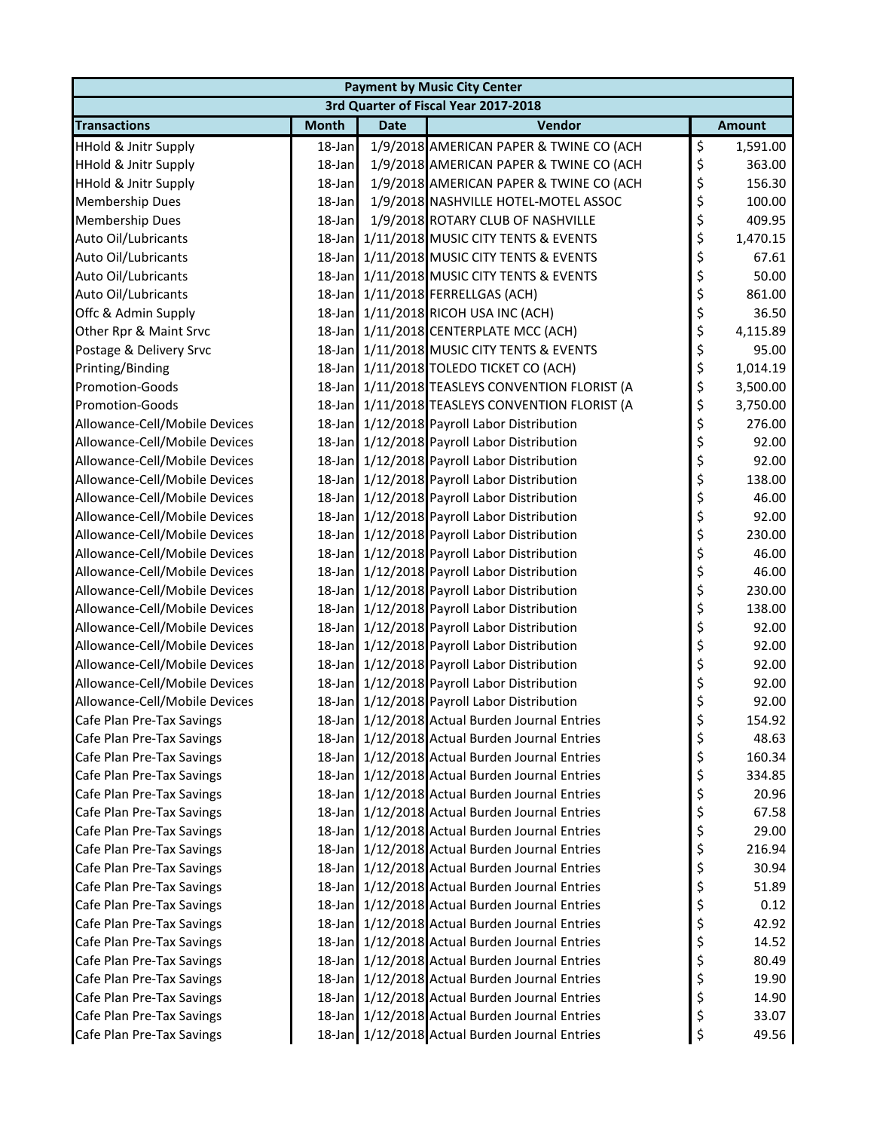| <b>Payment by Music City Center</b> |              |             |                                                 |    |               |  |  |
|-------------------------------------|--------------|-------------|-------------------------------------------------|----|---------------|--|--|
|                                     |              |             | 3rd Quarter of Fiscal Year 2017-2018            |    |               |  |  |
| <b>Transactions</b>                 | <b>Month</b> | <b>Date</b> | Vendor                                          |    | <b>Amount</b> |  |  |
| <b>HHold &amp; Jnitr Supply</b>     | 18-Jan       |             | 1/9/2018 AMERICAN PAPER & TWINE CO (ACH         | \$ | 1,591.00      |  |  |
| <b>HHold &amp; Jnitr Supply</b>     | 18-Jan       |             | 1/9/2018 AMERICAN PAPER & TWINE CO (ACH         | \$ | 363.00        |  |  |
| <b>HHold &amp; Jnitr Supply</b>     | 18-Jan       |             | 1/9/2018 AMERICAN PAPER & TWINE CO (ACH         | \$ | 156.30        |  |  |
| Membership Dues                     | 18-Jan       |             | 1/9/2018 NASHVILLE HOTEL-MOTEL ASSOC            | \$ | 100.00        |  |  |
| <b>Membership Dues</b>              | 18-Jan       |             | 1/9/2018 ROTARY CLUB OF NASHVILLE               | \$ | 409.95        |  |  |
| Auto Oil/Lubricants                 |              |             | 18-Jan 1/11/2018 MUSIC CITY TENTS & EVENTS      | \$ | 1,470.15      |  |  |
| Auto Oil/Lubricants                 |              |             | 18-Jan 1/11/2018 MUSIC CITY TENTS & EVENTS      | \$ | 67.61         |  |  |
| Auto Oil/Lubricants                 |              |             | 18-Jan 1/11/2018 MUSIC CITY TENTS & EVENTS      | \$ | 50.00         |  |  |
| Auto Oil/Lubricants                 |              |             | 18-Jan 1/11/2018 FERRELLGAS (ACH)               | \$ | 861.00        |  |  |
| Offc & Admin Supply                 |              |             | 18-Jan 1/11/2018 RICOH USA INC (ACH)            | \$ | 36.50         |  |  |
| Other Rpr & Maint Srvc              |              |             | 18-Jan 1/11/2018 CENTERPLATE MCC (ACH)          | \$ | 4,115.89      |  |  |
| Postage & Delivery Srvc             |              |             | 18-Jan 1/11/2018 MUSIC CITY TENTS & EVENTS      | \$ | 95.00         |  |  |
| Printing/Binding                    |              |             | 18-Jan 1/11/2018 TOLEDO TICKET CO (ACH)         | \$ | 1,014.19      |  |  |
| Promotion-Goods                     |              |             | 18-Jan 1/11/2018 TEASLEYS CONVENTION FLORIST (A | \$ | 3,500.00      |  |  |
| Promotion-Goods                     |              |             | 18-Jan 1/11/2018 TEASLEYS CONVENTION FLORIST (A | \$ | 3,750.00      |  |  |
| Allowance-Cell/Mobile Devices       |              |             | 18-Jan 1/12/2018 Payroll Labor Distribution     | \$ | 276.00        |  |  |
| Allowance-Cell/Mobile Devices       |              |             | 18-Jan 1/12/2018 Payroll Labor Distribution     | \$ | 92.00         |  |  |
| Allowance-Cell/Mobile Devices       |              |             | 18-Jan 1/12/2018 Payroll Labor Distribution     | \$ | 92.00         |  |  |
| Allowance-Cell/Mobile Devices       |              |             | 18-Jan 1/12/2018 Payroll Labor Distribution     | \$ | 138.00        |  |  |
| Allowance-Cell/Mobile Devices       |              |             | 18-Jan 1/12/2018 Payroll Labor Distribution     | \$ | 46.00         |  |  |
| Allowance-Cell/Mobile Devices       |              |             | 18-Jan 1/12/2018 Payroll Labor Distribution     | \$ | 92.00         |  |  |
| Allowance-Cell/Mobile Devices       |              |             | 18-Jan 1/12/2018 Payroll Labor Distribution     | \$ | 230.00        |  |  |
| Allowance-Cell/Mobile Devices       |              |             | 18-Jan 1/12/2018 Payroll Labor Distribution     | \$ | 46.00         |  |  |
| Allowance-Cell/Mobile Devices       |              |             | 18-Jan 1/12/2018 Payroll Labor Distribution     | \$ | 46.00         |  |  |
| Allowance-Cell/Mobile Devices       |              |             | 18-Jan 1/12/2018 Payroll Labor Distribution     | \$ | 230.00        |  |  |
| Allowance-Cell/Mobile Devices       |              |             | 18-Jan 1/12/2018 Payroll Labor Distribution     | \$ | 138.00        |  |  |
| Allowance-Cell/Mobile Devices       |              |             | 18-Jan 1/12/2018 Payroll Labor Distribution     | \$ | 92.00         |  |  |
| Allowance-Cell/Mobile Devices       |              |             | 18-Jan 1/12/2018 Payroll Labor Distribution     | \$ | 92.00         |  |  |
| Allowance-Cell/Mobile Devices       |              |             | 18-Jan 1/12/2018 Payroll Labor Distribution     | \$ | 92.00         |  |  |
| Allowance-Cell/Mobile Devices       |              |             | 18-Jan 1/12/2018 Payroll Labor Distribution     | \$ | 92.00         |  |  |
| Allowance-Cell/Mobile Devices       |              |             | 18-Jan 1/12/2018 Payroll Labor Distribution     | \$ | 92.00         |  |  |
| Cafe Plan Pre-Tax Savings           |              |             | 18-Jan 1/12/2018 Actual Burden Journal Entries  | \$ | 154.92        |  |  |
| Cafe Plan Pre-Tax Savings           |              |             | 18-Jan 1/12/2018 Actual Burden Journal Entries  | \$ | 48.63         |  |  |
| Cafe Plan Pre-Tax Savings           |              |             | 18-Jan 1/12/2018 Actual Burden Journal Entries  | \$ | 160.34        |  |  |
| Cafe Plan Pre-Tax Savings           |              |             | 18-Jan 1/12/2018 Actual Burden Journal Entries  | \$ | 334.85        |  |  |
| Cafe Plan Pre-Tax Savings           |              |             | 18-Jan 1/12/2018 Actual Burden Journal Entries  | \$ | 20.96         |  |  |
| Cafe Plan Pre-Tax Savings           |              |             | 18-Jan 1/12/2018 Actual Burden Journal Entries  | \$ | 67.58         |  |  |
| Cafe Plan Pre-Tax Savings           |              |             | 18-Jan 1/12/2018 Actual Burden Journal Entries  | \$ | 29.00         |  |  |
| Cafe Plan Pre-Tax Savings           |              |             | 18-Jan 1/12/2018 Actual Burden Journal Entries  | \$ | 216.94        |  |  |
| Cafe Plan Pre-Tax Savings           |              |             | 18-Jan 1/12/2018 Actual Burden Journal Entries  | \$ | 30.94         |  |  |
| Cafe Plan Pre-Tax Savings           |              |             | 18-Jan 1/12/2018 Actual Burden Journal Entries  | \$ | 51.89         |  |  |
| Cafe Plan Pre-Tax Savings           |              |             | 18-Jan 1/12/2018 Actual Burden Journal Entries  | \$ | 0.12          |  |  |
| Cafe Plan Pre-Tax Savings           |              |             | 18-Jan 1/12/2018 Actual Burden Journal Entries  | \$ | 42.92         |  |  |
| Cafe Plan Pre-Tax Savings           |              |             | 18-Jan 1/12/2018 Actual Burden Journal Entries  | \$ | 14.52         |  |  |
| Cafe Plan Pre-Tax Savings           |              |             | 18-Jan 1/12/2018 Actual Burden Journal Entries  | \$ | 80.49         |  |  |
| Cafe Plan Pre-Tax Savings           |              |             | 18-Jan 1/12/2018 Actual Burden Journal Entries  | \$ | 19.90         |  |  |
| Cafe Plan Pre-Tax Savings           |              |             | 18-Jan 1/12/2018 Actual Burden Journal Entries  | \$ | 14.90         |  |  |
| Cafe Plan Pre-Tax Savings           |              |             | 18-Jan 1/12/2018 Actual Burden Journal Entries  | \$ | 33.07         |  |  |
| Cafe Plan Pre-Tax Savings           |              |             | 18-Jan 1/12/2018 Actual Burden Journal Entries  | \$ | 49.56         |  |  |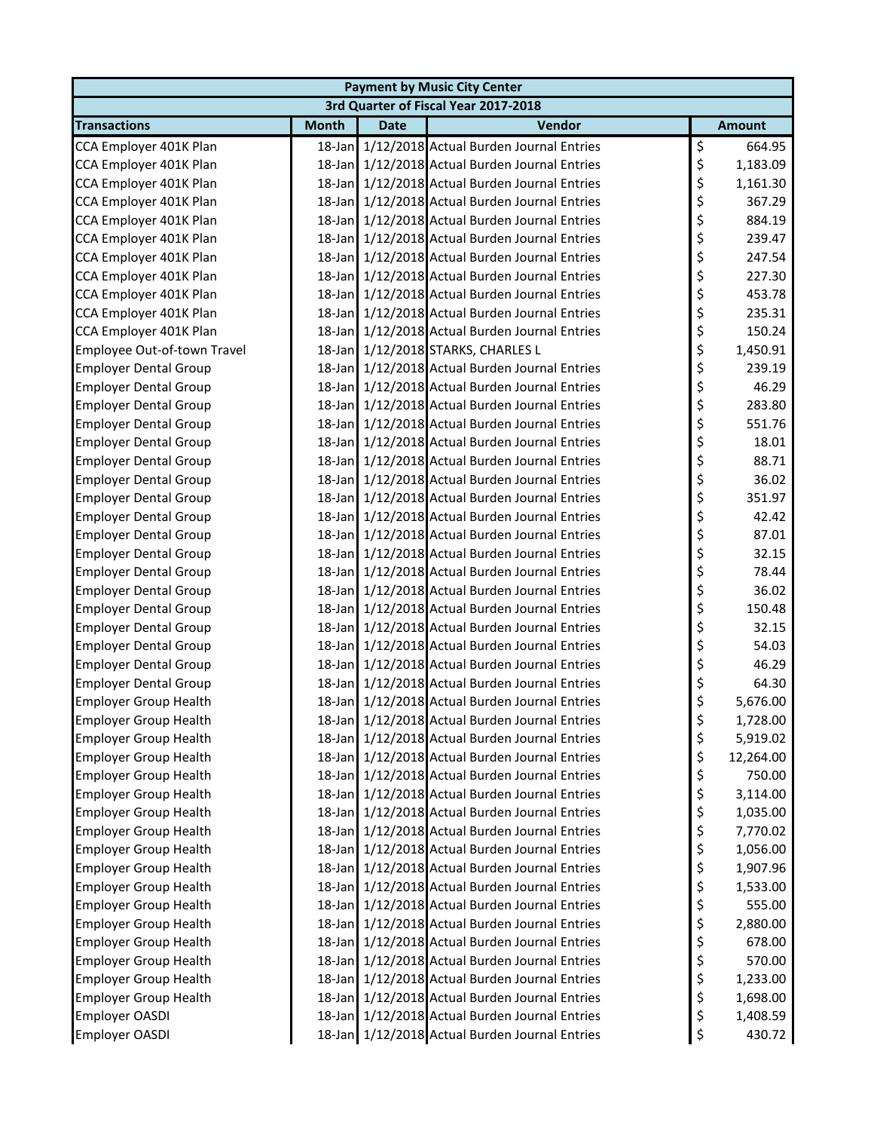| <b>Payment by Music City Center</b> |                                      |             |                                                |    |               |  |  |  |  |
|-------------------------------------|--------------------------------------|-------------|------------------------------------------------|----|---------------|--|--|--|--|
|                                     | 3rd Quarter of Fiscal Year 2017-2018 |             |                                                |    |               |  |  |  |  |
| <b>Transactions</b>                 | <b>Month</b>                         | <b>Date</b> | Vendor                                         |    | <b>Amount</b> |  |  |  |  |
| CCA Employer 401K Plan              |                                      |             | 18-Jan 1/12/2018 Actual Burden Journal Entries | \$ | 664.95        |  |  |  |  |
| CCA Employer 401K Plan              |                                      |             | 18-Jan 1/12/2018 Actual Burden Journal Entries | \$ | 1,183.09      |  |  |  |  |
| CCA Employer 401K Plan              |                                      |             | 18-Jan 1/12/2018 Actual Burden Journal Entries | \$ | 1,161.30      |  |  |  |  |
| CCA Employer 401K Plan              | 18-Jan                               |             | 1/12/2018 Actual Burden Journal Entries        | \$ | 367.29        |  |  |  |  |
| CCA Employer 401K Plan              |                                      |             | 18-Jan 1/12/2018 Actual Burden Journal Entries | \$ | 884.19        |  |  |  |  |
| CCA Employer 401K Plan              |                                      |             | 18-Jan 1/12/2018 Actual Burden Journal Entries | \$ | 239.47        |  |  |  |  |
| CCA Employer 401K Plan              |                                      |             | 18-Jan 1/12/2018 Actual Burden Journal Entries | \$ | 247.54        |  |  |  |  |
| CCA Employer 401K Plan              |                                      |             | 18-Jan 1/12/2018 Actual Burden Journal Entries | \$ | 227.30        |  |  |  |  |
| CCA Employer 401K Plan              |                                      |             | 18-Jan 1/12/2018 Actual Burden Journal Entries | \$ | 453.78        |  |  |  |  |
| CCA Employer 401K Plan              |                                      |             | 18-Jan 1/12/2018 Actual Burden Journal Entries | \$ | 235.31        |  |  |  |  |
| CCA Employer 401K Plan              |                                      |             | 18-Jan 1/12/2018 Actual Burden Journal Entries | \$ | 150.24        |  |  |  |  |
| Employee Out-of-town Travel         |                                      |             | 18-Jan 1/12/2018 STARKS, CHARLES L             | \$ | 1,450.91      |  |  |  |  |
| <b>Employer Dental Group</b>        |                                      |             | 18-Jan 1/12/2018 Actual Burden Journal Entries | \$ | 239.19        |  |  |  |  |
| <b>Employer Dental Group</b>        |                                      |             | 18-Jan 1/12/2018 Actual Burden Journal Entries | \$ | 46.29         |  |  |  |  |
| <b>Employer Dental Group</b>        |                                      |             | 18-Jan 1/12/2018 Actual Burden Journal Entries | \$ | 283.80        |  |  |  |  |
| <b>Employer Dental Group</b>        |                                      |             | 18-Jan 1/12/2018 Actual Burden Journal Entries | \$ | 551.76        |  |  |  |  |
| <b>Employer Dental Group</b>        |                                      |             | 18-Jan 1/12/2018 Actual Burden Journal Entries | \$ | 18.01         |  |  |  |  |
| <b>Employer Dental Group</b>        |                                      |             | 18-Jan 1/12/2018 Actual Burden Journal Entries | \$ | 88.71         |  |  |  |  |
| <b>Employer Dental Group</b>        |                                      |             | 18-Jan 1/12/2018 Actual Burden Journal Entries | \$ | 36.02         |  |  |  |  |
| <b>Employer Dental Group</b>        |                                      |             | 18-Jan 1/12/2018 Actual Burden Journal Entries | \$ | 351.97        |  |  |  |  |
| <b>Employer Dental Group</b>        |                                      |             | 18-Jan 1/12/2018 Actual Burden Journal Entries | \$ | 42.42         |  |  |  |  |
| <b>Employer Dental Group</b>        |                                      |             | 18-Jan 1/12/2018 Actual Burden Journal Entries | \$ | 87.01         |  |  |  |  |
| <b>Employer Dental Group</b>        |                                      |             | 18-Jan 1/12/2018 Actual Burden Journal Entries | \$ | 32.15         |  |  |  |  |
| <b>Employer Dental Group</b>        |                                      |             | 18-Jan 1/12/2018 Actual Burden Journal Entries | \$ | 78.44         |  |  |  |  |
| <b>Employer Dental Group</b>        |                                      |             | 18-Jan 1/12/2018 Actual Burden Journal Entries | \$ | 36.02         |  |  |  |  |
| <b>Employer Dental Group</b>        |                                      |             | 18-Jan 1/12/2018 Actual Burden Journal Entries | \$ | 150.48        |  |  |  |  |
| <b>Employer Dental Group</b>        |                                      |             | 18-Jan 1/12/2018 Actual Burden Journal Entries | \$ | 32.15         |  |  |  |  |
| <b>Employer Dental Group</b>        |                                      |             | 18-Jan 1/12/2018 Actual Burden Journal Entries | \$ | 54.03         |  |  |  |  |
| <b>Employer Dental Group</b>        |                                      |             | 18-Jan 1/12/2018 Actual Burden Journal Entries | \$ | 46.29         |  |  |  |  |
| <b>Employer Dental Group</b>        |                                      |             | 18-Jan 1/12/2018 Actual Burden Journal Entries | \$ | 64.30         |  |  |  |  |
| <b>Employer Group Health</b>        |                                      |             | 18-Jan 1/12/2018 Actual Burden Journal Entries | \$ | 5,676.00      |  |  |  |  |
| <b>Employer Group Health</b>        |                                      |             | 18-Jan 1/12/2018 Actual Burden Journal Entries | \$ | 1,728.00      |  |  |  |  |
| <b>Employer Group Health</b>        |                                      |             | 18-Jan 1/12/2018 Actual Burden Journal Entries | \$ | 5,919.02      |  |  |  |  |
| <b>Employer Group Health</b>        |                                      |             | 18-Jan 1/12/2018 Actual Burden Journal Entries | \$ | 12,264.00     |  |  |  |  |
| <b>Employer Group Health</b>        |                                      |             | 18-Jan 1/12/2018 Actual Burden Journal Entries | \$ | 750.00        |  |  |  |  |
| <b>Employer Group Health</b>        |                                      |             | 18-Jan 1/12/2018 Actual Burden Journal Entries | \$ | 3,114.00      |  |  |  |  |
| <b>Employer Group Health</b>        |                                      |             | 18-Jan 1/12/2018 Actual Burden Journal Entries | \$ | 1,035.00      |  |  |  |  |
| <b>Employer Group Health</b>        |                                      |             | 18-Jan 1/12/2018 Actual Burden Journal Entries | \$ | 7,770.02      |  |  |  |  |
| <b>Employer Group Health</b>        |                                      |             | 18-Jan 1/12/2018 Actual Burden Journal Entries | \$ | 1,056.00      |  |  |  |  |
| <b>Employer Group Health</b>        |                                      |             | 18-Jan 1/12/2018 Actual Burden Journal Entries | \$ | 1,907.96      |  |  |  |  |
| <b>Employer Group Health</b>        |                                      |             | 18-Jan 1/12/2018 Actual Burden Journal Entries | \$ | 1,533.00      |  |  |  |  |
| <b>Employer Group Health</b>        |                                      |             | 18-Jan 1/12/2018 Actual Burden Journal Entries | \$ | 555.00        |  |  |  |  |
| <b>Employer Group Health</b>        |                                      |             | 18-Jan 1/12/2018 Actual Burden Journal Entries | \$ | 2,880.00      |  |  |  |  |
| <b>Employer Group Health</b>        |                                      |             | 18-Jan 1/12/2018 Actual Burden Journal Entries | \$ | 678.00        |  |  |  |  |
| <b>Employer Group Health</b>        |                                      |             | 18-Jan 1/12/2018 Actual Burden Journal Entries | \$ | 570.00        |  |  |  |  |
| <b>Employer Group Health</b>        |                                      |             | 18-Jan 1/12/2018 Actual Burden Journal Entries | \$ | 1,233.00      |  |  |  |  |
| <b>Employer Group Health</b>        |                                      |             | 18-Jan 1/12/2018 Actual Burden Journal Entries | \$ | 1,698.00      |  |  |  |  |
| Employer OASDI                      |                                      |             | 18-Jan 1/12/2018 Actual Burden Journal Entries | \$ | 1,408.59      |  |  |  |  |
| Employer OASDI                      |                                      |             | 18-Jan 1/12/2018 Actual Burden Journal Entries | \$ | 430.72        |  |  |  |  |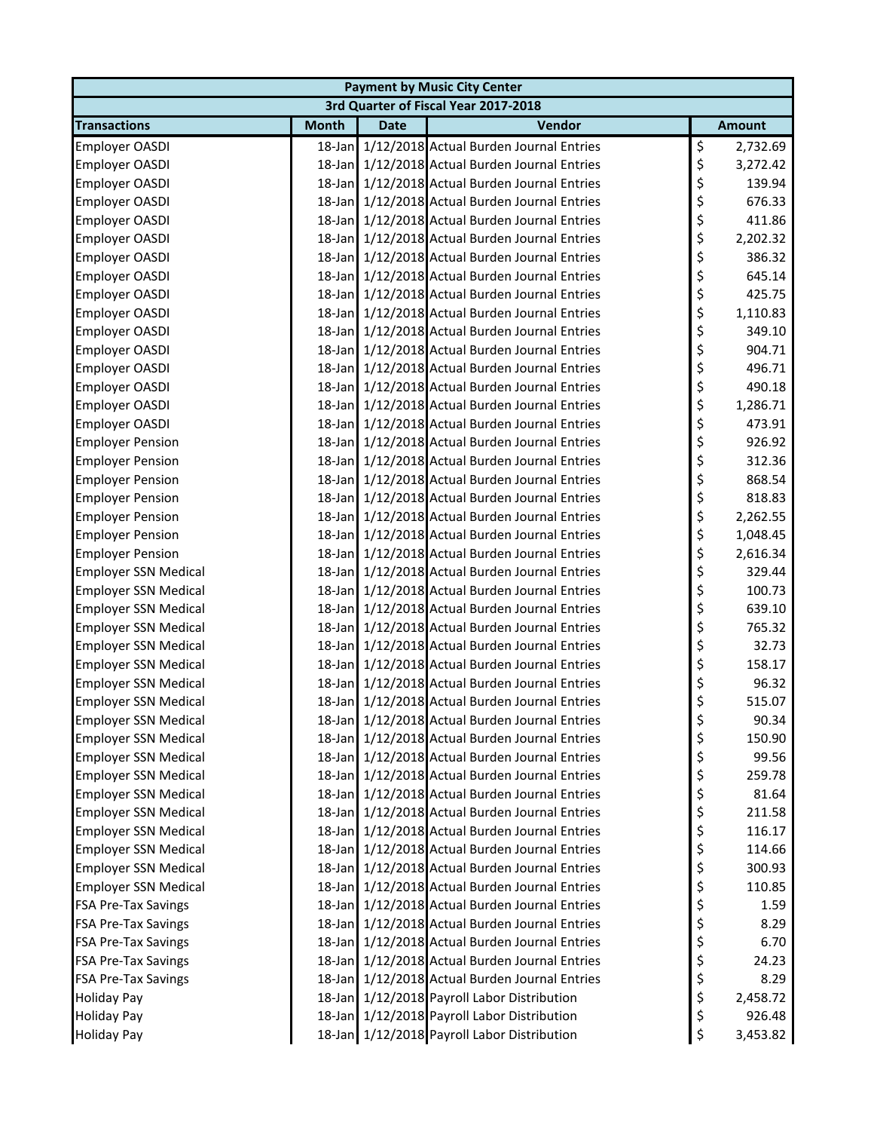| <b>Payment by Music City Center</b>  |              |             |                                                |    |               |  |  |
|--------------------------------------|--------------|-------------|------------------------------------------------|----|---------------|--|--|
| 3rd Quarter of Fiscal Year 2017-2018 |              |             |                                                |    |               |  |  |
| <b>Transactions</b>                  | <b>Month</b> | <b>Date</b> | Vendor                                         |    | <b>Amount</b> |  |  |
| <b>Employer OASDI</b>                |              |             | 18-Jan 1/12/2018 Actual Burden Journal Entries | \$ | 2,732.69      |  |  |
| Employer OASDI                       |              |             | 18-Jan 1/12/2018 Actual Burden Journal Entries | \$ | 3,272.42      |  |  |
| Employer OASDI                       |              |             | 18-Jan 1/12/2018 Actual Burden Journal Entries | \$ | 139.94        |  |  |
| Employer OASDI                       |              |             | 18-Jan 1/12/2018 Actual Burden Journal Entries | \$ | 676.33        |  |  |
| Employer OASDI                       |              |             | 18-Jan 1/12/2018 Actual Burden Journal Entries | \$ | 411.86        |  |  |
| <b>Employer OASDI</b>                |              |             | 18-Jan 1/12/2018 Actual Burden Journal Entries | \$ | 2,202.32      |  |  |
| <b>Employer OASDI</b>                |              |             | 18-Jan 1/12/2018 Actual Burden Journal Entries | \$ | 386.32        |  |  |
| Employer OASDI                       |              |             | 18-Jan 1/12/2018 Actual Burden Journal Entries | \$ | 645.14        |  |  |
| Employer OASDI                       |              |             | 18-Jan 1/12/2018 Actual Burden Journal Entries | \$ | 425.75        |  |  |
| Employer OASDI                       |              |             | 18-Jan 1/12/2018 Actual Burden Journal Entries | \$ | 1,110.83      |  |  |
| <b>Employer OASDI</b>                |              |             | 18-Jan 1/12/2018 Actual Burden Journal Entries | \$ | 349.10        |  |  |
| <b>Employer OASDI</b>                |              |             | 18-Jan 1/12/2018 Actual Burden Journal Entries | \$ | 904.71        |  |  |
| <b>Employer OASDI</b>                |              |             | 18-Jan 1/12/2018 Actual Burden Journal Entries | \$ | 496.71        |  |  |
| <b>Employer OASDI</b>                |              |             | 18-Jan 1/12/2018 Actual Burden Journal Entries | \$ | 490.18        |  |  |
| Employer OASDI                       |              |             | 18-Jan 1/12/2018 Actual Burden Journal Entries | \$ | 1,286.71      |  |  |
| Employer OASDI                       |              |             | 18-Jan 1/12/2018 Actual Burden Journal Entries | \$ | 473.91        |  |  |
| <b>Employer Pension</b>              |              |             | 18-Jan 1/12/2018 Actual Burden Journal Entries | \$ | 926.92        |  |  |
| <b>Employer Pension</b>              |              |             | 18-Jan 1/12/2018 Actual Burden Journal Entries | \$ | 312.36        |  |  |
| <b>Employer Pension</b>              |              |             | 18-Jan 1/12/2018 Actual Burden Journal Entries | \$ | 868.54        |  |  |
| <b>Employer Pension</b>              |              |             | 18-Jan 1/12/2018 Actual Burden Journal Entries | \$ | 818.83        |  |  |
| <b>Employer Pension</b>              |              |             | 18-Jan 1/12/2018 Actual Burden Journal Entries | \$ | 2,262.55      |  |  |
| <b>Employer Pension</b>              |              |             | 18-Jan 1/12/2018 Actual Burden Journal Entries | \$ | 1,048.45      |  |  |
| <b>Employer Pension</b>              |              |             | 18-Jan 1/12/2018 Actual Burden Journal Entries | \$ | 2,616.34      |  |  |
| <b>Employer SSN Medical</b>          |              |             | 18-Jan 1/12/2018 Actual Burden Journal Entries | \$ | 329.44        |  |  |
| <b>Employer SSN Medical</b>          |              |             | 18-Jan 1/12/2018 Actual Burden Journal Entries | \$ | 100.73        |  |  |
| <b>Employer SSN Medical</b>          |              |             | 18-Jan 1/12/2018 Actual Burden Journal Entries | \$ | 639.10        |  |  |
| <b>Employer SSN Medical</b>          |              |             | 18-Jan 1/12/2018 Actual Burden Journal Entries | \$ | 765.32        |  |  |
| <b>Employer SSN Medical</b>          |              |             | 18-Jan 1/12/2018 Actual Burden Journal Entries | \$ | 32.73         |  |  |
| <b>Employer SSN Medical</b>          |              |             | 18-Jan 1/12/2018 Actual Burden Journal Entries | \$ | 158.17        |  |  |
| <b>Employer SSN Medical</b>          |              |             | 18-Jan 1/12/2018 Actual Burden Journal Entries | \$ | 96.32         |  |  |
| <b>Employer SSN Medical</b>          |              |             | 18-Jan 1/12/2018 Actual Burden Journal Entries | \$ | 515.07        |  |  |
| Employer SSN Medical                 |              |             | 18-Jan 1/12/2018 Actual Burden Journal Entries | Ş  | 90.34         |  |  |
| <b>Employer SSN Medical</b>          |              |             | 18-Jan 1/12/2018 Actual Burden Journal Entries | \$ | 150.90        |  |  |
| <b>Employer SSN Medical</b>          |              |             | 18-Jan 1/12/2018 Actual Burden Journal Entries | \$ | 99.56         |  |  |
| <b>Employer SSN Medical</b>          |              |             | 18-Jan 1/12/2018 Actual Burden Journal Entries | \$ | 259.78        |  |  |
| <b>Employer SSN Medical</b>          |              |             | 18-Jan 1/12/2018 Actual Burden Journal Entries | \$ | 81.64         |  |  |
| <b>Employer SSN Medical</b>          |              |             | 18-Jan 1/12/2018 Actual Burden Journal Entries | \$ | 211.58        |  |  |
| <b>Employer SSN Medical</b>          |              |             | 18-Jan 1/12/2018 Actual Burden Journal Entries | \$ | 116.17        |  |  |
| <b>Employer SSN Medical</b>          |              |             | 18-Jan 1/12/2018 Actual Burden Journal Entries | \$ | 114.66        |  |  |
| <b>Employer SSN Medical</b>          |              |             | 18-Jan 1/12/2018 Actual Burden Journal Entries | \$ | 300.93        |  |  |
| <b>Employer SSN Medical</b>          |              |             | 18-Jan 1/12/2018 Actual Burden Journal Entries | \$ | 110.85        |  |  |
| <b>FSA Pre-Tax Savings</b>           |              |             | 18-Jan 1/12/2018 Actual Burden Journal Entries | \$ | 1.59          |  |  |
| <b>FSA Pre-Tax Savings</b>           |              |             | 18-Jan 1/12/2018 Actual Burden Journal Entries | \$ | 8.29          |  |  |
| <b>FSA Pre-Tax Savings</b>           |              |             | 18-Jan 1/12/2018 Actual Burden Journal Entries | \$ | 6.70          |  |  |
| <b>FSA Pre-Tax Savings</b>           |              |             | 18-Jan 1/12/2018 Actual Burden Journal Entries | \$ | 24.23         |  |  |
| <b>FSA Pre-Tax Savings</b>           |              |             | 18-Jan 1/12/2018 Actual Burden Journal Entries | \$ | 8.29          |  |  |
| <b>Holiday Pay</b>                   |              |             | 18-Jan 1/12/2018 Payroll Labor Distribution    | \$ | 2,458.72      |  |  |
| <b>Holiday Pay</b>                   |              |             | 18-Jan 1/12/2018 Payroll Labor Distribution    | \$ | 926.48        |  |  |
| <b>Holiday Pay</b>                   |              |             | 18-Jan 1/12/2018 Payroll Labor Distribution    | \$ | 3,453.82      |  |  |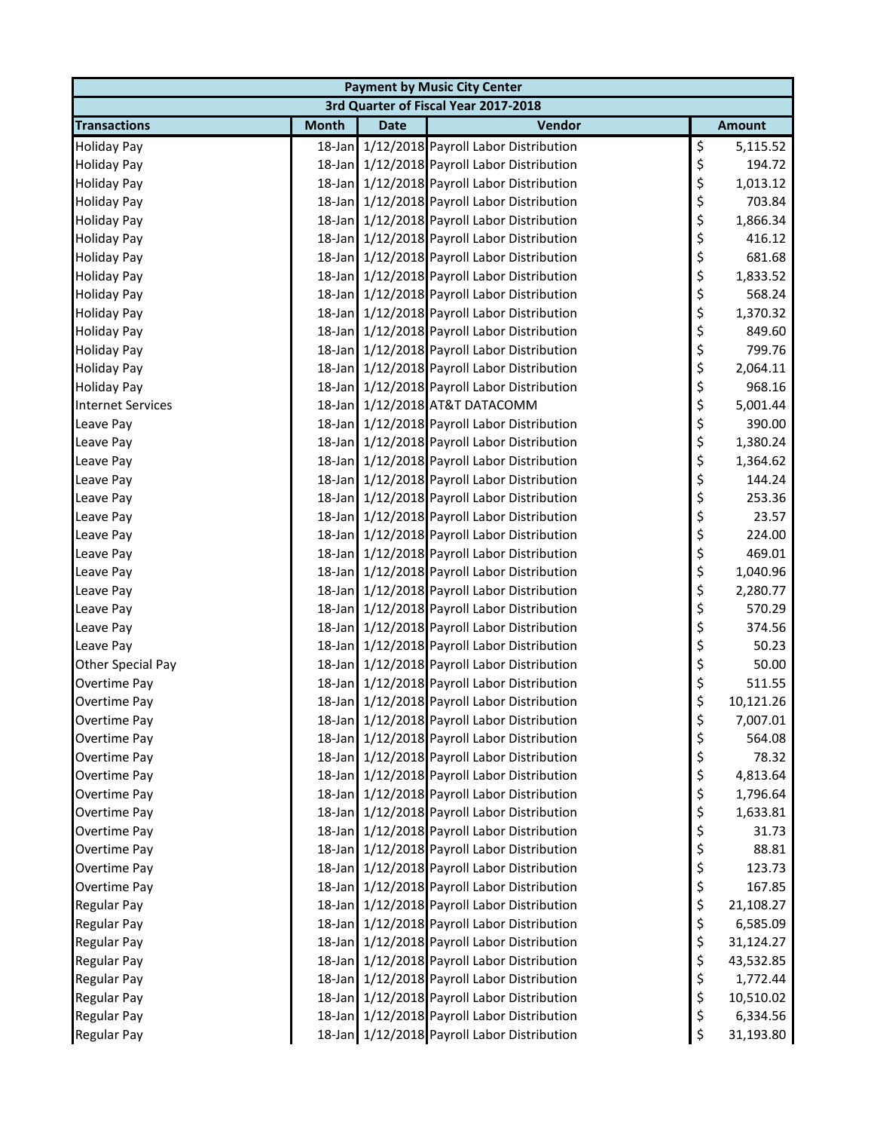| <b>Payment by Music City Center</b> |              |             |                                             |    |               |  |  |
|-------------------------------------|--------------|-------------|---------------------------------------------|----|---------------|--|--|
|                                     |              |             | 3rd Quarter of Fiscal Year 2017-2018        |    |               |  |  |
| <b>Transactions</b>                 | <b>Month</b> | <b>Date</b> | Vendor                                      |    | <b>Amount</b> |  |  |
| <b>Holiday Pay</b>                  |              |             | 18-Jan 1/12/2018 Payroll Labor Distribution | \$ | 5,115.52      |  |  |
| <b>Holiday Pay</b>                  |              |             | 18-Jan 1/12/2018 Payroll Labor Distribution | \$ | 194.72        |  |  |
| <b>Holiday Pay</b>                  |              |             | 18-Jan 1/12/2018 Payroll Labor Distribution | \$ | 1,013.12      |  |  |
| <b>Holiday Pay</b>                  |              |             | 18-Jan 1/12/2018 Payroll Labor Distribution | \$ | 703.84        |  |  |
| <b>Holiday Pay</b>                  |              |             | 18-Jan 1/12/2018 Payroll Labor Distribution | \$ | 1,866.34      |  |  |
| <b>Holiday Pay</b>                  |              |             | 18-Jan 1/12/2018 Payroll Labor Distribution | \$ | 416.12        |  |  |
| <b>Holiday Pay</b>                  |              |             | 18-Jan 1/12/2018 Payroll Labor Distribution | \$ | 681.68        |  |  |
| <b>Holiday Pay</b>                  |              |             | 18-Jan 1/12/2018 Payroll Labor Distribution | \$ | 1,833.52      |  |  |
| <b>Holiday Pay</b>                  |              |             | 18-Jan 1/12/2018 Payroll Labor Distribution | \$ | 568.24        |  |  |
| <b>Holiday Pay</b>                  |              |             | 18-Jan 1/12/2018 Payroll Labor Distribution | \$ | 1,370.32      |  |  |
| <b>Holiday Pay</b>                  |              |             | 18-Jan 1/12/2018 Payroll Labor Distribution | \$ | 849.60        |  |  |
| <b>Holiday Pay</b>                  |              |             | 18-Jan 1/12/2018 Payroll Labor Distribution | \$ | 799.76        |  |  |
| <b>Holiday Pay</b>                  |              |             | 18-Jan 1/12/2018 Payroll Labor Distribution | \$ | 2,064.11      |  |  |
| <b>Holiday Pay</b>                  |              |             | 18-Jan 1/12/2018 Payroll Labor Distribution | \$ | 968.16        |  |  |
| <b>Internet Services</b>            |              |             | 18-Jan 1/12/2018 AT&T DATACOMM              | \$ | 5,001.44      |  |  |
| Leave Pay                           |              |             | 18-Jan 1/12/2018 Payroll Labor Distribution | \$ | 390.00        |  |  |
| Leave Pay                           |              |             | 18-Jan 1/12/2018 Payroll Labor Distribution | \$ | 1,380.24      |  |  |
| Leave Pay                           |              |             | 18-Jan 1/12/2018 Payroll Labor Distribution | \$ | 1,364.62      |  |  |
| Leave Pay                           |              |             | 18-Jan 1/12/2018 Payroll Labor Distribution | \$ | 144.24        |  |  |
| Leave Pay                           |              |             | 18-Jan 1/12/2018 Payroll Labor Distribution | \$ | 253.36        |  |  |
| Leave Pay                           |              |             | 18-Jan 1/12/2018 Payroll Labor Distribution | \$ | 23.57         |  |  |
| Leave Pay                           |              |             | 18-Jan 1/12/2018 Payroll Labor Distribution | \$ | 224.00        |  |  |
| Leave Pay                           |              |             | 18-Jan 1/12/2018 Payroll Labor Distribution | \$ | 469.01        |  |  |
| Leave Pay                           |              |             | 18-Jan 1/12/2018 Payroll Labor Distribution | \$ | 1,040.96      |  |  |
| Leave Pay                           |              |             | 18-Jan 1/12/2018 Payroll Labor Distribution | \$ | 2,280.77      |  |  |
| Leave Pay                           |              |             | 18-Jan 1/12/2018 Payroll Labor Distribution | \$ | 570.29        |  |  |
| Leave Pay                           |              |             | 18-Jan 1/12/2018 Payroll Labor Distribution | \$ | 374.56        |  |  |
| Leave Pay                           |              |             | 18-Jan 1/12/2018 Payroll Labor Distribution | \$ | 50.23         |  |  |
| Other Special Pay                   |              |             | 18-Jan 1/12/2018 Payroll Labor Distribution | \$ | 50.00         |  |  |
| Overtime Pay                        |              |             | 18-Jan 1/12/2018 Payroll Labor Distribution | \$ | 511.55        |  |  |
| Overtime Pay                        |              |             | 18-Jan 1/12/2018 Payroll Labor Distribution | \$ | 10,121.26     |  |  |
| Overtime Pay                        |              |             | 18-Jan 1/12/2018 Payroll Labor Distribution | Ş  | 7,007.01      |  |  |
| Overtime Pay                        |              |             | 18-Jan 1/12/2018 Payroll Labor Distribution | \$ | 564.08        |  |  |
| Overtime Pay                        |              |             | 18-Jan 1/12/2018 Payroll Labor Distribution | \$ | 78.32         |  |  |
| Overtime Pay                        |              |             | 18-Jan 1/12/2018 Payroll Labor Distribution | \$ | 4,813.64      |  |  |
| <b>Overtime Pay</b>                 |              |             | 18-Jan 1/12/2018 Payroll Labor Distribution | \$ | 1,796.64      |  |  |
| Overtime Pay                        |              |             | 18-Jan 1/12/2018 Payroll Labor Distribution | \$ | 1,633.81      |  |  |
| Overtime Pay                        |              |             | 18-Jan 1/12/2018 Payroll Labor Distribution | \$ | 31.73         |  |  |
| Overtime Pay                        |              |             | 18-Jan 1/12/2018 Payroll Labor Distribution | \$ | 88.81         |  |  |
| Overtime Pay                        |              |             | 18-Jan 1/12/2018 Payroll Labor Distribution | \$ | 123.73        |  |  |
| Overtime Pay                        |              |             | 18-Jan 1/12/2018 Payroll Labor Distribution | \$ | 167.85        |  |  |
| Regular Pay                         |              |             | 18-Jan 1/12/2018 Payroll Labor Distribution | \$ | 21,108.27     |  |  |
| Regular Pay                         |              |             | 18-Jan 1/12/2018 Payroll Labor Distribution | \$ | 6,585.09      |  |  |
| Regular Pay                         |              |             | 18-Jan 1/12/2018 Payroll Labor Distribution | \$ | 31,124.27     |  |  |
| Regular Pay                         |              |             | 18-Jan 1/12/2018 Payroll Labor Distribution | \$ | 43,532.85     |  |  |
| Regular Pay                         |              |             | 18-Jan 1/12/2018 Payroll Labor Distribution | \$ | 1,772.44      |  |  |
| Regular Pay                         |              |             | 18-Jan 1/12/2018 Payroll Labor Distribution | \$ | 10,510.02     |  |  |
| Regular Pay                         |              |             | 18-Jan 1/12/2018 Payroll Labor Distribution | \$ | 6,334.56      |  |  |
| Regular Pay                         |              |             | 18-Jan 1/12/2018 Payroll Labor Distribution | \$ | 31,193.80     |  |  |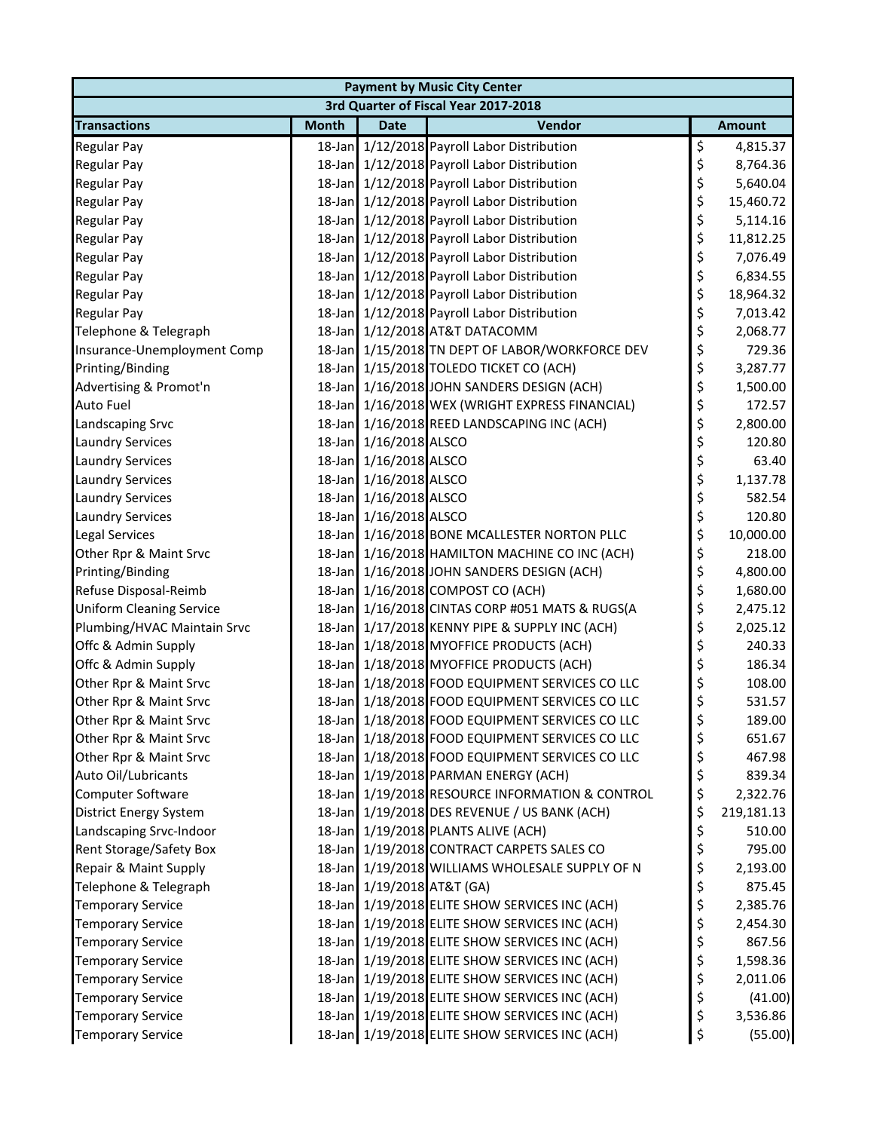| <b>Payment by Music City Center</b> |              |                            |                                                 |    |               |  |  |
|-------------------------------------|--------------|----------------------------|-------------------------------------------------|----|---------------|--|--|
|                                     |              |                            | 3rd Quarter of Fiscal Year 2017-2018            |    |               |  |  |
| <b>Transactions</b>                 | <b>Month</b> | <b>Date</b>                | Vendor                                          |    | <b>Amount</b> |  |  |
| Regular Pay                         |              |                            | 18-Jan 1/12/2018 Payroll Labor Distribution     | \$ | 4,815.37      |  |  |
| Regular Pay                         |              |                            | 18-Jan 1/12/2018 Payroll Labor Distribution     | \$ | 8,764.36      |  |  |
| <b>Regular Pay</b>                  |              |                            | 18-Jan 1/12/2018 Payroll Labor Distribution     | \$ | 5,640.04      |  |  |
| Regular Pay                         |              |                            | 18-Jan 1/12/2018 Payroll Labor Distribution     | \$ | 15,460.72     |  |  |
| Regular Pay                         |              |                            | 18-Jan 1/12/2018 Payroll Labor Distribution     | \$ | 5,114.16      |  |  |
| <b>Regular Pay</b>                  |              |                            | 18-Jan 1/12/2018 Payroll Labor Distribution     | \$ | 11,812.25     |  |  |
| Regular Pay                         |              |                            | 18-Jan 1/12/2018 Payroll Labor Distribution     | \$ | 7,076.49      |  |  |
| Regular Pay                         |              |                            | 18-Jan 1/12/2018 Payroll Labor Distribution     | \$ | 6,834.55      |  |  |
| <b>Regular Pay</b>                  |              |                            | 18-Jan 1/12/2018 Payroll Labor Distribution     | \$ | 18,964.32     |  |  |
| Regular Pay                         |              |                            | 18-Jan 1/12/2018 Payroll Labor Distribution     | \$ | 7,013.42      |  |  |
| Telephone & Telegraph               |              |                            | 18-Jan 1/12/2018 AT&T DATACOMM                  | \$ | 2,068.77      |  |  |
| Insurance-Unemployment Comp         |              |                            | 18-Jan 1/15/2018 TN DEPT OF LABOR/WORKFORCE DEV | \$ | 729.36        |  |  |
| Printing/Binding                    |              |                            | 18-Jan 1/15/2018 TOLEDO TICKET CO (ACH)         | \$ | 3,287.77      |  |  |
| Advertising & Promot'n              |              |                            | 18-Jan 1/16/2018 JOHN SANDERS DESIGN (ACH)      | \$ | 1,500.00      |  |  |
| <b>Auto Fuel</b>                    |              |                            | 18-Jan 1/16/2018 WEX (WRIGHT EXPRESS FINANCIAL) | \$ | 172.57        |  |  |
| Landscaping Srvc                    |              |                            | 18-Jan 1/16/2018 REED LANDSCAPING INC (ACH)     | \$ | 2,800.00      |  |  |
| <b>Laundry Services</b>             |              | 18-Jan 1/16/2018 ALSCO     |                                                 | \$ | 120.80        |  |  |
| <b>Laundry Services</b>             |              | 18-Jan 1/16/2018 ALSCO     |                                                 | \$ | 63.40         |  |  |
| <b>Laundry Services</b>             |              | 18-Jan 1/16/2018 ALSCO     |                                                 | \$ | 1,137.78      |  |  |
| <b>Laundry Services</b>             |              | 18-Jan 1/16/2018 ALSCO     |                                                 | \$ | 582.54        |  |  |
| <b>Laundry Services</b>             |              | 18-Jan 1/16/2018 ALSCO     |                                                 | \$ | 120.80        |  |  |
| <b>Legal Services</b>               |              |                            | 18-Jan 1/16/2018 BONE MCALLESTER NORTON PLLC    | \$ | 10,000.00     |  |  |
| Other Rpr & Maint Srvc              |              |                            | 18-Jan 1/16/2018 HAMILTON MACHINE CO INC (ACH)  | \$ | 218.00        |  |  |
| Printing/Binding                    |              |                            | 18-Jan 1/16/2018 JOHN SANDERS DESIGN (ACH)      | \$ | 4,800.00      |  |  |
| Refuse Disposal-Reimb               |              |                            | 18-Jan 1/16/2018 COMPOST CO (ACH)               | \$ | 1,680.00      |  |  |
| <b>Uniform Cleaning Service</b>     |              |                            | 18-Jan 1/16/2018 CINTAS CORP #051 MATS & RUGS(A | \$ | 2,475.12      |  |  |
| Plumbing/HVAC Maintain Srvc         |              |                            | 18-Jan 1/17/2018 KENNY PIPE & SUPPLY INC (ACH)  | \$ | 2,025.12      |  |  |
| Offc & Admin Supply                 |              |                            | 18-Jan 1/18/2018 MYOFFICE PRODUCTS (ACH)        | \$ | 240.33        |  |  |
| Offc & Admin Supply                 |              |                            | 18-Jan 1/18/2018 MYOFFICE PRODUCTS (ACH)        | \$ | 186.34        |  |  |
| Other Rpr & Maint Srvc              |              |                            | 18-Jan 1/18/2018 FOOD EQUIPMENT SERVICES CO LLC | \$ | 108.00        |  |  |
| Other Rpr & Maint Srvc              |              |                            | 18-Jan 1/18/2018 FOOD EQUIPMENT SERVICES CO LLC | \$ | 531.57        |  |  |
| Other Rpr & Maint Srvc              |              |                            | 18-Jan 1/18/2018 FOOD EQUIPMENT SERVICES CO LLC | Ş  | 189.00        |  |  |
| Other Rpr & Maint Srvc              |              |                            | 18-Jan 1/18/2018 FOOD EQUIPMENT SERVICES CO LLC | \$ | 651.67        |  |  |
| Other Rpr & Maint Srvc              |              |                            | 18-Jan 1/18/2018 FOOD EQUIPMENT SERVICES CO LLC | \$ | 467.98        |  |  |
| Auto Oil/Lubricants                 |              |                            | 18-Jan 1/19/2018 PARMAN ENERGY (ACH)            | \$ | 839.34        |  |  |
| Computer Software                   |              |                            | 18-Jan 1/19/2018 RESOURCE INFORMATION & CONTROL | \$ | 2,322.76      |  |  |
| <b>District Energy System</b>       |              |                            | 18-Jan 1/19/2018 DES REVENUE / US BANK (ACH)    | \$ | 219,181.13    |  |  |
| Landscaping Srvc-Indoor             |              |                            | 18-Jan 1/19/2018 PLANTS ALIVE (ACH)             | \$ | 510.00        |  |  |
| <b>Rent Storage/Safety Box</b>      |              |                            | 18-Jan 1/19/2018 CONTRACT CARPETS SALES CO      | \$ | 795.00        |  |  |
| Repair & Maint Supply               |              |                            | 18-Jan 1/19/2018 WILLIAMS WHOLESALE SUPPLY OF N | \$ | 2,193.00      |  |  |
| Telephone & Telegraph               |              | 18-Jan 1/19/2018 AT&T (GA) |                                                 | \$ | 875.45        |  |  |
| <b>Temporary Service</b>            |              |                            | 18-Jan 1/19/2018 ELITE SHOW SERVICES INC (ACH)  | \$ | 2,385.76      |  |  |
| <b>Temporary Service</b>            |              |                            | 18-Jan 1/19/2018 ELITE SHOW SERVICES INC (ACH)  | \$ | 2,454.30      |  |  |
| <b>Temporary Service</b>            |              |                            | 18-Jan 1/19/2018 ELITE SHOW SERVICES INC (ACH)  | \$ | 867.56        |  |  |
| <b>Temporary Service</b>            |              |                            | 18-Jan 1/19/2018 ELITE SHOW SERVICES INC (ACH)  | \$ | 1,598.36      |  |  |
| <b>Temporary Service</b>            |              |                            | 18-Jan 1/19/2018 ELITE SHOW SERVICES INC (ACH)  | \$ | 2,011.06      |  |  |
| <b>Temporary Service</b>            |              |                            | 18-Jan 1/19/2018 ELITE SHOW SERVICES INC (ACH)  | \$ | (41.00)       |  |  |
| <b>Temporary Service</b>            |              |                            | 18-Jan 1/19/2018 ELITE SHOW SERVICES INC (ACH)  | \$ | 3,536.86      |  |  |
| <b>Temporary Service</b>            |              |                            | 18-Jan 1/19/2018 ELITE SHOW SERVICES INC (ACH)  | \$ | (55.00)       |  |  |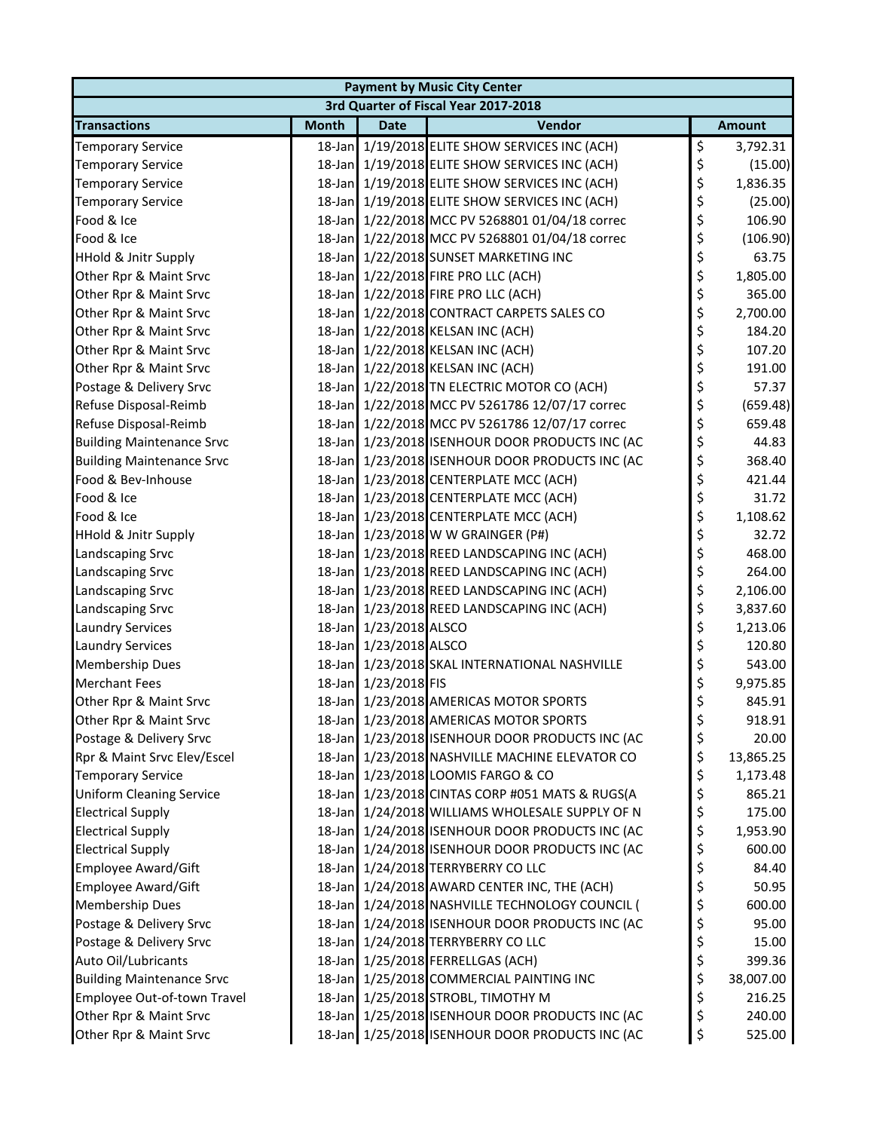| <b>Payment by Music City Center</b> |              |                        |                                                 |    |               |  |  |
|-------------------------------------|--------------|------------------------|-------------------------------------------------|----|---------------|--|--|
|                                     |              |                        | 3rd Quarter of Fiscal Year 2017-2018            |    |               |  |  |
| <b>Transactions</b>                 | <b>Month</b> | <b>Date</b>            | Vendor                                          |    | <b>Amount</b> |  |  |
| <b>Temporary Service</b>            |              |                        | 18-Jan 1/19/2018 ELITE SHOW SERVICES INC (ACH)  | \$ | 3,792.31      |  |  |
| <b>Temporary Service</b>            |              |                        | 18-Jan 1/19/2018 ELITE SHOW SERVICES INC (ACH)  | \$ | (15.00)       |  |  |
| <b>Temporary Service</b>            |              |                        | 18-Jan 1/19/2018 ELITE SHOW SERVICES INC (ACH)  | \$ | 1,836.35      |  |  |
| <b>Temporary Service</b>            |              |                        | 18-Jan 1/19/2018 ELITE SHOW SERVICES INC (ACH)  | \$ | (25.00)       |  |  |
| Food & Ice                          |              |                        | 18-Jan 1/22/2018 MCC PV 5268801 01/04/18 correc | \$ | 106.90        |  |  |
| Food & Ice                          |              |                        | 18-Jan 1/22/2018 MCC PV 5268801 01/04/18 correc | \$ | (106.90)      |  |  |
| <b>HHold &amp; Jnitr Supply</b>     |              |                        | 18-Jan 1/22/2018 SUNSET MARKETING INC           | \$ | 63.75         |  |  |
| Other Rpr & Maint Srvc              |              |                        | 18-Jan 1/22/2018 FIRE PRO LLC (ACH)             | \$ | 1,805.00      |  |  |
| Other Rpr & Maint Srvc              |              |                        | 18-Jan 1/22/2018 FIRE PRO LLC (ACH)             | \$ | 365.00        |  |  |
| Other Rpr & Maint Srvc              |              |                        | 18-Jan 1/22/2018 CONTRACT CARPETS SALES CO      | \$ | 2,700.00      |  |  |
| Other Rpr & Maint Srvc              |              |                        | 18-Jan 1/22/2018 KELSAN INC (ACH)               | \$ | 184.20        |  |  |
| Other Rpr & Maint Srvc              |              |                        | 18-Jan 1/22/2018 KELSAN INC (ACH)               | \$ | 107.20        |  |  |
| Other Rpr & Maint Srvc              |              |                        | 18-Jan 1/22/2018 KELSAN INC (ACH)               | \$ | 191.00        |  |  |
| Postage & Delivery Srvc             |              |                        | 18-Jan 1/22/2018 TN ELECTRIC MOTOR CO (ACH)     | \$ | 57.37         |  |  |
| Refuse Disposal-Reimb               |              |                        | 18-Jan 1/22/2018 MCC PV 5261786 12/07/17 correc | \$ | (659.48)      |  |  |
| Refuse Disposal-Reimb               |              |                        | 18-Jan 1/22/2018 MCC PV 5261786 12/07/17 correc | \$ | 659.48        |  |  |
| <b>Building Maintenance Srvc</b>    |              |                        | 18-Jan 1/23/2018 ISENHOUR DOOR PRODUCTS INC (AC | \$ | 44.83         |  |  |
| <b>Building Maintenance Srvc</b>    |              |                        | 18-Jan 1/23/2018 ISENHOUR DOOR PRODUCTS INC (AC | \$ | 368.40        |  |  |
| Food & Bev-Inhouse                  |              |                        | 18-Jan 1/23/2018 CENTERPLATE MCC (ACH)          | \$ | 421.44        |  |  |
| Food & Ice                          |              |                        | 18-Jan 1/23/2018 CENTERPLATE MCC (ACH)          | \$ | 31.72         |  |  |
| Food & Ice                          |              |                        | 18-Jan 1/23/2018 CENTERPLATE MCC (ACH)          | \$ | 1,108.62      |  |  |
| <b>HHold &amp; Jnitr Supply</b>     |              |                        | 18-Jan 1/23/2018 W W GRAINGER (P#)              | \$ | 32.72         |  |  |
| Landscaping Srvc                    |              |                        | 18-Jan 1/23/2018 REED LANDSCAPING INC (ACH)     | \$ | 468.00        |  |  |
| Landscaping Srvc                    |              |                        | 18-Jan 1/23/2018 REED LANDSCAPING INC (ACH)     | \$ | 264.00        |  |  |
| Landscaping Srvc                    |              |                        | 18-Jan 1/23/2018 REED LANDSCAPING INC (ACH)     | \$ | 2,106.00      |  |  |
| Landscaping Srvc                    |              |                        | 18-Jan 1/23/2018 REED LANDSCAPING INC (ACH)     | \$ | 3,837.60      |  |  |
| <b>Laundry Services</b>             |              | 18-Jan 1/23/2018 ALSCO |                                                 | \$ | 1,213.06      |  |  |
| <b>Laundry Services</b>             |              | 18-Jan 1/23/2018 ALSCO |                                                 | \$ | 120.80        |  |  |
| <b>Membership Dues</b>              |              |                        | 18-Jan 1/23/2018 SKAL INTERNATIONAL NASHVILLE   | \$ | 543.00        |  |  |
| <b>Merchant Fees</b>                |              | 18-Jan 1/23/2018 FIS   |                                                 | \$ | 9,975.85      |  |  |
| Other Rpr & Maint Srvc              |              |                        | 18-Jan 1/23/2018 AMERICAS MOTOR SPORTS          | \$ | 845.91        |  |  |
| Other Rpr & Maint Srvc              |              |                        | 18-Jan 1/23/2018 AMERICAS MOTOR SPORTS          | Ş  | 918.91        |  |  |
| Postage & Delivery Srvc             |              |                        | 18-Jan 1/23/2018 ISENHOUR DOOR PRODUCTS INC (AC | \$ | 20.00         |  |  |
| Rpr & Maint Srvc Elev/Escel         |              |                        | 18-Jan 1/23/2018 NASHVILLE MACHINE ELEVATOR CO  | \$ | 13,865.25     |  |  |
| <b>Temporary Service</b>            |              |                        | 18-Jan 1/23/2018 LOOMIS FARGO & CO              | \$ | 1,173.48      |  |  |
| <b>Uniform Cleaning Service</b>     |              |                        | 18-Jan 1/23/2018 CINTAS CORP #051 MATS & RUGS(A | \$ | 865.21        |  |  |
| <b>Electrical Supply</b>            |              |                        | 18-Jan 1/24/2018 WILLIAMS WHOLESALE SUPPLY OF N | \$ | 175.00        |  |  |
| <b>Electrical Supply</b>            |              |                        | 18-Jan 1/24/2018 ISENHOUR DOOR PRODUCTS INC (AC | \$ | 1,953.90      |  |  |
| <b>Electrical Supply</b>            |              |                        | 18-Jan 1/24/2018 ISENHOUR DOOR PRODUCTS INC (AC | \$ | 600.00        |  |  |
| Employee Award/Gift                 |              |                        | 18-Jan 1/24/2018 TERRYBERRY CO LLC              | \$ | 84.40         |  |  |
| Employee Award/Gift                 |              |                        | 18-Jan 1/24/2018 AWARD CENTER INC, THE (ACH)    | \$ | 50.95         |  |  |
| <b>Membership Dues</b>              |              |                        | 18-Jan 1/24/2018 NASHVILLE TECHNOLOGY COUNCIL ( | \$ | 600.00        |  |  |
| Postage & Delivery Srvc             |              |                        | 18-Jan 1/24/2018 ISENHOUR DOOR PRODUCTS INC (AC | \$ | 95.00         |  |  |
| Postage & Delivery Srvc             |              |                        | 18-Jan 1/24/2018 TERRYBERRY CO LLC              | \$ | 15.00         |  |  |
| Auto Oil/Lubricants                 |              |                        | 18-Jan 1/25/2018 FERRELLGAS (ACH)               | \$ | 399.36        |  |  |
| <b>Building Maintenance Srvc</b>    |              |                        | 18-Jan 1/25/2018 COMMERCIAL PAINTING INC        | \$ | 38,007.00     |  |  |
| Employee Out-of-town Travel         |              |                        | 18-Jan 1/25/2018 STROBL, TIMOTHY M              | \$ | 216.25        |  |  |
| Other Rpr & Maint Srvc              |              |                        | 18-Jan 1/25/2018 ISENHOUR DOOR PRODUCTS INC (AC | \$ | 240.00        |  |  |
| Other Rpr & Maint Srvc              |              |                        | 18-Jan 1/25/2018 ISENHOUR DOOR PRODUCTS INC (AC | \$ | 525.00        |  |  |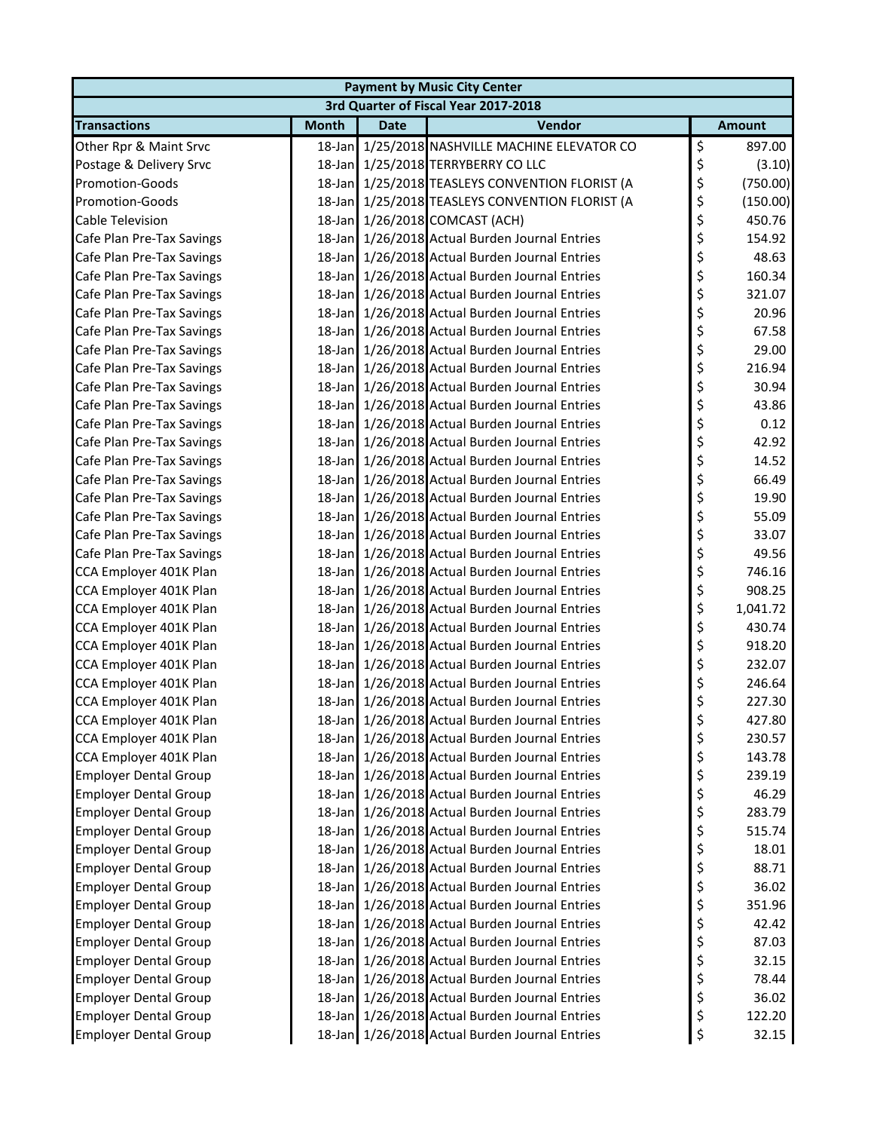| <b>Payment by Music City Center</b>  |              |             |                                                 |    |               |  |  |  |
|--------------------------------------|--------------|-------------|-------------------------------------------------|----|---------------|--|--|--|
| 3rd Quarter of Fiscal Year 2017-2018 |              |             |                                                 |    |               |  |  |  |
| <b>Transactions</b>                  | <b>Month</b> | <b>Date</b> | Vendor                                          |    | <b>Amount</b> |  |  |  |
| Other Rpr & Maint Srvc               |              |             | 18-Jan 1/25/2018 NASHVILLE MACHINE ELEVATOR CO  | \$ | 897.00        |  |  |  |
| Postage & Delivery Srvc              |              |             | 18-Jan 1/25/2018 TERRYBERRY CO LLC              | \$ | (3.10)        |  |  |  |
| <b>Promotion-Goods</b>               |              |             | 18-Jan 1/25/2018 TEASLEYS CONVENTION FLORIST (A | \$ | (750.00)      |  |  |  |
| Promotion-Goods                      |              |             | 18-Jan 1/25/2018 TEASLEYS CONVENTION FLORIST (A | \$ | (150.00)      |  |  |  |
| <b>Cable Television</b>              |              |             | 18-Jan 1/26/2018 COMCAST (ACH)                  | \$ | 450.76        |  |  |  |
| Cafe Plan Pre-Tax Savings            |              |             | 18-Jan 1/26/2018 Actual Burden Journal Entries  | \$ | 154.92        |  |  |  |
| Cafe Plan Pre-Tax Savings            |              |             | 18-Jan 1/26/2018 Actual Burden Journal Entries  | \$ | 48.63         |  |  |  |
| Cafe Plan Pre-Tax Savings            |              |             | 18-Jan 1/26/2018 Actual Burden Journal Entries  | \$ | 160.34        |  |  |  |
| Cafe Plan Pre-Tax Savings            |              |             | 18-Jan 1/26/2018 Actual Burden Journal Entries  | \$ | 321.07        |  |  |  |
| Cafe Plan Pre-Tax Savings            |              |             | 18-Jan 1/26/2018 Actual Burden Journal Entries  | \$ | 20.96         |  |  |  |
| Cafe Plan Pre-Tax Savings            |              |             | 18-Jan 1/26/2018 Actual Burden Journal Entries  | \$ | 67.58         |  |  |  |
| Cafe Plan Pre-Tax Savings            |              |             | 18-Jan 1/26/2018 Actual Burden Journal Entries  | \$ | 29.00         |  |  |  |
| Cafe Plan Pre-Tax Savings            |              |             | 18-Jan 1/26/2018 Actual Burden Journal Entries  | \$ | 216.94        |  |  |  |
| Cafe Plan Pre-Tax Savings            |              |             | 18-Jan 1/26/2018 Actual Burden Journal Entries  | \$ | 30.94         |  |  |  |
| Cafe Plan Pre-Tax Savings            |              |             | 18-Jan 1/26/2018 Actual Burden Journal Entries  | \$ | 43.86         |  |  |  |
| Cafe Plan Pre-Tax Savings            |              |             | 18-Jan 1/26/2018 Actual Burden Journal Entries  | \$ | 0.12          |  |  |  |
| Cafe Plan Pre-Tax Savings            |              |             | 18-Jan 1/26/2018 Actual Burden Journal Entries  | \$ | 42.92         |  |  |  |
| Cafe Plan Pre-Tax Savings            |              |             | 18-Jan 1/26/2018 Actual Burden Journal Entries  | \$ | 14.52         |  |  |  |
| Cafe Plan Pre-Tax Savings            |              |             | 18-Jan 1/26/2018 Actual Burden Journal Entries  | \$ | 66.49         |  |  |  |
| Cafe Plan Pre-Tax Savings            |              |             | 18-Jan 1/26/2018 Actual Burden Journal Entries  | \$ | 19.90         |  |  |  |
| Cafe Plan Pre-Tax Savings            |              |             | 18-Jan 1/26/2018 Actual Burden Journal Entries  | \$ | 55.09         |  |  |  |
| Cafe Plan Pre-Tax Savings            |              |             | 18-Jan 1/26/2018 Actual Burden Journal Entries  | \$ | 33.07         |  |  |  |
| Cafe Plan Pre-Tax Savings            |              |             | 18-Jan 1/26/2018 Actual Burden Journal Entries  | \$ | 49.56         |  |  |  |
| CCA Employer 401K Plan               |              |             | 18-Jan 1/26/2018 Actual Burden Journal Entries  | \$ | 746.16        |  |  |  |
| CCA Employer 401K Plan               |              |             | 18-Jan 1/26/2018 Actual Burden Journal Entries  | \$ | 908.25        |  |  |  |
| CCA Employer 401K Plan               |              |             | 18-Jan 1/26/2018 Actual Burden Journal Entries  | \$ | 1,041.72      |  |  |  |
| CCA Employer 401K Plan               |              |             | 18-Jan 1/26/2018 Actual Burden Journal Entries  | \$ | 430.74        |  |  |  |
| CCA Employer 401K Plan               |              |             | 18-Jan 1/26/2018 Actual Burden Journal Entries  | \$ | 918.20        |  |  |  |
| CCA Employer 401K Plan               |              |             | 18-Jan 1/26/2018 Actual Burden Journal Entries  | \$ | 232.07        |  |  |  |
| CCA Employer 401K Plan               |              |             | 18-Jan 1/26/2018 Actual Burden Journal Entries  | \$ | 246.64        |  |  |  |
| CCA Employer 401K Plan               |              |             | 18-Jan 1/26/2018 Actual Burden Journal Entries  | \$ | 227.30        |  |  |  |
| CCA Employer 401K Plan               |              |             | 18-Jan 1/26/2018 Actual Burden Journal Entries  | P  | 427.80        |  |  |  |
| CCA Employer 401K Plan               |              |             | 18-Jan 1/26/2018 Actual Burden Journal Entries  | \$ | 230.57        |  |  |  |
| CCA Employer 401K Plan               |              |             | 18-Jan 1/26/2018 Actual Burden Journal Entries  | \$ | 143.78        |  |  |  |
| <b>Employer Dental Group</b>         | $18$ -Jan    |             | 1/26/2018 Actual Burden Journal Entries         | \$ | 239.19        |  |  |  |
| <b>Employer Dental Group</b>         |              |             | 18-Jan 1/26/2018 Actual Burden Journal Entries  | \$ | 46.29         |  |  |  |
| <b>Employer Dental Group</b>         |              |             | 18-Jan 1/26/2018 Actual Burden Journal Entries  | \$ | 283.79        |  |  |  |
| <b>Employer Dental Group</b>         |              |             | 18-Jan 1/26/2018 Actual Burden Journal Entries  | \$ | 515.74        |  |  |  |
| <b>Employer Dental Group</b>         |              |             | 18-Jan 1/26/2018 Actual Burden Journal Entries  | \$ | 18.01         |  |  |  |
| <b>Employer Dental Group</b>         |              |             | 18-Jan 1/26/2018 Actual Burden Journal Entries  | \$ | 88.71         |  |  |  |
| <b>Employer Dental Group</b>         |              |             | 18-Jan 1/26/2018 Actual Burden Journal Entries  | \$ | 36.02         |  |  |  |
| <b>Employer Dental Group</b>         |              |             | 18-Jan 1/26/2018 Actual Burden Journal Entries  | \$ | 351.96        |  |  |  |
| <b>Employer Dental Group</b>         |              |             | 18-Jan 1/26/2018 Actual Burden Journal Entries  | \$ | 42.42         |  |  |  |
| <b>Employer Dental Group</b>         |              |             | 18-Jan 1/26/2018 Actual Burden Journal Entries  | \$ | 87.03         |  |  |  |
| <b>Employer Dental Group</b>         |              |             | 18-Jan 1/26/2018 Actual Burden Journal Entries  | \$ | 32.15         |  |  |  |
| <b>Employer Dental Group</b>         |              |             | 18-Jan 1/26/2018 Actual Burden Journal Entries  | \$ | 78.44         |  |  |  |
| <b>Employer Dental Group</b>         |              |             | 18-Jan 1/26/2018 Actual Burden Journal Entries  | \$ | 36.02         |  |  |  |
| <b>Employer Dental Group</b>         |              |             | 18-Jan 1/26/2018 Actual Burden Journal Entries  | \$ | 122.20        |  |  |  |
| <b>Employer Dental Group</b>         |              |             | 18-Jan 1/26/2018 Actual Burden Journal Entries  | \$ | 32.15         |  |  |  |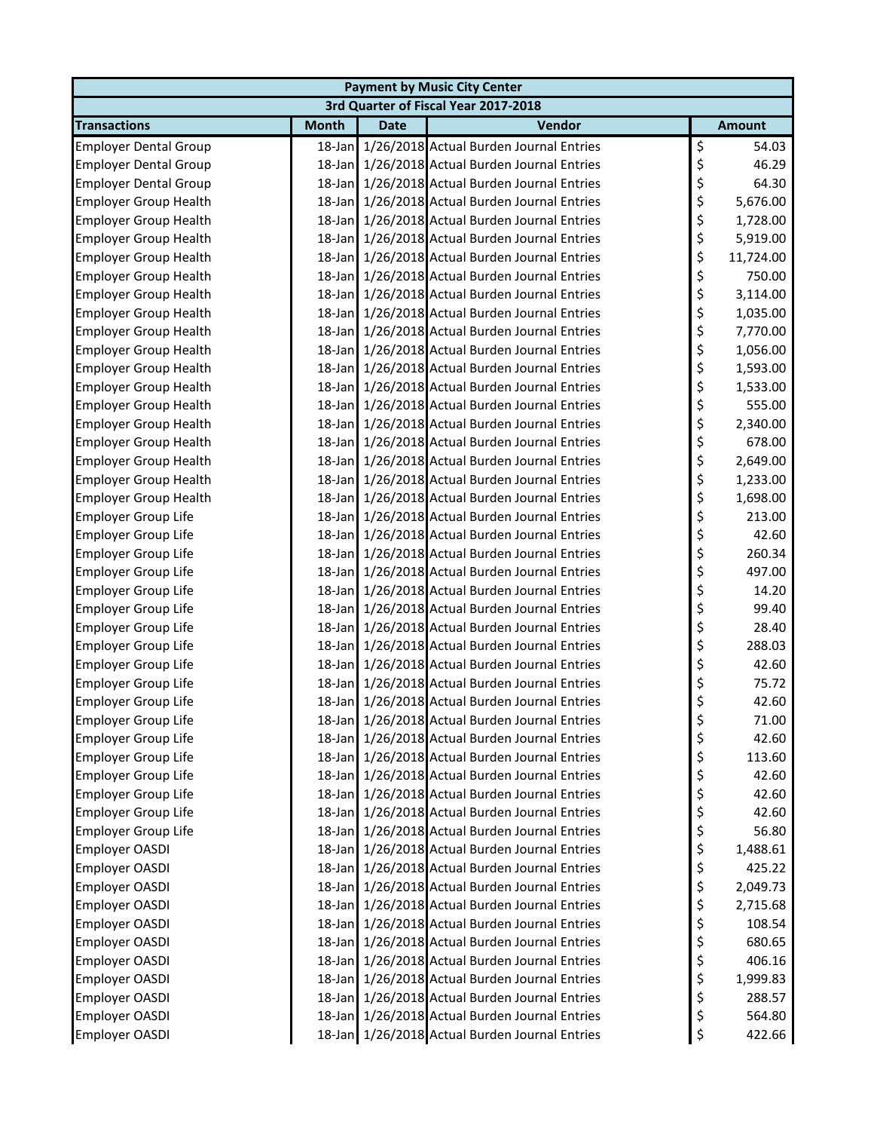| <b>Payment by Music City Center</b>            |              |             |                                                                                                  |          |                    |  |  |
|------------------------------------------------|--------------|-------------|--------------------------------------------------------------------------------------------------|----------|--------------------|--|--|
|                                                |              |             | 3rd Quarter of Fiscal Year 2017-2018                                                             |          |                    |  |  |
| <b>Transactions</b>                            | <b>Month</b> | <b>Date</b> | Vendor                                                                                           |          | <b>Amount</b>      |  |  |
| <b>Employer Dental Group</b>                   |              |             | 18-Jan 1/26/2018 Actual Burden Journal Entries                                                   | \$       | 54.03              |  |  |
| <b>Employer Dental Group</b>                   |              |             | 18-Jan 1/26/2018 Actual Burden Journal Entries                                                   | \$       | 46.29              |  |  |
| <b>Employer Dental Group</b>                   |              |             | 18-Jan 1/26/2018 Actual Burden Journal Entries                                                   | \$       | 64.30              |  |  |
| <b>Employer Group Health</b>                   | $18$ -Jan    |             | 1/26/2018 Actual Burden Journal Entries                                                          | \$       | 5,676.00           |  |  |
| <b>Employer Group Health</b>                   |              |             | 18-Jan 1/26/2018 Actual Burden Journal Entries                                                   | \$       | 1,728.00           |  |  |
| <b>Employer Group Health</b>                   |              |             | 18-Jan 1/26/2018 Actual Burden Journal Entries                                                   | \$       | 5,919.00           |  |  |
| <b>Employer Group Health</b>                   |              |             | 18-Jan 1/26/2018 Actual Burden Journal Entries                                                   | \$       | 11,724.00          |  |  |
| <b>Employer Group Health</b>                   |              |             | 18-Jan 1/26/2018 Actual Burden Journal Entries                                                   | \$       | 750.00             |  |  |
| <b>Employer Group Health</b>                   |              |             | 18-Jan 1/26/2018 Actual Burden Journal Entries                                                   | \$       | 3,114.00           |  |  |
| <b>Employer Group Health</b>                   |              |             | 18-Jan 1/26/2018 Actual Burden Journal Entries                                                   | \$       | 1,035.00           |  |  |
| <b>Employer Group Health</b>                   |              |             | 18-Jan 1/26/2018 Actual Burden Journal Entries                                                   | \$       | 7,770.00           |  |  |
| <b>Employer Group Health</b>                   |              |             | 18-Jan 1/26/2018 Actual Burden Journal Entries                                                   | \$       | 1,056.00           |  |  |
| <b>Employer Group Health</b>                   |              |             | 18-Jan 1/26/2018 Actual Burden Journal Entries                                                   | \$       | 1,593.00           |  |  |
| <b>Employer Group Health</b>                   |              |             | 18-Jan 1/26/2018 Actual Burden Journal Entries                                                   | \$       | 1,533.00           |  |  |
| <b>Employer Group Health</b>                   |              |             | 18-Jan 1/26/2018 Actual Burden Journal Entries                                                   | \$       | 555.00             |  |  |
| <b>Employer Group Health</b>                   |              |             | 18-Jan 1/26/2018 Actual Burden Journal Entries                                                   | \$       | 2,340.00           |  |  |
| <b>Employer Group Health</b>                   |              |             | 18-Jan 1/26/2018 Actual Burden Journal Entries                                                   | \$       | 678.00             |  |  |
| <b>Employer Group Health</b>                   |              |             | 18-Jan 1/26/2018 Actual Burden Journal Entries                                                   | \$       | 2,649.00           |  |  |
| <b>Employer Group Health</b>                   |              |             | 18-Jan 1/26/2018 Actual Burden Journal Entries                                                   | \$       | 1,233.00           |  |  |
| <b>Employer Group Health</b>                   |              |             | 18-Jan 1/26/2018 Actual Burden Journal Entries                                                   | \$       | 1,698.00           |  |  |
| <b>Employer Group Life</b>                     |              |             | 18-Jan 1/26/2018 Actual Burden Journal Entries                                                   | \$       | 213.00             |  |  |
| <b>Employer Group Life</b>                     |              |             | 18-Jan 1/26/2018 Actual Burden Journal Entries                                                   | \$       | 42.60              |  |  |
| <b>Employer Group Life</b>                     |              |             | 18-Jan 1/26/2018 Actual Burden Journal Entries                                                   | \$       | 260.34             |  |  |
| <b>Employer Group Life</b>                     |              |             | 18-Jan 1/26/2018 Actual Burden Journal Entries                                                   | \$       | 497.00             |  |  |
| <b>Employer Group Life</b>                     |              |             | 18-Jan 1/26/2018 Actual Burden Journal Entries                                                   | \$       | 14.20              |  |  |
| Employer Group Life                            |              |             | 18-Jan 1/26/2018 Actual Burden Journal Entries                                                   | \$       | 99.40              |  |  |
| <b>Employer Group Life</b>                     |              |             | 18-Jan 1/26/2018 Actual Burden Journal Entries                                                   | \$       | 28.40              |  |  |
| <b>Employer Group Life</b>                     |              |             | 18-Jan 1/26/2018 Actual Burden Journal Entries                                                   | \$       | 288.03             |  |  |
| <b>Employer Group Life</b>                     |              |             | 18-Jan 1/26/2018 Actual Burden Journal Entries                                                   | \$       | 42.60              |  |  |
| <b>Employer Group Life</b>                     |              |             | 18-Jan 1/26/2018 Actual Burden Journal Entries                                                   | \$       | 75.72              |  |  |
| <b>Employer Group Life</b>                     |              |             | 18-Jan 1/26/2018 Actual Burden Journal Entries                                                   | \$       | 42.60              |  |  |
| <b>Employer Group Life</b>                     |              |             | 18-Jan 1/26/2018 Actual Burden Journal Entries                                                   | \$       | 71.00              |  |  |
| <b>Employer Group Life</b>                     |              |             | 18-Jan 1/26/2018 Actual Burden Journal Entries                                                   | \$       | 42.60              |  |  |
| <b>Employer Group Life</b>                     |              |             | 18-Jan 1/26/2018 Actual Burden Journal Entries                                                   | \$       | 113.60             |  |  |
| Employer Group Life                            |              |             | 18-Jan 1/26/2018 Actual Burden Journal Entries                                                   | \$       | 42.60              |  |  |
| Employer Group Life                            |              |             | 18-Jan 1/26/2018 Actual Burden Journal Entries                                                   | \$       | 42.60              |  |  |
| <b>Employer Group Life</b>                     |              |             | 18-Jan 1/26/2018 Actual Burden Journal Entries                                                   | \$       | 42.60              |  |  |
| Employer Group Life                            |              |             | 18-Jan 1/26/2018 Actual Burden Journal Entries                                                   | \$       | 56.80              |  |  |
| <b>Employer OASDI</b>                          |              |             | 18-Jan 1/26/2018 Actual Burden Journal Entries                                                   | \$       | 1,488.61           |  |  |
| Employer OASDI                                 |              |             | 18-Jan 1/26/2018 Actual Burden Journal Entries<br>18-Jan 1/26/2018 Actual Burden Journal Entries | \$       | 425.22             |  |  |
| <b>Employer OASDI</b>                          |              |             |                                                                                                  | \$       | 2,049.73           |  |  |
| Employer OASDI                                 |              |             | 18-Jan 1/26/2018 Actual Burden Journal Entries<br>18-Jan 1/26/2018 Actual Burden Journal Entries | \$<br>\$ | 2,715.68<br>108.54 |  |  |
| <b>Employer OASDI</b>                          |              |             |                                                                                                  |          | 680.65             |  |  |
| <b>Employer OASDI</b><br><b>Employer OASDI</b> |              |             | 18-Jan 1/26/2018 Actual Burden Journal Entries<br>18-Jan 1/26/2018 Actual Burden Journal Entries | \$       |                    |  |  |
| <b>Employer OASDI</b>                          |              |             | 18-Jan 1/26/2018 Actual Burden Journal Entries                                                   | \$<br>\$ | 406.16             |  |  |
| Employer OASDI                                 |              |             | 18-Jan 1/26/2018 Actual Burden Journal Entries                                                   | \$       | 1,999.83<br>288.57 |  |  |
| Employer OASDI                                 |              |             | 18-Jan 1/26/2018 Actual Burden Journal Entries                                                   | \$       | 564.80             |  |  |
| Employer OASDI                                 |              |             | 18-Jan 1/26/2018 Actual Burden Journal Entries                                                   | \$       | 422.66             |  |  |
|                                                |              |             |                                                                                                  |          |                    |  |  |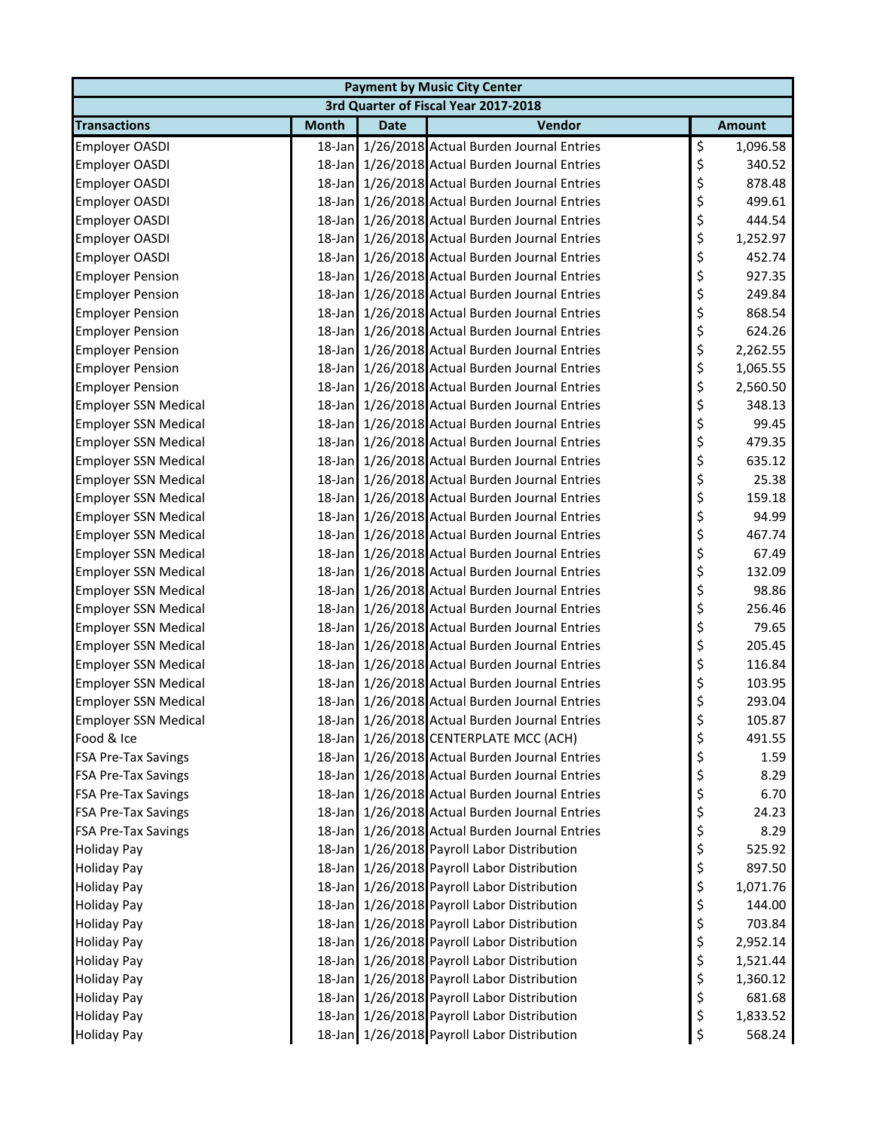| <b>Payment by Music City Center</b>  |              |             |                                                |    |               |  |  |  |
|--------------------------------------|--------------|-------------|------------------------------------------------|----|---------------|--|--|--|
| 3rd Quarter of Fiscal Year 2017-2018 |              |             |                                                |    |               |  |  |  |
| <b>Transactions</b>                  | <b>Month</b> | <b>Date</b> | Vendor                                         |    | <b>Amount</b> |  |  |  |
| <b>Employer OASDI</b>                |              |             | 18-Jan 1/26/2018 Actual Burden Journal Entries | \$ | 1,096.58      |  |  |  |
| Employer OASDI                       |              |             | 18-Jan 1/26/2018 Actual Burden Journal Entries | \$ | 340.52        |  |  |  |
| <b>Employer OASDI</b>                |              |             | 18-Jan 1/26/2018 Actual Burden Journal Entries | \$ | 878.48        |  |  |  |
| Employer OASDI                       |              |             | 18-Jan 1/26/2018 Actual Burden Journal Entries | \$ | 499.61        |  |  |  |
| Employer OASDI                       |              |             | 18-Jan 1/26/2018 Actual Burden Journal Entries | \$ | 444.54        |  |  |  |
| Employer OASDI                       |              |             | 18-Jan 1/26/2018 Actual Burden Journal Entries | \$ | 1,252.97      |  |  |  |
| Employer OASDI                       |              |             | 18-Jan 1/26/2018 Actual Burden Journal Entries | \$ | 452.74        |  |  |  |
| <b>Employer Pension</b>              |              |             | 18-Jan 1/26/2018 Actual Burden Journal Entries | \$ | 927.35        |  |  |  |
| <b>Employer Pension</b>              |              |             | 18-Jan 1/26/2018 Actual Burden Journal Entries | \$ | 249.84        |  |  |  |
| <b>Employer Pension</b>              |              |             | 18-Jan 1/26/2018 Actual Burden Journal Entries | \$ | 868.54        |  |  |  |
| <b>Employer Pension</b>              |              |             | 18-Jan 1/26/2018 Actual Burden Journal Entries | \$ | 624.26        |  |  |  |
| <b>Employer Pension</b>              |              |             | 18-Jan 1/26/2018 Actual Burden Journal Entries | \$ | 2,262.55      |  |  |  |
| <b>Employer Pension</b>              |              |             | 18-Jan 1/26/2018 Actual Burden Journal Entries | \$ | 1,065.55      |  |  |  |
| <b>Employer Pension</b>              |              |             | 18-Jan 1/26/2018 Actual Burden Journal Entries | \$ | 2,560.50      |  |  |  |
| <b>Employer SSN Medical</b>          |              |             | 18-Jan 1/26/2018 Actual Burden Journal Entries | \$ | 348.13        |  |  |  |
| <b>Employer SSN Medical</b>          |              |             | 18-Jan 1/26/2018 Actual Burden Journal Entries | \$ | 99.45         |  |  |  |
| <b>Employer SSN Medical</b>          |              |             | 18-Jan 1/26/2018 Actual Burden Journal Entries | \$ | 479.35        |  |  |  |
| <b>Employer SSN Medical</b>          |              |             | 18-Jan 1/26/2018 Actual Burden Journal Entries | \$ | 635.12        |  |  |  |
| <b>Employer SSN Medical</b>          |              |             | 18-Jan 1/26/2018 Actual Burden Journal Entries | \$ | 25.38         |  |  |  |
| <b>Employer SSN Medical</b>          |              |             | 18-Jan 1/26/2018 Actual Burden Journal Entries | \$ | 159.18        |  |  |  |
| <b>Employer SSN Medical</b>          |              |             | 18-Jan 1/26/2018 Actual Burden Journal Entries | \$ | 94.99         |  |  |  |
| <b>Employer SSN Medical</b>          |              |             | 18-Jan 1/26/2018 Actual Burden Journal Entries | \$ | 467.74        |  |  |  |
| <b>Employer SSN Medical</b>          |              |             | 18-Jan 1/26/2018 Actual Burden Journal Entries | \$ | 67.49         |  |  |  |
| <b>Employer SSN Medical</b>          |              |             | 18-Jan 1/26/2018 Actual Burden Journal Entries | \$ | 132.09        |  |  |  |
| <b>Employer SSN Medical</b>          |              |             | 18-Jan 1/26/2018 Actual Burden Journal Entries | \$ | 98.86         |  |  |  |
| <b>Employer SSN Medical</b>          |              |             | 18-Jan 1/26/2018 Actual Burden Journal Entries | \$ | 256.46        |  |  |  |
| <b>Employer SSN Medical</b>          |              |             | 18-Jan 1/26/2018 Actual Burden Journal Entries | \$ | 79.65         |  |  |  |
| <b>Employer SSN Medical</b>          |              |             | 18-Jan 1/26/2018 Actual Burden Journal Entries | \$ | 205.45        |  |  |  |
| <b>Employer SSN Medical</b>          |              |             | 18-Jan 1/26/2018 Actual Burden Journal Entries | \$ | 116.84        |  |  |  |
| <b>Employer SSN Medical</b>          |              |             | 18-Jan 1/26/2018 Actual Burden Journal Entries | \$ | 103.95        |  |  |  |
| <b>Employer SSN Medical</b>          |              |             | 18-Jan 1/26/2018 Actual Burden Journal Entries | \$ | 293.04        |  |  |  |
| <b>Employer SSN Medical</b>          |              |             | 18-Jan 1/26/2018 Actual Burden Journal Entries | Ş  | 105.87        |  |  |  |
| Food & Ice                           |              |             | 18-Jan 1/26/2018 CENTERPLATE MCC (ACH)         | \$ | 491.55        |  |  |  |
| <b>FSA Pre-Tax Savings</b>           |              |             | 18-Jan 1/26/2018 Actual Burden Journal Entries | \$ | 1.59          |  |  |  |
| <b>FSA Pre-Tax Savings</b>           |              |             | 18-Jan 1/26/2018 Actual Burden Journal Entries | \$ | 8.29          |  |  |  |
| <b>FSA Pre-Tax Savings</b>           |              |             | 18-Jan 1/26/2018 Actual Burden Journal Entries | \$ | 6.70          |  |  |  |
| <b>FSA Pre-Tax Savings</b>           |              |             | 18-Jan 1/26/2018 Actual Burden Journal Entries | \$ | 24.23         |  |  |  |
| <b>FSA Pre-Tax Savings</b>           |              |             | 18-Jan 1/26/2018 Actual Burden Journal Entries | \$ | 8.29          |  |  |  |
| <b>Holiday Pay</b>                   |              |             | 18-Jan 1/26/2018 Payroll Labor Distribution    | \$ | 525.92        |  |  |  |
| <b>Holiday Pay</b>                   |              |             | 18-Jan 1/26/2018 Payroll Labor Distribution    | \$ | 897.50        |  |  |  |
| <b>Holiday Pay</b>                   |              |             | 18-Jan 1/26/2018 Payroll Labor Distribution    | \$ | 1,071.76      |  |  |  |
| <b>Holiday Pay</b>                   |              |             | 18-Jan 1/26/2018 Payroll Labor Distribution    | \$ | 144.00        |  |  |  |
| <b>Holiday Pay</b>                   |              |             | 18-Jan 1/26/2018 Payroll Labor Distribution    | \$ | 703.84        |  |  |  |
| <b>Holiday Pay</b>                   |              |             | 18-Jan 1/26/2018 Payroll Labor Distribution    | \$ | 2,952.14      |  |  |  |
| <b>Holiday Pay</b>                   |              |             | 18-Jan 1/26/2018 Payroll Labor Distribution    | \$ | 1,521.44      |  |  |  |
| <b>Holiday Pay</b>                   |              |             | 18-Jan 1/26/2018 Payroll Labor Distribution    | \$ | 1,360.12      |  |  |  |
| <b>Holiday Pay</b>                   |              |             | 18-Jan 1/26/2018 Payroll Labor Distribution    | \$ | 681.68        |  |  |  |
| <b>Holiday Pay</b>                   |              |             | 18-Jan 1/26/2018 Payroll Labor Distribution    | \$ | 1,833.52      |  |  |  |
| <b>Holiday Pay</b>                   |              |             | 18-Jan 1/26/2018 Payroll Labor Distribution    | \$ | 568.24        |  |  |  |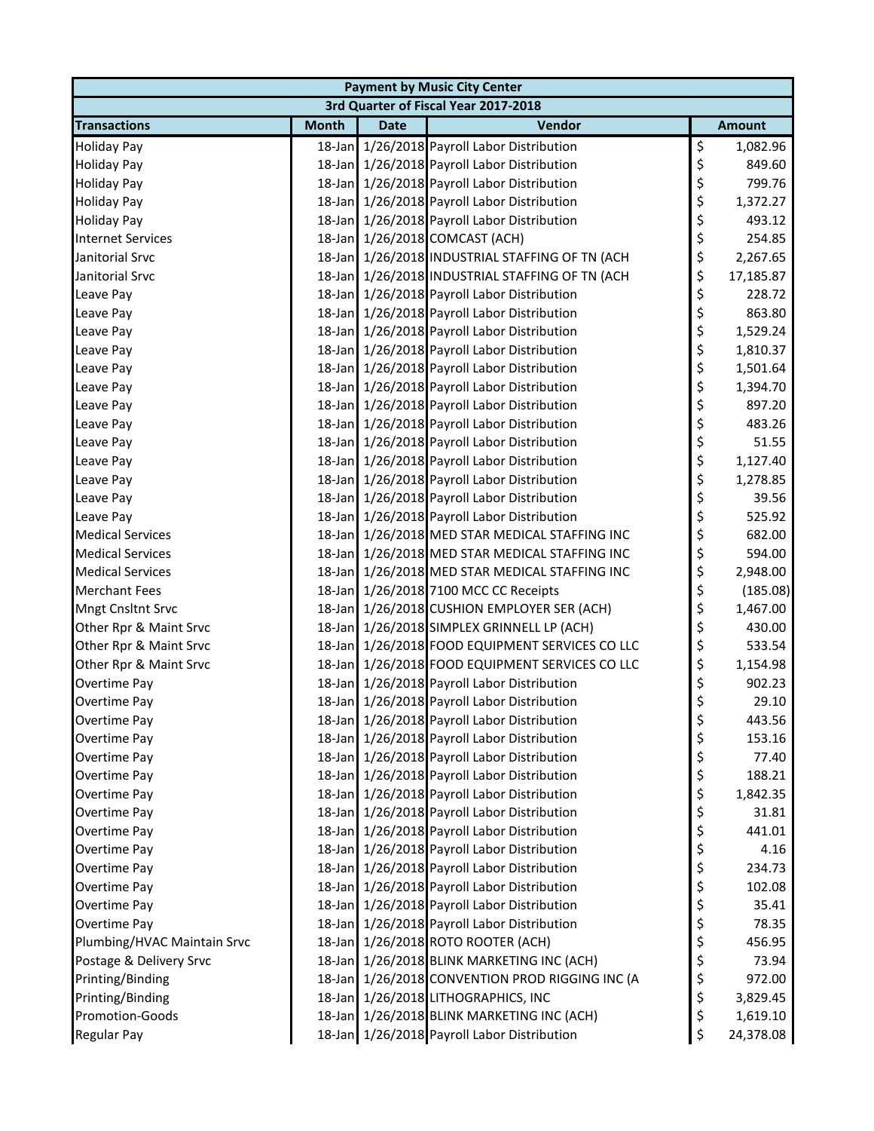| <b>Payment by Music City Center</b> |              |             |                                                 |    |               |  |  |
|-------------------------------------|--------------|-------------|-------------------------------------------------|----|---------------|--|--|
|                                     |              |             | 3rd Quarter of Fiscal Year 2017-2018            |    |               |  |  |
| <b>Transactions</b>                 | <b>Month</b> | <b>Date</b> | Vendor                                          |    | <b>Amount</b> |  |  |
| <b>Holiday Pay</b>                  |              |             | 18-Jan 1/26/2018 Payroll Labor Distribution     | \$ | 1,082.96      |  |  |
| <b>Holiday Pay</b>                  |              |             | 18-Jan 1/26/2018 Payroll Labor Distribution     | \$ | 849.60        |  |  |
| <b>Holiday Pay</b>                  |              |             | 18-Jan 1/26/2018 Payroll Labor Distribution     | \$ | 799.76        |  |  |
| <b>Holiday Pay</b>                  |              |             | 18-Jan 1/26/2018 Payroll Labor Distribution     | \$ | 1,372.27      |  |  |
| <b>Holiday Pay</b>                  |              |             | 18-Jan 1/26/2018 Payroll Labor Distribution     | \$ | 493.12        |  |  |
| <b>Internet Services</b>            |              |             | 18-Jan 1/26/2018 COMCAST (ACH)                  | \$ | 254.85        |  |  |
| Janitorial Srvc                     |              |             | 18-Jan 1/26/2018 INDUSTRIAL STAFFING OF TN (ACH | \$ | 2,267.65      |  |  |
| Janitorial Srvc                     |              |             | 18-Jan 1/26/2018 INDUSTRIAL STAFFING OF TN (ACH | \$ | 17,185.87     |  |  |
| Leave Pay                           |              |             | 18-Jan 1/26/2018 Payroll Labor Distribution     | \$ | 228.72        |  |  |
| Leave Pay                           |              |             | 18-Jan 1/26/2018 Payroll Labor Distribution     | \$ | 863.80        |  |  |
| Leave Pay                           |              |             | 18-Jan 1/26/2018 Payroll Labor Distribution     | \$ | 1,529.24      |  |  |
| Leave Pay                           |              |             | 18-Jan 1/26/2018 Payroll Labor Distribution     | \$ | 1,810.37      |  |  |
| Leave Pay                           |              |             | 18-Jan 1/26/2018 Payroll Labor Distribution     | \$ | 1,501.64      |  |  |
| Leave Pay                           |              |             | 18-Jan 1/26/2018 Payroll Labor Distribution     | \$ | 1,394.70      |  |  |
| Leave Pay                           |              |             | 18-Jan 1/26/2018 Payroll Labor Distribution     | \$ | 897.20        |  |  |
| Leave Pay                           |              |             | 18-Jan 1/26/2018 Payroll Labor Distribution     | \$ | 483.26        |  |  |
| Leave Pay                           |              |             | 18-Jan 1/26/2018 Payroll Labor Distribution     | \$ | 51.55         |  |  |
| Leave Pay                           |              |             | 18-Jan 1/26/2018 Payroll Labor Distribution     | \$ | 1,127.40      |  |  |
| Leave Pay                           |              |             | 18-Jan 1/26/2018 Payroll Labor Distribution     | \$ | 1,278.85      |  |  |
| Leave Pay                           |              |             | 18-Jan 1/26/2018 Payroll Labor Distribution     | \$ | 39.56         |  |  |
| Leave Pay                           |              |             | 18-Jan 1/26/2018 Payroll Labor Distribution     | \$ | 525.92        |  |  |
| <b>Medical Services</b>             |              |             | 18-Jan 1/26/2018 MED STAR MEDICAL STAFFING INC  | \$ | 682.00        |  |  |
| <b>Medical Services</b>             |              |             | 18-Jan 1/26/2018 MED STAR MEDICAL STAFFING INC  | \$ | 594.00        |  |  |
| <b>Medical Services</b>             |              |             | 18-Jan 1/26/2018 MED STAR MEDICAL STAFFING INC  | \$ | 2,948.00      |  |  |
| <b>Merchant Fees</b>                |              |             | 18-Jan 1/26/2018 7100 MCC CC Receipts           | \$ | (185.08)      |  |  |
| Mngt Cnsltnt Srvc                   |              |             | 18-Jan 1/26/2018 CUSHION EMPLOYER SER (ACH)     | \$ | 1,467.00      |  |  |
| Other Rpr & Maint Srvc              |              |             | 18-Jan 1/26/2018 SIMPLEX GRINNELL LP (ACH)      | \$ | 430.00        |  |  |
| Other Rpr & Maint Srvc              |              |             | 18-Jan 1/26/2018 FOOD EQUIPMENT SERVICES CO LLC | \$ | 533.54        |  |  |
| Other Rpr & Maint Srvc              |              |             | 18-Jan 1/26/2018 FOOD EQUIPMENT SERVICES CO LLC | \$ | 1,154.98      |  |  |
| Overtime Pay                        |              |             | 18-Jan 1/26/2018 Payroll Labor Distribution     | \$ | 902.23        |  |  |
| Overtime Pay                        |              |             | 18-Jan 1/26/2018 Payroll Labor Distribution     | \$ | 29.10         |  |  |
| Overtime Pay                        |              |             | 18-Jan 1/26/2018 Payroll Labor Distribution     | Ş  | 443.56        |  |  |
| Overtime Pay                        |              |             | 18-Jan 1/26/2018 Payroll Labor Distribution     | \$ | 153.16        |  |  |
| Overtime Pay                        |              |             | 18-Jan 1/26/2018 Payroll Labor Distribution     | \$ | 77.40         |  |  |
| Overtime Pay                        |              |             | 18-Jan 1/26/2018 Payroll Labor Distribution     | \$ | 188.21        |  |  |
| Overtime Pay                        |              |             | 18-Jan 1/26/2018 Payroll Labor Distribution     | \$ | 1,842.35      |  |  |
| Overtime Pay                        |              |             | 18-Jan 1/26/2018 Payroll Labor Distribution     | \$ | 31.81         |  |  |
| Overtime Pay                        |              |             | 18-Jan 1/26/2018 Payroll Labor Distribution     | \$ | 441.01        |  |  |
| Overtime Pay                        |              |             | 18-Jan 1/26/2018 Payroll Labor Distribution     | \$ | 4.16          |  |  |
| Overtime Pay                        |              |             | 18-Jan 1/26/2018 Payroll Labor Distribution     | \$ | 234.73        |  |  |
| Overtime Pay                        |              |             | 18-Jan 1/26/2018 Payroll Labor Distribution     | \$ | 102.08        |  |  |
| Overtime Pay                        |              |             | 18-Jan 1/26/2018 Payroll Labor Distribution     | \$ | 35.41         |  |  |
| Overtime Pay                        |              |             | 18-Jan 1/26/2018 Payroll Labor Distribution     | \$ | 78.35         |  |  |
| Plumbing/HVAC Maintain Srvc         |              |             | 18-Jan 1/26/2018 ROTO ROOTER (ACH)              | \$ | 456.95        |  |  |
| Postage & Delivery Srvc             |              |             | 18-Jan 1/26/2018 BLINK MARKETING INC (ACH)      | \$ | 73.94         |  |  |
| Printing/Binding                    |              |             | 18-Jan 1/26/2018 CONVENTION PROD RIGGING INC (A | \$ | 972.00        |  |  |
| Printing/Binding                    |              |             | 18-Jan 1/26/2018 LITHOGRAPHICS, INC             | \$ | 3,829.45      |  |  |
| Promotion-Goods                     |              |             | 18-Jan 1/26/2018 BLINK MARKETING INC (ACH)      | \$ | 1,619.10      |  |  |
| Regular Pay                         |              |             | 18-Jan 1/26/2018 Payroll Labor Distribution     | \$ | 24,378.08     |  |  |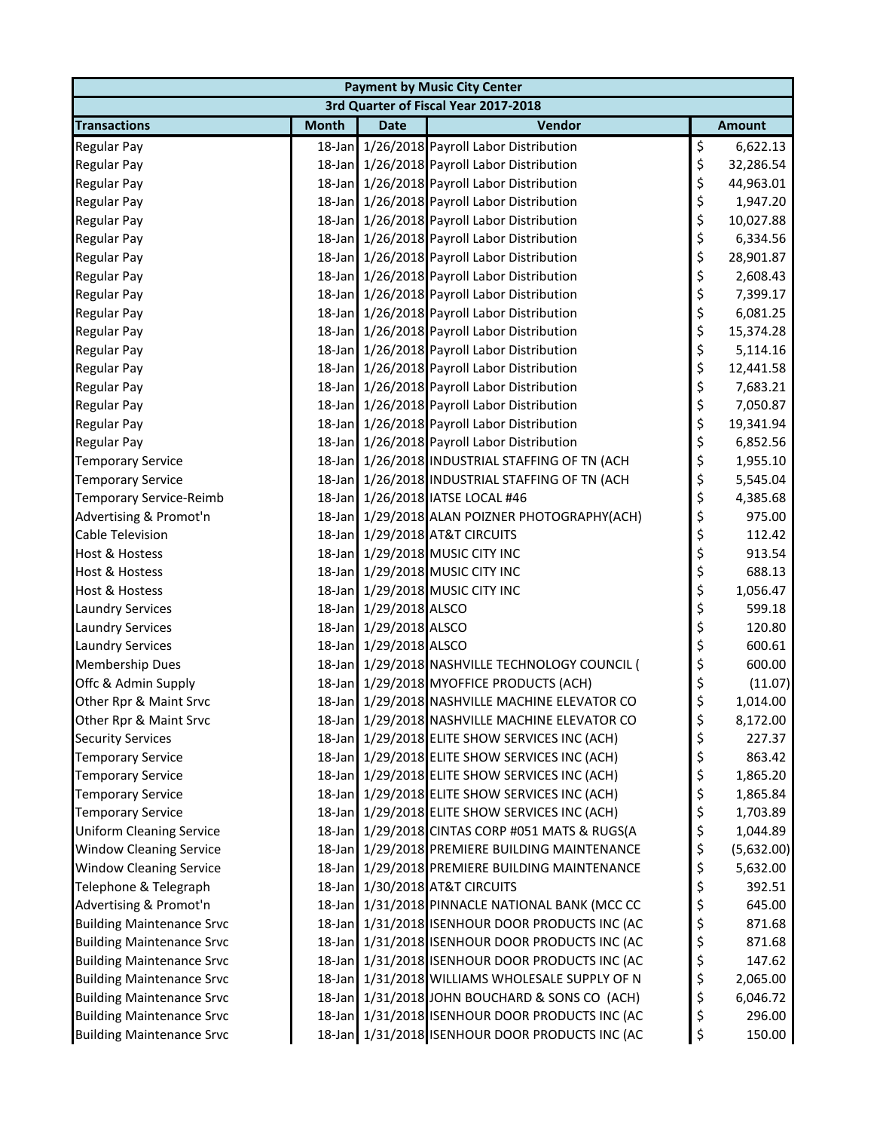| <b>Payment by Music City Center</b> |              |                        |                                                 |    |               |  |  |
|-------------------------------------|--------------|------------------------|-------------------------------------------------|----|---------------|--|--|
|                                     |              |                        | 3rd Quarter of Fiscal Year 2017-2018            |    |               |  |  |
| <b>Transactions</b>                 | <b>Month</b> | <b>Date</b>            | Vendor                                          |    | <b>Amount</b> |  |  |
| <b>Regular Pay</b>                  |              |                        | 18-Jan 1/26/2018 Payroll Labor Distribution     | \$ | 6,622.13      |  |  |
| Regular Pay                         |              |                        | 18-Jan 1/26/2018 Payroll Labor Distribution     | \$ | 32,286.54     |  |  |
| <b>Regular Pay</b>                  |              |                        | 18-Jan 1/26/2018 Payroll Labor Distribution     | \$ | 44,963.01     |  |  |
| Regular Pay                         |              |                        | 18-Jan 1/26/2018 Payroll Labor Distribution     | \$ | 1,947.20      |  |  |
| Regular Pay                         |              |                        | 18-Jan 1/26/2018 Payroll Labor Distribution     | \$ | 10,027.88     |  |  |
| <b>Regular Pay</b>                  |              |                        | 18-Jan 1/26/2018 Payroll Labor Distribution     | \$ | 6,334.56      |  |  |
| <b>Regular Pay</b>                  |              |                        | 18-Jan 1/26/2018 Payroll Labor Distribution     | \$ | 28,901.87     |  |  |
| <b>Regular Pay</b>                  |              |                        | 18-Jan 1/26/2018 Payroll Labor Distribution     | \$ | 2,608.43      |  |  |
| <b>Regular Pay</b>                  |              |                        | 18-Jan 1/26/2018 Payroll Labor Distribution     | \$ | 7,399.17      |  |  |
| <b>Regular Pay</b>                  |              |                        | 18-Jan 1/26/2018 Payroll Labor Distribution     | \$ | 6,081.25      |  |  |
| Regular Pay                         |              |                        | 18-Jan 1/26/2018 Payroll Labor Distribution     | \$ | 15,374.28     |  |  |
| Regular Pay                         |              |                        | 18-Jan 1/26/2018 Payroll Labor Distribution     | \$ | 5,114.16      |  |  |
| <b>Regular Pay</b>                  |              |                        | 18-Jan 1/26/2018 Payroll Labor Distribution     | \$ | 12,441.58     |  |  |
| <b>Regular Pay</b>                  |              |                        | 18-Jan 1/26/2018 Payroll Labor Distribution     | \$ | 7,683.21      |  |  |
| <b>Regular Pay</b>                  |              |                        | 18-Jan 1/26/2018 Payroll Labor Distribution     | \$ | 7,050.87      |  |  |
| <b>Regular Pay</b>                  |              |                        | 18-Jan 1/26/2018 Payroll Labor Distribution     | \$ | 19,341.94     |  |  |
| <b>Regular Pay</b>                  |              |                        | 18-Jan 1/26/2018 Payroll Labor Distribution     | \$ | 6,852.56      |  |  |
| <b>Temporary Service</b>            |              |                        | 18-Jan 1/26/2018 INDUSTRIAL STAFFING OF TN (ACH | \$ | 1,955.10      |  |  |
| <b>Temporary Service</b>            |              |                        | 18-Jan 1/26/2018 INDUSTRIAL STAFFING OF TN (ACH | \$ | 5,545.04      |  |  |
| Temporary Service-Reimb             |              |                        | 18-Jan 1/26/2018 IATSE LOCAL #46                | \$ | 4,385.68      |  |  |
| Advertising & Promot'n              |              |                        | 18-Jan 1/29/2018 ALAN POIZNER PHOTOGRAPHY(ACH)  | \$ | 975.00        |  |  |
| Cable Television                    |              |                        | 18-Jan 1/29/2018 AT&T CIRCUITS                  | \$ | 112.42        |  |  |
| <b>Host &amp; Hostess</b>           |              |                        | 18-Jan 1/29/2018 MUSIC CITY INC                 | \$ | 913.54        |  |  |
| <b>Host &amp; Hostess</b>           |              |                        | 18-Jan 1/29/2018 MUSIC CITY INC                 | \$ | 688.13        |  |  |
| Host & Hostess                      |              |                        | 18-Jan 1/29/2018 MUSIC CITY INC                 | \$ | 1,056.47      |  |  |
| <b>Laundry Services</b>             |              | 18-Jan 1/29/2018 ALSCO |                                                 | \$ | 599.18        |  |  |
| <b>Laundry Services</b>             |              | 18-Jan 1/29/2018 ALSCO |                                                 | \$ | 120.80        |  |  |
| <b>Laundry Services</b>             |              | 18-Jan 1/29/2018 ALSCO |                                                 | \$ | 600.61        |  |  |
| <b>Membership Dues</b>              |              |                        | 18-Jan 1/29/2018 NASHVILLE TECHNOLOGY COUNCIL ( | \$ | 600.00        |  |  |
| Offc & Admin Supply                 |              |                        | 18-Jan 1/29/2018 MYOFFICE PRODUCTS (ACH)        | \$ | (11.07)       |  |  |
| Other Rpr & Maint Srvc              |              |                        | 18-Jan 1/29/2018 NASHVILLE MACHINE ELEVATOR CO  | \$ | 1,014.00      |  |  |
| Other Rpr & Maint Srvc              |              |                        | 18-Jan 1/29/2018 NASHVILLE MACHINE ELEVATOR CO  | Ş  | 8,172.00      |  |  |
| <b>Security Services</b>            |              |                        | 18-Jan 1/29/2018 ELITE SHOW SERVICES INC (ACH)  | \$ | 227.37        |  |  |
| <b>Temporary Service</b>            |              |                        | 18-Jan 1/29/2018 ELITE SHOW SERVICES INC (ACH)  | \$ | 863.42        |  |  |
| <b>Temporary Service</b>            |              |                        | 18-Jan 1/29/2018 ELITE SHOW SERVICES INC (ACH)  | \$ | 1,865.20      |  |  |
| <b>Temporary Service</b>            |              |                        | 18-Jan 1/29/2018 ELITE SHOW SERVICES INC (ACH)  | \$ | 1,865.84      |  |  |
| <b>Temporary Service</b>            |              |                        | 18-Jan 1/29/2018 ELITE SHOW SERVICES INC (ACH)  | \$ | 1,703.89      |  |  |
| <b>Uniform Cleaning Service</b>     |              |                        | 18-Jan 1/29/2018 CINTAS CORP #051 MATS & RUGS(A | \$ | 1,044.89      |  |  |
| <b>Window Cleaning Service</b>      |              |                        | 18-Jan 1/29/2018 PREMIERE BUILDING MAINTENANCE  | \$ | (5,632.00)    |  |  |
| <b>Window Cleaning Service</b>      |              |                        | 18-Jan 1/29/2018 PREMIERE BUILDING MAINTENANCE  | \$ | 5,632.00      |  |  |
| Telephone & Telegraph               |              |                        | 18-Jan 1/30/2018 AT&T CIRCUITS                  | \$ | 392.51        |  |  |
| Advertising & Promot'n              |              |                        | 18-Jan 1/31/2018 PINNACLE NATIONAL BANK (MCC CC | \$ | 645.00        |  |  |
| <b>Building Maintenance Srvc</b>    |              |                        | 18-Jan 1/31/2018 ISENHOUR DOOR PRODUCTS INC (AC | \$ | 871.68        |  |  |
| <b>Building Maintenance Srvc</b>    |              |                        | 18-Jan 1/31/2018 ISENHOUR DOOR PRODUCTS INC (AC | \$ | 871.68        |  |  |
| <b>Building Maintenance Srvc</b>    |              |                        | 18-Jan 1/31/2018 ISENHOUR DOOR PRODUCTS INC (AC | \$ | 147.62        |  |  |
| <b>Building Maintenance Srvc</b>    |              |                        | 18-Jan 1/31/2018 WILLIAMS WHOLESALE SUPPLY OF N | \$ | 2,065.00      |  |  |
| <b>Building Maintenance Srvc</b>    |              |                        | 18-Jan 1/31/2018 JOHN BOUCHARD & SONS CO (ACH)  | \$ | 6,046.72      |  |  |
| <b>Building Maintenance Srvc</b>    |              |                        | 18-Jan 1/31/2018 ISENHOUR DOOR PRODUCTS INC (AC | \$ | 296.00        |  |  |
| <b>Building Maintenance Srvc</b>    |              |                        | 18-Jan 1/31/2018 ISENHOUR DOOR PRODUCTS INC (AC | \$ | 150.00        |  |  |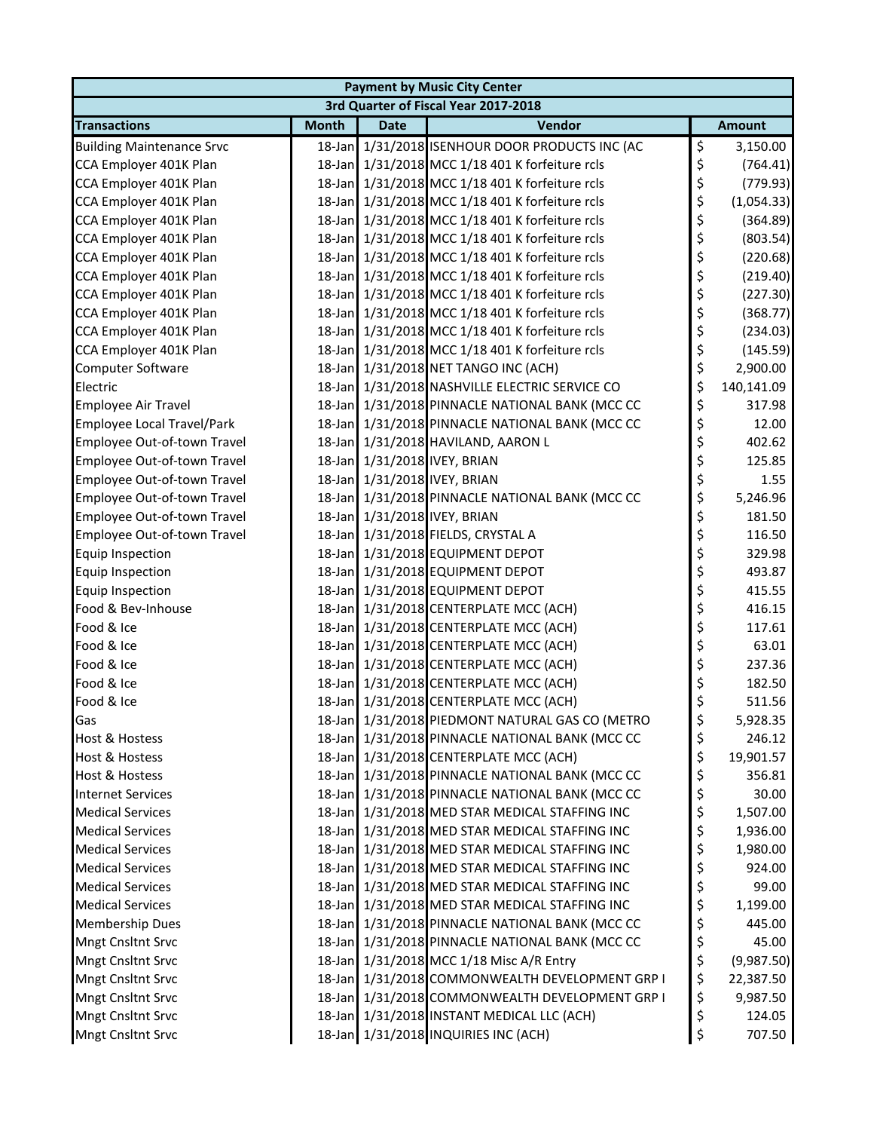| <b>Payment by Music City Center</b> |              |             |                                                 |    |               |  |  |
|-------------------------------------|--------------|-------------|-------------------------------------------------|----|---------------|--|--|
|                                     |              |             | 3rd Quarter of Fiscal Year 2017-2018            |    |               |  |  |
| <b>Transactions</b>                 | <b>Month</b> | <b>Date</b> | Vendor                                          |    | <b>Amount</b> |  |  |
| <b>Building Maintenance Srvc</b>    |              |             | 18-Jan 1/31/2018 ISENHOUR DOOR PRODUCTS INC (AC | \$ | 3,150.00      |  |  |
| CCA Employer 401K Plan              |              |             | 18-Jan 1/31/2018 MCC 1/18 401 K forfeiture rcls | \$ | (764.41)      |  |  |
| CCA Employer 401K Plan              |              |             | 18-Jan 1/31/2018 MCC 1/18 401 K forfeiture rcls | \$ | (779.93)      |  |  |
| CCA Employer 401K Plan              |              |             | 18-Jan 1/31/2018 MCC 1/18 401 K forfeiture rcls | \$ | (1,054.33)    |  |  |
| CCA Employer 401K Plan              |              |             | 18-Jan 1/31/2018 MCC 1/18 401 K forfeiture rcls | \$ | (364.89)      |  |  |
| CCA Employer 401K Plan              |              |             | 18-Jan 1/31/2018 MCC 1/18 401 K forfeiture rcls | \$ | (803.54)      |  |  |
| CCA Employer 401K Plan              |              |             | 18-Jan 1/31/2018 MCC 1/18 401 K forfeiture rcls | \$ | (220.68)      |  |  |
| CCA Employer 401K Plan              |              |             | 18-Jan 1/31/2018 MCC 1/18 401 K forfeiture rcls | \$ | (219.40)      |  |  |
| CCA Employer 401K Plan              |              |             | 18-Jan 1/31/2018 MCC 1/18 401 K forfeiture rcls | \$ | (227.30)      |  |  |
| CCA Employer 401K Plan              |              |             | 18-Jan 1/31/2018 MCC 1/18 401 K forfeiture rcls | \$ | (368.77)      |  |  |
| CCA Employer 401K Plan              |              |             | 18-Jan 1/31/2018 MCC 1/18 401 K forfeiture rcls | \$ | (234.03)      |  |  |
| CCA Employer 401K Plan              |              |             | 18-Jan 1/31/2018 MCC 1/18 401 K forfeiture rcls | \$ | (145.59)      |  |  |
| Computer Software                   |              |             | 18-Jan 1/31/2018 NET TANGO INC (ACH)            | \$ | 2,900.00      |  |  |
| Electric                            |              |             | 18-Jan 1/31/2018 NASHVILLE ELECTRIC SERVICE CO  | \$ | 140,141.09    |  |  |
| Employee Air Travel                 |              |             | 18-Jan 1/31/2018 PINNACLE NATIONAL BANK (MCC CC | \$ | 317.98        |  |  |
| <b>Employee Local Travel/Park</b>   |              |             | 18-Jan 1/31/2018 PINNACLE NATIONAL BANK (MCC CC | \$ | 12.00         |  |  |
| Employee Out-of-town Travel         |              |             | 18-Jan 1/31/2018 HAVILAND, AARON L              | \$ | 402.62        |  |  |
| Employee Out-of-town Travel         |              |             | 18-Jan 1/31/2018 IVEY, BRIAN                    | \$ | 125.85        |  |  |
| Employee Out-of-town Travel         |              |             | 18-Jan 1/31/2018 IVEY, BRIAN                    | \$ | 1.55          |  |  |
| Employee Out-of-town Travel         |              |             | 18-Jan 1/31/2018 PINNACLE NATIONAL BANK (MCC CC | \$ | 5,246.96      |  |  |
| Employee Out-of-town Travel         |              |             | 18-Jan 1/31/2018 IVEY, BRIAN                    | \$ | 181.50        |  |  |
| Employee Out-of-town Travel         |              |             | 18-Jan 1/31/2018 FIELDS, CRYSTAL A              | \$ | 116.50        |  |  |
| Equip Inspection                    |              |             | 18-Jan 1/31/2018 EQUIPMENT DEPOT                | \$ | 329.98        |  |  |
| Equip Inspection                    |              |             | 18-Jan 1/31/2018 EQUIPMENT DEPOT                | \$ | 493.87        |  |  |
| <b>Equip Inspection</b>             |              |             | 18-Jan 1/31/2018 EQUIPMENT DEPOT                | \$ | 415.55        |  |  |
| Food & Bev-Inhouse                  |              |             | 18-Jan 1/31/2018 CENTERPLATE MCC (ACH)          | \$ | 416.15        |  |  |
| Food & Ice                          |              |             | 18-Jan 1/31/2018 CENTERPLATE MCC (ACH)          | \$ | 117.61        |  |  |
| Food & Ice                          |              |             | 18-Jan 1/31/2018 CENTERPLATE MCC (ACH)          | \$ | 63.01         |  |  |
| Food & Ice                          |              |             | 18-Jan 1/31/2018 CENTERPLATE MCC (ACH)          | \$ | 237.36        |  |  |
| Food & Ice                          |              |             | 18-Jan 1/31/2018 CENTERPLATE MCC (ACH)          | \$ | 182.50        |  |  |
| Food & Ice                          |              |             | 18-Jan 1/31/2018 CENTERPLATE MCC (ACH)          | \$ | 511.56        |  |  |
| Gas                                 |              |             | 18-Jan 1/31/2018 PIEDMONT NATURAL GAS CO (METRO | \$ | 5,928.35      |  |  |
| <b>Host &amp; Hostess</b>           |              |             | 18-Jan 1/31/2018 PINNACLE NATIONAL BANK (MCC CC | \$ | 246.12        |  |  |
| <b>Host &amp; Hostess</b>           |              |             | 18-Jan 1/31/2018 CENTERPLATE MCC (ACH)          | \$ | 19,901.57     |  |  |
| <b>Host &amp; Hostess</b>           |              |             | 18-Jan 1/31/2018 PINNACLE NATIONAL BANK (MCC CC | \$ | 356.81        |  |  |
| <b>Internet Services</b>            |              |             | 18-Jan 1/31/2018 PINNACLE NATIONAL BANK (MCC CC | \$ | 30.00         |  |  |
| <b>Medical Services</b>             |              |             | 18-Jan 1/31/2018 MED STAR MEDICAL STAFFING INC  | \$ | 1,507.00      |  |  |
| <b>Medical Services</b>             |              |             | 18-Jan 1/31/2018 MED STAR MEDICAL STAFFING INC  | \$ | 1,936.00      |  |  |
| <b>Medical Services</b>             |              |             | 18-Jan 1/31/2018 MED STAR MEDICAL STAFFING INC  | \$ | 1,980.00      |  |  |
| <b>Medical Services</b>             |              |             | 18-Jan 1/31/2018 MED STAR MEDICAL STAFFING INC  | \$ | 924.00        |  |  |
| <b>Medical Services</b>             |              |             | 18-Jan 1/31/2018 MED STAR MEDICAL STAFFING INC  | \$ | 99.00         |  |  |
| <b>Medical Services</b>             |              |             | 18-Jan 1/31/2018 MED STAR MEDICAL STAFFING INC  | \$ | 1,199.00      |  |  |
| <b>Membership Dues</b>              |              |             | 18-Jan 1/31/2018 PINNACLE NATIONAL BANK (MCC CC | \$ | 445.00        |  |  |
| <b>Mngt Cnsltnt Srvc</b>            |              |             | 18-Jan 1/31/2018 PINNACLE NATIONAL BANK (MCC CC | \$ | 45.00         |  |  |
| <b>Mngt Cnsltnt Srvc</b>            |              |             | 18-Jan 1/31/2018 MCC 1/18 Misc A/R Entry        | \$ | (9,987.50)    |  |  |
| <b>Mngt Cnsltnt Srvc</b>            |              |             | 18-Jan 1/31/2018 COMMONWEALTH DEVELOPMENT GRP I | \$ | 22,387.50     |  |  |
| <b>Mngt Cnsltnt Srvc</b>            |              |             | 18-Jan 1/31/2018 COMMONWEALTH DEVELOPMENT GRP I | \$ | 9,987.50      |  |  |
| <b>Mngt Cnsltnt Srvc</b>            |              |             | 18-Jan 1/31/2018 INSTANT MEDICAL LLC (ACH)      | \$ | 124.05        |  |  |
| <b>Mngt Cnsltnt Srvc</b>            |              |             | 18-Jan 1/31/2018 INQUIRIES INC (ACH)            | \$ | 707.50        |  |  |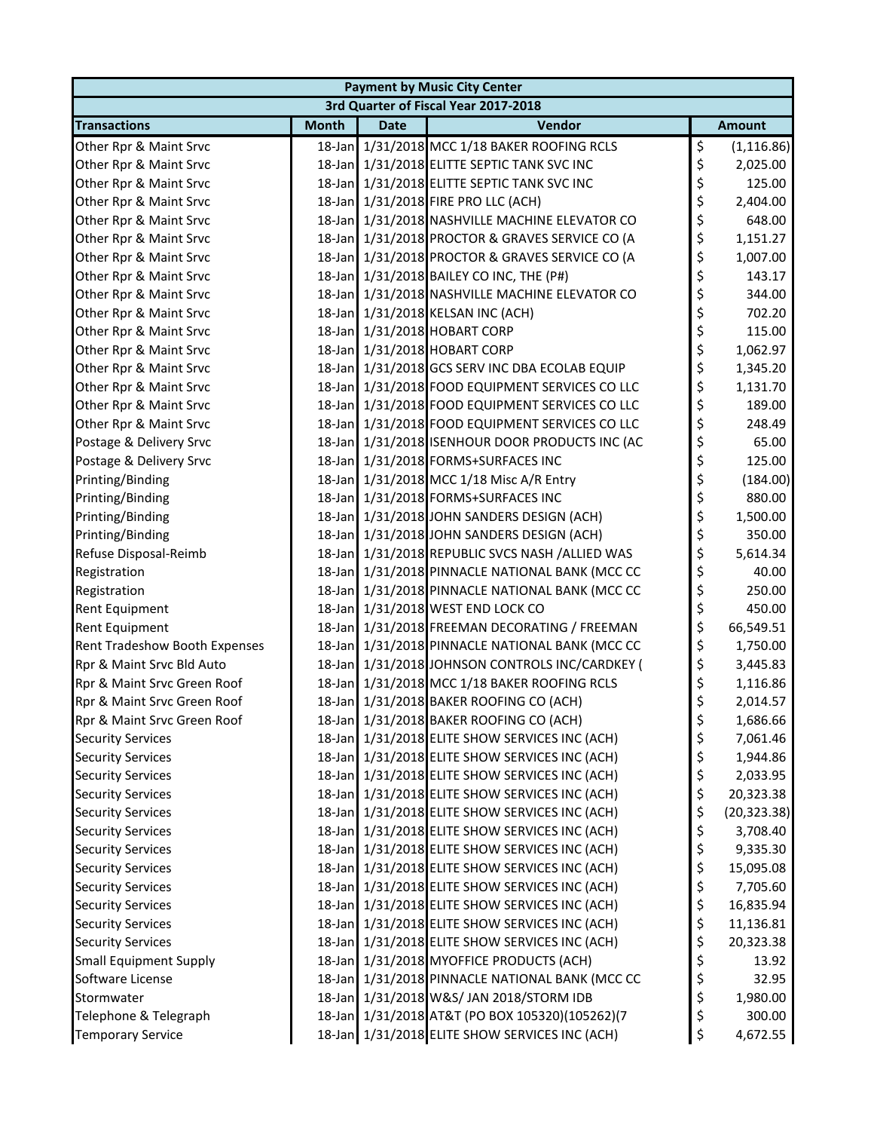| <b>Payment by Music City Center</b> |              |             |                                                 |    |               |  |  |
|-------------------------------------|--------------|-------------|-------------------------------------------------|----|---------------|--|--|
|                                     |              |             | 3rd Quarter of Fiscal Year 2017-2018            |    |               |  |  |
| <b>Transactions</b>                 | <b>Month</b> | <b>Date</b> | Vendor                                          |    | <b>Amount</b> |  |  |
| Other Rpr & Maint Srvc              |              |             | 18-Jan 1/31/2018 MCC 1/18 BAKER ROOFING RCLS    | \$ | (1, 116.86)   |  |  |
| Other Rpr & Maint Srvc              |              |             | 18-Jan 1/31/2018 ELITTE SEPTIC TANK SVC INC     | \$ | 2,025.00      |  |  |
| Other Rpr & Maint Srvc              |              |             | 18-Jan 1/31/2018 ELITTE SEPTIC TANK SVC INC     | \$ | 125.00        |  |  |
| Other Rpr & Maint Srvc              |              |             | 18-Jan 1/31/2018 FIRE PRO LLC (ACH)             | \$ | 2,404.00      |  |  |
| Other Rpr & Maint Srvc              |              |             | 18-Jan 1/31/2018 NASHVILLE MACHINE ELEVATOR CO  | \$ | 648.00        |  |  |
| Other Rpr & Maint Srvc              |              |             | 18-Jan 1/31/2018 PROCTOR & GRAVES SERVICE CO (A | \$ | 1,151.27      |  |  |
| Other Rpr & Maint Srvc              |              |             | 18-Jan 1/31/2018 PROCTOR & GRAVES SERVICE CO (A | \$ | 1,007.00      |  |  |
| Other Rpr & Maint Srvc              |              |             | 18-Jan 1/31/2018 BAILEY CO INC, THE (P#)        | \$ | 143.17        |  |  |
| Other Rpr & Maint Srvc              |              |             | 18-Jan 1/31/2018 NASHVILLE MACHINE ELEVATOR CO  | \$ | 344.00        |  |  |
| Other Rpr & Maint Srvc              |              |             | 18-Jan 1/31/2018 KELSAN INC (ACH)               | \$ | 702.20        |  |  |
| Other Rpr & Maint Srvc              |              |             | 18-Jan 1/31/2018 HOBART CORP                    | \$ | 115.00        |  |  |
| Other Rpr & Maint Srvc              |              |             | 18-Jan 1/31/2018 HOBART CORP                    | \$ | 1,062.97      |  |  |
| Other Rpr & Maint Srvc              |              |             | 18-Jan 1/31/2018 GCS SERV INC DBA ECOLAB EQUIP  | \$ | 1,345.20      |  |  |
| Other Rpr & Maint Srvc              |              |             | 18-Jan 1/31/2018 FOOD EQUIPMENT SERVICES CO LLC | \$ | 1,131.70      |  |  |
| Other Rpr & Maint Srvc              |              |             | 18-Jan 1/31/2018 FOOD EQUIPMENT SERVICES CO LLC | \$ | 189.00        |  |  |
| Other Rpr & Maint Srvc              |              |             | 18-Jan 1/31/2018 FOOD EQUIPMENT SERVICES CO LLC | \$ | 248.49        |  |  |
| Postage & Delivery Srvc             |              |             | 18-Jan 1/31/2018 ISENHOUR DOOR PRODUCTS INC (AC | \$ | 65.00         |  |  |
| Postage & Delivery Srvc             |              |             | 18-Jan 1/31/2018 FORMS+SURFACES INC             | \$ | 125.00        |  |  |
| Printing/Binding                    |              |             | 18-Jan 1/31/2018 MCC 1/18 Misc A/R Entry        | \$ | (184.00)      |  |  |
| Printing/Binding                    |              |             | 18-Jan 1/31/2018 FORMS+SURFACES INC             | \$ | 880.00        |  |  |
| Printing/Binding                    |              |             | 18-Jan 1/31/2018 JOHN SANDERS DESIGN (ACH)      | \$ | 1,500.00      |  |  |
| Printing/Binding                    |              |             | 18-Jan 1/31/2018 JOHN SANDERS DESIGN (ACH)      | \$ | 350.00        |  |  |
| Refuse Disposal-Reimb               |              |             | 18-Jan 1/31/2018 REPUBLIC SVCS NASH /ALLIED WAS | \$ | 5,614.34      |  |  |
| Registration                        |              |             | 18-Jan 1/31/2018 PINNACLE NATIONAL BANK (MCC CC | \$ | 40.00         |  |  |
| Registration                        |              |             | 18-Jan 1/31/2018 PINNACLE NATIONAL BANK (MCC CC | \$ | 250.00        |  |  |
| Rent Equipment                      |              |             | 18-Jan 1/31/2018 WEST END LOCK CO               | \$ | 450.00        |  |  |
| Rent Equipment                      |              |             | 18-Jan 1/31/2018 FREEMAN DECORATING / FREEMAN   | \$ | 66,549.51     |  |  |
| Rent Tradeshow Booth Expenses       |              |             | 18-Jan 1/31/2018 PINNACLE NATIONAL BANK (MCC CC | \$ | 1,750.00      |  |  |
| Rpr & Maint Srvc Bld Auto           |              |             | 18-Jan 1/31/2018 JOHNSON CONTROLS INC/CARDKEY ( | \$ | 3,445.83      |  |  |
| Rpr & Maint Srvc Green Roof         |              |             | 18-Jan 1/31/2018 MCC 1/18 BAKER ROOFING RCLS    | \$ | 1,116.86      |  |  |
| Rpr & Maint Srvc Green Roof         |              |             | 18-Jan 1/31/2018 BAKER ROOFING CO (ACH)         | \$ | 2,014.57      |  |  |
| Rpr & Maint Srvc Green Roof         |              |             | 18-Jan 1/31/2018 BAKER ROOFING CO (ACH)         | Ş  | 1,686.66      |  |  |
| <b>Security Services</b>            |              |             | 18-Jan 1/31/2018 ELITE SHOW SERVICES INC (ACH)  | \$ | 7,061.46      |  |  |
| <b>Security Services</b>            |              |             | 18-Jan 1/31/2018 ELITE SHOW SERVICES INC (ACH)  | \$ | 1,944.86      |  |  |
| <b>Security Services</b>            |              |             | 18-Jan 1/31/2018 ELITE SHOW SERVICES INC (ACH)  | \$ | 2,033.95      |  |  |
| <b>Security Services</b>            |              |             | 18-Jan 1/31/2018 ELITE SHOW SERVICES INC (ACH)  | \$ | 20,323.38     |  |  |
| <b>Security Services</b>            |              |             | 18-Jan 1/31/2018 ELITE SHOW SERVICES INC (ACH)  | \$ | (20, 323.38)  |  |  |
| <b>Security Services</b>            |              |             | 18-Jan 1/31/2018 ELITE SHOW SERVICES INC (ACH)  | \$ | 3,708.40      |  |  |
| <b>Security Services</b>            |              |             | 18-Jan 1/31/2018 ELITE SHOW SERVICES INC (ACH)  | \$ | 9,335.30      |  |  |
| <b>Security Services</b>            |              |             | 18-Jan 1/31/2018 ELITE SHOW SERVICES INC (ACH)  | \$ | 15,095.08     |  |  |
| <b>Security Services</b>            |              |             | 18-Jan 1/31/2018 ELITE SHOW SERVICES INC (ACH)  | \$ | 7,705.60      |  |  |
| <b>Security Services</b>            |              |             | 18-Jan 1/31/2018 ELITE SHOW SERVICES INC (ACH)  | \$ | 16,835.94     |  |  |
| <b>Security Services</b>            |              |             | 18-Jan 1/31/2018 ELITE SHOW SERVICES INC (ACH)  | \$ | 11,136.81     |  |  |
| <b>Security Services</b>            |              |             | 18-Jan 1/31/2018 ELITE SHOW SERVICES INC (ACH)  | \$ | 20,323.38     |  |  |
| <b>Small Equipment Supply</b>       |              |             | 18-Jan 1/31/2018 MYOFFICE PRODUCTS (ACH)        | \$ | 13.92         |  |  |
| Software License                    |              |             | 18-Jan 1/31/2018 PINNACLE NATIONAL BANK (MCC CC | \$ | 32.95         |  |  |
| Stormwater                          |              |             | 18-Jan 1/31/2018 W&S/ JAN 2018/STORM IDB        | \$ | 1,980.00      |  |  |
| Telephone & Telegraph               |              |             | 18-Jan 1/31/2018 AT&T (PO BOX 105320)(105262)(7 | \$ | 300.00        |  |  |
| <b>Temporary Service</b>            |              |             | 18-Jan 1/31/2018 ELITE SHOW SERVICES INC (ACH)  | \$ | 4,672.55      |  |  |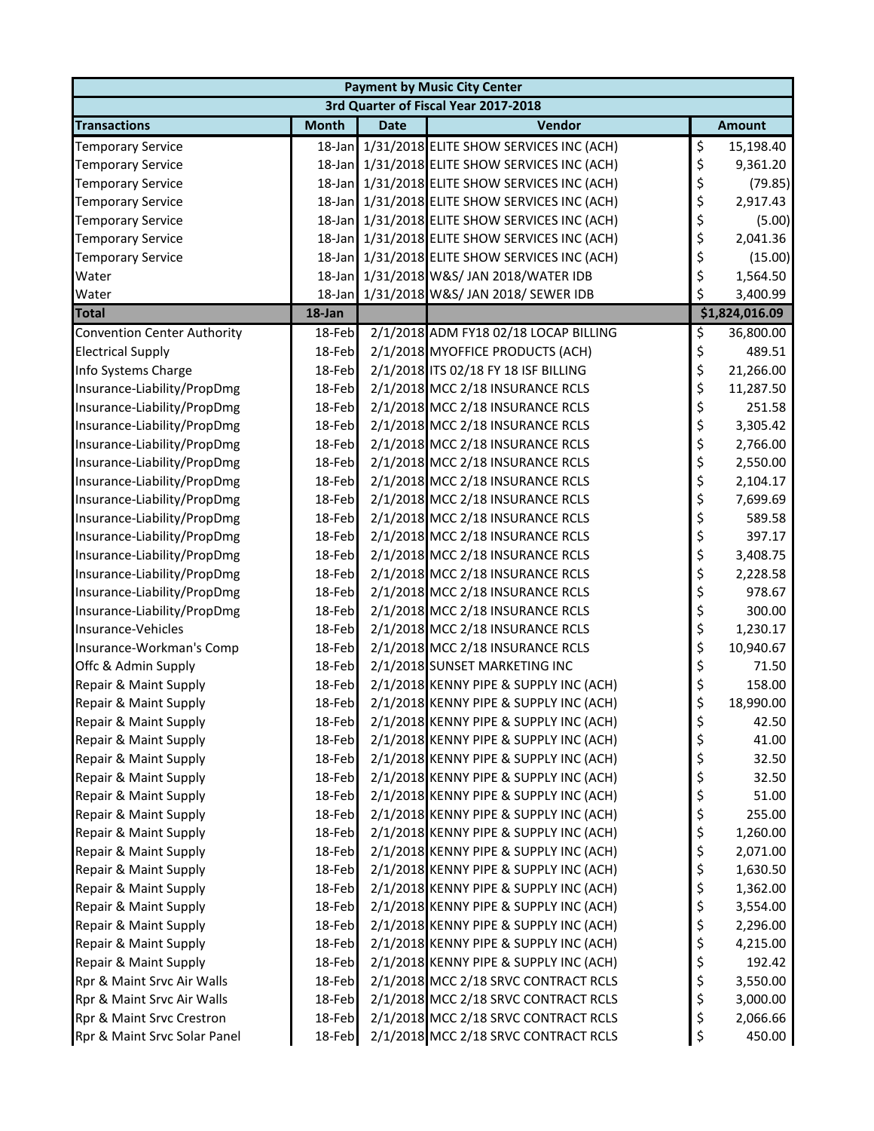| <b>Payment by Music City Center</b> |              |             |                                                |    |                |  |  |
|-------------------------------------|--------------|-------------|------------------------------------------------|----|----------------|--|--|
|                                     |              |             | 3rd Quarter of Fiscal Year 2017-2018           |    |                |  |  |
| <b>Transactions</b>                 | <b>Month</b> | <b>Date</b> | Vendor                                         |    | <b>Amount</b>  |  |  |
| <b>Temporary Service</b>            | 18-Jan       |             | 1/31/2018 ELITE SHOW SERVICES INC (ACH)        | \$ | 15,198.40      |  |  |
| <b>Temporary Service</b>            | 18-Jan       |             | 1/31/2018 ELITE SHOW SERVICES INC (ACH)        | \$ | 9,361.20       |  |  |
| <b>Temporary Service</b>            | 18-Jan       |             | 1/31/2018 ELITE SHOW SERVICES INC (ACH)        | \$ | (79.85)        |  |  |
| <b>Temporary Service</b>            |              |             | 18-Jan 1/31/2018 ELITE SHOW SERVICES INC (ACH) | \$ | 2,917.43       |  |  |
| <b>Temporary Service</b>            |              |             | 18-Jan 1/31/2018 ELITE SHOW SERVICES INC (ACH) | \$ | (5.00)         |  |  |
| <b>Temporary Service</b>            |              |             | 18-Jan 1/31/2018 ELITE SHOW SERVICES INC (ACH) | \$ | 2,041.36       |  |  |
| <b>Temporary Service</b>            |              |             | 18-Jan 1/31/2018 ELITE SHOW SERVICES INC (ACH) | \$ | (15.00)        |  |  |
| Water                               |              |             | 18-Jan 1/31/2018 W&S/ JAN 2018/WATER IDB       | \$ | 1,564.50       |  |  |
| Water                               |              |             | 18-Jan 1/31/2018 W&S/ JAN 2018/ SEWER IDB      | \$ | 3,400.99       |  |  |
| <b>Total</b>                        | 18-Jan       |             |                                                |    | \$1,824,016.09 |  |  |
| <b>Convention Center Authority</b>  | 18-Feb       |             | 2/1/2018 ADM FY18 02/18 LOCAP BILLING          | \$ | 36,800.00      |  |  |
| <b>Electrical Supply</b>            | 18-Feb       |             | 2/1/2018 MYOFFICE PRODUCTS (ACH)               | \$ | 489.51         |  |  |
| Info Systems Charge                 | 18-Feb       |             | 2/1/2018 ITS 02/18 FY 18 ISF BILLING           | \$ | 21,266.00      |  |  |
| Insurance-Liability/PropDmg         | 18-Feb       |             | 2/1/2018 MCC 2/18 INSURANCE RCLS               | \$ | 11,287.50      |  |  |
| Insurance-Liability/PropDmg         | 18-Feb       |             | 2/1/2018 MCC 2/18 INSURANCE RCLS               | \$ | 251.58         |  |  |
| Insurance-Liability/PropDmg         | 18-Feb       |             | 2/1/2018 MCC 2/18 INSURANCE RCLS               | \$ | 3,305.42       |  |  |
| Insurance-Liability/PropDmg         | 18-Feb       |             | 2/1/2018 MCC 2/18 INSURANCE RCLS               | \$ | 2,766.00       |  |  |
| Insurance-Liability/PropDmg         | 18-Feb       |             | 2/1/2018 MCC 2/18 INSURANCE RCLS               | \$ | 2,550.00       |  |  |
| Insurance-Liability/PropDmg         | 18-Feb       |             | 2/1/2018 MCC 2/18 INSURANCE RCLS               | \$ | 2,104.17       |  |  |
| Insurance-Liability/PropDmg         | 18-Feb       |             | 2/1/2018 MCC 2/18 INSURANCE RCLS               | \$ | 7,699.69       |  |  |
| Insurance-Liability/PropDmg         | 18-Feb       |             | 2/1/2018 MCC 2/18 INSURANCE RCLS               | \$ | 589.58         |  |  |
| Insurance-Liability/PropDmg         | 18-Feb       |             | 2/1/2018 MCC 2/18 INSURANCE RCLS               | \$ | 397.17         |  |  |
| Insurance-Liability/PropDmg         | 18-Feb       |             | 2/1/2018 MCC 2/18 INSURANCE RCLS               | \$ | 3,408.75       |  |  |
| Insurance-Liability/PropDmg         | 18-Feb       |             | 2/1/2018 MCC 2/18 INSURANCE RCLS               | \$ | 2,228.58       |  |  |
| Insurance-Liability/PropDmg         | 18-Feb       |             | 2/1/2018 MCC 2/18 INSURANCE RCLS               | \$ | 978.67         |  |  |
| Insurance-Liability/PropDmg         | 18-Feb       |             | 2/1/2018 MCC 2/18 INSURANCE RCLS               | \$ | 300.00         |  |  |
| Insurance-Vehicles                  | 18-Feb       |             | 2/1/2018 MCC 2/18 INSURANCE RCLS               | \$ | 1,230.17       |  |  |
| Insurance-Workman's Comp            | 18-Feb       |             | 2/1/2018 MCC 2/18 INSURANCE RCLS               | \$ | 10,940.67      |  |  |
| Offc & Admin Supply                 | 18-Feb       |             | 2/1/2018 SUNSET MARKETING INC                  | \$ | 71.50          |  |  |
| Repair & Maint Supply               | 18-Feb       |             | 2/1/2018 KENNY PIPE & SUPPLY INC (ACH)         | \$ | 158.00         |  |  |
| Repair & Maint Supply               | 18-Feb       |             | 2/1/2018 KENNY PIPE & SUPPLY INC (ACH)         | \$ | 18,990.00      |  |  |
| Repair & Maint Supply               | 18-Feb       |             | 2/1/2018 KENNY PIPE & SUPPLY INC (ACH)         | Ş  | 42.50          |  |  |
| Repair & Maint Supply               | 18-Feb       |             | 2/1/2018 KENNY PIPE & SUPPLY INC (ACH)         | \$ | 41.00          |  |  |
| Repair & Maint Supply               | 18-Feb       |             | 2/1/2018 KENNY PIPE & SUPPLY INC (ACH)         | \$ | 32.50          |  |  |
| Repair & Maint Supply               | 18-Feb       |             | 2/1/2018 KENNY PIPE & SUPPLY INC (ACH)         | \$ | 32.50          |  |  |
| Repair & Maint Supply               | 18-Feb       |             | 2/1/2018 KENNY PIPE & SUPPLY INC (ACH)         | \$ | 51.00          |  |  |
| Repair & Maint Supply               | 18-Feb       |             | 2/1/2018 KENNY PIPE & SUPPLY INC (ACH)         | \$ | 255.00         |  |  |
| Repair & Maint Supply               | 18-Feb       |             | 2/1/2018 KENNY PIPE & SUPPLY INC (ACH)         | \$ | 1,260.00       |  |  |
| Repair & Maint Supply               | 18-Feb       |             | 2/1/2018 KENNY PIPE & SUPPLY INC (ACH)         | \$ | 2,071.00       |  |  |
| Repair & Maint Supply               | 18-Feb       |             | 2/1/2018 KENNY PIPE & SUPPLY INC (ACH)         | \$ | 1,630.50       |  |  |
| Repair & Maint Supply               | 18-Feb       |             | 2/1/2018 KENNY PIPE & SUPPLY INC (ACH)         | \$ | 1,362.00       |  |  |
| Repair & Maint Supply               | 18-Feb       |             | 2/1/2018 KENNY PIPE & SUPPLY INC (ACH)         | \$ | 3,554.00       |  |  |
| Repair & Maint Supply               | 18-Feb       |             | 2/1/2018 KENNY PIPE & SUPPLY INC (ACH)         | \$ | 2,296.00       |  |  |
| Repair & Maint Supply               | 18-Feb       |             | 2/1/2018 KENNY PIPE & SUPPLY INC (ACH)         | \$ | 4,215.00       |  |  |
| Repair & Maint Supply               | 18-Feb       |             | 2/1/2018 KENNY PIPE & SUPPLY INC (ACH)         | \$ | 192.42         |  |  |
| Rpr & Maint Srvc Air Walls          | 18-Feb       |             | 2/1/2018 MCC 2/18 SRVC CONTRACT RCLS           | \$ | 3,550.00       |  |  |
| Rpr & Maint Srvc Air Walls          | 18-Feb       |             | 2/1/2018 MCC 2/18 SRVC CONTRACT RCLS           | \$ | 3,000.00       |  |  |
| Rpr & Maint Srvc Crestron           | 18-Feb       |             | 2/1/2018 MCC 2/18 SRVC CONTRACT RCLS           | \$ | 2,066.66       |  |  |
| Rpr & Maint Srvc Solar Panel        | 18-Feb       |             | 2/1/2018 MCC 2/18 SRVC CONTRACT RCLS           | \$ | 450.00         |  |  |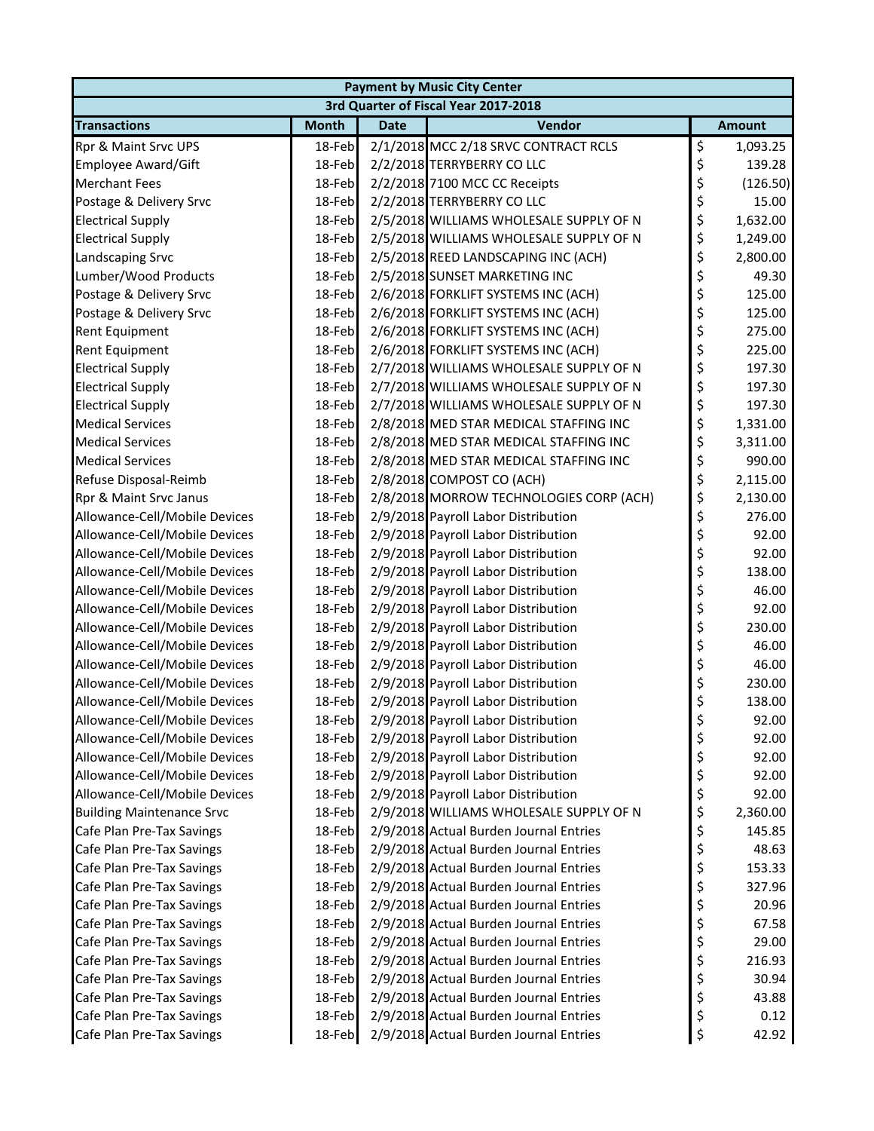| <b>Payment by Music City Center</b> |              |             |                                         |    |               |  |  |
|-------------------------------------|--------------|-------------|-----------------------------------------|----|---------------|--|--|
|                                     |              |             | 3rd Quarter of Fiscal Year 2017-2018    |    |               |  |  |
| <b>Transactions</b>                 | <b>Month</b> | <b>Date</b> | Vendor                                  |    | <b>Amount</b> |  |  |
| Rpr & Maint Srvc UPS                | 18-Feb       |             | 2/1/2018 MCC 2/18 SRVC CONTRACT RCLS    | \$ | 1,093.25      |  |  |
| <b>Employee Award/Gift</b>          | 18-Feb       |             | 2/2/2018 TERRYBERRY CO LLC              | \$ | 139.28        |  |  |
| <b>Merchant Fees</b>                | 18-Feb       |             | 2/2/2018 7100 MCC CC Receipts           | \$ | (126.50)      |  |  |
| Postage & Delivery Srvc             | 18-Feb       |             | 2/2/2018 TERRYBERRY CO LLC              | \$ | 15.00         |  |  |
| <b>Electrical Supply</b>            | 18-Feb       |             | 2/5/2018 WILLIAMS WHOLESALE SUPPLY OF N | \$ | 1,632.00      |  |  |
| <b>Electrical Supply</b>            | 18-Feb       |             | 2/5/2018 WILLIAMS WHOLESALE SUPPLY OF N | \$ | 1,249.00      |  |  |
| Landscaping Srvc                    | 18-Feb       |             | 2/5/2018 REED LANDSCAPING INC (ACH)     | \$ | 2,800.00      |  |  |
| Lumber/Wood Products                | 18-Feb       |             | 2/5/2018 SUNSET MARKETING INC           | \$ | 49.30         |  |  |
| Postage & Delivery Srvc             | 18-Feb       |             | 2/6/2018 FORKLIFT SYSTEMS INC (ACH)     | \$ | 125.00        |  |  |
| Postage & Delivery Srvc             | 18-Feb       |             | 2/6/2018 FORKLIFT SYSTEMS INC (ACH)     | \$ | 125.00        |  |  |
| Rent Equipment                      | 18-Feb       |             | 2/6/2018 FORKLIFT SYSTEMS INC (ACH)     | \$ | 275.00        |  |  |
| Rent Equipment                      | 18-Feb       |             | 2/6/2018 FORKLIFT SYSTEMS INC (ACH)     | \$ | 225.00        |  |  |
| <b>Electrical Supply</b>            | 18-Feb       |             | 2/7/2018 WILLIAMS WHOLESALE SUPPLY OF N | \$ | 197.30        |  |  |
| <b>Electrical Supply</b>            | 18-Feb       |             | 2/7/2018 WILLIAMS WHOLESALE SUPPLY OF N | \$ | 197.30        |  |  |
| <b>Electrical Supply</b>            | 18-Feb       |             | 2/7/2018 WILLIAMS WHOLESALE SUPPLY OF N | \$ | 197.30        |  |  |
| <b>Medical Services</b>             | 18-Feb       |             | 2/8/2018 MED STAR MEDICAL STAFFING INC  | \$ | 1,331.00      |  |  |
| <b>Medical Services</b>             | 18-Feb       |             | 2/8/2018 MED STAR MEDICAL STAFFING INC  | \$ | 3,311.00      |  |  |
| <b>Medical Services</b>             | 18-Feb       |             | 2/8/2018 MED STAR MEDICAL STAFFING INC  | \$ | 990.00        |  |  |
| Refuse Disposal-Reimb               | 18-Feb       |             | 2/8/2018 COMPOST CO (ACH)               | \$ | 2,115.00      |  |  |
| Rpr & Maint Srvc Janus              | 18-Feb       |             | 2/8/2018 MORROW TECHNOLOGIES CORP (ACH) | \$ | 2,130.00      |  |  |
| Allowance-Cell/Mobile Devices       | 18-Feb       |             | 2/9/2018 Payroll Labor Distribution     | \$ | 276.00        |  |  |
| Allowance-Cell/Mobile Devices       | 18-Feb       |             | 2/9/2018 Payroll Labor Distribution     | \$ | 92.00         |  |  |
| Allowance-Cell/Mobile Devices       | 18-Feb       |             | 2/9/2018 Payroll Labor Distribution     | \$ | 92.00         |  |  |
| Allowance-Cell/Mobile Devices       | 18-Feb       |             | 2/9/2018 Payroll Labor Distribution     | \$ | 138.00        |  |  |
| Allowance-Cell/Mobile Devices       | 18-Feb       |             | 2/9/2018 Payroll Labor Distribution     | \$ | 46.00         |  |  |
| Allowance-Cell/Mobile Devices       | 18-Feb       |             | 2/9/2018 Payroll Labor Distribution     | \$ | 92.00         |  |  |
| Allowance-Cell/Mobile Devices       | 18-Feb       |             | 2/9/2018 Payroll Labor Distribution     | \$ | 230.00        |  |  |
| Allowance-Cell/Mobile Devices       | 18-Feb       |             | 2/9/2018 Payroll Labor Distribution     | \$ | 46.00         |  |  |
| Allowance-Cell/Mobile Devices       | 18-Feb       |             | 2/9/2018 Payroll Labor Distribution     | \$ | 46.00         |  |  |
| Allowance-Cell/Mobile Devices       | 18-Feb       |             | 2/9/2018 Payroll Labor Distribution     | \$ | 230.00        |  |  |
| Allowance-Cell/Mobile Devices       | 18-Feb       |             | 2/9/2018 Payroll Labor Distribution     | \$ | 138.00        |  |  |
| Allowance-Cell/Mobile Devices       | 18-Feb       |             | 2/9/2018 Payroll Labor Distribution     | ⊋  | 92.00         |  |  |
| Allowance-Cell/Mobile Devices       | 18-Feb       |             | 2/9/2018 Payroll Labor Distribution     | \$ | 92.00         |  |  |
| Allowance-Cell/Mobile Devices       | 18-Feb       |             | 2/9/2018 Payroll Labor Distribution     | \$ | 92.00         |  |  |
| Allowance-Cell/Mobile Devices       | 18-Feb       |             | 2/9/2018 Payroll Labor Distribution     | \$ | 92.00         |  |  |
| Allowance-Cell/Mobile Devices       | 18-Feb       |             | 2/9/2018 Payroll Labor Distribution     | \$ | 92.00         |  |  |
| <b>Building Maintenance Srvc</b>    | 18-Feb       |             | 2/9/2018 WILLIAMS WHOLESALE SUPPLY OF N | \$ | 2,360.00      |  |  |
| Cafe Plan Pre-Tax Savings           | 18-Feb       |             | 2/9/2018 Actual Burden Journal Entries  | \$ | 145.85        |  |  |
| Cafe Plan Pre-Tax Savings           | 18-Feb       |             | 2/9/2018 Actual Burden Journal Entries  | \$ | 48.63         |  |  |
| Cafe Plan Pre-Tax Savings           | 18-Feb       |             | 2/9/2018 Actual Burden Journal Entries  | \$ | 153.33        |  |  |
| Cafe Plan Pre-Tax Savings           | 18-Feb       |             | 2/9/2018 Actual Burden Journal Entries  | \$ | 327.96        |  |  |
| Cafe Plan Pre-Tax Savings           | 18-Feb       |             | 2/9/2018 Actual Burden Journal Entries  | \$ | 20.96         |  |  |
| Cafe Plan Pre-Tax Savings           | 18-Feb       |             | 2/9/2018 Actual Burden Journal Entries  | \$ | 67.58         |  |  |
| Cafe Plan Pre-Tax Savings           | 18-Feb       |             | 2/9/2018 Actual Burden Journal Entries  | \$ | 29.00         |  |  |
| Cafe Plan Pre-Tax Savings           | 18-Feb       |             | 2/9/2018 Actual Burden Journal Entries  | \$ | 216.93        |  |  |
| Cafe Plan Pre-Tax Savings           | 18-Feb       |             | 2/9/2018 Actual Burden Journal Entries  | \$ | 30.94         |  |  |
| Cafe Plan Pre-Tax Savings           | 18-Feb       |             | 2/9/2018 Actual Burden Journal Entries  | \$ | 43.88         |  |  |
| Cafe Plan Pre-Tax Savings           | 18-Feb       |             | 2/9/2018 Actual Burden Journal Entries  | \$ | 0.12          |  |  |
| Cafe Plan Pre-Tax Savings           | 18-Feb       |             | 2/9/2018 Actual Burden Journal Entries  | \$ | 42.92         |  |  |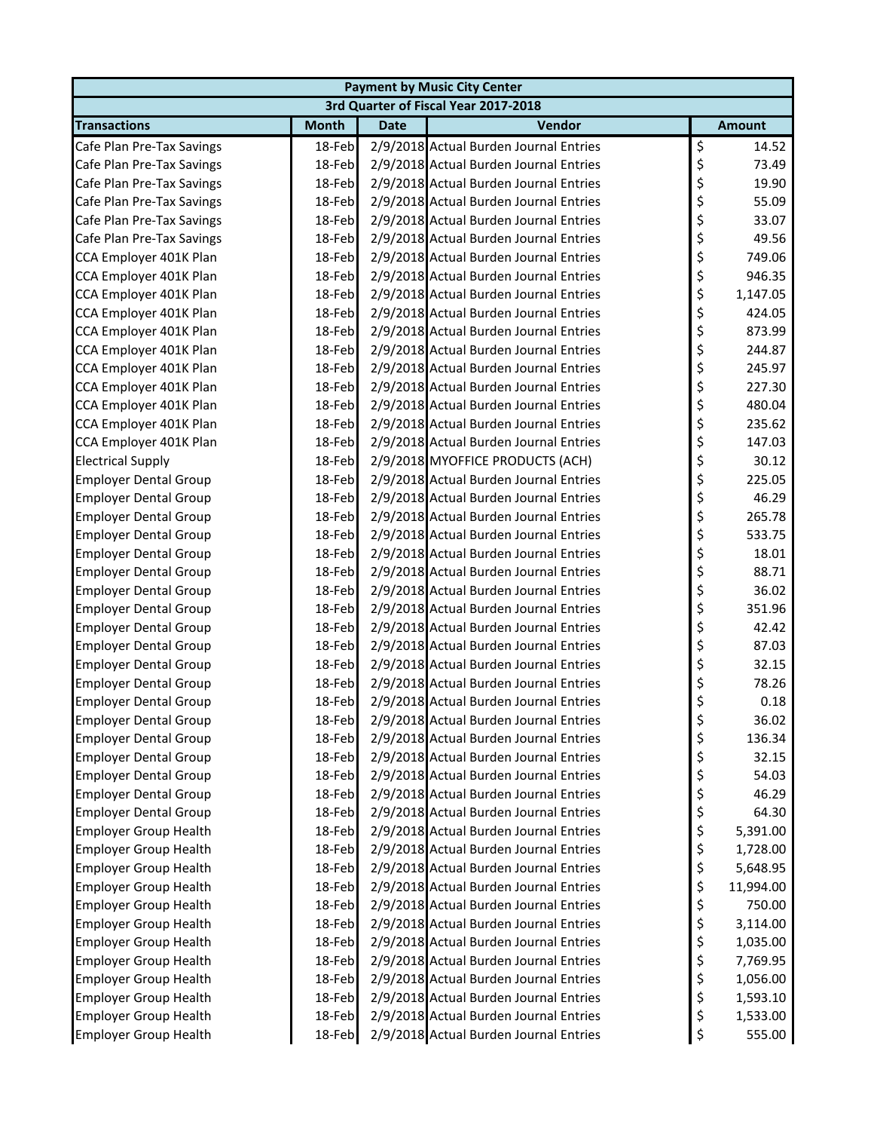|                              | <b>Payment by Music City Center</b> |             |                                        |    |               |  |  |  |
|------------------------------|-------------------------------------|-------------|----------------------------------------|----|---------------|--|--|--|
|                              |                                     |             | 3rd Quarter of Fiscal Year 2017-2018   |    |               |  |  |  |
| <b>Transactions</b>          | <b>Month</b>                        | <b>Date</b> | Vendor                                 |    | <b>Amount</b> |  |  |  |
| Cafe Plan Pre-Tax Savings    | 18-Feb                              |             | 2/9/2018 Actual Burden Journal Entries | \$ | 14.52         |  |  |  |
| Cafe Plan Pre-Tax Savings    | 18-Feb                              |             | 2/9/2018 Actual Burden Journal Entries | \$ | 73.49         |  |  |  |
| Cafe Plan Pre-Tax Savings    | 18-Feb                              |             | 2/9/2018 Actual Burden Journal Entries | \$ | 19.90         |  |  |  |
| Cafe Plan Pre-Tax Savings    | 18-Feb                              |             | 2/9/2018 Actual Burden Journal Entries | \$ | 55.09         |  |  |  |
| Cafe Plan Pre-Tax Savings    | 18-Feb                              |             | 2/9/2018 Actual Burden Journal Entries | \$ | 33.07         |  |  |  |
| Cafe Plan Pre-Tax Savings    | 18-Feb                              |             | 2/9/2018 Actual Burden Journal Entries | \$ | 49.56         |  |  |  |
| CCA Employer 401K Plan       | 18-Feb                              |             | 2/9/2018 Actual Burden Journal Entries | \$ | 749.06        |  |  |  |
| CCA Employer 401K Plan       | 18-Feb                              |             | 2/9/2018 Actual Burden Journal Entries | \$ | 946.35        |  |  |  |
| CCA Employer 401K Plan       | 18-Feb                              |             | 2/9/2018 Actual Burden Journal Entries | \$ | 1,147.05      |  |  |  |
| CCA Employer 401K Plan       | 18-Feb                              |             | 2/9/2018 Actual Burden Journal Entries | \$ | 424.05        |  |  |  |
| CCA Employer 401K Plan       | 18-Feb                              |             | 2/9/2018 Actual Burden Journal Entries | \$ | 873.99        |  |  |  |
| CCA Employer 401K Plan       | 18-Feb                              |             | 2/9/2018 Actual Burden Journal Entries | \$ | 244.87        |  |  |  |
| CCA Employer 401K Plan       | 18-Feb                              |             | 2/9/2018 Actual Burden Journal Entries | \$ | 245.97        |  |  |  |
| CCA Employer 401K Plan       | 18-Feb                              |             | 2/9/2018 Actual Burden Journal Entries | \$ | 227.30        |  |  |  |
| CCA Employer 401K Plan       | 18-Feb                              |             | 2/9/2018 Actual Burden Journal Entries | \$ | 480.04        |  |  |  |
| CCA Employer 401K Plan       | 18-Feb                              |             | 2/9/2018 Actual Burden Journal Entries | \$ | 235.62        |  |  |  |
| CCA Employer 401K Plan       | 18-Feb                              |             | 2/9/2018 Actual Burden Journal Entries | \$ | 147.03        |  |  |  |
| <b>Electrical Supply</b>     | 18-Feb                              |             | 2/9/2018 MYOFFICE PRODUCTS (ACH)       | \$ | 30.12         |  |  |  |
| <b>Employer Dental Group</b> | 18-Feb                              |             | 2/9/2018 Actual Burden Journal Entries | \$ | 225.05        |  |  |  |
| <b>Employer Dental Group</b> | 18-Feb                              |             | 2/9/2018 Actual Burden Journal Entries | \$ | 46.29         |  |  |  |
| <b>Employer Dental Group</b> | 18-Feb                              |             | 2/9/2018 Actual Burden Journal Entries | \$ | 265.78        |  |  |  |
| <b>Employer Dental Group</b> | 18-Feb                              |             | 2/9/2018 Actual Burden Journal Entries | \$ | 533.75        |  |  |  |
| <b>Employer Dental Group</b> | 18-Feb                              |             | 2/9/2018 Actual Burden Journal Entries | \$ | 18.01         |  |  |  |
| <b>Employer Dental Group</b> | 18-Feb                              |             | 2/9/2018 Actual Burden Journal Entries | \$ | 88.71         |  |  |  |
| <b>Employer Dental Group</b> | 18-Feb                              |             | 2/9/2018 Actual Burden Journal Entries | \$ | 36.02         |  |  |  |
| <b>Employer Dental Group</b> | 18-Feb                              |             | 2/9/2018 Actual Burden Journal Entries | \$ | 351.96        |  |  |  |
| <b>Employer Dental Group</b> | 18-Feb                              |             | 2/9/2018 Actual Burden Journal Entries | \$ | 42.42         |  |  |  |
| <b>Employer Dental Group</b> | 18-Feb                              |             | 2/9/2018 Actual Burden Journal Entries | \$ | 87.03         |  |  |  |
| <b>Employer Dental Group</b> | 18-Feb                              |             | 2/9/2018 Actual Burden Journal Entries | \$ | 32.15         |  |  |  |
| <b>Employer Dental Group</b> | 18-Feb                              |             | 2/9/2018 Actual Burden Journal Entries | \$ | 78.26         |  |  |  |
| <b>Employer Dental Group</b> | 18-Feb                              |             | 2/9/2018 Actual Burden Journal Entries | \$ | 0.18          |  |  |  |
| <b>Employer Dental Group</b> | 18-Feb                              |             | 2/9/2018 Actual Burden Journal Entries | P  | 36.02         |  |  |  |
| <b>Employer Dental Group</b> | 18-Feb                              |             | 2/9/2018 Actual Burden Journal Entries | \$ | 136.34        |  |  |  |
| <b>Employer Dental Group</b> | 18-Feb                              |             | 2/9/2018 Actual Burden Journal Entries | \$ | 32.15         |  |  |  |
| <b>Employer Dental Group</b> | 18-Feb                              |             | 2/9/2018 Actual Burden Journal Entries | \$ | 54.03         |  |  |  |
| <b>Employer Dental Group</b> | 18-Feb                              |             | 2/9/2018 Actual Burden Journal Entries | \$ | 46.29         |  |  |  |
| <b>Employer Dental Group</b> | 18-Feb                              |             | 2/9/2018 Actual Burden Journal Entries | \$ | 64.30         |  |  |  |
| <b>Employer Group Health</b> | 18-Feb                              |             | 2/9/2018 Actual Burden Journal Entries | \$ | 5,391.00      |  |  |  |
| <b>Employer Group Health</b> | 18-Feb                              |             | 2/9/2018 Actual Burden Journal Entries | \$ | 1,728.00      |  |  |  |
| <b>Employer Group Health</b> | 18-Feb                              |             | 2/9/2018 Actual Burden Journal Entries | \$ | 5,648.95      |  |  |  |
| <b>Employer Group Health</b> | 18-Feb                              |             | 2/9/2018 Actual Burden Journal Entries | \$ | 11,994.00     |  |  |  |
| <b>Employer Group Health</b> | 18-Feb                              |             | 2/9/2018 Actual Burden Journal Entries | \$ | 750.00        |  |  |  |
| <b>Employer Group Health</b> | 18-Feb                              |             | 2/9/2018 Actual Burden Journal Entries | \$ | 3,114.00      |  |  |  |
| <b>Employer Group Health</b> | 18-Feb                              |             | 2/9/2018 Actual Burden Journal Entries | \$ | 1,035.00      |  |  |  |
| <b>Employer Group Health</b> | 18-Feb                              |             | 2/9/2018 Actual Burden Journal Entries | \$ | 7,769.95      |  |  |  |
| <b>Employer Group Health</b> | 18-Feb                              |             | 2/9/2018 Actual Burden Journal Entries | \$ | 1,056.00      |  |  |  |
| <b>Employer Group Health</b> | 18-Feb                              |             | 2/9/2018 Actual Burden Journal Entries | \$ | 1,593.10      |  |  |  |
| <b>Employer Group Health</b> | 18-Feb                              |             | 2/9/2018 Actual Burden Journal Entries | \$ | 1,533.00      |  |  |  |
| <b>Employer Group Health</b> | 18-Feb                              |             | 2/9/2018 Actual Burden Journal Entries | \$ | 555.00        |  |  |  |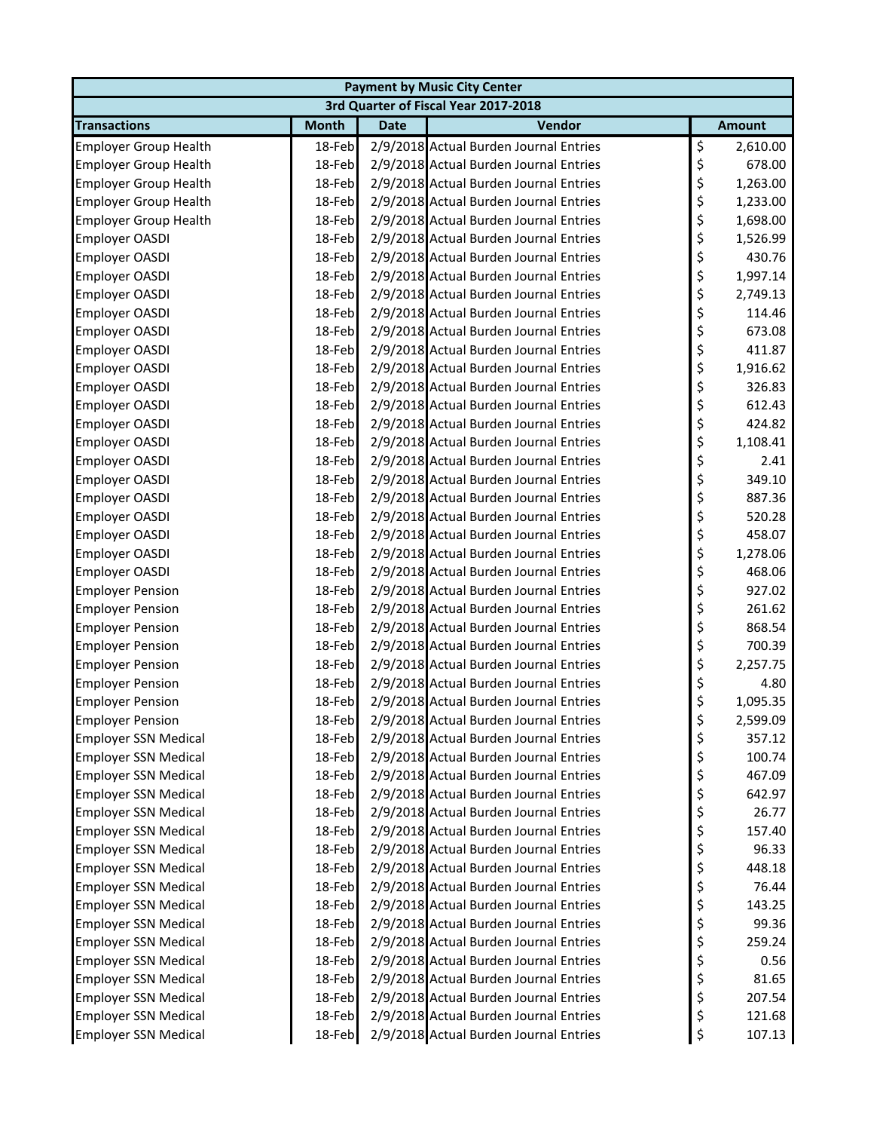| <b>Payment by Music City Center</b> |              |             |                                        |    |               |  |  |
|-------------------------------------|--------------|-------------|----------------------------------------|----|---------------|--|--|
|                                     |              |             | 3rd Quarter of Fiscal Year 2017-2018   |    |               |  |  |
| <b>Transactions</b>                 | <b>Month</b> | <b>Date</b> | Vendor                                 |    | <b>Amount</b> |  |  |
| <b>Employer Group Health</b>        | 18-Feb       |             | 2/9/2018 Actual Burden Journal Entries | \$ | 2,610.00      |  |  |
| <b>Employer Group Health</b>        | 18-Feb       |             | 2/9/2018 Actual Burden Journal Entries | \$ | 678.00        |  |  |
| <b>Employer Group Health</b>        | 18-Feb       |             | 2/9/2018 Actual Burden Journal Entries | \$ | 1,263.00      |  |  |
| <b>Employer Group Health</b>        | 18-Feb       |             | 2/9/2018 Actual Burden Journal Entries | \$ | 1,233.00      |  |  |
| <b>Employer Group Health</b>        | 18-Feb       |             | 2/9/2018 Actual Burden Journal Entries | \$ | 1,698.00      |  |  |
| <b>Employer OASDI</b>               | 18-Feb       |             | 2/9/2018 Actual Burden Journal Entries | \$ | 1,526.99      |  |  |
| <b>Employer OASDI</b>               | 18-Feb       |             | 2/9/2018 Actual Burden Journal Entries | \$ | 430.76        |  |  |
| Employer OASDI                      | 18-Feb       |             | 2/9/2018 Actual Burden Journal Entries | \$ | 1,997.14      |  |  |
| Employer OASDI                      | 18-Feb       |             | 2/9/2018 Actual Burden Journal Entries | \$ | 2,749.13      |  |  |
| Employer OASDI                      | 18-Feb       |             | 2/9/2018 Actual Burden Journal Entries | \$ | 114.46        |  |  |
| Employer OASDI                      | 18-Feb       |             | 2/9/2018 Actual Burden Journal Entries | \$ | 673.08        |  |  |
| Employer OASDI                      | 18-Feb       |             | 2/9/2018 Actual Burden Journal Entries | \$ | 411.87        |  |  |
| <b>Employer OASDI</b>               | 18-Feb       |             | 2/9/2018 Actual Burden Journal Entries | \$ | 1,916.62      |  |  |
| <b>Employer OASDI</b>               | 18-Feb       |             | 2/9/2018 Actual Burden Journal Entries | \$ | 326.83        |  |  |
| Employer OASDI                      | 18-Feb       |             | 2/9/2018 Actual Burden Journal Entries | \$ | 612.43        |  |  |
| Employer OASDI                      | 18-Feb       |             | 2/9/2018 Actual Burden Journal Entries | \$ | 424.82        |  |  |
| <b>Employer OASDI</b>               | 18-Feb       |             | 2/9/2018 Actual Burden Journal Entries | \$ | 1,108.41      |  |  |
| <b>Employer OASDI</b>               | 18-Feb       |             | 2/9/2018 Actual Burden Journal Entries | \$ | 2.41          |  |  |
| <b>Employer OASDI</b>               | 18-Feb       |             | 2/9/2018 Actual Burden Journal Entries | \$ | 349.10        |  |  |
| <b>Employer OASDI</b>               | 18-Feb       |             | 2/9/2018 Actual Burden Journal Entries | \$ | 887.36        |  |  |
| Employer OASDI                      | 18-Feb       |             | 2/9/2018 Actual Burden Journal Entries | \$ | 520.28        |  |  |
| Employer OASDI                      | 18-Feb       |             | 2/9/2018 Actual Burden Journal Entries | \$ | 458.07        |  |  |
| Employer OASDI                      | 18-Feb       |             | 2/9/2018 Actual Burden Journal Entries | \$ | 1,278.06      |  |  |
| Employer OASDI                      | 18-Feb       |             | 2/9/2018 Actual Burden Journal Entries | \$ | 468.06        |  |  |
| <b>Employer Pension</b>             | 18-Feb       |             | 2/9/2018 Actual Burden Journal Entries | \$ | 927.02        |  |  |
| <b>Employer Pension</b>             | 18-Feb       |             | 2/9/2018 Actual Burden Journal Entries | \$ | 261.62        |  |  |
| <b>Employer Pension</b>             | 18-Feb       |             | 2/9/2018 Actual Burden Journal Entries | \$ | 868.54        |  |  |
| <b>Employer Pension</b>             | 18-Feb       |             | 2/9/2018 Actual Burden Journal Entries | \$ | 700.39        |  |  |
| <b>Employer Pension</b>             | 18-Feb       |             | 2/9/2018 Actual Burden Journal Entries | \$ | 2,257.75      |  |  |
| <b>Employer Pension</b>             | 18-Feb       |             | 2/9/2018 Actual Burden Journal Entries | \$ | 4.80          |  |  |
| <b>Employer Pension</b>             | 18-Feb       |             | 2/9/2018 Actual Burden Journal Entries | \$ | 1,095.35      |  |  |
| <b>Employer Pension</b>             | 18-Feb       |             | 2/9/2018 Actual Burden Journal Entries | Ģ. | 2,599.09      |  |  |
| <b>Employer SSN Medical</b>         | 18-Feb       |             | 2/9/2018 Actual Burden Journal Entries | \$ | 357.12        |  |  |
| <b>Employer SSN Medical</b>         | 18-Feb       |             | 2/9/2018 Actual Burden Journal Entries | \$ | 100.74        |  |  |
| <b>Employer SSN Medical</b>         | 18-Feb       |             | 2/9/2018 Actual Burden Journal Entries | \$ | 467.09        |  |  |
| <b>Employer SSN Medical</b>         | 18-Feb       |             | 2/9/2018 Actual Burden Journal Entries | \$ | 642.97        |  |  |
| <b>Employer SSN Medical</b>         | 18-Feb       |             | 2/9/2018 Actual Burden Journal Entries | \$ | 26.77         |  |  |
| <b>Employer SSN Medical</b>         | 18-Feb       |             | 2/9/2018 Actual Burden Journal Entries | \$ | 157.40        |  |  |
| <b>Employer SSN Medical</b>         | 18-Feb       |             | 2/9/2018 Actual Burden Journal Entries | \$ | 96.33         |  |  |
| <b>Employer SSN Medical</b>         | 18-Feb       |             | 2/9/2018 Actual Burden Journal Entries | \$ | 448.18        |  |  |
| <b>Employer SSN Medical</b>         | 18-Feb       |             | 2/9/2018 Actual Burden Journal Entries | \$ | 76.44         |  |  |
| <b>Employer SSN Medical</b>         | 18-Feb       |             | 2/9/2018 Actual Burden Journal Entries | \$ | 143.25        |  |  |
| <b>Employer SSN Medical</b>         | 18-Feb       |             | 2/9/2018 Actual Burden Journal Entries | \$ | 99.36         |  |  |
| <b>Employer SSN Medical</b>         | 18-Feb       |             | 2/9/2018 Actual Burden Journal Entries | \$ | 259.24        |  |  |
| <b>Employer SSN Medical</b>         | 18-Feb       |             | 2/9/2018 Actual Burden Journal Entries | \$ | 0.56          |  |  |
| <b>Employer SSN Medical</b>         | 18-Feb       |             | 2/9/2018 Actual Burden Journal Entries | \$ | 81.65         |  |  |
| <b>Employer SSN Medical</b>         | 18-Feb       |             | 2/9/2018 Actual Burden Journal Entries | \$ | 207.54        |  |  |
| <b>Employer SSN Medical</b>         | 18-Feb       |             | 2/9/2018 Actual Burden Journal Entries | \$ | 121.68        |  |  |
| <b>Employer SSN Medical</b>         | 18-Feb       |             | 2/9/2018 Actual Burden Journal Entries | \$ | 107.13        |  |  |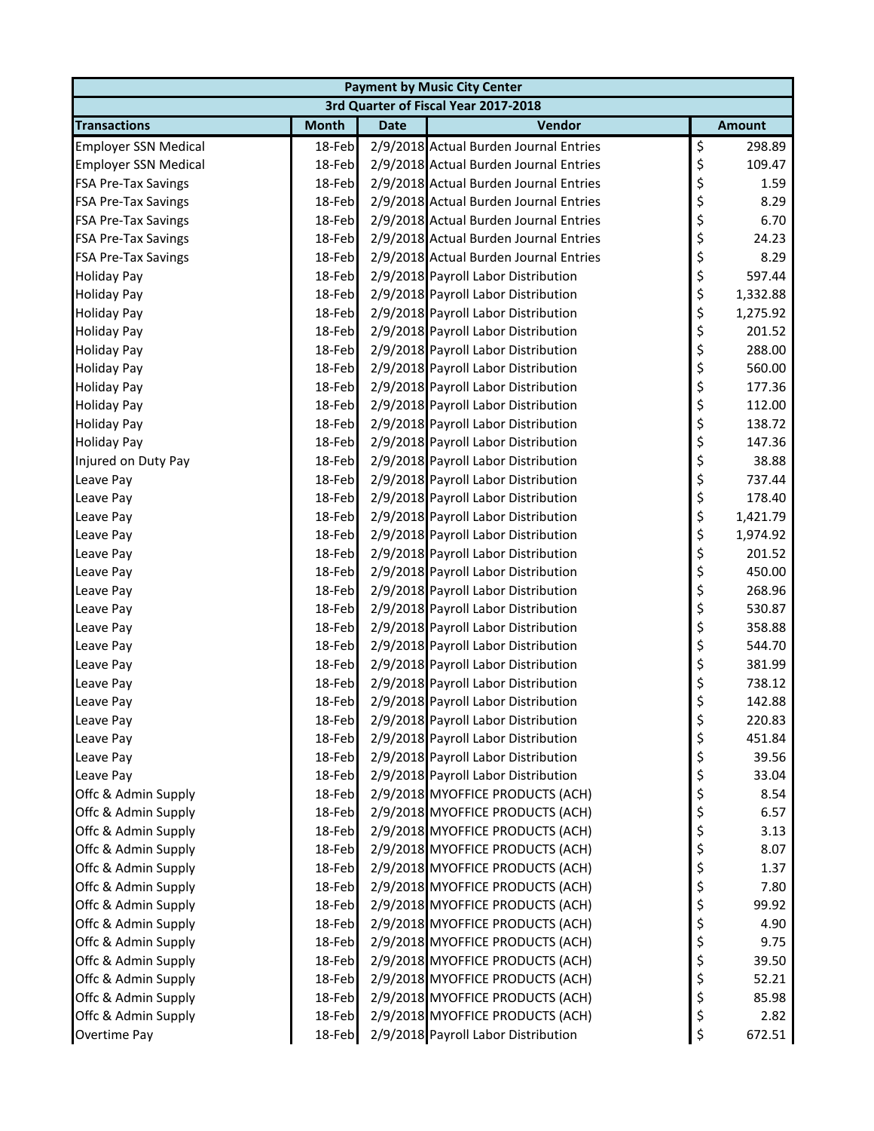| <b>Payment by Music City Center</b> |              |             |                                        |    |               |  |  |
|-------------------------------------|--------------|-------------|----------------------------------------|----|---------------|--|--|
|                                     |              |             | 3rd Quarter of Fiscal Year 2017-2018   |    |               |  |  |
| <b>Transactions</b>                 | <b>Month</b> | <b>Date</b> | Vendor                                 |    | <b>Amount</b> |  |  |
| <b>Employer SSN Medical</b>         | 18-Feb       |             | 2/9/2018 Actual Burden Journal Entries | \$ | 298.89        |  |  |
| <b>Employer SSN Medical</b>         | 18-Feb       |             | 2/9/2018 Actual Burden Journal Entries | \$ | 109.47        |  |  |
| <b>FSA Pre-Tax Savings</b>          | 18-Feb       |             | 2/9/2018 Actual Burden Journal Entries | \$ | 1.59          |  |  |
| <b>FSA Pre-Tax Savings</b>          | 18-Feb       |             | 2/9/2018 Actual Burden Journal Entries | \$ | 8.29          |  |  |
| <b>FSA Pre-Tax Savings</b>          | 18-Feb       |             | 2/9/2018 Actual Burden Journal Entries | \$ | 6.70          |  |  |
| <b>FSA Pre-Tax Savings</b>          | 18-Feb       |             | 2/9/2018 Actual Burden Journal Entries | \$ | 24.23         |  |  |
| <b>FSA Pre-Tax Savings</b>          | 18-Feb       |             | 2/9/2018 Actual Burden Journal Entries | \$ | 8.29          |  |  |
| <b>Holiday Pay</b>                  | 18-Feb       |             | 2/9/2018 Payroll Labor Distribution    | \$ | 597.44        |  |  |
| <b>Holiday Pay</b>                  | 18-Feb       |             | 2/9/2018 Payroll Labor Distribution    | \$ | 1,332.88      |  |  |
| <b>Holiday Pay</b>                  | 18-Feb       |             | 2/9/2018 Payroll Labor Distribution    | \$ | 1,275.92      |  |  |
| <b>Holiday Pay</b>                  | 18-Feb       |             | 2/9/2018 Payroll Labor Distribution    | \$ | 201.52        |  |  |
| <b>Holiday Pay</b>                  | 18-Feb       |             | 2/9/2018 Payroll Labor Distribution    | \$ | 288.00        |  |  |
| <b>Holiday Pay</b>                  | 18-Feb       |             | 2/9/2018 Payroll Labor Distribution    | \$ | 560.00        |  |  |
| <b>Holiday Pay</b>                  | 18-Feb       |             | 2/9/2018 Payroll Labor Distribution    | \$ | 177.36        |  |  |
| <b>Holiday Pay</b>                  | 18-Feb       |             | 2/9/2018 Payroll Labor Distribution    | \$ | 112.00        |  |  |
| <b>Holiday Pay</b>                  | 18-Feb       |             | 2/9/2018 Payroll Labor Distribution    | \$ | 138.72        |  |  |
| <b>Holiday Pay</b>                  | 18-Feb       |             | 2/9/2018 Payroll Labor Distribution    | \$ | 147.36        |  |  |
| Injured on Duty Pay                 | 18-Feb       |             | 2/9/2018 Payroll Labor Distribution    | \$ | 38.88         |  |  |
| Leave Pay                           | 18-Feb       |             | 2/9/2018 Payroll Labor Distribution    | \$ | 737.44        |  |  |
| Leave Pay                           | 18-Feb       |             | 2/9/2018 Payroll Labor Distribution    | \$ | 178.40        |  |  |
| Leave Pay                           | 18-Feb       |             | 2/9/2018 Payroll Labor Distribution    | \$ | 1,421.79      |  |  |
| Leave Pay                           | 18-Feb       |             | 2/9/2018 Payroll Labor Distribution    | \$ | 1,974.92      |  |  |
| Leave Pay                           | 18-Feb       |             | 2/9/2018 Payroll Labor Distribution    | \$ | 201.52        |  |  |
| Leave Pay                           | 18-Feb       |             | 2/9/2018 Payroll Labor Distribution    | \$ | 450.00        |  |  |
| Leave Pay                           | 18-Feb       |             | 2/9/2018 Payroll Labor Distribution    | \$ | 268.96        |  |  |
| Leave Pay                           | 18-Feb       |             | 2/9/2018 Payroll Labor Distribution    | \$ | 530.87        |  |  |
| Leave Pay                           | 18-Feb       |             | 2/9/2018 Payroll Labor Distribution    | \$ | 358.88        |  |  |
| Leave Pay                           | 18-Feb       |             | 2/9/2018 Payroll Labor Distribution    | \$ | 544.70        |  |  |
| Leave Pay                           | 18-Feb       |             | 2/9/2018 Payroll Labor Distribution    | \$ | 381.99        |  |  |
| Leave Pay                           | 18-Feb       |             | 2/9/2018 Payroll Labor Distribution    | \$ | 738.12        |  |  |
| Leave Pay                           | 18-Feb       |             | 2/9/2018 Payroll Labor Distribution    | \$ | 142.88        |  |  |
| Leave Pay                           | 18-Feb       |             | 2/9/2018 Payroll Labor Distribution    | Ş  | 220.83        |  |  |
| Leave Pay                           | 18-Feb       |             | 2/9/2018 Payroll Labor Distribution    | \$ | 451.84        |  |  |
| Leave Pay                           | 18-Feb       |             | 2/9/2018 Payroll Labor Distribution    | \$ | 39.56         |  |  |
| Leave Pay                           | 18-Feb       |             | 2/9/2018 Payroll Labor Distribution    | \$ | 33.04         |  |  |
| Offc & Admin Supply                 | 18-Feb       |             | 2/9/2018 MYOFFICE PRODUCTS (ACH)       | \$ | 8.54          |  |  |
| Offc & Admin Supply                 | 18-Feb       |             | 2/9/2018 MYOFFICE PRODUCTS (ACH)       | \$ | 6.57          |  |  |
| Offc & Admin Supply                 | 18-Feb       |             | 2/9/2018 MYOFFICE PRODUCTS (ACH)       | \$ | 3.13          |  |  |
| Offc & Admin Supply                 | 18-Feb       |             | 2/9/2018 MYOFFICE PRODUCTS (ACH)       | \$ | 8.07          |  |  |
| Offc & Admin Supply                 | 18-Feb       |             | 2/9/2018 MYOFFICE PRODUCTS (ACH)       | \$ | 1.37          |  |  |
| Offc & Admin Supply                 | 18-Feb       |             | 2/9/2018 MYOFFICE PRODUCTS (ACH)       | \$ | 7.80          |  |  |
| Offc & Admin Supply                 | 18-Feb       |             | 2/9/2018 MYOFFICE PRODUCTS (ACH)       | \$ | 99.92         |  |  |
| Offc & Admin Supply                 | 18-Feb       |             | 2/9/2018 MYOFFICE PRODUCTS (ACH)       | \$ | 4.90          |  |  |
| Offc & Admin Supply                 | 18-Feb       |             | 2/9/2018 MYOFFICE PRODUCTS (ACH)       | \$ | 9.75          |  |  |
| Offc & Admin Supply                 | 18-Feb       |             | 2/9/2018 MYOFFICE PRODUCTS (ACH)       | \$ | 39.50         |  |  |
| Offc & Admin Supply                 | 18-Feb       |             | 2/9/2018 MYOFFICE PRODUCTS (ACH)       | \$ | 52.21         |  |  |
| Offc & Admin Supply                 | 18-Feb       |             | 2/9/2018 MYOFFICE PRODUCTS (ACH)       | \$ | 85.98         |  |  |
| Offc & Admin Supply                 | 18-Feb       |             | 2/9/2018 MYOFFICE PRODUCTS (ACH)       | \$ | 2.82          |  |  |
| Overtime Pay                        | 18-Feb       |             | 2/9/2018 Payroll Labor Distribution    | \$ | 672.51        |  |  |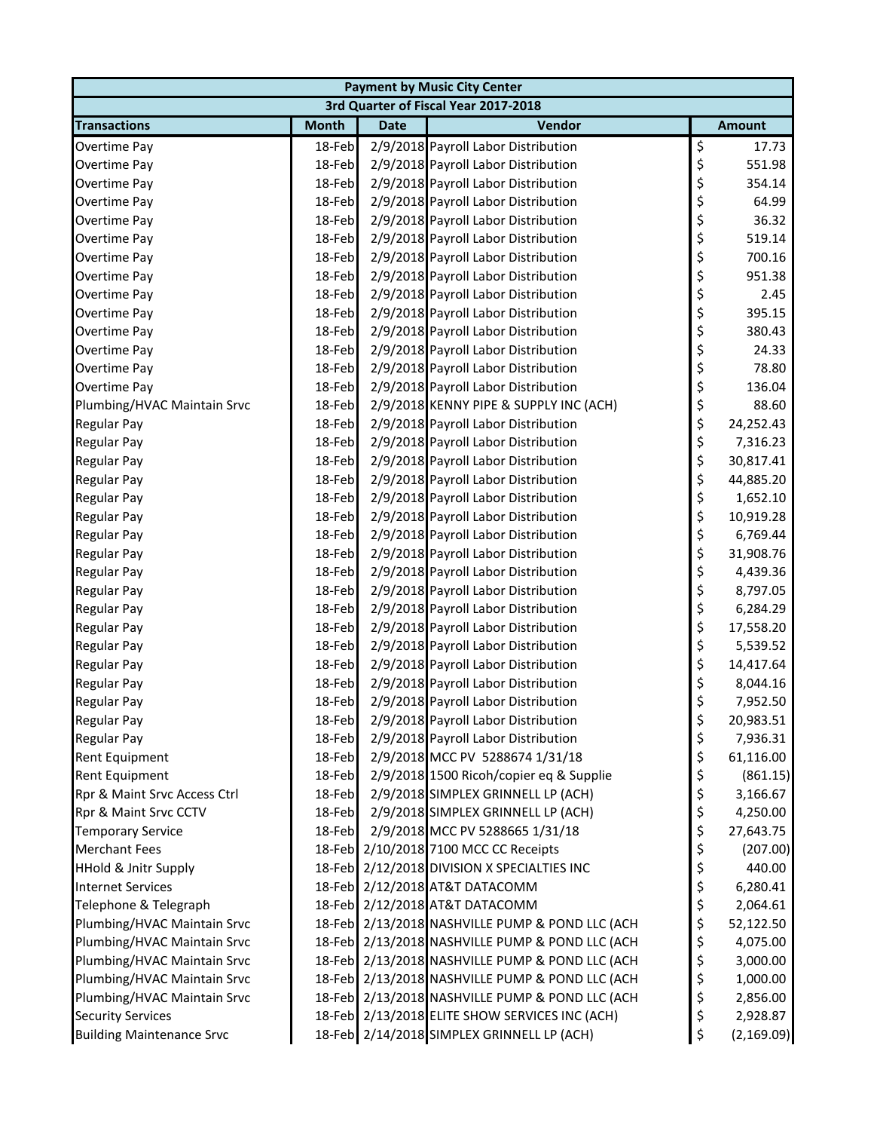| <b>Payment by Music City Center</b> |              |             |                                                 |    |               |  |  |  |
|-------------------------------------|--------------|-------------|-------------------------------------------------|----|---------------|--|--|--|
|                                     |              |             | 3rd Quarter of Fiscal Year 2017-2018            |    |               |  |  |  |
| <b>Transactions</b>                 | <b>Month</b> | <b>Date</b> | Vendor                                          |    | <b>Amount</b> |  |  |  |
| Overtime Pay                        | 18-Feb       |             | 2/9/2018 Payroll Labor Distribution             | \$ | 17.73         |  |  |  |
| Overtime Pay                        | 18-Feb       |             | 2/9/2018 Payroll Labor Distribution             | \$ | 551.98        |  |  |  |
| Overtime Pay                        | 18-Feb       |             | 2/9/2018 Payroll Labor Distribution             | \$ | 354.14        |  |  |  |
| Overtime Pay                        | 18-Feb       |             | 2/9/2018 Payroll Labor Distribution             | \$ | 64.99         |  |  |  |
| Overtime Pay                        | 18-Feb       |             | 2/9/2018 Payroll Labor Distribution             | \$ | 36.32         |  |  |  |
| Overtime Pay                        | 18-Feb       |             | 2/9/2018 Payroll Labor Distribution             | \$ | 519.14        |  |  |  |
| Overtime Pay                        | 18-Feb       |             | 2/9/2018 Payroll Labor Distribution             | \$ | 700.16        |  |  |  |
| Overtime Pay                        | 18-Feb       |             | 2/9/2018 Payroll Labor Distribution             | \$ | 951.38        |  |  |  |
| Overtime Pay                        | 18-Feb       |             | 2/9/2018 Payroll Labor Distribution             | \$ | 2.45          |  |  |  |
| Overtime Pay                        | 18-Feb       |             | 2/9/2018 Payroll Labor Distribution             | \$ | 395.15        |  |  |  |
| Overtime Pay                        | 18-Feb       |             | 2/9/2018 Payroll Labor Distribution             | \$ | 380.43        |  |  |  |
| Overtime Pay                        | 18-Feb       |             | 2/9/2018 Payroll Labor Distribution             | \$ | 24.33         |  |  |  |
| Overtime Pay                        | 18-Feb       |             | 2/9/2018 Payroll Labor Distribution             | \$ | 78.80         |  |  |  |
| Overtime Pay                        | 18-Feb       |             | 2/9/2018 Payroll Labor Distribution             | \$ | 136.04        |  |  |  |
| Plumbing/HVAC Maintain Srvc         | 18-Feb       |             | 2/9/2018 KENNY PIPE & SUPPLY INC (ACH)          | \$ | 88.60         |  |  |  |
| <b>Regular Pay</b>                  | 18-Feb       |             | 2/9/2018 Payroll Labor Distribution             | \$ | 24,252.43     |  |  |  |
| <b>Regular Pay</b>                  | 18-Feb       |             | 2/9/2018 Payroll Labor Distribution             | \$ | 7,316.23      |  |  |  |
| <b>Regular Pay</b>                  | 18-Feb       |             | 2/9/2018 Payroll Labor Distribution             | \$ | 30,817.41     |  |  |  |
| <b>Regular Pay</b>                  | 18-Feb       |             | 2/9/2018 Payroll Labor Distribution             | \$ | 44,885.20     |  |  |  |
| <b>Regular Pay</b>                  | 18-Feb       |             | 2/9/2018 Payroll Labor Distribution             | \$ | 1,652.10      |  |  |  |
| <b>Regular Pay</b>                  | 18-Feb       |             | 2/9/2018 Payroll Labor Distribution             | \$ | 10,919.28     |  |  |  |
| <b>Regular Pay</b>                  | 18-Feb       |             | 2/9/2018 Payroll Labor Distribution             | \$ | 6,769.44      |  |  |  |
| <b>Regular Pay</b>                  | 18-Feb       |             | 2/9/2018 Payroll Labor Distribution             | \$ | 31,908.76     |  |  |  |
| <b>Regular Pay</b>                  | 18-Feb       |             | 2/9/2018 Payroll Labor Distribution             | \$ | 4,439.36      |  |  |  |
| <b>Regular Pay</b>                  | 18-Feb       |             | 2/9/2018 Payroll Labor Distribution             | \$ | 8,797.05      |  |  |  |
| <b>Regular Pay</b>                  | 18-Feb       |             | 2/9/2018 Payroll Labor Distribution             | \$ | 6,284.29      |  |  |  |
| <b>Regular Pay</b>                  | 18-Feb       |             | 2/9/2018 Payroll Labor Distribution             | \$ | 17,558.20     |  |  |  |
| Regular Pay                         | 18-Feb       |             | 2/9/2018 Payroll Labor Distribution             | \$ | 5,539.52      |  |  |  |
| <b>Regular Pay</b>                  | 18-Feb       |             | 2/9/2018 Payroll Labor Distribution             | \$ | 14,417.64     |  |  |  |
| Regular Pay                         | 18-Feb       |             | 2/9/2018 Payroll Labor Distribution             | \$ | 8,044.16      |  |  |  |
| <b>Regular Pay</b>                  | 18-Feb       |             | 2/9/2018 Payroll Labor Distribution             | \$ | 7,952.50      |  |  |  |
| <b>Regular Pay</b>                  | 18-Feb       |             | 2/9/2018 Payroll Labor Distribution             | Ş  | 20,983.51     |  |  |  |
| <b>Regular Pay</b>                  | 18-Feb       |             | 2/9/2018 Payroll Labor Distribution             | \$ | 7,936.31      |  |  |  |
| Rent Equipment                      | 18-Feb       |             | 2/9/2018 MCC PV 5288674 1/31/18                 | \$ | 61,116.00     |  |  |  |
| Rent Equipment                      | 18-Feb       |             | 2/9/2018 1500 Ricoh/copier eq & Supplie         | \$ | (861.15)      |  |  |  |
| Rpr & Maint Srvc Access Ctrl        | 18-Feb       |             | 2/9/2018 SIMPLEX GRINNELL LP (ACH)              | \$ | 3,166.67      |  |  |  |
| Rpr & Maint Srvc CCTV               | 18-Feb       |             | 2/9/2018 SIMPLEX GRINNELL LP (ACH)              | \$ | 4,250.00      |  |  |  |
| <b>Temporary Service</b>            | 18-Feb       |             | 2/9/2018 MCC PV 5288665 1/31/18                 | \$ | 27,643.75     |  |  |  |
| <b>Merchant Fees</b>                |              |             | 18-Feb 2/10/2018 7100 MCC CC Receipts           | \$ | (207.00)      |  |  |  |
| <b>HHold &amp; Jnitr Supply</b>     |              |             | 18-Feb 2/12/2018 DIVISION X SPECIALTIES INC     | \$ | 440.00        |  |  |  |
| <b>Internet Services</b>            |              |             | 18-Feb 2/12/2018 AT&T DATACOMM                  | \$ | 6,280.41      |  |  |  |
| Telephone & Telegraph               |              |             | 18-Feb 2/12/2018 AT&T DATACOMM                  | \$ | 2,064.61      |  |  |  |
| Plumbing/HVAC Maintain Srvc         |              |             | 18-Feb 2/13/2018 NASHVILLE PUMP & POND LLC (ACH | \$ | 52,122.50     |  |  |  |
| Plumbing/HVAC Maintain Srvc         |              |             | 18-Feb 2/13/2018 NASHVILLE PUMP & POND LLC (ACH | \$ | 4,075.00      |  |  |  |
| Plumbing/HVAC Maintain Srvc         |              |             | 18-Feb 2/13/2018 NASHVILLE PUMP & POND LLC (ACH | \$ | 3,000.00      |  |  |  |
| Plumbing/HVAC Maintain Srvc         |              |             | 18-Feb 2/13/2018 NASHVILLE PUMP & POND LLC (ACH | \$ | 1,000.00      |  |  |  |
| Plumbing/HVAC Maintain Srvc         |              |             | 18-Feb 2/13/2018 NASHVILLE PUMP & POND LLC (ACH | \$ | 2,856.00      |  |  |  |
| <b>Security Services</b>            |              |             | 18-Feb 2/13/2018 ELITE SHOW SERVICES INC (ACH)  | \$ | 2,928.87      |  |  |  |
| <b>Building Maintenance Srvc</b>    |              |             | 18-Feb 2/14/2018 SIMPLEX GRINNELL LP (ACH)      | \$ | (2, 169.09)   |  |  |  |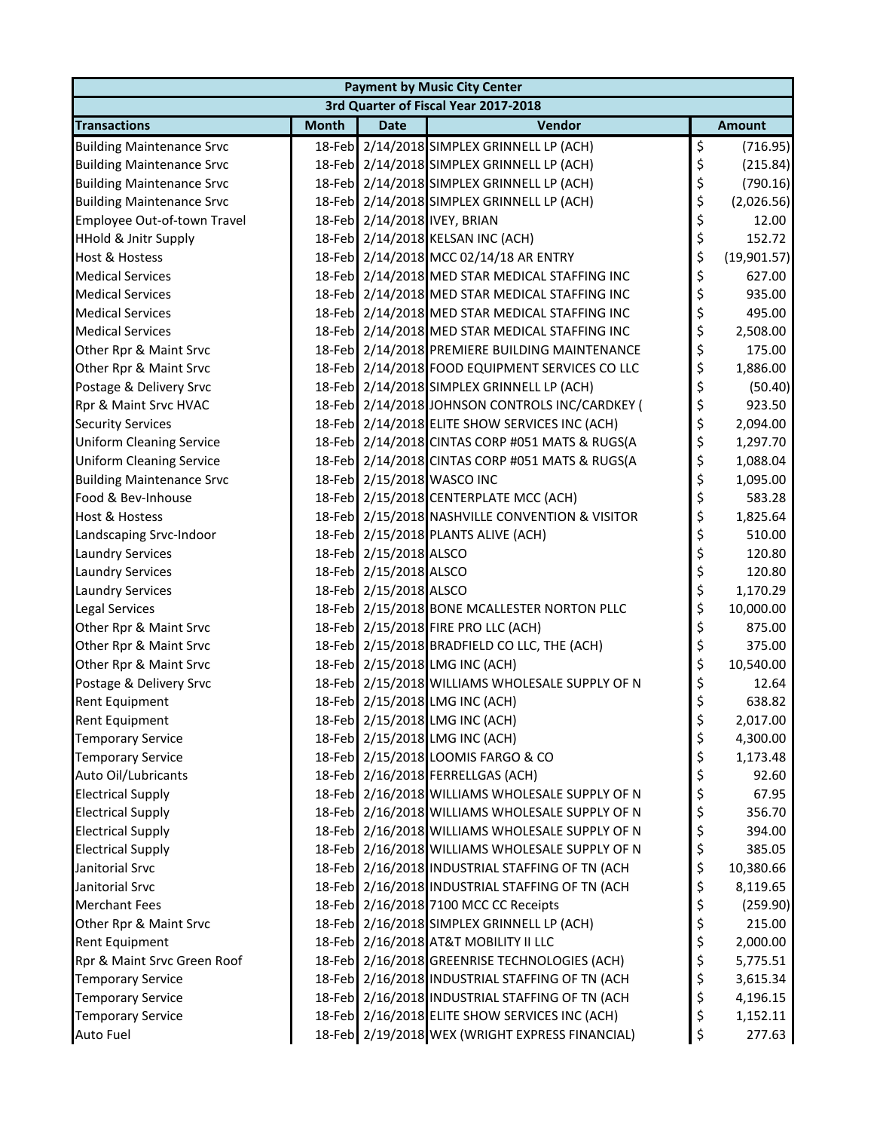| 3rd Quarter of Fiscal Year 2017-2018<br>Vendor<br><b>Month</b><br><b>Date</b><br><b>Amount</b><br>\$<br>18-Feb 2/14/2018 SIMPLEX GRINNELL LP (ACH)<br>(716.95)<br>\$<br>18-Feb 2/14/2018 SIMPLEX GRINNELL LP (ACH)<br><b>Building Maintenance Srvc</b><br>(215.84)<br>\$<br>18-Feb 2/14/2018 SIMPLEX GRINNELL LP (ACH)<br>(790.16)<br>\$<br>18-Feb 2/14/2018 SIMPLEX GRINNELL LP (ACH)<br>(2,026.56)<br>18-Feb 2/14/2018 IVEY, BRIAN<br>\$<br>12.00<br>\$<br>18-Feb 2/14/2018 KELSAN INC (ACH)<br>152.72<br>\$<br>18-Feb 2/14/2018 MCC 02/14/18 AR ENTRY<br>(19,901.57)<br>\$<br><b>Medical Services</b><br>18-Feb 2/14/2018 MED STAR MEDICAL STAFFING INC<br>627.00<br>\$<br><b>Medical Services</b><br>18-Feb 2/14/2018 MED STAR MEDICAL STAFFING INC<br>935.00<br>\$<br>18-Feb 2/14/2018 MED STAR MEDICAL STAFFING INC<br>495.00<br>\$<br>18-Feb 2/14/2018 MED STAR MEDICAL STAFFING INC<br>2,508.00<br>\$<br>18-Feb 2/14/2018 PREMIERE BUILDING MAINTENANCE<br>175.00<br>\$<br>18-Feb 2/14/2018 FOOD EQUIPMENT SERVICES CO LLC<br>Other Rpr & Maint Srvc<br>1,886.00<br>\$<br>18-Feb 2/14/2018 SIMPLEX GRINNELL LP (ACH)<br>Postage & Delivery Srvc<br>(50.40)<br>\$<br>18-Feb 2/14/2018 JOHNSON CONTROLS INC/CARDKEY (<br>923.50<br>Rpr & Maint Srvc HVAC<br>\$<br>18-Feb 2/14/2018 ELITE SHOW SERVICES INC (ACH)<br>2,094.00<br>\$<br>18-Feb 2/14/2018 CINTAS CORP #051 MATS & RUGS(A<br>1,297.70<br>\$<br>18-Feb 2/14/2018 CINTAS CORP #051 MATS & RUGS(A<br><b>Uniform Cleaning Service</b><br>1,088.04<br>\$<br>18-Feb 2/15/2018 WASCO INC<br>1,095.00<br>\$<br>Food & Bev-Inhouse<br>18-Feb 2/15/2018 CENTERPLATE MCC (ACH)<br>583.28<br>\$<br>18-Feb 2/15/2018 NASHVILLE CONVENTION & VISITOR<br>Host & Hostess<br>1,825.64<br>\$<br>18-Feb 2/15/2018 PLANTS ALIVE (ACH)<br>Landscaping Srvc-Indoor<br>510.00<br>\$<br>18-Feb 2/15/2018 ALSCO<br>120.80<br><b>Laundry Services</b><br>\$<br>18-Feb 2/15/2018 ALSCO<br><b>Laundry Services</b><br>120.80<br>\$<br>18-Feb 2/15/2018 ALSCO<br>1,170.29<br><b>Laundry Services</b><br>\$<br>Legal Services<br>18-Feb 2/15/2018 BONE MCALLESTER NORTON PLLC<br>10,000.00<br>\$<br>18-Feb 2/15/2018 FIRE PRO LLC (ACH)<br>Other Rpr & Maint Srvc<br>875.00<br>\$<br>18-Feb 2/15/2018 BRADFIELD CO LLC, THE (ACH)<br>Other Rpr & Maint Srvc<br>375.00<br>\$<br>18-Feb 2/15/2018 LMG INC (ACH)<br>10,540.00<br>Other Rpr & Maint Srvc<br>18-Feb 2/15/2018 WILLIAMS WHOLESALE SUPPLY OF N<br>\$<br>Postage & Delivery Srvc<br>12.64<br>\$<br>18-Feb 2/15/2018 LMG INC (ACH)<br>638.82<br>Rent Equipment<br>18-Feb 2/15/2018 LMG INC (ACH)<br>2,017.00<br>Ş<br>\$<br>18-Feb 2/15/2018 LMG INC (ACH)<br>4,300.00<br><b>Temporary Service</b><br>\$<br>18-Feb 2/15/2018 LOOMIS FARGO & CO<br><b>Temporary Service</b><br>1,173.48<br>\$<br>18-Feb 2/16/2018 FERRELLGAS (ACH)<br>Auto Oil/Lubricants<br>92.60<br>\$<br>18-Feb 2/16/2018 WILLIAMS WHOLESALE SUPPLY OF N<br><b>Electrical Supply</b><br>67.95<br>\$<br>18-Feb 2/16/2018 WILLIAMS WHOLESALE SUPPLY OF N<br><b>Electrical Supply</b><br>356.70<br>\$<br>18-Feb 2/16/2018 WILLIAMS WHOLESALE SUPPLY OF N<br><b>Electrical Supply</b><br>394.00<br>\$<br>18-Feb 2/16/2018 WILLIAMS WHOLESALE SUPPLY OF N<br><b>Electrical Supply</b><br>385.05<br>\$<br>Janitorial Srvc<br>18-Feb 2/16/2018 INDUSTRIAL STAFFING OF TN (ACH<br>10,380.66<br>\$<br>Janitorial Srvc<br>18-Feb 2/16/2018 INDUSTRIAL STAFFING OF TN (ACH<br>8,119.65<br>\$<br>18-Feb 2/16/2018 7100 MCC CC Receipts<br><b>Merchant Fees</b><br>(259.90)<br>\$<br>18-Feb 2/16/2018 SIMPLEX GRINNELL LP (ACH)<br>Other Rpr & Maint Srvc<br>215.00<br>\$<br>18-Feb 2/16/2018 AT&T MOBILITY II LLC<br>Rent Equipment<br>2,000.00<br>\$<br>Rpr & Maint Srvc Green Roof<br>18-Feb 2/16/2018 GREENRISE TECHNOLOGIES (ACH)<br>5,775.51 | <b>Payment by Music City Center</b> |  |  |  |  |  |  |  |
|---------------------------------------------------------------------------------------------------------------------------------------------------------------------------------------------------------------------------------------------------------------------------------------------------------------------------------------------------------------------------------------------------------------------------------------------------------------------------------------------------------------------------------------------------------------------------------------------------------------------------------------------------------------------------------------------------------------------------------------------------------------------------------------------------------------------------------------------------------------------------------------------------------------------------------------------------------------------------------------------------------------------------------------------------------------------------------------------------------------------------------------------------------------------------------------------------------------------------------------------------------------------------------------------------------------------------------------------------------------------------------------------------------------------------------------------------------------------------------------------------------------------------------------------------------------------------------------------------------------------------------------------------------------------------------------------------------------------------------------------------------------------------------------------------------------------------------------------------------------------------------------------------------------------------------------------------------------------------------------------------------------------------------------------------------------------------------------------------------------------------------------------------------------------------------------------------------------------------------------------------------------------------------------------------------------------------------------------------------------------------------------------------------------------------------------------------------------------------------------------------------------------------------------------------------------------------------------------------------------------------------------------------------------------------------------------------------------------------------------------------------------------------------------------------------------------------------------------------------------------------------------------------------------------------------------------------------------------------------------------------------------------------------------------------------------------------------------------------------------------------------------------------------------------------------------------------------------------------------------------------------------------------------------------------------------------------------------------------------------------------------------------------------------------------------------------------------------------------------------------------------------------------------------------------------------------------------------------------------------------------------------------------------------------------------------------------------------------------------------------------------------------------------------------------|-------------------------------------|--|--|--|--|--|--|--|
|                                                                                                                                                                                                                                                                                                                                                                                                                                                                                                                                                                                                                                                                                                                                                                                                                                                                                                                                                                                                                                                                                                                                                                                                                                                                                                                                                                                                                                                                                                                                                                                                                                                                                                                                                                                                                                                                                                                                                                                                                                                                                                                                                                                                                                                                                                                                                                                                                                                                                                                                                                                                                                                                                                                                                                                                                                                                                                                                                                                                                                                                                                                                                                                                                                                                                                                                                                                                                                                                                                                                                                                                                                                                                                                                                                                                   |                                     |  |  |  |  |  |  |  |
|                                                                                                                                                                                                                                                                                                                                                                                                                                                                                                                                                                                                                                                                                                                                                                                                                                                                                                                                                                                                                                                                                                                                                                                                                                                                                                                                                                                                                                                                                                                                                                                                                                                                                                                                                                                                                                                                                                                                                                                                                                                                                                                                                                                                                                                                                                                                                                                                                                                                                                                                                                                                                                                                                                                                                                                                                                                                                                                                                                                                                                                                                                                                                                                                                                                                                                                                                                                                                                                                                                                                                                                                                                                                                                                                                                                                   | <b>Transactions</b>                 |  |  |  |  |  |  |  |
|                                                                                                                                                                                                                                                                                                                                                                                                                                                                                                                                                                                                                                                                                                                                                                                                                                                                                                                                                                                                                                                                                                                                                                                                                                                                                                                                                                                                                                                                                                                                                                                                                                                                                                                                                                                                                                                                                                                                                                                                                                                                                                                                                                                                                                                                                                                                                                                                                                                                                                                                                                                                                                                                                                                                                                                                                                                                                                                                                                                                                                                                                                                                                                                                                                                                                                                                                                                                                                                                                                                                                                                                                                                                                                                                                                                                   | <b>Building Maintenance Srvc</b>    |  |  |  |  |  |  |  |
|                                                                                                                                                                                                                                                                                                                                                                                                                                                                                                                                                                                                                                                                                                                                                                                                                                                                                                                                                                                                                                                                                                                                                                                                                                                                                                                                                                                                                                                                                                                                                                                                                                                                                                                                                                                                                                                                                                                                                                                                                                                                                                                                                                                                                                                                                                                                                                                                                                                                                                                                                                                                                                                                                                                                                                                                                                                                                                                                                                                                                                                                                                                                                                                                                                                                                                                                                                                                                                                                                                                                                                                                                                                                                                                                                                                                   |                                     |  |  |  |  |  |  |  |
|                                                                                                                                                                                                                                                                                                                                                                                                                                                                                                                                                                                                                                                                                                                                                                                                                                                                                                                                                                                                                                                                                                                                                                                                                                                                                                                                                                                                                                                                                                                                                                                                                                                                                                                                                                                                                                                                                                                                                                                                                                                                                                                                                                                                                                                                                                                                                                                                                                                                                                                                                                                                                                                                                                                                                                                                                                                                                                                                                                                                                                                                                                                                                                                                                                                                                                                                                                                                                                                                                                                                                                                                                                                                                                                                                                                                   | <b>Building Maintenance Srvc</b>    |  |  |  |  |  |  |  |
|                                                                                                                                                                                                                                                                                                                                                                                                                                                                                                                                                                                                                                                                                                                                                                                                                                                                                                                                                                                                                                                                                                                                                                                                                                                                                                                                                                                                                                                                                                                                                                                                                                                                                                                                                                                                                                                                                                                                                                                                                                                                                                                                                                                                                                                                                                                                                                                                                                                                                                                                                                                                                                                                                                                                                                                                                                                                                                                                                                                                                                                                                                                                                                                                                                                                                                                                                                                                                                                                                                                                                                                                                                                                                                                                                                                                   | <b>Building Maintenance Srvc</b>    |  |  |  |  |  |  |  |
|                                                                                                                                                                                                                                                                                                                                                                                                                                                                                                                                                                                                                                                                                                                                                                                                                                                                                                                                                                                                                                                                                                                                                                                                                                                                                                                                                                                                                                                                                                                                                                                                                                                                                                                                                                                                                                                                                                                                                                                                                                                                                                                                                                                                                                                                                                                                                                                                                                                                                                                                                                                                                                                                                                                                                                                                                                                                                                                                                                                                                                                                                                                                                                                                                                                                                                                                                                                                                                                                                                                                                                                                                                                                                                                                                                                                   | Employee Out-of-town Travel         |  |  |  |  |  |  |  |
|                                                                                                                                                                                                                                                                                                                                                                                                                                                                                                                                                                                                                                                                                                                                                                                                                                                                                                                                                                                                                                                                                                                                                                                                                                                                                                                                                                                                                                                                                                                                                                                                                                                                                                                                                                                                                                                                                                                                                                                                                                                                                                                                                                                                                                                                                                                                                                                                                                                                                                                                                                                                                                                                                                                                                                                                                                                                                                                                                                                                                                                                                                                                                                                                                                                                                                                                                                                                                                                                                                                                                                                                                                                                                                                                                                                                   | <b>HHold &amp; Jnitr Supply</b>     |  |  |  |  |  |  |  |
|                                                                                                                                                                                                                                                                                                                                                                                                                                                                                                                                                                                                                                                                                                                                                                                                                                                                                                                                                                                                                                                                                                                                                                                                                                                                                                                                                                                                                                                                                                                                                                                                                                                                                                                                                                                                                                                                                                                                                                                                                                                                                                                                                                                                                                                                                                                                                                                                                                                                                                                                                                                                                                                                                                                                                                                                                                                                                                                                                                                                                                                                                                                                                                                                                                                                                                                                                                                                                                                                                                                                                                                                                                                                                                                                                                                                   | <b>Host &amp; Hostess</b>           |  |  |  |  |  |  |  |
|                                                                                                                                                                                                                                                                                                                                                                                                                                                                                                                                                                                                                                                                                                                                                                                                                                                                                                                                                                                                                                                                                                                                                                                                                                                                                                                                                                                                                                                                                                                                                                                                                                                                                                                                                                                                                                                                                                                                                                                                                                                                                                                                                                                                                                                                                                                                                                                                                                                                                                                                                                                                                                                                                                                                                                                                                                                                                                                                                                                                                                                                                                                                                                                                                                                                                                                                                                                                                                                                                                                                                                                                                                                                                                                                                                                                   |                                     |  |  |  |  |  |  |  |
|                                                                                                                                                                                                                                                                                                                                                                                                                                                                                                                                                                                                                                                                                                                                                                                                                                                                                                                                                                                                                                                                                                                                                                                                                                                                                                                                                                                                                                                                                                                                                                                                                                                                                                                                                                                                                                                                                                                                                                                                                                                                                                                                                                                                                                                                                                                                                                                                                                                                                                                                                                                                                                                                                                                                                                                                                                                                                                                                                                                                                                                                                                                                                                                                                                                                                                                                                                                                                                                                                                                                                                                                                                                                                                                                                                                                   |                                     |  |  |  |  |  |  |  |
|                                                                                                                                                                                                                                                                                                                                                                                                                                                                                                                                                                                                                                                                                                                                                                                                                                                                                                                                                                                                                                                                                                                                                                                                                                                                                                                                                                                                                                                                                                                                                                                                                                                                                                                                                                                                                                                                                                                                                                                                                                                                                                                                                                                                                                                                                                                                                                                                                                                                                                                                                                                                                                                                                                                                                                                                                                                                                                                                                                                                                                                                                                                                                                                                                                                                                                                                                                                                                                                                                                                                                                                                                                                                                                                                                                                                   | <b>Medical Services</b>             |  |  |  |  |  |  |  |
|                                                                                                                                                                                                                                                                                                                                                                                                                                                                                                                                                                                                                                                                                                                                                                                                                                                                                                                                                                                                                                                                                                                                                                                                                                                                                                                                                                                                                                                                                                                                                                                                                                                                                                                                                                                                                                                                                                                                                                                                                                                                                                                                                                                                                                                                                                                                                                                                                                                                                                                                                                                                                                                                                                                                                                                                                                                                                                                                                                                                                                                                                                                                                                                                                                                                                                                                                                                                                                                                                                                                                                                                                                                                                                                                                                                                   | <b>Medical Services</b>             |  |  |  |  |  |  |  |
|                                                                                                                                                                                                                                                                                                                                                                                                                                                                                                                                                                                                                                                                                                                                                                                                                                                                                                                                                                                                                                                                                                                                                                                                                                                                                                                                                                                                                                                                                                                                                                                                                                                                                                                                                                                                                                                                                                                                                                                                                                                                                                                                                                                                                                                                                                                                                                                                                                                                                                                                                                                                                                                                                                                                                                                                                                                                                                                                                                                                                                                                                                                                                                                                                                                                                                                                                                                                                                                                                                                                                                                                                                                                                                                                                                                                   | Other Rpr & Maint Srvc              |  |  |  |  |  |  |  |
|                                                                                                                                                                                                                                                                                                                                                                                                                                                                                                                                                                                                                                                                                                                                                                                                                                                                                                                                                                                                                                                                                                                                                                                                                                                                                                                                                                                                                                                                                                                                                                                                                                                                                                                                                                                                                                                                                                                                                                                                                                                                                                                                                                                                                                                                                                                                                                                                                                                                                                                                                                                                                                                                                                                                                                                                                                                                                                                                                                                                                                                                                                                                                                                                                                                                                                                                                                                                                                                                                                                                                                                                                                                                                                                                                                                                   |                                     |  |  |  |  |  |  |  |
|                                                                                                                                                                                                                                                                                                                                                                                                                                                                                                                                                                                                                                                                                                                                                                                                                                                                                                                                                                                                                                                                                                                                                                                                                                                                                                                                                                                                                                                                                                                                                                                                                                                                                                                                                                                                                                                                                                                                                                                                                                                                                                                                                                                                                                                                                                                                                                                                                                                                                                                                                                                                                                                                                                                                                                                                                                                                                                                                                                                                                                                                                                                                                                                                                                                                                                                                                                                                                                                                                                                                                                                                                                                                                                                                                                                                   |                                     |  |  |  |  |  |  |  |
|                                                                                                                                                                                                                                                                                                                                                                                                                                                                                                                                                                                                                                                                                                                                                                                                                                                                                                                                                                                                                                                                                                                                                                                                                                                                                                                                                                                                                                                                                                                                                                                                                                                                                                                                                                                                                                                                                                                                                                                                                                                                                                                                                                                                                                                                                                                                                                                                                                                                                                                                                                                                                                                                                                                                                                                                                                                                                                                                                                                                                                                                                                                                                                                                                                                                                                                                                                                                                                                                                                                                                                                                                                                                                                                                                                                                   |                                     |  |  |  |  |  |  |  |
|                                                                                                                                                                                                                                                                                                                                                                                                                                                                                                                                                                                                                                                                                                                                                                                                                                                                                                                                                                                                                                                                                                                                                                                                                                                                                                                                                                                                                                                                                                                                                                                                                                                                                                                                                                                                                                                                                                                                                                                                                                                                                                                                                                                                                                                                                                                                                                                                                                                                                                                                                                                                                                                                                                                                                                                                                                                                                                                                                                                                                                                                                                                                                                                                                                                                                                                                                                                                                                                                                                                                                                                                                                                                                                                                                                                                   | <b>Security Services</b>            |  |  |  |  |  |  |  |
|                                                                                                                                                                                                                                                                                                                                                                                                                                                                                                                                                                                                                                                                                                                                                                                                                                                                                                                                                                                                                                                                                                                                                                                                                                                                                                                                                                                                                                                                                                                                                                                                                                                                                                                                                                                                                                                                                                                                                                                                                                                                                                                                                                                                                                                                                                                                                                                                                                                                                                                                                                                                                                                                                                                                                                                                                                                                                                                                                                                                                                                                                                                                                                                                                                                                                                                                                                                                                                                                                                                                                                                                                                                                                                                                                                                                   | <b>Uniform Cleaning Service</b>     |  |  |  |  |  |  |  |
|                                                                                                                                                                                                                                                                                                                                                                                                                                                                                                                                                                                                                                                                                                                                                                                                                                                                                                                                                                                                                                                                                                                                                                                                                                                                                                                                                                                                                                                                                                                                                                                                                                                                                                                                                                                                                                                                                                                                                                                                                                                                                                                                                                                                                                                                                                                                                                                                                                                                                                                                                                                                                                                                                                                                                                                                                                                                                                                                                                                                                                                                                                                                                                                                                                                                                                                                                                                                                                                                                                                                                                                                                                                                                                                                                                                                   |                                     |  |  |  |  |  |  |  |
|                                                                                                                                                                                                                                                                                                                                                                                                                                                                                                                                                                                                                                                                                                                                                                                                                                                                                                                                                                                                                                                                                                                                                                                                                                                                                                                                                                                                                                                                                                                                                                                                                                                                                                                                                                                                                                                                                                                                                                                                                                                                                                                                                                                                                                                                                                                                                                                                                                                                                                                                                                                                                                                                                                                                                                                                                                                                                                                                                                                                                                                                                                                                                                                                                                                                                                                                                                                                                                                                                                                                                                                                                                                                                                                                                                                                   | <b>Building Maintenance Srvc</b>    |  |  |  |  |  |  |  |
|                                                                                                                                                                                                                                                                                                                                                                                                                                                                                                                                                                                                                                                                                                                                                                                                                                                                                                                                                                                                                                                                                                                                                                                                                                                                                                                                                                                                                                                                                                                                                                                                                                                                                                                                                                                                                                                                                                                                                                                                                                                                                                                                                                                                                                                                                                                                                                                                                                                                                                                                                                                                                                                                                                                                                                                                                                                                                                                                                                                                                                                                                                                                                                                                                                                                                                                                                                                                                                                                                                                                                                                                                                                                                                                                                                                                   |                                     |  |  |  |  |  |  |  |
|                                                                                                                                                                                                                                                                                                                                                                                                                                                                                                                                                                                                                                                                                                                                                                                                                                                                                                                                                                                                                                                                                                                                                                                                                                                                                                                                                                                                                                                                                                                                                                                                                                                                                                                                                                                                                                                                                                                                                                                                                                                                                                                                                                                                                                                                                                                                                                                                                                                                                                                                                                                                                                                                                                                                                                                                                                                                                                                                                                                                                                                                                                                                                                                                                                                                                                                                                                                                                                                                                                                                                                                                                                                                                                                                                                                                   |                                     |  |  |  |  |  |  |  |
|                                                                                                                                                                                                                                                                                                                                                                                                                                                                                                                                                                                                                                                                                                                                                                                                                                                                                                                                                                                                                                                                                                                                                                                                                                                                                                                                                                                                                                                                                                                                                                                                                                                                                                                                                                                                                                                                                                                                                                                                                                                                                                                                                                                                                                                                                                                                                                                                                                                                                                                                                                                                                                                                                                                                                                                                                                                                                                                                                                                                                                                                                                                                                                                                                                                                                                                                                                                                                                                                                                                                                                                                                                                                                                                                                                                                   |                                     |  |  |  |  |  |  |  |
|                                                                                                                                                                                                                                                                                                                                                                                                                                                                                                                                                                                                                                                                                                                                                                                                                                                                                                                                                                                                                                                                                                                                                                                                                                                                                                                                                                                                                                                                                                                                                                                                                                                                                                                                                                                                                                                                                                                                                                                                                                                                                                                                                                                                                                                                                                                                                                                                                                                                                                                                                                                                                                                                                                                                                                                                                                                                                                                                                                                                                                                                                                                                                                                                                                                                                                                                                                                                                                                                                                                                                                                                                                                                                                                                                                                                   |                                     |  |  |  |  |  |  |  |
|                                                                                                                                                                                                                                                                                                                                                                                                                                                                                                                                                                                                                                                                                                                                                                                                                                                                                                                                                                                                                                                                                                                                                                                                                                                                                                                                                                                                                                                                                                                                                                                                                                                                                                                                                                                                                                                                                                                                                                                                                                                                                                                                                                                                                                                                                                                                                                                                                                                                                                                                                                                                                                                                                                                                                                                                                                                                                                                                                                                                                                                                                                                                                                                                                                                                                                                                                                                                                                                                                                                                                                                                                                                                                                                                                                                                   |                                     |  |  |  |  |  |  |  |
|                                                                                                                                                                                                                                                                                                                                                                                                                                                                                                                                                                                                                                                                                                                                                                                                                                                                                                                                                                                                                                                                                                                                                                                                                                                                                                                                                                                                                                                                                                                                                                                                                                                                                                                                                                                                                                                                                                                                                                                                                                                                                                                                                                                                                                                                                                                                                                                                                                                                                                                                                                                                                                                                                                                                                                                                                                                                                                                                                                                                                                                                                                                                                                                                                                                                                                                                                                                                                                                                                                                                                                                                                                                                                                                                                                                                   |                                     |  |  |  |  |  |  |  |
|                                                                                                                                                                                                                                                                                                                                                                                                                                                                                                                                                                                                                                                                                                                                                                                                                                                                                                                                                                                                                                                                                                                                                                                                                                                                                                                                                                                                                                                                                                                                                                                                                                                                                                                                                                                                                                                                                                                                                                                                                                                                                                                                                                                                                                                                                                                                                                                                                                                                                                                                                                                                                                                                                                                                                                                                                                                                                                                                                                                                                                                                                                                                                                                                                                                                                                                                                                                                                                                                                                                                                                                                                                                                                                                                                                                                   |                                     |  |  |  |  |  |  |  |
|                                                                                                                                                                                                                                                                                                                                                                                                                                                                                                                                                                                                                                                                                                                                                                                                                                                                                                                                                                                                                                                                                                                                                                                                                                                                                                                                                                                                                                                                                                                                                                                                                                                                                                                                                                                                                                                                                                                                                                                                                                                                                                                                                                                                                                                                                                                                                                                                                                                                                                                                                                                                                                                                                                                                                                                                                                                                                                                                                                                                                                                                                                                                                                                                                                                                                                                                                                                                                                                                                                                                                                                                                                                                                                                                                                                                   |                                     |  |  |  |  |  |  |  |
|                                                                                                                                                                                                                                                                                                                                                                                                                                                                                                                                                                                                                                                                                                                                                                                                                                                                                                                                                                                                                                                                                                                                                                                                                                                                                                                                                                                                                                                                                                                                                                                                                                                                                                                                                                                                                                                                                                                                                                                                                                                                                                                                                                                                                                                                                                                                                                                                                                                                                                                                                                                                                                                                                                                                                                                                                                                                                                                                                                                                                                                                                                                                                                                                                                                                                                                                                                                                                                                                                                                                                                                                                                                                                                                                                                                                   |                                     |  |  |  |  |  |  |  |
|                                                                                                                                                                                                                                                                                                                                                                                                                                                                                                                                                                                                                                                                                                                                                                                                                                                                                                                                                                                                                                                                                                                                                                                                                                                                                                                                                                                                                                                                                                                                                                                                                                                                                                                                                                                                                                                                                                                                                                                                                                                                                                                                                                                                                                                                                                                                                                                                                                                                                                                                                                                                                                                                                                                                                                                                                                                                                                                                                                                                                                                                                                                                                                                                                                                                                                                                                                                                                                                                                                                                                                                                                                                                                                                                                                                                   |                                     |  |  |  |  |  |  |  |
|                                                                                                                                                                                                                                                                                                                                                                                                                                                                                                                                                                                                                                                                                                                                                                                                                                                                                                                                                                                                                                                                                                                                                                                                                                                                                                                                                                                                                                                                                                                                                                                                                                                                                                                                                                                                                                                                                                                                                                                                                                                                                                                                                                                                                                                                                                                                                                                                                                                                                                                                                                                                                                                                                                                                                                                                                                                                                                                                                                                                                                                                                                                                                                                                                                                                                                                                                                                                                                                                                                                                                                                                                                                                                                                                                                                                   |                                     |  |  |  |  |  |  |  |
|                                                                                                                                                                                                                                                                                                                                                                                                                                                                                                                                                                                                                                                                                                                                                                                                                                                                                                                                                                                                                                                                                                                                                                                                                                                                                                                                                                                                                                                                                                                                                                                                                                                                                                                                                                                                                                                                                                                                                                                                                                                                                                                                                                                                                                                                                                                                                                                                                                                                                                                                                                                                                                                                                                                                                                                                                                                                                                                                                                                                                                                                                                                                                                                                                                                                                                                                                                                                                                                                                                                                                                                                                                                                                                                                                                                                   |                                     |  |  |  |  |  |  |  |
|                                                                                                                                                                                                                                                                                                                                                                                                                                                                                                                                                                                                                                                                                                                                                                                                                                                                                                                                                                                                                                                                                                                                                                                                                                                                                                                                                                                                                                                                                                                                                                                                                                                                                                                                                                                                                                                                                                                                                                                                                                                                                                                                                                                                                                                                                                                                                                                                                                                                                                                                                                                                                                                                                                                                                                                                                                                                                                                                                                                                                                                                                                                                                                                                                                                                                                                                                                                                                                                                                                                                                                                                                                                                                                                                                                                                   | <b>Rent Equipment</b>               |  |  |  |  |  |  |  |
|                                                                                                                                                                                                                                                                                                                                                                                                                                                                                                                                                                                                                                                                                                                                                                                                                                                                                                                                                                                                                                                                                                                                                                                                                                                                                                                                                                                                                                                                                                                                                                                                                                                                                                                                                                                                                                                                                                                                                                                                                                                                                                                                                                                                                                                                                                                                                                                                                                                                                                                                                                                                                                                                                                                                                                                                                                                                                                                                                                                                                                                                                                                                                                                                                                                                                                                                                                                                                                                                                                                                                                                                                                                                                                                                                                                                   |                                     |  |  |  |  |  |  |  |
|                                                                                                                                                                                                                                                                                                                                                                                                                                                                                                                                                                                                                                                                                                                                                                                                                                                                                                                                                                                                                                                                                                                                                                                                                                                                                                                                                                                                                                                                                                                                                                                                                                                                                                                                                                                                                                                                                                                                                                                                                                                                                                                                                                                                                                                                                                                                                                                                                                                                                                                                                                                                                                                                                                                                                                                                                                                                                                                                                                                                                                                                                                                                                                                                                                                                                                                                                                                                                                                                                                                                                                                                                                                                                                                                                                                                   |                                     |  |  |  |  |  |  |  |
|                                                                                                                                                                                                                                                                                                                                                                                                                                                                                                                                                                                                                                                                                                                                                                                                                                                                                                                                                                                                                                                                                                                                                                                                                                                                                                                                                                                                                                                                                                                                                                                                                                                                                                                                                                                                                                                                                                                                                                                                                                                                                                                                                                                                                                                                                                                                                                                                                                                                                                                                                                                                                                                                                                                                                                                                                                                                                                                                                                                                                                                                                                                                                                                                                                                                                                                                                                                                                                                                                                                                                                                                                                                                                                                                                                                                   |                                     |  |  |  |  |  |  |  |
|                                                                                                                                                                                                                                                                                                                                                                                                                                                                                                                                                                                                                                                                                                                                                                                                                                                                                                                                                                                                                                                                                                                                                                                                                                                                                                                                                                                                                                                                                                                                                                                                                                                                                                                                                                                                                                                                                                                                                                                                                                                                                                                                                                                                                                                                                                                                                                                                                                                                                                                                                                                                                                                                                                                                                                                                                                                                                                                                                                                                                                                                                                                                                                                                                                                                                                                                                                                                                                                                                                                                                                                                                                                                                                                                                                                                   |                                     |  |  |  |  |  |  |  |
|                                                                                                                                                                                                                                                                                                                                                                                                                                                                                                                                                                                                                                                                                                                                                                                                                                                                                                                                                                                                                                                                                                                                                                                                                                                                                                                                                                                                                                                                                                                                                                                                                                                                                                                                                                                                                                                                                                                                                                                                                                                                                                                                                                                                                                                                                                                                                                                                                                                                                                                                                                                                                                                                                                                                                                                                                                                                                                                                                                                                                                                                                                                                                                                                                                                                                                                                                                                                                                                                                                                                                                                                                                                                                                                                                                                                   |                                     |  |  |  |  |  |  |  |
|                                                                                                                                                                                                                                                                                                                                                                                                                                                                                                                                                                                                                                                                                                                                                                                                                                                                                                                                                                                                                                                                                                                                                                                                                                                                                                                                                                                                                                                                                                                                                                                                                                                                                                                                                                                                                                                                                                                                                                                                                                                                                                                                                                                                                                                                                                                                                                                                                                                                                                                                                                                                                                                                                                                                                                                                                                                                                                                                                                                                                                                                                                                                                                                                                                                                                                                                                                                                                                                                                                                                                                                                                                                                                                                                                                                                   |                                     |  |  |  |  |  |  |  |
|                                                                                                                                                                                                                                                                                                                                                                                                                                                                                                                                                                                                                                                                                                                                                                                                                                                                                                                                                                                                                                                                                                                                                                                                                                                                                                                                                                                                                                                                                                                                                                                                                                                                                                                                                                                                                                                                                                                                                                                                                                                                                                                                                                                                                                                                                                                                                                                                                                                                                                                                                                                                                                                                                                                                                                                                                                                                                                                                                                                                                                                                                                                                                                                                                                                                                                                                                                                                                                                                                                                                                                                                                                                                                                                                                                                                   |                                     |  |  |  |  |  |  |  |
|                                                                                                                                                                                                                                                                                                                                                                                                                                                                                                                                                                                                                                                                                                                                                                                                                                                                                                                                                                                                                                                                                                                                                                                                                                                                                                                                                                                                                                                                                                                                                                                                                                                                                                                                                                                                                                                                                                                                                                                                                                                                                                                                                                                                                                                                                                                                                                                                                                                                                                                                                                                                                                                                                                                                                                                                                                                                                                                                                                                                                                                                                                                                                                                                                                                                                                                                                                                                                                                                                                                                                                                                                                                                                                                                                                                                   |                                     |  |  |  |  |  |  |  |
|                                                                                                                                                                                                                                                                                                                                                                                                                                                                                                                                                                                                                                                                                                                                                                                                                                                                                                                                                                                                                                                                                                                                                                                                                                                                                                                                                                                                                                                                                                                                                                                                                                                                                                                                                                                                                                                                                                                                                                                                                                                                                                                                                                                                                                                                                                                                                                                                                                                                                                                                                                                                                                                                                                                                                                                                                                                                                                                                                                                                                                                                                                                                                                                                                                                                                                                                                                                                                                                                                                                                                                                                                                                                                                                                                                                                   |                                     |  |  |  |  |  |  |  |
|                                                                                                                                                                                                                                                                                                                                                                                                                                                                                                                                                                                                                                                                                                                                                                                                                                                                                                                                                                                                                                                                                                                                                                                                                                                                                                                                                                                                                                                                                                                                                                                                                                                                                                                                                                                                                                                                                                                                                                                                                                                                                                                                                                                                                                                                                                                                                                                                                                                                                                                                                                                                                                                                                                                                                                                                                                                                                                                                                                                                                                                                                                                                                                                                                                                                                                                                                                                                                                                                                                                                                                                                                                                                                                                                                                                                   |                                     |  |  |  |  |  |  |  |
|                                                                                                                                                                                                                                                                                                                                                                                                                                                                                                                                                                                                                                                                                                                                                                                                                                                                                                                                                                                                                                                                                                                                                                                                                                                                                                                                                                                                                                                                                                                                                                                                                                                                                                                                                                                                                                                                                                                                                                                                                                                                                                                                                                                                                                                                                                                                                                                                                                                                                                                                                                                                                                                                                                                                                                                                                                                                                                                                                                                                                                                                                                                                                                                                                                                                                                                                                                                                                                                                                                                                                                                                                                                                                                                                                                                                   |                                     |  |  |  |  |  |  |  |
|                                                                                                                                                                                                                                                                                                                                                                                                                                                                                                                                                                                                                                                                                                                                                                                                                                                                                                                                                                                                                                                                                                                                                                                                                                                                                                                                                                                                                                                                                                                                                                                                                                                                                                                                                                                                                                                                                                                                                                                                                                                                                                                                                                                                                                                                                                                                                                                                                                                                                                                                                                                                                                                                                                                                                                                                                                                                                                                                                                                                                                                                                                                                                                                                                                                                                                                                                                                                                                                                                                                                                                                                                                                                                                                                                                                                   |                                     |  |  |  |  |  |  |  |
|                                                                                                                                                                                                                                                                                                                                                                                                                                                                                                                                                                                                                                                                                                                                                                                                                                                                                                                                                                                                                                                                                                                                                                                                                                                                                                                                                                                                                                                                                                                                                                                                                                                                                                                                                                                                                                                                                                                                                                                                                                                                                                                                                                                                                                                                                                                                                                                                                                                                                                                                                                                                                                                                                                                                                                                                                                                                                                                                                                                                                                                                                                                                                                                                                                                                                                                                                                                                                                                                                                                                                                                                                                                                                                                                                                                                   |                                     |  |  |  |  |  |  |  |
| \$<br>18-Feb 2/16/2018 INDUSTRIAL STAFFING OF TN (ACH<br><b>Temporary Service</b><br>3,615.34                                                                                                                                                                                                                                                                                                                                                                                                                                                                                                                                                                                                                                                                                                                                                                                                                                                                                                                                                                                                                                                                                                                                                                                                                                                                                                                                                                                                                                                                                                                                                                                                                                                                                                                                                                                                                                                                                                                                                                                                                                                                                                                                                                                                                                                                                                                                                                                                                                                                                                                                                                                                                                                                                                                                                                                                                                                                                                                                                                                                                                                                                                                                                                                                                                                                                                                                                                                                                                                                                                                                                                                                                                                                                                     |                                     |  |  |  |  |  |  |  |
| \$<br>18-Feb 2/16/2018 INDUSTRIAL STAFFING OF TN (ACH<br><b>Temporary Service</b><br>4,196.15                                                                                                                                                                                                                                                                                                                                                                                                                                                                                                                                                                                                                                                                                                                                                                                                                                                                                                                                                                                                                                                                                                                                                                                                                                                                                                                                                                                                                                                                                                                                                                                                                                                                                                                                                                                                                                                                                                                                                                                                                                                                                                                                                                                                                                                                                                                                                                                                                                                                                                                                                                                                                                                                                                                                                                                                                                                                                                                                                                                                                                                                                                                                                                                                                                                                                                                                                                                                                                                                                                                                                                                                                                                                                                     |                                     |  |  |  |  |  |  |  |
| \$<br>18-Feb 2/16/2018 ELITE SHOW SERVICES INC (ACH)<br><b>Temporary Service</b><br>1,152.11                                                                                                                                                                                                                                                                                                                                                                                                                                                                                                                                                                                                                                                                                                                                                                                                                                                                                                                                                                                                                                                                                                                                                                                                                                                                                                                                                                                                                                                                                                                                                                                                                                                                                                                                                                                                                                                                                                                                                                                                                                                                                                                                                                                                                                                                                                                                                                                                                                                                                                                                                                                                                                                                                                                                                                                                                                                                                                                                                                                                                                                                                                                                                                                                                                                                                                                                                                                                                                                                                                                                                                                                                                                                                                      |                                     |  |  |  |  |  |  |  |
| \$<br>18-Feb 2/19/2018 WEX (WRIGHT EXPRESS FINANCIAL)<br>277.63<br>Auto Fuel                                                                                                                                                                                                                                                                                                                                                                                                                                                                                                                                                                                                                                                                                                                                                                                                                                                                                                                                                                                                                                                                                                                                                                                                                                                                                                                                                                                                                                                                                                                                                                                                                                                                                                                                                                                                                                                                                                                                                                                                                                                                                                                                                                                                                                                                                                                                                                                                                                                                                                                                                                                                                                                                                                                                                                                                                                                                                                                                                                                                                                                                                                                                                                                                                                                                                                                                                                                                                                                                                                                                                                                                                                                                                                                      |                                     |  |  |  |  |  |  |  |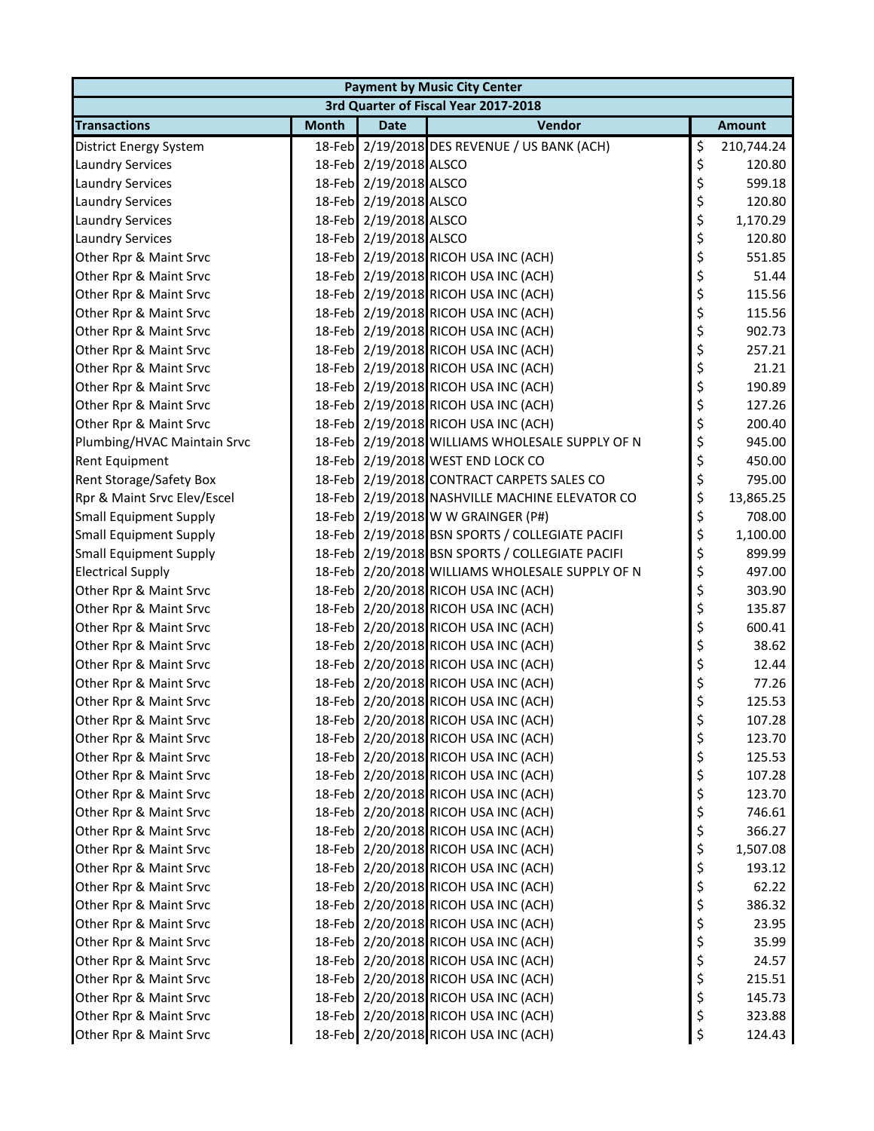| <b>Payment by Music City Center</b> |              |                        |                                                 |    |               |  |  |
|-------------------------------------|--------------|------------------------|-------------------------------------------------|----|---------------|--|--|
|                                     |              |                        | 3rd Quarter of Fiscal Year 2017-2018            |    |               |  |  |
| <b>Transactions</b>                 | <b>Month</b> | <b>Date</b>            | Vendor                                          |    | <b>Amount</b> |  |  |
| District Energy System              |              |                        | 18-Feb 2/19/2018 DES REVENUE / US BANK (ACH)    | \$ | 210,744.24    |  |  |
| <b>Laundry Services</b>             |              | 18-Feb 2/19/2018 ALSCO |                                                 | \$ | 120.80        |  |  |
| <b>Laundry Services</b>             |              | 18-Feb 2/19/2018 ALSCO |                                                 | \$ | 599.18        |  |  |
| <b>Laundry Services</b>             |              | 18-Feb 2/19/2018 ALSCO |                                                 | \$ | 120.80        |  |  |
| <b>Laundry Services</b>             |              | 18-Feb 2/19/2018 ALSCO |                                                 | \$ | 1,170.29      |  |  |
| <b>Laundry Services</b>             |              | 18-Feb 2/19/2018 ALSCO |                                                 | \$ | 120.80        |  |  |
| Other Rpr & Maint Srvc              |              |                        | 18-Feb 2/19/2018 RICOH USA INC (ACH)            | \$ | 551.85        |  |  |
| Other Rpr & Maint Srvc              |              |                        | 18-Feb 2/19/2018 RICOH USA INC (ACH)            | \$ | 51.44         |  |  |
| Other Rpr & Maint Srvc              |              |                        | 18-Feb 2/19/2018 RICOH USA INC (ACH)            | \$ | 115.56        |  |  |
| Other Rpr & Maint Srvc              |              |                        | 18-Feb 2/19/2018 RICOH USA INC (ACH)            | \$ | 115.56        |  |  |
| Other Rpr & Maint Srvc              |              |                        | 18-Feb 2/19/2018 RICOH USA INC (ACH)            | \$ | 902.73        |  |  |
| Other Rpr & Maint Srvc              |              |                        | 18-Feb 2/19/2018 RICOH USA INC (ACH)            | \$ | 257.21        |  |  |
| Other Rpr & Maint Srvc              |              |                        | 18-Feb 2/19/2018 RICOH USA INC (ACH)            | \$ | 21.21         |  |  |
| Other Rpr & Maint Srvc              |              |                        | 18-Feb 2/19/2018 RICOH USA INC (ACH)            | \$ | 190.89        |  |  |
| Other Rpr & Maint Srvc              |              |                        | 18-Feb 2/19/2018 RICOH USA INC (ACH)            | \$ | 127.26        |  |  |
| Other Rpr & Maint Srvc              |              |                        | 18-Feb 2/19/2018 RICOH USA INC (ACH)            | \$ | 200.40        |  |  |
| Plumbing/HVAC Maintain Srvc         |              |                        | 18-Feb 2/19/2018 WILLIAMS WHOLESALE SUPPLY OF N | \$ | 945.00        |  |  |
| <b>Rent Equipment</b>               |              |                        | 18-Feb 2/19/2018 WEST END LOCK CO               | \$ | 450.00        |  |  |
| Rent Storage/Safety Box             |              |                        | 18-Feb 2/19/2018 CONTRACT CARPETS SALES CO      | \$ | 795.00        |  |  |
| Rpr & Maint Srvc Elev/Escel         |              |                        | 18-Feb 2/19/2018 NASHVILLE MACHINE ELEVATOR CO  | \$ | 13,865.25     |  |  |
| <b>Small Equipment Supply</b>       |              |                        | 18-Feb 2/19/2018 W W GRAINGER (P#)              | \$ | 708.00        |  |  |
| <b>Small Equipment Supply</b>       |              |                        | 18-Feb 2/19/2018 BSN SPORTS / COLLEGIATE PACIFI | \$ | 1,100.00      |  |  |
| <b>Small Equipment Supply</b>       |              |                        | 18-Feb 2/19/2018 BSN SPORTS / COLLEGIATE PACIFI | \$ | 899.99        |  |  |
| <b>Electrical Supply</b>            |              |                        | 18-Feb 2/20/2018 WILLIAMS WHOLESALE SUPPLY OF N | \$ | 497.00        |  |  |
| Other Rpr & Maint Srvc              |              |                        | 18-Feb 2/20/2018 RICOH USA INC (ACH)            | \$ | 303.90        |  |  |
| Other Rpr & Maint Srvc              |              |                        | 18-Feb 2/20/2018 RICOH USA INC (ACH)            | \$ | 135.87        |  |  |
| Other Rpr & Maint Srvc              |              |                        | 18-Feb 2/20/2018 RICOH USA INC (ACH)            | \$ | 600.41        |  |  |
| Other Rpr & Maint Srvc              |              |                        | 18-Feb 2/20/2018 RICOH USA INC (ACH)            | \$ | 38.62         |  |  |
| Other Rpr & Maint Srvc              |              |                        | 18-Feb 2/20/2018 RICOH USA INC (ACH)            | \$ | 12.44         |  |  |
| Other Rpr & Maint Srvc              |              |                        | 18-Feb 2/20/2018 RICOH USA INC (ACH)            | \$ | 77.26         |  |  |
| Other Rpr & Maint Srvc              |              |                        | 18-Feb 2/20/2018 RICOH USA INC (ACH)            | \$ | 125.53        |  |  |
| Other Rpr & Maint Srvc              |              |                        | 18-Feb 2/20/2018 RICOH USA INC (ACH)            | Ş  | 107.28        |  |  |
| Other Rpr & Maint Srvc              |              |                        | 18-Feb 2/20/2018 RICOH USA INC (ACH)            | \$ | 123.70        |  |  |
| Other Rpr & Maint Srvc              |              |                        | 18-Feb 2/20/2018 RICOH USA INC (ACH)            | \$ | 125.53        |  |  |
| Other Rpr & Maint Srvc              |              |                        | 18-Feb 2/20/2018 RICOH USA INC (ACH)            | \$ | 107.28        |  |  |
| Other Rpr & Maint Srvc              |              |                        | 18-Feb 2/20/2018 RICOH USA INC (ACH)            | \$ | 123.70        |  |  |
| Other Rpr & Maint Srvc              |              |                        | 18-Feb 2/20/2018 RICOH USA INC (ACH)            | \$ | 746.61        |  |  |
| Other Rpr & Maint Srvc              |              |                        | 18-Feb 2/20/2018 RICOH USA INC (ACH)            | \$ | 366.27        |  |  |
| Other Rpr & Maint Srvc              |              |                        | 18-Feb 2/20/2018 RICOH USA INC (ACH)            | \$ | 1,507.08      |  |  |
| Other Rpr & Maint Srvc              |              |                        | 18-Feb 2/20/2018 RICOH USA INC (ACH)            | \$ | 193.12        |  |  |
| Other Rpr & Maint Srvc              |              |                        | 18-Feb 2/20/2018 RICOH USA INC (ACH)            | \$ | 62.22         |  |  |
| Other Rpr & Maint Srvc              |              |                        | 18-Feb 2/20/2018 RICOH USA INC (ACH)            | \$ | 386.32        |  |  |
| Other Rpr & Maint Srvc              |              |                        | 18-Feb 2/20/2018 RICOH USA INC (ACH)            | \$ | 23.95         |  |  |
| Other Rpr & Maint Srvc              |              |                        | 18-Feb 2/20/2018 RICOH USA INC (ACH)            | \$ | 35.99         |  |  |
| Other Rpr & Maint Srvc              |              |                        | 18-Feb 2/20/2018 RICOH USA INC (ACH)            | \$ | 24.57         |  |  |
| Other Rpr & Maint Srvc              |              |                        | 18-Feb 2/20/2018 RICOH USA INC (ACH)            | \$ | 215.51        |  |  |
| Other Rpr & Maint Srvc              |              |                        | 18-Feb 2/20/2018 RICOH USA INC (ACH)            | \$ | 145.73        |  |  |
| Other Rpr & Maint Srvc              |              |                        | 18-Feb 2/20/2018 RICOH USA INC (ACH)            | \$ | 323.88        |  |  |
| Other Rpr & Maint Srvc              |              |                        | 18-Feb 2/20/2018 RICOH USA INC (ACH)            | \$ | 124.43        |  |  |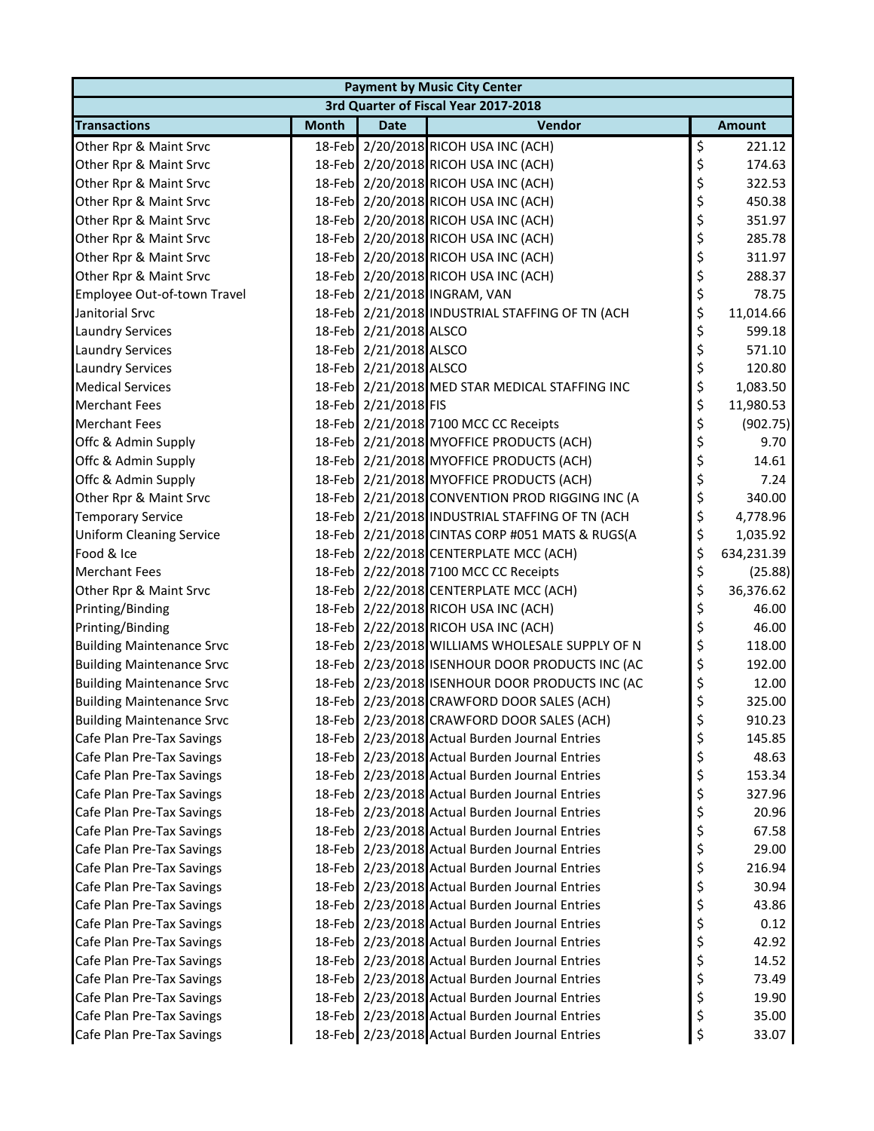| <b>Payment by Music City Center</b> |              |                        |                                                 |    |               |  |  |
|-------------------------------------|--------------|------------------------|-------------------------------------------------|----|---------------|--|--|
|                                     |              |                        | 3rd Quarter of Fiscal Year 2017-2018            |    |               |  |  |
| <b>Transactions</b>                 | <b>Month</b> | <b>Date</b>            | Vendor                                          |    | <b>Amount</b> |  |  |
| Other Rpr & Maint Srvc              |              |                        | 18-Feb 2/20/2018 RICOH USA INC (ACH)            | \$ | 221.12        |  |  |
| Other Rpr & Maint Srvc              |              |                        | 18-Feb 2/20/2018 RICOH USA INC (ACH)            | \$ | 174.63        |  |  |
| Other Rpr & Maint Srvc              |              |                        | 18-Feb 2/20/2018 RICOH USA INC (ACH)            | \$ | 322.53        |  |  |
| Other Rpr & Maint Srvc              |              |                        | 18-Feb 2/20/2018 RICOH USA INC (ACH)            | \$ | 450.38        |  |  |
| Other Rpr & Maint Srvc              |              |                        | 18-Feb 2/20/2018 RICOH USA INC (ACH)            | \$ | 351.97        |  |  |
| Other Rpr & Maint Srvc              |              |                        | 18-Feb 2/20/2018 RICOH USA INC (ACH)            | \$ | 285.78        |  |  |
| Other Rpr & Maint Srvc              |              |                        | 18-Feb 2/20/2018 RICOH USA INC (ACH)            | \$ | 311.97        |  |  |
| Other Rpr & Maint Srvc              |              |                        | 18-Feb 2/20/2018 RICOH USA INC (ACH)            | \$ | 288.37        |  |  |
| Employee Out-of-town Travel         |              |                        | 18-Feb 2/21/2018 INGRAM, VAN                    | \$ | 78.75         |  |  |
| Janitorial Srvc                     |              |                        | 18-Feb 2/21/2018 INDUSTRIAL STAFFING OF TN (ACH | \$ | 11,014.66     |  |  |
| <b>Laundry Services</b>             |              | 18-Feb 2/21/2018 ALSCO |                                                 | \$ | 599.18        |  |  |
| <b>Laundry Services</b>             |              | 18-Feb 2/21/2018 ALSCO |                                                 | \$ | 571.10        |  |  |
| <b>Laundry Services</b>             |              | 18-Feb 2/21/2018 ALSCO |                                                 | \$ | 120.80        |  |  |
| <b>Medical Services</b>             |              |                        | 18-Feb 2/21/2018 MED STAR MEDICAL STAFFING INC  | \$ | 1,083.50      |  |  |
| <b>Merchant Fees</b>                |              | 18-Feb 2/21/2018 FIS   |                                                 | \$ | 11,980.53     |  |  |
| <b>Merchant Fees</b>                |              |                        | 18-Feb 2/21/2018 7100 MCC CC Receipts           | \$ | (902.75)      |  |  |
| Offc & Admin Supply                 |              |                        | 18-Feb 2/21/2018 MYOFFICE PRODUCTS (ACH)        | \$ | 9.70          |  |  |
| Offc & Admin Supply                 |              |                        | 18-Feb 2/21/2018 MYOFFICE PRODUCTS (ACH)        | \$ | 14.61         |  |  |
| Offc & Admin Supply                 |              |                        | 18-Feb 2/21/2018 MYOFFICE PRODUCTS (ACH)        | \$ | 7.24          |  |  |
| Other Rpr & Maint Srvc              |              |                        | 18-Feb 2/21/2018 CONVENTION PROD RIGGING INC (A | \$ | 340.00        |  |  |
| <b>Temporary Service</b>            |              |                        | 18-Feb 2/21/2018 INDUSTRIAL STAFFING OF TN (ACH | \$ | 4,778.96      |  |  |
| <b>Uniform Cleaning Service</b>     |              |                        | 18-Feb 2/21/2018 CINTAS CORP #051 MATS & RUGS(A | \$ | 1,035.92      |  |  |
| Food & Ice                          |              |                        | 18-Feb 2/22/2018 CENTERPLATE MCC (ACH)          | \$ | 634,231.39    |  |  |
| <b>Merchant Fees</b>                |              |                        | 18-Feb 2/22/2018 7100 MCC CC Receipts           | \$ | (25.88)       |  |  |
| Other Rpr & Maint Srvc              |              |                        | 18-Feb 2/22/2018 CENTERPLATE MCC (ACH)          | \$ | 36,376.62     |  |  |
| Printing/Binding                    |              |                        | 18-Feb 2/22/2018 RICOH USA INC (ACH)            | \$ | 46.00         |  |  |
| Printing/Binding                    |              |                        | 18-Feb 2/22/2018 RICOH USA INC (ACH)            | \$ | 46.00         |  |  |
| <b>Building Maintenance Srvc</b>    |              |                        | 18-Feb 2/23/2018 WILLIAMS WHOLESALE SUPPLY OF N | \$ | 118.00        |  |  |
| <b>Building Maintenance Srvc</b>    |              |                        | 18-Feb 2/23/2018 ISENHOUR DOOR PRODUCTS INC (AC | \$ | 192.00        |  |  |
| <b>Building Maintenance Srvc</b>    |              |                        | 18-Feb 2/23/2018 ISENHOUR DOOR PRODUCTS INC (AC | \$ | 12.00         |  |  |
| <b>Building Maintenance Srvc</b>    |              |                        | 18-Feb 2/23/2018 CRAWFORD DOOR SALES (ACH)      | \$ | 325.00        |  |  |
| <b>Building Maintenance Srvc</b>    |              |                        | 18-Feb 2/23/2018 CRAWFORD DOOR SALES (ACH)      | Ç  | 910.23        |  |  |
| Cafe Plan Pre-Tax Savings           |              |                        | 18-Feb 2/23/2018 Actual Burden Journal Entries  | \$ | 145.85        |  |  |
| Cafe Plan Pre-Tax Savings           |              |                        | 18-Feb 2/23/2018 Actual Burden Journal Entries  | \$ | 48.63         |  |  |
| Cafe Plan Pre-Tax Savings           |              |                        | 18-Feb 2/23/2018 Actual Burden Journal Entries  | \$ | 153.34        |  |  |
| Cafe Plan Pre-Tax Savings           |              |                        | 18-Feb 2/23/2018 Actual Burden Journal Entries  | \$ | 327.96        |  |  |
| Cafe Plan Pre-Tax Savings           |              |                        | 18-Feb 2/23/2018 Actual Burden Journal Entries  | \$ | 20.96         |  |  |
| Cafe Plan Pre-Tax Savings           |              |                        | 18-Feb 2/23/2018 Actual Burden Journal Entries  | \$ | 67.58         |  |  |
| Cafe Plan Pre-Tax Savings           |              |                        | 18-Feb 2/23/2018 Actual Burden Journal Entries  | \$ | 29.00         |  |  |
| Cafe Plan Pre-Tax Savings           |              |                        | 18-Feb 2/23/2018 Actual Burden Journal Entries  | \$ | 216.94        |  |  |
| Cafe Plan Pre-Tax Savings           |              |                        | 18-Feb 2/23/2018 Actual Burden Journal Entries  | \$ | 30.94         |  |  |
| Cafe Plan Pre-Tax Savings           |              |                        | 18-Feb 2/23/2018 Actual Burden Journal Entries  | \$ | 43.86         |  |  |
| Cafe Plan Pre-Tax Savings           |              |                        | 18-Feb 2/23/2018 Actual Burden Journal Entries  | \$ | 0.12          |  |  |
| Cafe Plan Pre-Tax Savings           |              |                        | 18-Feb 2/23/2018 Actual Burden Journal Entries  | \$ | 42.92         |  |  |
| Cafe Plan Pre-Tax Savings           |              |                        | 18-Feb 2/23/2018 Actual Burden Journal Entries  | \$ | 14.52         |  |  |
| Cafe Plan Pre-Tax Savings           |              |                        | 18-Feb 2/23/2018 Actual Burden Journal Entries  | \$ | 73.49         |  |  |
| Cafe Plan Pre-Tax Savings           |              |                        | 18-Feb 2/23/2018 Actual Burden Journal Entries  | \$ | 19.90         |  |  |
| Cafe Plan Pre-Tax Savings           |              |                        | 18-Feb 2/23/2018 Actual Burden Journal Entries  | \$ | 35.00         |  |  |
| Cafe Plan Pre-Tax Savings           |              |                        | 18-Feb 2/23/2018 Actual Burden Journal Entries  | \$ | 33.07         |  |  |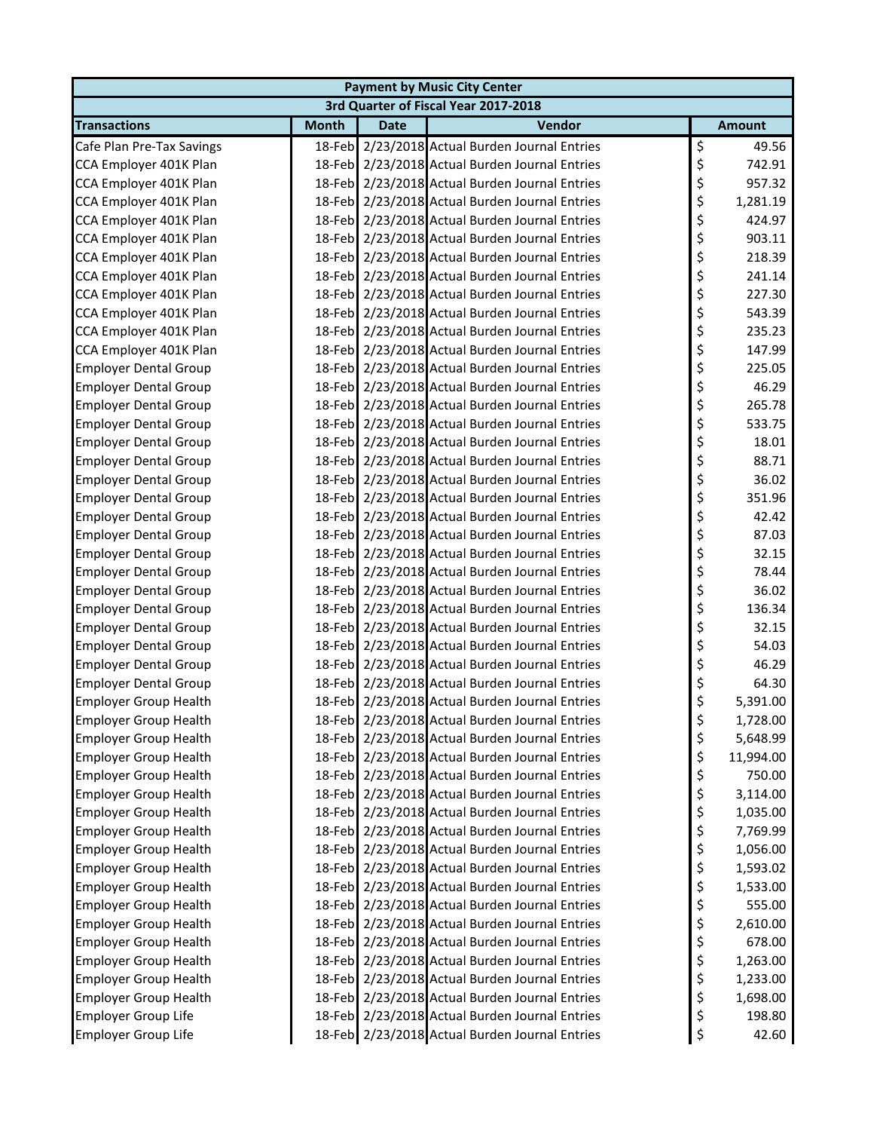| <b>Payment by Music City Center</b> |              |             |                                                |    |               |  |  |  |
|-------------------------------------|--------------|-------------|------------------------------------------------|----|---------------|--|--|--|
|                                     |              |             | 3rd Quarter of Fiscal Year 2017-2018           |    |               |  |  |  |
| <b>Transactions</b>                 | <b>Month</b> | <b>Date</b> | Vendor                                         |    | <b>Amount</b> |  |  |  |
| Cafe Plan Pre-Tax Savings           |              |             | 18-Feb 2/23/2018 Actual Burden Journal Entries | \$ | 49.56         |  |  |  |
| CCA Employer 401K Plan              |              |             | 18-Feb 2/23/2018 Actual Burden Journal Entries | \$ | 742.91        |  |  |  |
| CCA Employer 401K Plan              |              |             | 18-Feb 2/23/2018 Actual Burden Journal Entries | \$ | 957.32        |  |  |  |
| CCA Employer 401K Plan              |              |             | 18-Feb 2/23/2018 Actual Burden Journal Entries | \$ | 1,281.19      |  |  |  |
| CCA Employer 401K Plan              |              |             | 18-Feb 2/23/2018 Actual Burden Journal Entries | \$ | 424.97        |  |  |  |
| CCA Employer 401K Plan              |              |             | 18-Feb 2/23/2018 Actual Burden Journal Entries | \$ | 903.11        |  |  |  |
| CCA Employer 401K Plan              |              |             | 18-Feb 2/23/2018 Actual Burden Journal Entries | \$ | 218.39        |  |  |  |
| CCA Employer 401K Plan              |              |             | 18-Feb 2/23/2018 Actual Burden Journal Entries | \$ | 241.14        |  |  |  |
| CCA Employer 401K Plan              |              |             | 18-Feb 2/23/2018 Actual Burden Journal Entries | \$ | 227.30        |  |  |  |
| CCA Employer 401K Plan              |              |             | 18-Feb 2/23/2018 Actual Burden Journal Entries | \$ | 543.39        |  |  |  |
| CCA Employer 401K Plan              |              |             | 18-Feb 2/23/2018 Actual Burden Journal Entries | \$ | 235.23        |  |  |  |
| CCA Employer 401K Plan              |              |             | 18-Feb 2/23/2018 Actual Burden Journal Entries | \$ | 147.99        |  |  |  |
| <b>Employer Dental Group</b>        |              |             | 18-Feb 2/23/2018 Actual Burden Journal Entries | \$ | 225.05        |  |  |  |
| <b>Employer Dental Group</b>        |              |             | 18-Feb 2/23/2018 Actual Burden Journal Entries | \$ | 46.29         |  |  |  |
| <b>Employer Dental Group</b>        |              |             | 18-Feb 2/23/2018 Actual Burden Journal Entries | \$ | 265.78        |  |  |  |
| <b>Employer Dental Group</b>        |              |             | 18-Feb 2/23/2018 Actual Burden Journal Entries | \$ | 533.75        |  |  |  |
| <b>Employer Dental Group</b>        |              |             | 18-Feb 2/23/2018 Actual Burden Journal Entries | \$ | 18.01         |  |  |  |
| <b>Employer Dental Group</b>        |              |             | 18-Feb 2/23/2018 Actual Burden Journal Entries | \$ | 88.71         |  |  |  |
| <b>Employer Dental Group</b>        |              |             | 18-Feb 2/23/2018 Actual Burden Journal Entries | \$ | 36.02         |  |  |  |
| <b>Employer Dental Group</b>        |              |             | 18-Feb 2/23/2018 Actual Burden Journal Entries | \$ | 351.96        |  |  |  |
| <b>Employer Dental Group</b>        |              |             | 18-Feb 2/23/2018 Actual Burden Journal Entries | \$ | 42.42         |  |  |  |
| <b>Employer Dental Group</b>        |              |             | 18-Feb 2/23/2018 Actual Burden Journal Entries | \$ | 87.03         |  |  |  |
| <b>Employer Dental Group</b>        |              |             | 18-Feb 2/23/2018 Actual Burden Journal Entries | \$ | 32.15         |  |  |  |
| <b>Employer Dental Group</b>        |              |             | 18-Feb 2/23/2018 Actual Burden Journal Entries | \$ | 78.44         |  |  |  |
| <b>Employer Dental Group</b>        |              |             | 18-Feb 2/23/2018 Actual Burden Journal Entries | \$ | 36.02         |  |  |  |
| <b>Employer Dental Group</b>        |              |             | 18-Feb 2/23/2018 Actual Burden Journal Entries | \$ | 136.34        |  |  |  |
| <b>Employer Dental Group</b>        |              |             | 18-Feb 2/23/2018 Actual Burden Journal Entries | \$ | 32.15         |  |  |  |
| <b>Employer Dental Group</b>        |              |             | 18-Feb 2/23/2018 Actual Burden Journal Entries | \$ | 54.03         |  |  |  |
| <b>Employer Dental Group</b>        |              |             | 18-Feb 2/23/2018 Actual Burden Journal Entries | \$ | 46.29         |  |  |  |
| <b>Employer Dental Group</b>        |              |             | 18-Feb 2/23/2018 Actual Burden Journal Entries | \$ | 64.30         |  |  |  |
| <b>Employer Group Health</b>        |              |             | 18-Feb 2/23/2018 Actual Burden Journal Entries | \$ | 5,391.00      |  |  |  |
| <b>Employer Group Health</b>        |              |             | 18-Feb 2/23/2018 Actual Burden Journal Entries | \$ | 1,728.00      |  |  |  |
| <b>Employer Group Health</b>        |              |             | 18-Feb 2/23/2018 Actual Burden Journal Entries | \$ | 5,648.99      |  |  |  |
| <b>Employer Group Health</b>        |              |             | 18-Feb 2/23/2018 Actual Burden Journal Entries | \$ | 11,994.00     |  |  |  |
| <b>Employer Group Health</b>        |              |             | 18-Feb 2/23/2018 Actual Burden Journal Entries | \$ | 750.00        |  |  |  |
| <b>Employer Group Health</b>        |              |             | 18-Feb 2/23/2018 Actual Burden Journal Entries | \$ | 3,114.00      |  |  |  |
| <b>Employer Group Health</b>        |              |             | 18-Feb 2/23/2018 Actual Burden Journal Entries | \$ | 1,035.00      |  |  |  |
| <b>Employer Group Health</b>        |              |             | 18-Feb 2/23/2018 Actual Burden Journal Entries | \$ | 7,769.99      |  |  |  |
| <b>Employer Group Health</b>        |              |             | 18-Feb 2/23/2018 Actual Burden Journal Entries | \$ | 1,056.00      |  |  |  |
| <b>Employer Group Health</b>        |              |             | 18-Feb 2/23/2018 Actual Burden Journal Entries | \$ | 1,593.02      |  |  |  |
| <b>Employer Group Health</b>        |              |             | 18-Feb 2/23/2018 Actual Burden Journal Entries | \$ | 1,533.00      |  |  |  |
| <b>Employer Group Health</b>        |              |             | 18-Feb 2/23/2018 Actual Burden Journal Entries | \$ | 555.00        |  |  |  |
| <b>Employer Group Health</b>        |              |             | 18-Feb 2/23/2018 Actual Burden Journal Entries | \$ | 2,610.00      |  |  |  |
| <b>Employer Group Health</b>        |              |             | 18-Feb 2/23/2018 Actual Burden Journal Entries | \$ | 678.00        |  |  |  |
| <b>Employer Group Health</b>        |              |             | 18-Feb 2/23/2018 Actual Burden Journal Entries | \$ | 1,263.00      |  |  |  |
| <b>Employer Group Health</b>        |              |             | 18-Feb 2/23/2018 Actual Burden Journal Entries | \$ | 1,233.00      |  |  |  |
| <b>Employer Group Health</b>        |              |             | 18-Feb 2/23/2018 Actual Burden Journal Entries | \$ | 1,698.00      |  |  |  |
| <b>Employer Group Life</b>          |              |             | 18-Feb 2/23/2018 Actual Burden Journal Entries | \$ | 198.80        |  |  |  |
| Employer Group Life                 |              |             | 18-Feb 2/23/2018 Actual Burden Journal Entries | \$ | 42.60         |  |  |  |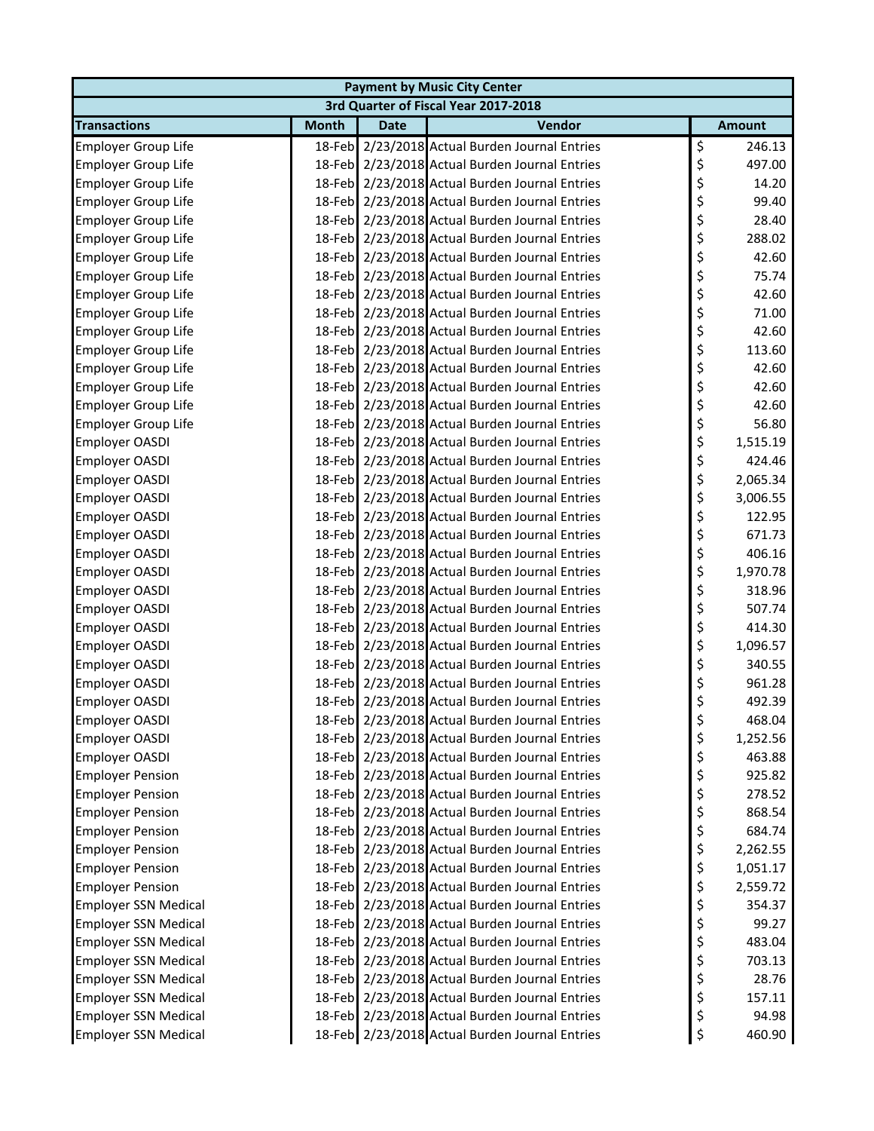| <b>Payment by Music City Center</b> |              |             |                                                |    |               |  |  |
|-------------------------------------|--------------|-------------|------------------------------------------------|----|---------------|--|--|
|                                     |              |             | 3rd Quarter of Fiscal Year 2017-2018           |    |               |  |  |
| <b>Transactions</b>                 | <b>Month</b> | <b>Date</b> | Vendor                                         |    | <b>Amount</b> |  |  |
| <b>Employer Group Life</b>          |              |             | 18-Feb 2/23/2018 Actual Burden Journal Entries | \$ | 246.13        |  |  |
| <b>Employer Group Life</b>          |              |             | 18-Feb 2/23/2018 Actual Burden Journal Entries | \$ | 497.00        |  |  |
| <b>Employer Group Life</b>          |              |             | 18-Feb 2/23/2018 Actual Burden Journal Entries | \$ | 14.20         |  |  |
| Employer Group Life                 |              |             | 18-Feb 2/23/2018 Actual Burden Journal Entries | \$ | 99.40         |  |  |
| <b>Employer Group Life</b>          |              |             | 18-Feb 2/23/2018 Actual Burden Journal Entries | \$ | 28.40         |  |  |
| <b>Employer Group Life</b>          |              |             | 18-Feb 2/23/2018 Actual Burden Journal Entries | \$ | 288.02        |  |  |
| <b>Employer Group Life</b>          |              |             | 18-Feb 2/23/2018 Actual Burden Journal Entries | \$ | 42.60         |  |  |
| <b>Employer Group Life</b>          |              |             | 18-Feb 2/23/2018 Actual Burden Journal Entries | \$ | 75.74         |  |  |
| <b>Employer Group Life</b>          |              |             | 18-Feb 2/23/2018 Actual Burden Journal Entries | \$ | 42.60         |  |  |
| <b>Employer Group Life</b>          |              |             | 18-Feb 2/23/2018 Actual Burden Journal Entries | \$ | 71.00         |  |  |
| <b>Employer Group Life</b>          |              |             | 18-Feb 2/23/2018 Actual Burden Journal Entries | \$ | 42.60         |  |  |
| <b>Employer Group Life</b>          |              |             | 18-Feb 2/23/2018 Actual Burden Journal Entries | \$ | 113.60        |  |  |
| <b>Employer Group Life</b>          |              |             | 18-Feb 2/23/2018 Actual Burden Journal Entries | \$ | 42.60         |  |  |
| <b>Employer Group Life</b>          |              |             | 18-Feb 2/23/2018 Actual Burden Journal Entries | \$ | 42.60         |  |  |
| <b>Employer Group Life</b>          |              |             | 18-Feb 2/23/2018 Actual Burden Journal Entries | \$ | 42.60         |  |  |
| <b>Employer Group Life</b>          |              |             | 18-Feb 2/23/2018 Actual Burden Journal Entries | \$ | 56.80         |  |  |
| Employer OASDI                      |              |             | 18-Feb 2/23/2018 Actual Burden Journal Entries | \$ | 1,515.19      |  |  |
| <b>Employer OASDI</b>               |              |             | 18-Feb 2/23/2018 Actual Burden Journal Entries | \$ | 424.46        |  |  |
| <b>Employer OASDI</b>               |              |             | 18-Feb 2/23/2018 Actual Burden Journal Entries | \$ | 2,065.34      |  |  |
| Employer OASDI                      |              |             | 18-Feb 2/23/2018 Actual Burden Journal Entries | \$ | 3,006.55      |  |  |
| Employer OASDI                      |              |             | 18-Feb 2/23/2018 Actual Burden Journal Entries | \$ | 122.95        |  |  |
| Employer OASDI                      |              |             | 18-Feb 2/23/2018 Actual Burden Journal Entries | \$ | 671.73        |  |  |
| Employer OASDI                      |              |             | 18-Feb 2/23/2018 Actual Burden Journal Entries | \$ | 406.16        |  |  |
| Employer OASDI                      |              |             | 18-Feb 2/23/2018 Actual Burden Journal Entries | \$ | 1,970.78      |  |  |
| <b>Employer OASDI</b>               |              |             | 18-Feb 2/23/2018 Actual Burden Journal Entries | \$ | 318.96        |  |  |
| <b>Employer OASDI</b>               |              |             | 18-Feb 2/23/2018 Actual Burden Journal Entries | \$ | 507.74        |  |  |
| <b>Employer OASDI</b>               |              |             | 18-Feb 2/23/2018 Actual Burden Journal Entries | \$ | 414.30        |  |  |
| <b>Employer OASDI</b>               |              |             | 18-Feb 2/23/2018 Actual Burden Journal Entries | \$ | 1,096.57      |  |  |
| <b>Employer OASDI</b>               |              |             | 18-Feb 2/23/2018 Actual Burden Journal Entries | \$ | 340.55        |  |  |
| <b>Employer OASDI</b>               |              |             | 18-Feb 2/23/2018 Actual Burden Journal Entries | \$ | 961.28        |  |  |
| Employer OASDI                      |              |             | 18-Feb 2/23/2018 Actual Burden Journal Entries | \$ | 492.39        |  |  |
| <b>Employer OASDI</b>               |              |             | 18-Feb 2/23/2018 Actual Burden Journal Entries | Ş  | 468.04        |  |  |
| Employer OASDI                      |              |             | 18-Feb 2/23/2018 Actual Burden Journal Entries | \$ | 1,252.56      |  |  |
| Employer OASDI                      |              |             | 18-Feb 2/23/2018 Actual Burden Journal Entries | \$ | 463.88        |  |  |
| <b>Employer Pension</b>             |              |             | 18-Feb 2/23/2018 Actual Burden Journal Entries | \$ | 925.82        |  |  |
| <b>Employer Pension</b>             |              |             | 18-Feb 2/23/2018 Actual Burden Journal Entries | \$ | 278.52        |  |  |
| <b>Employer Pension</b>             |              |             | 18-Feb 2/23/2018 Actual Burden Journal Entries | \$ | 868.54        |  |  |
| <b>Employer Pension</b>             |              |             | 18-Feb 2/23/2018 Actual Burden Journal Entries | \$ | 684.74        |  |  |
| <b>Employer Pension</b>             |              |             | 18-Feb 2/23/2018 Actual Burden Journal Entries | \$ | 2,262.55      |  |  |
| <b>Employer Pension</b>             |              |             | 18-Feb 2/23/2018 Actual Burden Journal Entries | \$ | 1,051.17      |  |  |
| <b>Employer Pension</b>             |              |             | 18-Feb 2/23/2018 Actual Burden Journal Entries | \$ | 2,559.72      |  |  |
| <b>Employer SSN Medical</b>         |              |             | 18-Feb 2/23/2018 Actual Burden Journal Entries | \$ | 354.37        |  |  |
| <b>Employer SSN Medical</b>         |              |             | 18-Feb 2/23/2018 Actual Burden Journal Entries | \$ | 99.27         |  |  |
| <b>Employer SSN Medical</b>         |              |             | 18-Feb 2/23/2018 Actual Burden Journal Entries | \$ | 483.04        |  |  |
| <b>Employer SSN Medical</b>         |              |             | 18-Feb 2/23/2018 Actual Burden Journal Entries | \$ | 703.13        |  |  |
| <b>Employer SSN Medical</b>         |              |             | 18-Feb 2/23/2018 Actual Burden Journal Entries | \$ | 28.76         |  |  |
| <b>Employer SSN Medical</b>         |              |             | 18-Feb 2/23/2018 Actual Burden Journal Entries | \$ | 157.11        |  |  |
| <b>Employer SSN Medical</b>         |              |             | 18-Feb 2/23/2018 Actual Burden Journal Entries | \$ | 94.98         |  |  |
| <b>Employer SSN Medical</b>         |              |             | 18-Feb 2/23/2018 Actual Burden Journal Entries | \$ | 460.90        |  |  |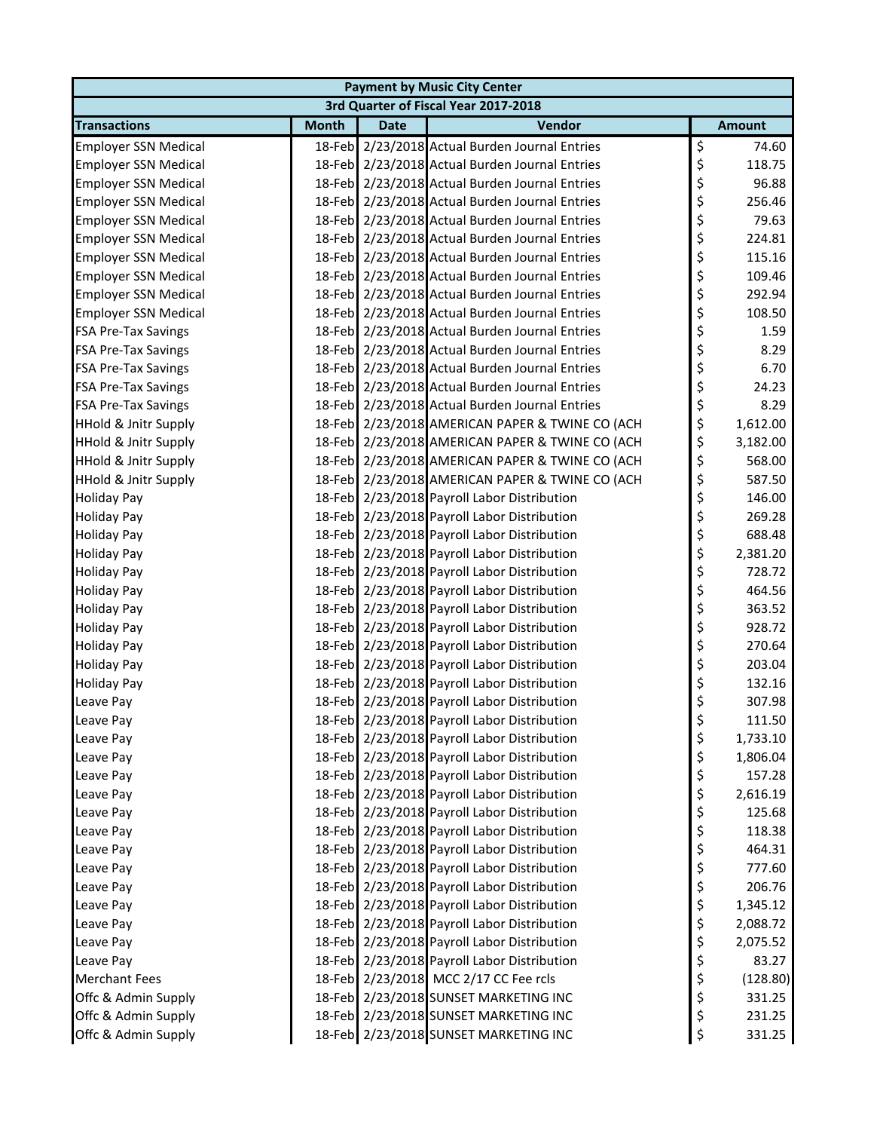| <b>Payment by Music City Center</b> |              |             |                                                 |    |               |  |  |
|-------------------------------------|--------------|-------------|-------------------------------------------------|----|---------------|--|--|
|                                     |              |             | 3rd Quarter of Fiscal Year 2017-2018            |    |               |  |  |
| <b>Transactions</b>                 | <b>Month</b> | <b>Date</b> | Vendor                                          |    | <b>Amount</b> |  |  |
| <b>Employer SSN Medical</b>         |              |             | 18-Feb 2/23/2018 Actual Burden Journal Entries  | \$ | 74.60         |  |  |
| <b>Employer SSN Medical</b>         |              |             | 18-Feb 2/23/2018 Actual Burden Journal Entries  | \$ | 118.75        |  |  |
| <b>Employer SSN Medical</b>         |              |             | 18-Feb 2/23/2018 Actual Burden Journal Entries  | \$ | 96.88         |  |  |
| <b>Employer SSN Medical</b>         |              |             | 18-Feb 2/23/2018 Actual Burden Journal Entries  | \$ | 256.46        |  |  |
| <b>Employer SSN Medical</b>         |              |             | 18-Feb 2/23/2018 Actual Burden Journal Entries  | \$ | 79.63         |  |  |
| <b>Employer SSN Medical</b>         |              |             | 18-Feb 2/23/2018 Actual Burden Journal Entries  | \$ | 224.81        |  |  |
| <b>Employer SSN Medical</b>         |              |             | 18-Feb 2/23/2018 Actual Burden Journal Entries  | \$ | 115.16        |  |  |
| <b>Employer SSN Medical</b>         |              |             | 18-Feb 2/23/2018 Actual Burden Journal Entries  | \$ | 109.46        |  |  |
| <b>Employer SSN Medical</b>         |              |             | 18-Feb 2/23/2018 Actual Burden Journal Entries  | \$ | 292.94        |  |  |
| <b>Employer SSN Medical</b>         |              |             | 18-Feb 2/23/2018 Actual Burden Journal Entries  | \$ | 108.50        |  |  |
| <b>FSA Pre-Tax Savings</b>          |              |             | 18-Feb 2/23/2018 Actual Burden Journal Entries  | \$ | 1.59          |  |  |
| <b>FSA Pre-Tax Savings</b>          |              |             | 18-Feb 2/23/2018 Actual Burden Journal Entries  | \$ | 8.29          |  |  |
| <b>FSA Pre-Tax Savings</b>          |              |             | 18-Feb 2/23/2018 Actual Burden Journal Entries  | \$ | 6.70          |  |  |
| <b>FSA Pre-Tax Savings</b>          |              |             | 18-Feb 2/23/2018 Actual Burden Journal Entries  | \$ | 24.23         |  |  |
| <b>FSA Pre-Tax Savings</b>          |              |             | 18-Feb 2/23/2018 Actual Burden Journal Entries  | \$ | 8.29          |  |  |
| <b>HHold &amp; Jnitr Supply</b>     |              |             | 18-Feb 2/23/2018 AMERICAN PAPER & TWINE CO (ACH | \$ | 1,612.00      |  |  |
| <b>HHold &amp; Jnitr Supply</b>     |              |             | 18-Feb 2/23/2018 AMERICAN PAPER & TWINE CO (ACH | \$ | 3,182.00      |  |  |
| <b>HHold &amp; Jnitr Supply</b>     |              |             | 18-Feb 2/23/2018 AMERICAN PAPER & TWINE CO (ACH | \$ | 568.00        |  |  |
| <b>HHold &amp; Jnitr Supply</b>     |              |             | 18-Feb 2/23/2018 AMERICAN PAPER & TWINE CO (ACH | \$ | 587.50        |  |  |
| <b>Holiday Pay</b>                  |              |             | 18-Feb 2/23/2018 Payroll Labor Distribution     | \$ | 146.00        |  |  |
| <b>Holiday Pay</b>                  |              |             | 18-Feb 2/23/2018 Payroll Labor Distribution     | \$ | 269.28        |  |  |
| <b>Holiday Pay</b>                  |              |             | 18-Feb 2/23/2018 Payroll Labor Distribution     | \$ | 688.48        |  |  |
| <b>Holiday Pay</b>                  |              |             | 18-Feb 2/23/2018 Payroll Labor Distribution     | \$ | 2,381.20      |  |  |
| <b>Holiday Pay</b>                  |              |             | 18-Feb 2/23/2018 Payroll Labor Distribution     | \$ | 728.72        |  |  |
| <b>Holiday Pay</b>                  |              |             | 18-Feb 2/23/2018 Payroll Labor Distribution     | \$ | 464.56        |  |  |
| <b>Holiday Pay</b>                  |              |             | 18-Feb 2/23/2018 Payroll Labor Distribution     | \$ | 363.52        |  |  |
| <b>Holiday Pay</b>                  |              |             | 18-Feb 2/23/2018 Payroll Labor Distribution     | \$ | 928.72        |  |  |
| <b>Holiday Pay</b>                  |              |             | 18-Feb 2/23/2018 Payroll Labor Distribution     | \$ | 270.64        |  |  |
| <b>Holiday Pay</b>                  |              |             | 18-Feb 2/23/2018 Payroll Labor Distribution     | \$ | 203.04        |  |  |
| <b>Holiday Pay</b>                  |              |             | 18-Feb 2/23/2018 Payroll Labor Distribution     | \$ | 132.16        |  |  |
| Leave Pay                           |              |             | 18-Feb 2/23/2018 Payroll Labor Distribution     | \$ | 307.98        |  |  |
| Leave Pay                           |              |             | 18-Feb 2/23/2018 Payroll Labor Distribution     | Ş  | 111.50        |  |  |
| Leave Pay                           |              |             | 18-Feb 2/23/2018 Payroll Labor Distribution     | \$ | 1,733.10      |  |  |
| Leave Pay                           |              |             | 18-Feb 2/23/2018 Payroll Labor Distribution     | \$ | 1,806.04      |  |  |
| Leave Pay                           |              |             | 18-Feb 2/23/2018 Payroll Labor Distribution     | \$ | 157.28        |  |  |
| Leave Pay                           |              |             | 18-Feb 2/23/2018 Payroll Labor Distribution     | \$ | 2,616.19      |  |  |
| Leave Pay                           |              |             | 18-Feb 2/23/2018 Payroll Labor Distribution     | \$ | 125.68        |  |  |
| Leave Pay                           |              |             | 18-Feb 2/23/2018 Payroll Labor Distribution     | \$ | 118.38        |  |  |
| Leave Pay                           |              |             | 18-Feb 2/23/2018 Payroll Labor Distribution     | \$ | 464.31        |  |  |
| Leave Pay                           |              |             | 18-Feb 2/23/2018 Payroll Labor Distribution     | \$ | 777.60        |  |  |
| Leave Pay                           |              |             | 18-Feb 2/23/2018 Payroll Labor Distribution     | \$ | 206.76        |  |  |
| Leave Pay                           |              |             | 18-Feb 2/23/2018 Payroll Labor Distribution     | \$ | 1,345.12      |  |  |
| Leave Pay                           |              |             | 18-Feb 2/23/2018 Payroll Labor Distribution     | \$ | 2,088.72      |  |  |
| Leave Pay                           |              |             | 18-Feb 2/23/2018 Payroll Labor Distribution     | \$ | 2,075.52      |  |  |
| Leave Pay                           |              |             | 18-Feb 2/23/2018 Payroll Labor Distribution     | \$ | 83.27         |  |  |
| <b>Merchant Fees</b>                |              |             | 18-Feb 2/23/2018 MCC 2/17 CC Fee rcls           | \$ | (128.80)      |  |  |
| Offc & Admin Supply                 |              |             | 18-Feb 2/23/2018 SUNSET MARKETING INC           | \$ | 331.25        |  |  |
| Offc & Admin Supply                 |              |             | 18-Feb 2/23/2018 SUNSET MARKETING INC           | \$ | 231.25        |  |  |
| Offc & Admin Supply                 |              |             | 18-Feb 2/23/2018 SUNSET MARKETING INC           | \$ | 331.25        |  |  |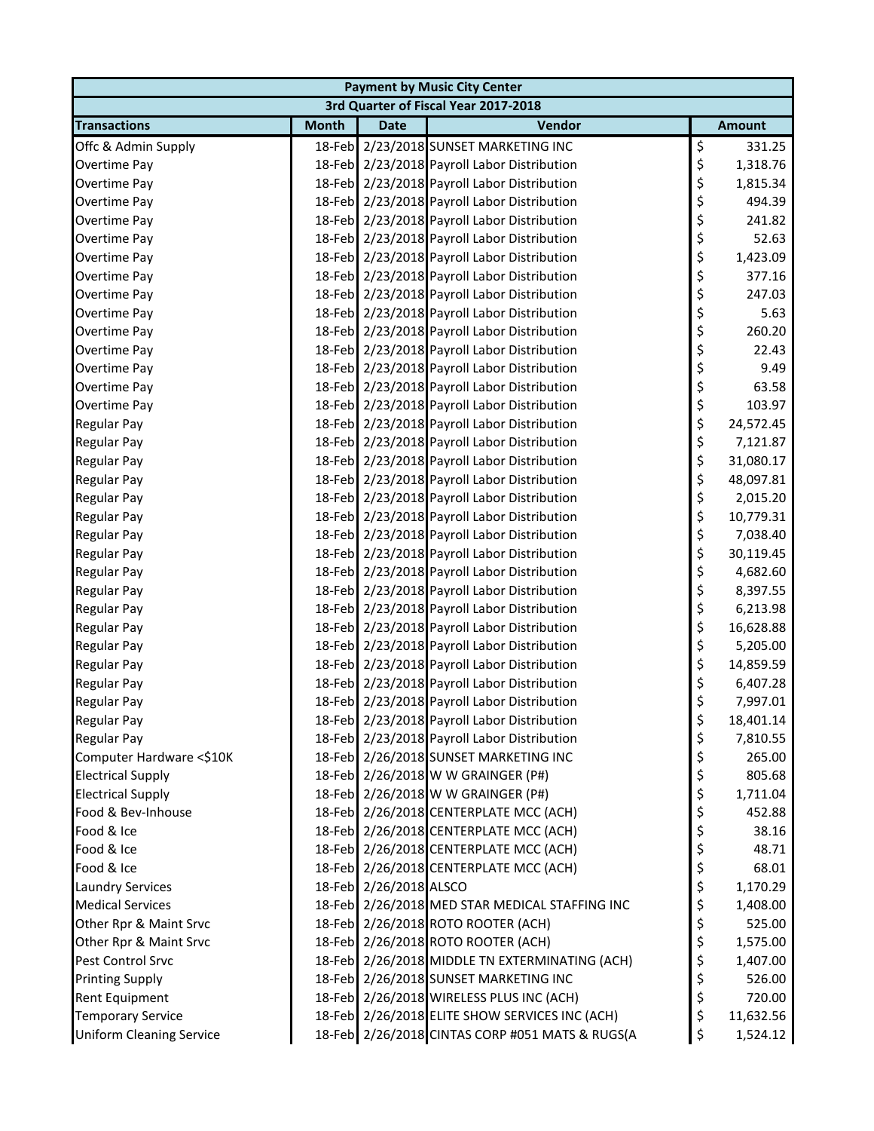| <b>Payment by Music City Center</b> |              |                        |                                                 |    |               |  |  |  |
|-------------------------------------|--------------|------------------------|-------------------------------------------------|----|---------------|--|--|--|
|                                     |              |                        | 3rd Quarter of Fiscal Year 2017-2018            |    |               |  |  |  |
| <b>Transactions</b>                 | <b>Month</b> | <b>Date</b>            | Vendor                                          |    | <b>Amount</b> |  |  |  |
| Offc & Admin Supply                 |              |                        | 18-Feb 2/23/2018 SUNSET MARKETING INC           | \$ | 331.25        |  |  |  |
| Overtime Pay                        |              |                        | 18-Feb 2/23/2018 Payroll Labor Distribution     | \$ | 1,318.76      |  |  |  |
| Overtime Pay                        |              |                        | 18-Feb 2/23/2018 Payroll Labor Distribution     | \$ | 1,815.34      |  |  |  |
| Overtime Pay                        |              |                        | 18-Feb 2/23/2018 Payroll Labor Distribution     | \$ | 494.39        |  |  |  |
| Overtime Pay                        |              |                        | 18-Feb 2/23/2018 Payroll Labor Distribution     | \$ | 241.82        |  |  |  |
| Overtime Pay                        |              |                        | 18-Feb 2/23/2018 Payroll Labor Distribution     | \$ | 52.63         |  |  |  |
| Overtime Pay                        |              |                        | 18-Feb 2/23/2018 Payroll Labor Distribution     | \$ | 1,423.09      |  |  |  |
| Overtime Pay                        |              |                        | 18-Feb 2/23/2018 Payroll Labor Distribution     | \$ | 377.16        |  |  |  |
| Overtime Pay                        |              |                        | 18-Feb 2/23/2018 Payroll Labor Distribution     | \$ | 247.03        |  |  |  |
| Overtime Pay                        |              |                        | 18-Feb 2/23/2018 Payroll Labor Distribution     | \$ | 5.63          |  |  |  |
| Overtime Pay                        |              |                        | 18-Feb 2/23/2018 Payroll Labor Distribution     | \$ | 260.20        |  |  |  |
| Overtime Pay                        |              |                        | 18-Feb 2/23/2018 Payroll Labor Distribution     | \$ | 22.43         |  |  |  |
| Overtime Pay                        |              |                        | 18-Feb 2/23/2018 Payroll Labor Distribution     | \$ | 9.49          |  |  |  |
| Overtime Pay                        |              |                        | 18-Feb 2/23/2018 Payroll Labor Distribution     | \$ | 63.58         |  |  |  |
| Overtime Pay                        |              |                        | 18-Feb 2/23/2018 Payroll Labor Distribution     | \$ | 103.97        |  |  |  |
| <b>Regular Pay</b>                  |              |                        | 18-Feb 2/23/2018 Payroll Labor Distribution     | \$ | 24,572.45     |  |  |  |
| <b>Regular Pay</b>                  |              |                        | 18-Feb 2/23/2018 Payroll Labor Distribution     | \$ | 7,121.87      |  |  |  |
| <b>Regular Pay</b>                  |              |                        | 18-Feb 2/23/2018 Payroll Labor Distribution     | \$ | 31,080.17     |  |  |  |
| <b>Regular Pay</b>                  |              |                        | 18-Feb 2/23/2018 Payroll Labor Distribution     | \$ | 48,097.81     |  |  |  |
| <b>Regular Pay</b>                  |              |                        | 18-Feb 2/23/2018 Payroll Labor Distribution     | \$ | 2,015.20      |  |  |  |
| <b>Regular Pay</b>                  |              |                        | 18-Feb 2/23/2018 Payroll Labor Distribution     | \$ | 10,779.31     |  |  |  |
| <b>Regular Pay</b>                  |              |                        | 18-Feb 2/23/2018 Payroll Labor Distribution     | \$ | 7,038.40      |  |  |  |
| <b>Regular Pay</b>                  |              |                        | 18-Feb 2/23/2018 Payroll Labor Distribution     | \$ | 30,119.45     |  |  |  |
| <b>Regular Pay</b>                  |              |                        | 18-Feb 2/23/2018 Payroll Labor Distribution     | \$ | 4,682.60      |  |  |  |
| <b>Regular Pay</b>                  |              |                        | 18-Feb 2/23/2018 Payroll Labor Distribution     | \$ | 8,397.55      |  |  |  |
| <b>Regular Pay</b>                  |              |                        | 18-Feb 2/23/2018 Payroll Labor Distribution     | \$ | 6,213.98      |  |  |  |
| <b>Regular Pay</b>                  |              |                        | 18-Feb 2/23/2018 Payroll Labor Distribution     | \$ | 16,628.88     |  |  |  |
| Regular Pay                         |              |                        | 18-Feb 2/23/2018 Payroll Labor Distribution     | \$ | 5,205.00      |  |  |  |
| Regular Pay                         |              |                        | 18-Feb 2/23/2018 Payroll Labor Distribution     | \$ | 14,859.59     |  |  |  |
| <b>Regular Pay</b>                  |              |                        | 18-Feb 2/23/2018 Payroll Labor Distribution     | \$ | 6,407.28      |  |  |  |
| Regular Pay                         |              |                        | 18-Feb 2/23/2018 Payroll Labor Distribution     | \$ | 7,997.01      |  |  |  |
| <b>Regular Pay</b>                  |              |                        | 18-Feb 2/23/2018 Payroll Labor Distribution     | Ş  | 18,401.14     |  |  |  |
| <b>Regular Pay</b>                  |              |                        | 18-Feb 2/23/2018 Payroll Labor Distribution     | \$ | 7,810.55      |  |  |  |
| Computer Hardware <\$10K            |              |                        | 18-Feb 2/26/2018 SUNSET MARKETING INC           | \$ | 265.00        |  |  |  |
| <b>Electrical Supply</b>            |              |                        | 18-Feb 2/26/2018 W W GRAINGER (P#)              | \$ | 805.68        |  |  |  |
| <b>Electrical Supply</b>            |              |                        | 18-Feb 2/26/2018 W W GRAINGER (P#)              | \$ | 1,711.04      |  |  |  |
| Food & Bev-Inhouse                  |              |                        | 18-Feb 2/26/2018 CENTERPLATE MCC (ACH)          | \$ | 452.88        |  |  |  |
| Food & Ice                          |              |                        | 18-Feb 2/26/2018 CENTERPLATE MCC (ACH)          | \$ | 38.16         |  |  |  |
| Food & Ice                          |              |                        | 18-Feb 2/26/2018 CENTERPLATE MCC (ACH)          | \$ | 48.71         |  |  |  |
| Food & Ice                          |              |                        | 18-Feb 2/26/2018 CENTERPLATE MCC (ACH)          | \$ | 68.01         |  |  |  |
| <b>Laundry Services</b>             |              | 18-Feb 2/26/2018 ALSCO |                                                 | \$ | 1,170.29      |  |  |  |
| <b>Medical Services</b>             |              |                        | 18-Feb 2/26/2018 MED STAR MEDICAL STAFFING INC  | \$ | 1,408.00      |  |  |  |
| Other Rpr & Maint Srvc              |              |                        | 18-Feb 2/26/2018 ROTO ROOTER (ACH)              | \$ | 525.00        |  |  |  |
| Other Rpr & Maint Srvc              |              |                        | 18-Feb 2/26/2018 ROTO ROOTER (ACH)              | \$ | 1,575.00      |  |  |  |
| Pest Control Srvc                   |              |                        | 18-Feb 2/26/2018 MIDDLE TN EXTERMINATING (ACH)  | \$ | 1,407.00      |  |  |  |
| <b>Printing Supply</b>              |              |                        | 18-Feb 2/26/2018 SUNSET MARKETING INC           | \$ | 526.00        |  |  |  |
| Rent Equipment                      |              |                        | 18-Feb 2/26/2018 WIRELESS PLUS INC (ACH)        | \$ | 720.00        |  |  |  |
| <b>Temporary Service</b>            |              |                        | 18-Feb 2/26/2018 ELITE SHOW SERVICES INC (ACH)  | \$ | 11,632.56     |  |  |  |
| <b>Uniform Cleaning Service</b>     |              |                        | 18-Feb 2/26/2018 CINTAS CORP #051 MATS & RUGS(A | \$ | 1,524.12      |  |  |  |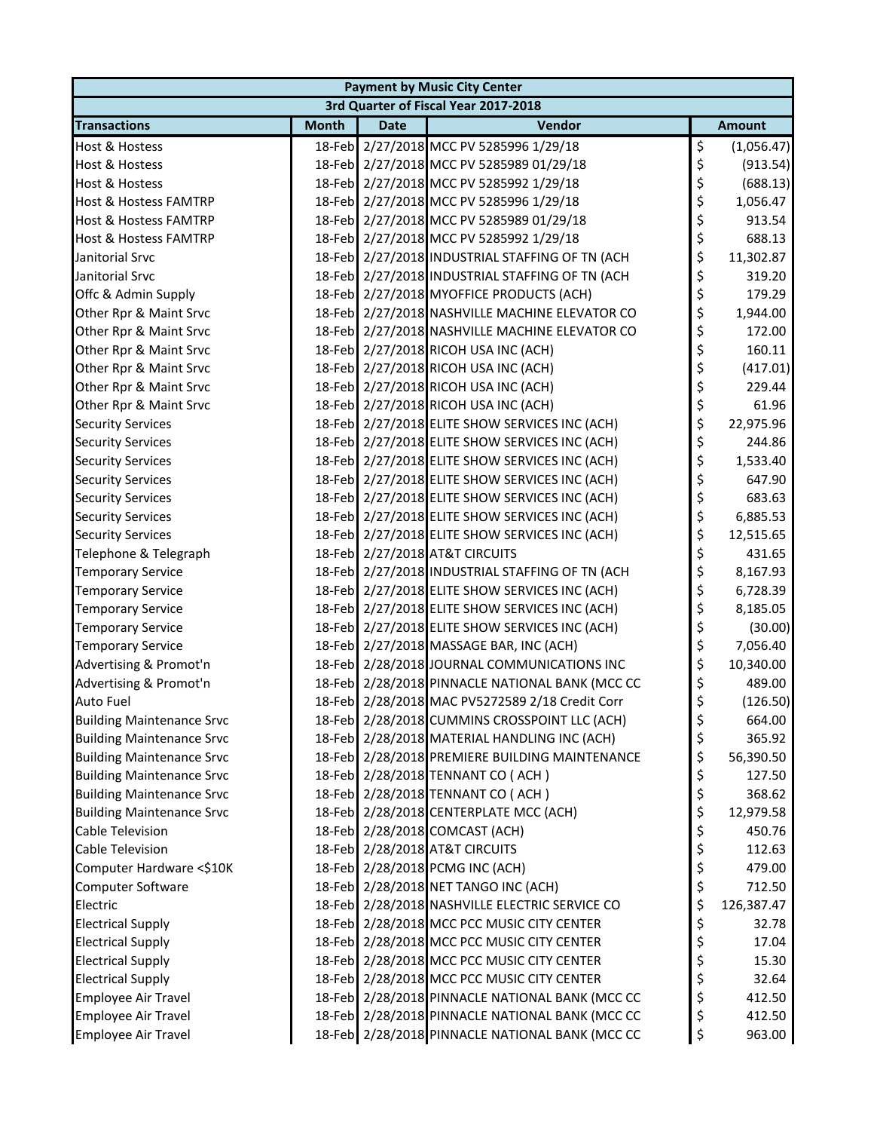| <b>Payment by Music City Center</b> |              |             |                                                 |         |               |  |  |  |
|-------------------------------------|--------------|-------------|-------------------------------------------------|---------|---------------|--|--|--|
|                                     |              |             | 3rd Quarter of Fiscal Year 2017-2018            |         |               |  |  |  |
| <b>Transactions</b>                 | <b>Month</b> | <b>Date</b> | Vendor                                          |         | <b>Amount</b> |  |  |  |
| <b>Host &amp; Hostess</b>           |              |             | 18-Feb 2/27/2018 MCC PV 5285996 1/29/18         | \$      | (1,056.47)    |  |  |  |
| <b>Host &amp; Hostess</b>           |              |             | 18-Feb 2/27/2018 MCC PV 5285989 01/29/18        | \$      | (913.54)      |  |  |  |
| <b>Host &amp; Hostess</b>           |              |             | 18-Feb 2/27/2018 MCC PV 5285992 1/29/18         | \$      | (688.13)      |  |  |  |
| <b>Host &amp; Hostess FAMTRP</b>    |              |             | 18-Feb 2/27/2018 MCC PV 5285996 1/29/18         | \$      | 1,056.47      |  |  |  |
| <b>Host &amp; Hostess FAMTRP</b>    |              |             | 18-Feb 2/27/2018 MCC PV 5285989 01/29/18        | \$      | 913.54        |  |  |  |
| <b>Host &amp; Hostess FAMTRP</b>    |              |             | 18-Feb 2/27/2018 MCC PV 5285992 1/29/18         | \$      | 688.13        |  |  |  |
| Janitorial Srvc                     |              |             | 18-Feb 2/27/2018 INDUSTRIAL STAFFING OF TN (ACH | \$      | 11,302.87     |  |  |  |
| Janitorial Srvc                     |              |             | 18-Feb 2/27/2018 INDUSTRIAL STAFFING OF TN (ACH | \$      | 319.20        |  |  |  |
| Offc & Admin Supply                 |              |             | 18-Feb 2/27/2018 MYOFFICE PRODUCTS (ACH)        | \$      | 179.29        |  |  |  |
| Other Rpr & Maint Srvc              |              |             | 18-Feb 2/27/2018 NASHVILLE MACHINE ELEVATOR CO  | \$      | 1,944.00      |  |  |  |
| Other Rpr & Maint Srvc              |              |             | 18-Feb 2/27/2018 NASHVILLE MACHINE ELEVATOR CO  | \$      | 172.00        |  |  |  |
| Other Rpr & Maint Srvc              |              |             | 18-Feb 2/27/2018 RICOH USA INC (ACH)            | \$      | 160.11        |  |  |  |
| Other Rpr & Maint Srvc              |              |             | 18-Feb 2/27/2018 RICOH USA INC (ACH)            | \$      | (417.01)      |  |  |  |
| Other Rpr & Maint Srvc              |              |             | 18-Feb 2/27/2018 RICOH USA INC (ACH)            | \$      | 229.44        |  |  |  |
| Other Rpr & Maint Srvc              |              |             | 18-Feb 2/27/2018 RICOH USA INC (ACH)            | \$      | 61.96         |  |  |  |
| <b>Security Services</b>            |              |             | 18-Feb 2/27/2018 ELITE SHOW SERVICES INC (ACH)  | \$      | 22,975.96     |  |  |  |
| <b>Security Services</b>            |              |             | 18-Feb 2/27/2018 ELITE SHOW SERVICES INC (ACH)  | \$      | 244.86        |  |  |  |
| <b>Security Services</b>            |              |             | 18-Feb 2/27/2018 ELITE SHOW SERVICES INC (ACH)  | \$      | 1,533.40      |  |  |  |
| <b>Security Services</b>            |              |             | 18-Feb 2/27/2018 ELITE SHOW SERVICES INC (ACH)  | \$      | 647.90        |  |  |  |
| <b>Security Services</b>            |              |             | 18-Feb 2/27/2018 ELITE SHOW SERVICES INC (ACH)  | \$      | 683.63        |  |  |  |
| <b>Security Services</b>            |              |             | 18-Feb 2/27/2018 ELITE SHOW SERVICES INC (ACH)  | \$      | 6,885.53      |  |  |  |
| <b>Security Services</b>            |              |             | 18-Feb 2/27/2018 ELITE SHOW SERVICES INC (ACH)  | \$      | 12,515.65     |  |  |  |
| Telephone & Telegraph               |              |             | 18-Feb 2/27/2018 AT&T CIRCUITS                  | \$      | 431.65        |  |  |  |
| <b>Temporary Service</b>            |              |             | 18-Feb 2/27/2018 INDUSTRIAL STAFFING OF TN (ACH | \$      | 8,167.93      |  |  |  |
| <b>Temporary Service</b>            |              |             | 18-Feb 2/27/2018 ELITE SHOW SERVICES INC (ACH)  | \$      | 6,728.39      |  |  |  |
| <b>Temporary Service</b>            |              |             | 18-Feb 2/27/2018 ELITE SHOW SERVICES INC (ACH)  | \$      | 8,185.05      |  |  |  |
| <b>Temporary Service</b>            |              |             | 18-Feb 2/27/2018 ELITE SHOW SERVICES INC (ACH)  | \$      | (30.00)       |  |  |  |
| <b>Temporary Service</b>            |              |             | 18-Feb 2/27/2018 MASSAGE BAR, INC (ACH)         | \$      | 7,056.40      |  |  |  |
| Advertising & Promot'n              |              |             | 18-Feb 2/28/2018 JOURNAL COMMUNICATIONS INC     | \$      | 10,340.00     |  |  |  |
| Advertising & Promot'n              |              |             | 18-Feb 2/28/2018 PINNACLE NATIONAL BANK (MCC CC | \$      | 489.00        |  |  |  |
| Auto Fuel                           |              |             | 18-Feb 2/28/2018 MAC PV5272589 2/18 Credit Corr | \$      | (126.50)      |  |  |  |
| <b>Building Maintenance Srvc</b>    |              |             | 18-Feb 2/28/2018 CUMMINS CROSSPOINT LLC (ACH)   |         | 664.00        |  |  |  |
| <b>Building Maintenance Srvc</b>    |              |             | 18-Feb 2/28/2018 MATERIAL HANDLING INC (ACH)    | Ş<br>\$ | 365.92        |  |  |  |
| <b>Building Maintenance Srvc</b>    |              |             | 18-Feb 2/28/2018 PREMIERE BUILDING MAINTENANCE  | \$      | 56,390.50     |  |  |  |
| <b>Building Maintenance Srvc</b>    |              |             | 18-Feb 2/28/2018 TENNANT CO (ACH)               | \$      | 127.50        |  |  |  |
| <b>Building Maintenance Srvc</b>    |              |             | 18-Feb 2/28/2018 TENNANT CO (ACH)               | \$      | 368.62        |  |  |  |
| <b>Building Maintenance Srvc</b>    |              |             | 18-Feb 2/28/2018 CENTERPLATE MCC (ACH)          | \$      | 12,979.58     |  |  |  |
| <b>Cable Television</b>             |              |             | 18-Feb 2/28/2018 COMCAST (ACH)                  | \$      | 450.76        |  |  |  |
| <b>Cable Television</b>             |              |             | 18-Feb 2/28/2018 AT&T CIRCUITS                  | \$      | 112.63        |  |  |  |
| Computer Hardware <\$10K            |              |             | 18-Feb 2/28/2018 PCMG INC (ACH)                 | \$      | 479.00        |  |  |  |
| Computer Software                   |              |             | 18-Feb 2/28/2018 NET TANGO INC (ACH)            | \$      | 712.50        |  |  |  |
| Electric                            |              |             | 18-Feb 2/28/2018 NASHVILLE ELECTRIC SERVICE CO  | \$      | 126,387.47    |  |  |  |
| <b>Electrical Supply</b>            |              |             | 18-Feb 2/28/2018 MCC PCC MUSIC CITY CENTER      | \$      | 32.78         |  |  |  |
| <b>Electrical Supply</b>            |              |             | 18-Feb 2/28/2018 MCC PCC MUSIC CITY CENTER      | \$      | 17.04         |  |  |  |
| <b>Electrical Supply</b>            |              |             | 18-Feb 2/28/2018 MCC PCC MUSIC CITY CENTER      | \$      | 15.30         |  |  |  |
| <b>Electrical Supply</b>            |              |             | 18-Feb 2/28/2018 MCC PCC MUSIC CITY CENTER      | \$      | 32.64         |  |  |  |
| Employee Air Travel                 |              |             | 18-Feb 2/28/2018 PINNACLE NATIONAL BANK (MCC CC | \$      | 412.50        |  |  |  |
| Employee Air Travel                 |              |             | 18-Feb 2/28/2018 PINNACLE NATIONAL BANK (MCC CC | \$      | 412.50        |  |  |  |
|                                     |              |             |                                                 | \$      | 963.00        |  |  |  |
| Employee Air Travel                 |              |             | 18-Feb 2/28/2018 PINNACLE NATIONAL BANK (MCC CC |         |               |  |  |  |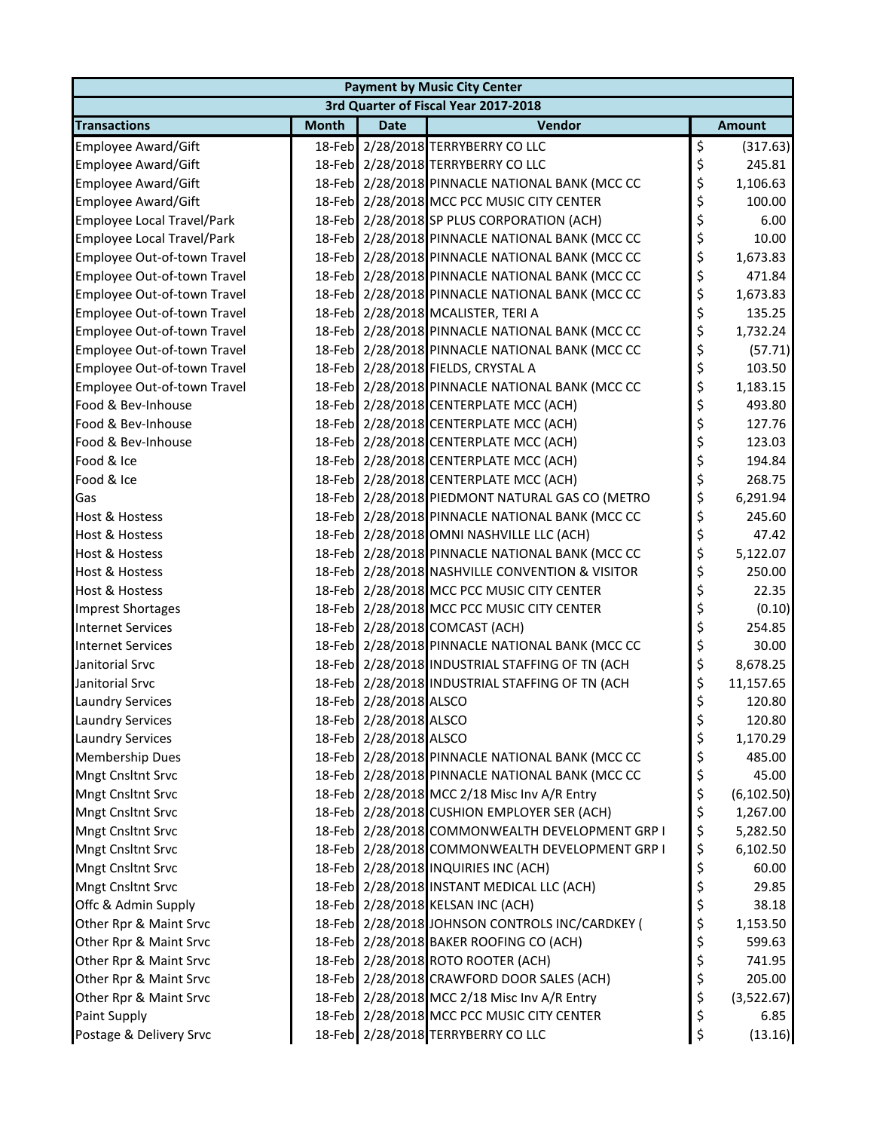| <b>Payment by Music City Center</b> |              |                        |                                                 |    |               |  |  |  |
|-------------------------------------|--------------|------------------------|-------------------------------------------------|----|---------------|--|--|--|
|                                     |              |                        | 3rd Quarter of Fiscal Year 2017-2018            |    |               |  |  |  |
| <b>Transactions</b>                 | <b>Month</b> | <b>Date</b>            | Vendor                                          |    | <b>Amount</b> |  |  |  |
| Employee Award/Gift                 |              |                        | 18-Feb 2/28/2018 TERRYBERRY CO LLC              | \$ | (317.63)      |  |  |  |
| Employee Award/Gift                 |              |                        | 18-Feb 2/28/2018 TERRYBERRY CO LLC              | \$ | 245.81        |  |  |  |
| <b>Employee Award/Gift</b>          |              |                        | 18-Feb 2/28/2018 PINNACLE NATIONAL BANK (MCC CC | \$ | 1,106.63      |  |  |  |
| <b>Employee Award/Gift</b>          |              |                        | 18-Feb 2/28/2018 MCC PCC MUSIC CITY CENTER      | \$ | 100.00        |  |  |  |
| <b>Employee Local Travel/Park</b>   |              |                        | 18-Feb 2/28/2018 SP PLUS CORPORATION (ACH)      | \$ | 6.00          |  |  |  |
| <b>Employee Local Travel/Park</b>   |              |                        | 18-Feb 2/28/2018 PINNACLE NATIONAL BANK (MCC CC | \$ | 10.00         |  |  |  |
| Employee Out-of-town Travel         |              |                        | 18-Feb 2/28/2018 PINNACLE NATIONAL BANK (MCC CC | \$ | 1,673.83      |  |  |  |
| Employee Out-of-town Travel         |              |                        | 18-Feb 2/28/2018 PINNACLE NATIONAL BANK (MCC CC | \$ | 471.84        |  |  |  |
| Employee Out-of-town Travel         |              |                        | 18-Feb 2/28/2018 PINNACLE NATIONAL BANK (MCC CC | \$ | 1,673.83      |  |  |  |
| Employee Out-of-town Travel         |              |                        | 18-Feb 2/28/2018 MCALISTER, TERI A              | \$ | 135.25        |  |  |  |
| Employee Out-of-town Travel         |              |                        | 18-Feb 2/28/2018 PINNACLE NATIONAL BANK (MCC CC | \$ | 1,732.24      |  |  |  |
| Employee Out-of-town Travel         |              |                        | 18-Feb 2/28/2018 PINNACLE NATIONAL BANK (MCC CC | \$ | (57.71)       |  |  |  |
| Employee Out-of-town Travel         |              |                        | 18-Feb 2/28/2018 FIELDS, CRYSTAL A              | \$ | 103.50        |  |  |  |
| Employee Out-of-town Travel         |              |                        | 18-Feb 2/28/2018 PINNACLE NATIONAL BANK (MCC CC | \$ | 1,183.15      |  |  |  |
| Food & Bev-Inhouse                  |              |                        | 18-Feb 2/28/2018 CENTERPLATE MCC (ACH)          | \$ | 493.80        |  |  |  |
| Food & Bev-Inhouse                  |              |                        | 18-Feb 2/28/2018 CENTERPLATE MCC (ACH)          | \$ | 127.76        |  |  |  |
| Food & Bev-Inhouse                  |              |                        | 18-Feb 2/28/2018 CENTERPLATE MCC (ACH)          | \$ | 123.03        |  |  |  |
| Food & Ice                          |              |                        | 18-Feb 2/28/2018 CENTERPLATE MCC (ACH)          | \$ | 194.84        |  |  |  |
| Food & Ice                          |              |                        | 18-Feb 2/28/2018 CENTERPLATE MCC (ACH)          | \$ | 268.75        |  |  |  |
| Gas                                 |              |                        | 18-Feb 2/28/2018 PIEDMONT NATURAL GAS CO (METRO | \$ | 6,291.94      |  |  |  |
| <b>Host &amp; Hostess</b>           |              |                        | 18-Feb 2/28/2018 PINNACLE NATIONAL BANK (MCC CC | \$ | 245.60        |  |  |  |
| <b>Host &amp; Hostess</b>           |              |                        | 18-Feb 2/28/2018 OMNI NASHVILLE LLC (ACH)       | \$ | 47.42         |  |  |  |
| <b>Host &amp; Hostess</b>           |              |                        | 18-Feb 2/28/2018 PINNACLE NATIONAL BANK (MCC CC | \$ | 5,122.07      |  |  |  |
| <b>Host &amp; Hostess</b>           |              |                        | 18-Feb 2/28/2018 NASHVILLE CONVENTION & VISITOR | \$ | 250.00        |  |  |  |
| <b>Host &amp; Hostess</b>           |              |                        | 18-Feb 2/28/2018 MCC PCC MUSIC CITY CENTER      | \$ | 22.35         |  |  |  |
| <b>Imprest Shortages</b>            |              |                        | 18-Feb 2/28/2018 MCC PCC MUSIC CITY CENTER      | \$ | (0.10)        |  |  |  |
| <b>Internet Services</b>            |              |                        | 18-Feb 2/28/2018 COMCAST (ACH)                  | \$ | 254.85        |  |  |  |
| <b>Internet Services</b>            |              |                        | 18-Feb 2/28/2018 PINNACLE NATIONAL BANK (MCC CC | \$ | 30.00         |  |  |  |
| Janitorial Srvc                     |              |                        | 18-Feb 2/28/2018 INDUSTRIAL STAFFING OF TN (ACH | \$ | 8,678.25      |  |  |  |
| Janitorial Srvc                     |              |                        | 18-Feb 2/28/2018 INDUSTRIAL STAFFING OF TN (ACH | \$ | 11,157.65     |  |  |  |
| <b>Laundry Services</b>             |              | 18-Feb 2/28/2018 ALSCO |                                                 | \$ | 120.80        |  |  |  |
| <b>Laundry Services</b>             |              | 18-Feb 2/28/2018 ALSCO |                                                 | Ş  | 120.80        |  |  |  |
| <b>Laundry Services</b>             |              | 18-Feb 2/28/2018 ALSCO |                                                 | \$ | 1,170.29      |  |  |  |
| Membership Dues                     |              |                        | 18-Feb 2/28/2018 PINNACLE NATIONAL BANK (MCC CC | \$ | 485.00        |  |  |  |
| <b>Mngt Cnsltnt Srvc</b>            |              |                        | 18-Feb 2/28/2018 PINNACLE NATIONAL BANK (MCC CC | \$ | 45.00         |  |  |  |
| <b>Mngt Cnsltnt Srvc</b>            |              |                        | 18-Feb 2/28/2018 MCC 2/18 Misc Inv A/R Entry    | \$ | (6, 102.50)   |  |  |  |
| <b>Mngt Cnsltnt Srvc</b>            |              |                        | 18-Feb 2/28/2018 CUSHION EMPLOYER SER (ACH)     | \$ | 1,267.00      |  |  |  |
| <b>Mngt Cnsltnt Srvc</b>            |              |                        | 18-Feb 2/28/2018 COMMONWEALTH DEVELOPMENT GRP I | \$ | 5,282.50      |  |  |  |
| Mngt Cnsltnt Srvc                   |              |                        | 18-Feb 2/28/2018 COMMONWEALTH DEVELOPMENT GRP I | \$ | 6,102.50      |  |  |  |
| Mngt Cnsltnt Srvc                   |              |                        | 18-Feb 2/28/2018 INQUIRIES INC (ACH)            | \$ | 60.00         |  |  |  |
| Mngt Cnsltnt Srvc                   |              |                        | 18-Feb 2/28/2018 INSTANT MEDICAL LLC (ACH)      | \$ | 29.85         |  |  |  |
| Offc & Admin Supply                 |              |                        | 18-Feb 2/28/2018 KELSAN INC (ACH)               | \$ | 38.18         |  |  |  |
| Other Rpr & Maint Srvc              |              |                        | 18-Feb 2/28/2018 JOHNSON CONTROLS INC/CARDKEY ( | \$ | 1,153.50      |  |  |  |
| Other Rpr & Maint Srvc              |              |                        | 18-Feb 2/28/2018 BAKER ROOFING CO (ACH)         | \$ | 599.63        |  |  |  |
| Other Rpr & Maint Srvc              |              |                        | 18-Feb 2/28/2018 ROTO ROOTER (ACH)              | \$ | 741.95        |  |  |  |
| Other Rpr & Maint Srvc              |              |                        | 18-Feb 2/28/2018 CRAWFORD DOOR SALES (ACH)      | \$ | 205.00        |  |  |  |
| Other Rpr & Maint Srvc              |              |                        | 18-Feb 2/28/2018 MCC 2/18 Misc Inv A/R Entry    | \$ | (3,522.67)    |  |  |  |
| Paint Supply                        |              |                        | 18-Feb 2/28/2018 MCC PCC MUSIC CITY CENTER      | \$ | 6.85          |  |  |  |
| Postage & Delivery Srvc             |              |                        | 18-Feb 2/28/2018 TERRYBERRY CO LLC              | \$ | (13.16)       |  |  |  |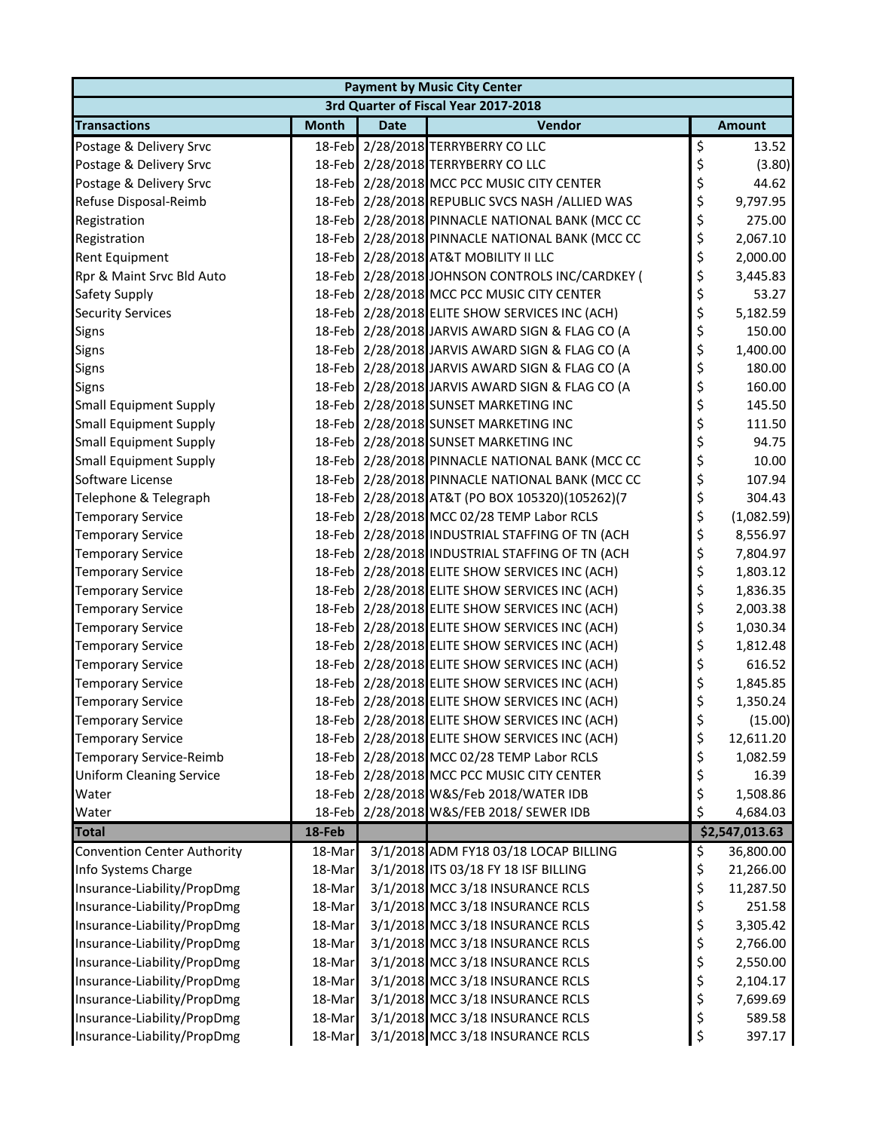| <b>Payment by Music City Center</b> |              |             |                                                 |    |                |  |  |  |
|-------------------------------------|--------------|-------------|-------------------------------------------------|----|----------------|--|--|--|
|                                     |              |             | 3rd Quarter of Fiscal Year 2017-2018            |    |                |  |  |  |
| <b>Transactions</b>                 | <b>Month</b> | <b>Date</b> | Vendor                                          |    | <b>Amount</b>  |  |  |  |
| Postage & Delivery Srvc             |              |             | 18-Feb 2/28/2018 TERRYBERRY CO LLC              | \$ | 13.52          |  |  |  |
| Postage & Delivery Srvc             |              |             | 18-Feb 2/28/2018 TERRYBERRY CO LLC              | \$ | (3.80)         |  |  |  |
| Postage & Delivery Srvc             |              |             | 18-Feb 2/28/2018 MCC PCC MUSIC CITY CENTER      | \$ | 44.62          |  |  |  |
| Refuse Disposal-Reimb               |              |             | 18-Feb 2/28/2018 REPUBLIC SVCS NASH /ALLIED WAS | \$ | 9,797.95       |  |  |  |
| Registration                        |              |             | 18-Feb 2/28/2018 PINNACLE NATIONAL BANK (MCC CC | \$ | 275.00         |  |  |  |
| Registration                        |              |             | 18-Feb 2/28/2018 PINNACLE NATIONAL BANK (MCC CC | \$ | 2,067.10       |  |  |  |
| <b>Rent Equipment</b>               |              |             | 18-Feb 2/28/2018 AT&T MOBILITY II LLC           | \$ | 2,000.00       |  |  |  |
| Rpr & Maint Srvc Bld Auto           |              |             | 18-Feb 2/28/2018 JOHNSON CONTROLS INC/CARDKEY ( | \$ | 3,445.83       |  |  |  |
| Safety Supply                       |              |             | 18-Feb 2/28/2018 MCC PCC MUSIC CITY CENTER      | \$ | 53.27          |  |  |  |
| <b>Security Services</b>            |              |             | 18-Feb 2/28/2018 ELITE SHOW SERVICES INC (ACH)  | \$ | 5,182.59       |  |  |  |
| Signs                               |              |             | 18-Feb 2/28/2018 JARVIS AWARD SIGN & FLAG CO (A | \$ | 150.00         |  |  |  |
| Signs                               |              |             | 18-Feb 2/28/2018 JARVIS AWARD SIGN & FLAG CO (A | \$ | 1,400.00       |  |  |  |
| Signs                               |              |             | 18-Feb 2/28/2018 JARVIS AWARD SIGN & FLAG CO (A | \$ | 180.00         |  |  |  |
| Signs                               |              |             | 18-Feb 2/28/2018 JARVIS AWARD SIGN & FLAG CO (A | \$ | 160.00         |  |  |  |
| <b>Small Equipment Supply</b>       |              |             | 18-Feb 2/28/2018 SUNSET MARKETING INC           | \$ | 145.50         |  |  |  |
| <b>Small Equipment Supply</b>       |              |             | 18-Feb 2/28/2018 SUNSET MARKETING INC           | \$ | 111.50         |  |  |  |
| <b>Small Equipment Supply</b>       |              |             | 18-Feb 2/28/2018 SUNSET MARKETING INC           | \$ | 94.75          |  |  |  |
| <b>Small Equipment Supply</b>       |              |             | 18-Feb 2/28/2018 PINNACLE NATIONAL BANK (MCC CC | \$ | 10.00          |  |  |  |
| Software License                    |              |             | 18-Feb 2/28/2018 PINNACLE NATIONAL BANK (MCC CC | \$ | 107.94         |  |  |  |
| Telephone & Telegraph               |              |             | 18-Feb 2/28/2018 AT&T (PO BOX 105320)(105262)(7 | \$ | 304.43         |  |  |  |
| <b>Temporary Service</b>            |              |             | 18-Feb 2/28/2018 MCC 02/28 TEMP Labor RCLS      | \$ | (1,082.59)     |  |  |  |
| <b>Temporary Service</b>            |              |             | 18-Feb 2/28/2018 INDUSTRIAL STAFFING OF TN (ACH | \$ | 8,556.97       |  |  |  |
| <b>Temporary Service</b>            |              |             | 18-Feb 2/28/2018 INDUSTRIAL STAFFING OF TN (ACH | \$ | 7,804.97       |  |  |  |
| <b>Temporary Service</b>            |              |             | 18-Feb 2/28/2018 ELITE SHOW SERVICES INC (ACH)  | \$ | 1,803.12       |  |  |  |
| <b>Temporary Service</b>            |              |             | 18-Feb 2/28/2018 ELITE SHOW SERVICES INC (ACH)  | \$ | 1,836.35       |  |  |  |
| <b>Temporary Service</b>            |              |             | 18-Feb 2/28/2018 ELITE SHOW SERVICES INC (ACH)  | \$ | 2,003.38       |  |  |  |
| <b>Temporary Service</b>            |              |             | 18-Feb 2/28/2018 ELITE SHOW SERVICES INC (ACH)  | \$ | 1,030.34       |  |  |  |
| <b>Temporary Service</b>            |              |             | 18-Feb 2/28/2018 ELITE SHOW SERVICES INC (ACH)  | \$ | 1,812.48       |  |  |  |
| <b>Temporary Service</b>            |              |             | 18-Feb 2/28/2018 ELITE SHOW SERVICES INC (ACH)  | \$ | 616.52         |  |  |  |
| <b>Temporary Service</b>            |              |             | 18-Feb 2/28/2018 ELITE SHOW SERVICES INC (ACH)  | \$ | 1,845.85       |  |  |  |
| <b>Temporary Service</b>            |              |             | 18-Feb 2/28/2018 ELITE SHOW SERVICES INC (ACH)  | \$ | 1,350.24       |  |  |  |
| Temporary Service                   |              |             | 18-Feb 2/28/2018 ELITE SHOW SERVICES INC (ACH)  | Ş  | (15.00)        |  |  |  |
| <b>Temporary Service</b>            |              |             | 18-Feb 2/28/2018 ELITE SHOW SERVICES INC (ACH)  | \$ | 12,611.20      |  |  |  |
| Temporary Service-Reimb             |              |             | 18-Feb 2/28/2018 MCC 02/28 TEMP Labor RCLS      | \$ | 1,082.59       |  |  |  |
| <b>Uniform Cleaning Service</b>     |              |             | 18-Feb 2/28/2018 MCC PCC MUSIC CITY CENTER      | \$ | 16.39          |  |  |  |
| Water                               |              |             | 18-Feb 2/28/2018 W&S/Feb 2018/WATER IDB         | \$ | 1,508.86       |  |  |  |
| Water                               |              |             | 18-Feb 2/28/2018 W&S/FEB 2018/ SEWER IDB        | \$ | 4,684.03       |  |  |  |
| <b>Total</b>                        | 18-Feb       |             |                                                 |    | \$2,547,013.63 |  |  |  |
| <b>Convention Center Authority</b>  | 18-Mar       |             | 3/1/2018 ADM FY18 03/18 LOCAP BILLING           | \$ | 36,800.00      |  |  |  |
| Info Systems Charge                 | 18-Mar       |             | 3/1/2018 ITS 03/18 FY 18 ISF BILLING            | \$ | 21,266.00      |  |  |  |
| Insurance-Liability/PropDmg         | 18-Mar       |             | 3/1/2018 MCC 3/18 INSURANCE RCLS                | \$ | 11,287.50      |  |  |  |
| Insurance-Liability/PropDmg         | 18-Mar       |             | 3/1/2018 MCC 3/18 INSURANCE RCLS                | \$ | 251.58         |  |  |  |
| Insurance-Liability/PropDmg         | 18-Mar       |             | 3/1/2018 MCC 3/18 INSURANCE RCLS                | \$ | 3,305.42       |  |  |  |
| Insurance-Liability/PropDmg         | 18-Mar       |             | 3/1/2018 MCC 3/18 INSURANCE RCLS                | \$ | 2,766.00       |  |  |  |
| Insurance-Liability/PropDmg         | 18-Mar       |             | 3/1/2018 MCC 3/18 INSURANCE RCLS                | \$ | 2,550.00       |  |  |  |
| Insurance-Liability/PropDmg         | 18-Mar       |             | 3/1/2018 MCC 3/18 INSURANCE RCLS                | \$ | 2,104.17       |  |  |  |
| Insurance-Liability/PropDmg         | 18-Mar       |             | 3/1/2018 MCC 3/18 INSURANCE RCLS                | \$ | 7,699.69       |  |  |  |
| Insurance-Liability/PropDmg         | 18-Mar       |             | 3/1/2018 MCC 3/18 INSURANCE RCLS                | \$ | 589.58         |  |  |  |
| Insurance-Liability/PropDmg         | 18-Mar       |             | 3/1/2018 MCC 3/18 INSURANCE RCLS                | \$ | 397.17         |  |  |  |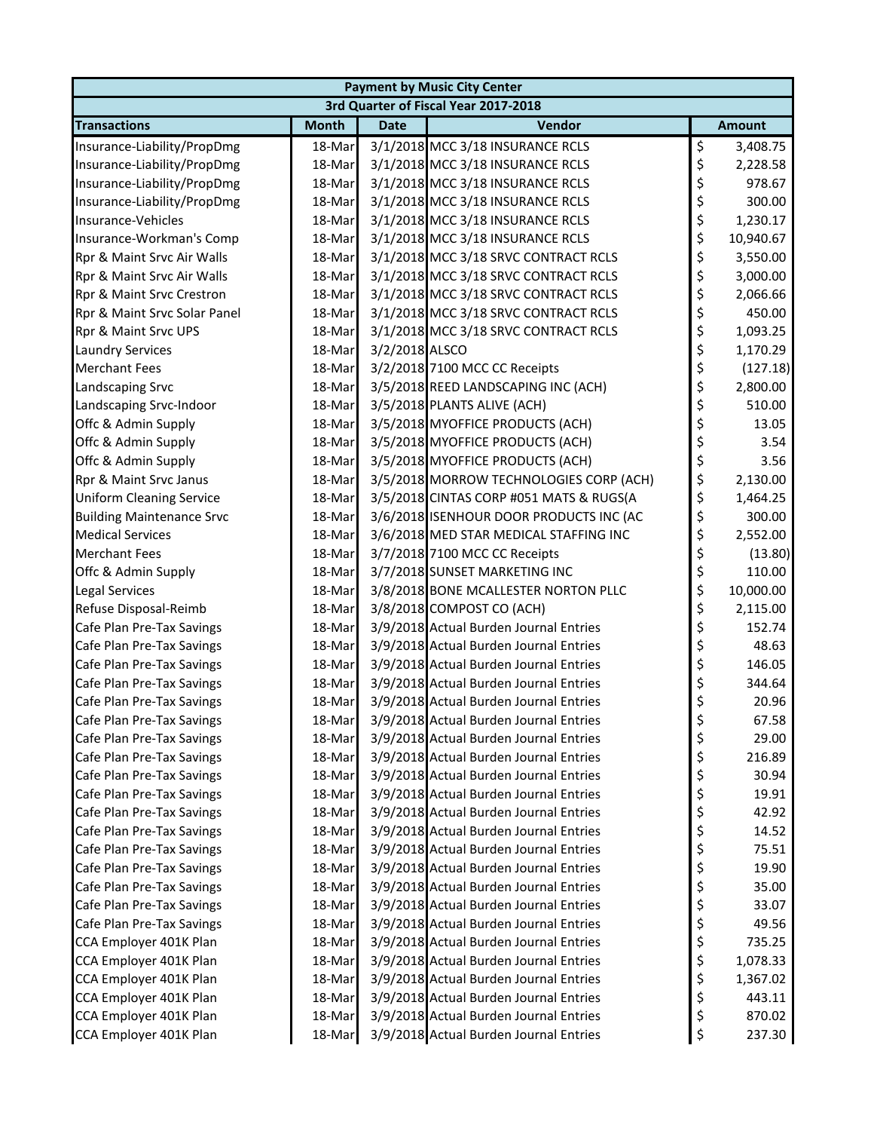| <b>Payment by Music City Center</b>  |              |                |                                         |    |               |  |  |  |
|--------------------------------------|--------------|----------------|-----------------------------------------|----|---------------|--|--|--|
| 3rd Quarter of Fiscal Year 2017-2018 |              |                |                                         |    |               |  |  |  |
| <b>Transactions</b>                  | <b>Month</b> | <b>Date</b>    | Vendor                                  |    | <b>Amount</b> |  |  |  |
| Insurance-Liability/PropDmg          | 18-Mar       |                | 3/1/2018 MCC 3/18 INSURANCE RCLS        | \$ | 3,408.75      |  |  |  |
| Insurance-Liability/PropDmg          | 18-Mar       |                | 3/1/2018 MCC 3/18 INSURANCE RCLS        | \$ | 2,228.58      |  |  |  |
| Insurance-Liability/PropDmg          | 18-Mar       |                | 3/1/2018 MCC 3/18 INSURANCE RCLS        | \$ | 978.67        |  |  |  |
| Insurance-Liability/PropDmg          | 18-Mar       |                | 3/1/2018 MCC 3/18 INSURANCE RCLS        | \$ | 300.00        |  |  |  |
| Insurance-Vehicles                   | 18-Mar       |                | 3/1/2018 MCC 3/18 INSURANCE RCLS        | \$ | 1,230.17      |  |  |  |
| Insurance-Workman's Comp             | 18-Mar       |                | 3/1/2018 MCC 3/18 INSURANCE RCLS        | \$ | 10,940.67     |  |  |  |
| Rpr & Maint Srvc Air Walls           | 18-Mar       |                | 3/1/2018 MCC 3/18 SRVC CONTRACT RCLS    | \$ | 3,550.00      |  |  |  |
| Rpr & Maint Srvc Air Walls           | 18-Mar       |                | 3/1/2018 MCC 3/18 SRVC CONTRACT RCLS    | \$ | 3,000.00      |  |  |  |
| Rpr & Maint Srvc Crestron            | 18-Mar       |                | 3/1/2018 MCC 3/18 SRVC CONTRACT RCLS    | \$ | 2,066.66      |  |  |  |
| Rpr & Maint Srvc Solar Panel         | 18-Mar       |                | 3/1/2018 MCC 3/18 SRVC CONTRACT RCLS    | \$ | 450.00        |  |  |  |
| Rpr & Maint Srvc UPS                 | 18-Mar       |                | 3/1/2018 MCC 3/18 SRVC CONTRACT RCLS    | \$ | 1,093.25      |  |  |  |
| <b>Laundry Services</b>              | 18-Mar       | 3/2/2018 ALSCO |                                         | \$ | 1,170.29      |  |  |  |
| <b>Merchant Fees</b>                 | 18-Mar       |                | 3/2/2018 7100 MCC CC Receipts           | \$ | (127.18)      |  |  |  |
| Landscaping Srvc                     | 18-Mar       |                | 3/5/2018 REED LANDSCAPING INC (ACH)     | \$ | 2,800.00      |  |  |  |
| Landscaping Srvc-Indoor              | 18-Mar       |                | 3/5/2018 PLANTS ALIVE (ACH)             | \$ | 510.00        |  |  |  |
| Offc & Admin Supply                  | 18-Mar       |                | 3/5/2018 MYOFFICE PRODUCTS (ACH)        | \$ | 13.05         |  |  |  |
| Offc & Admin Supply                  | 18-Mar       |                | 3/5/2018 MYOFFICE PRODUCTS (ACH)        | \$ | 3.54          |  |  |  |
| Offc & Admin Supply                  | 18-Mar       |                | 3/5/2018 MYOFFICE PRODUCTS (ACH)        | \$ | 3.56          |  |  |  |
| Rpr & Maint Srvc Janus               | 18-Mar       |                | 3/5/2018 MORROW TECHNOLOGIES CORP (ACH) | \$ | 2,130.00      |  |  |  |
| <b>Uniform Cleaning Service</b>      | 18-Mar       |                | 3/5/2018 CINTAS CORP #051 MATS & RUGS(A | \$ | 1,464.25      |  |  |  |
| <b>Building Maintenance Srvc</b>     | 18-Mar       |                | 3/6/2018 ISENHOUR DOOR PRODUCTS INC (AC | \$ | 300.00        |  |  |  |
| <b>Medical Services</b>              | 18-Mar       |                | 3/6/2018 MED STAR MEDICAL STAFFING INC  | \$ | 2,552.00      |  |  |  |
| <b>Merchant Fees</b>                 | 18-Mar       |                | 3/7/2018 7100 MCC CC Receipts           | \$ | (13.80)       |  |  |  |
| Offc & Admin Supply                  | 18-Mar       |                | 3/7/2018 SUNSET MARKETING INC           | \$ | 110.00        |  |  |  |
| Legal Services                       | 18-Mar       |                | 3/8/2018 BONE MCALLESTER NORTON PLLC    | \$ | 10,000.00     |  |  |  |
| Refuse Disposal-Reimb                | 18-Mar       |                | 3/8/2018 COMPOST CO (ACH)               | \$ | 2,115.00      |  |  |  |
| Cafe Plan Pre-Tax Savings            | 18-Mar       |                | 3/9/2018 Actual Burden Journal Entries  | \$ | 152.74        |  |  |  |
| Cafe Plan Pre-Tax Savings            | 18-Mar       |                | 3/9/2018 Actual Burden Journal Entries  | \$ | 48.63         |  |  |  |
| Cafe Plan Pre-Tax Savings            | 18-Mar       |                | 3/9/2018 Actual Burden Journal Entries  | \$ | 146.05        |  |  |  |
| Cafe Plan Pre-Tax Savings            | 18-Mar       |                | 3/9/2018 Actual Burden Journal Entries  | \$ | 344.64        |  |  |  |
| Cafe Plan Pre-Tax Savings            | 18-Mar       |                | 3/9/2018 Actual Burden Journal Entries  | \$ | 20.96         |  |  |  |
| Cafe Plan Pre-Tax Savings            | 18-Mar       |                | 3/9/2018 Actual Burden Journal Entries  | P  | 67.58         |  |  |  |
| Cafe Plan Pre-Tax Savings            | 18-Mar       |                | 3/9/2018 Actual Burden Journal Entries  | \$ | 29.00         |  |  |  |
| Cafe Plan Pre-Tax Savings            | 18-Mar       |                | 3/9/2018 Actual Burden Journal Entries  | \$ | 216.89        |  |  |  |
| Cafe Plan Pre-Tax Savings            | 18-Mar       |                | 3/9/2018 Actual Burden Journal Entries  | \$ | 30.94         |  |  |  |
| Cafe Plan Pre-Tax Savings            | 18-Mar       |                | 3/9/2018 Actual Burden Journal Entries  | \$ | 19.91         |  |  |  |
| Cafe Plan Pre-Tax Savings            | 18-Mar       |                | 3/9/2018 Actual Burden Journal Entries  | \$ | 42.92         |  |  |  |
| Cafe Plan Pre-Tax Savings            | 18-Mar       |                | 3/9/2018 Actual Burden Journal Entries  | \$ | 14.52         |  |  |  |
| Cafe Plan Pre-Tax Savings            | 18-Mar       |                | 3/9/2018 Actual Burden Journal Entries  | \$ | 75.51         |  |  |  |
| Cafe Plan Pre-Tax Savings            | 18-Mar       |                | 3/9/2018 Actual Burden Journal Entries  | \$ | 19.90         |  |  |  |
| Cafe Plan Pre-Tax Savings            | 18-Mar       |                | 3/9/2018 Actual Burden Journal Entries  | \$ | 35.00         |  |  |  |
| Cafe Plan Pre-Tax Savings            | 18-Mar       |                | 3/9/2018 Actual Burden Journal Entries  | \$ | 33.07         |  |  |  |
| Cafe Plan Pre-Tax Savings            | 18-Mar       |                | 3/9/2018 Actual Burden Journal Entries  | \$ | 49.56         |  |  |  |
| CCA Employer 401K Plan               | 18-Mar       |                | 3/9/2018 Actual Burden Journal Entries  | \$ | 735.25        |  |  |  |
| CCA Employer 401K Plan               | 18-Mar       |                | 3/9/2018 Actual Burden Journal Entries  | \$ | 1,078.33      |  |  |  |
| CCA Employer 401K Plan               | 18-Mar       |                | 3/9/2018 Actual Burden Journal Entries  | \$ | 1,367.02      |  |  |  |
| CCA Employer 401K Plan               | 18-Mar       |                | 3/9/2018 Actual Burden Journal Entries  | \$ | 443.11        |  |  |  |
| CCA Employer 401K Plan               | 18-Mar       |                | 3/9/2018 Actual Burden Journal Entries  | \$ | 870.02        |  |  |  |
| CCA Employer 401K Plan               | 18-Mar       |                | 3/9/2018 Actual Burden Journal Entries  | \$ | 237.30        |  |  |  |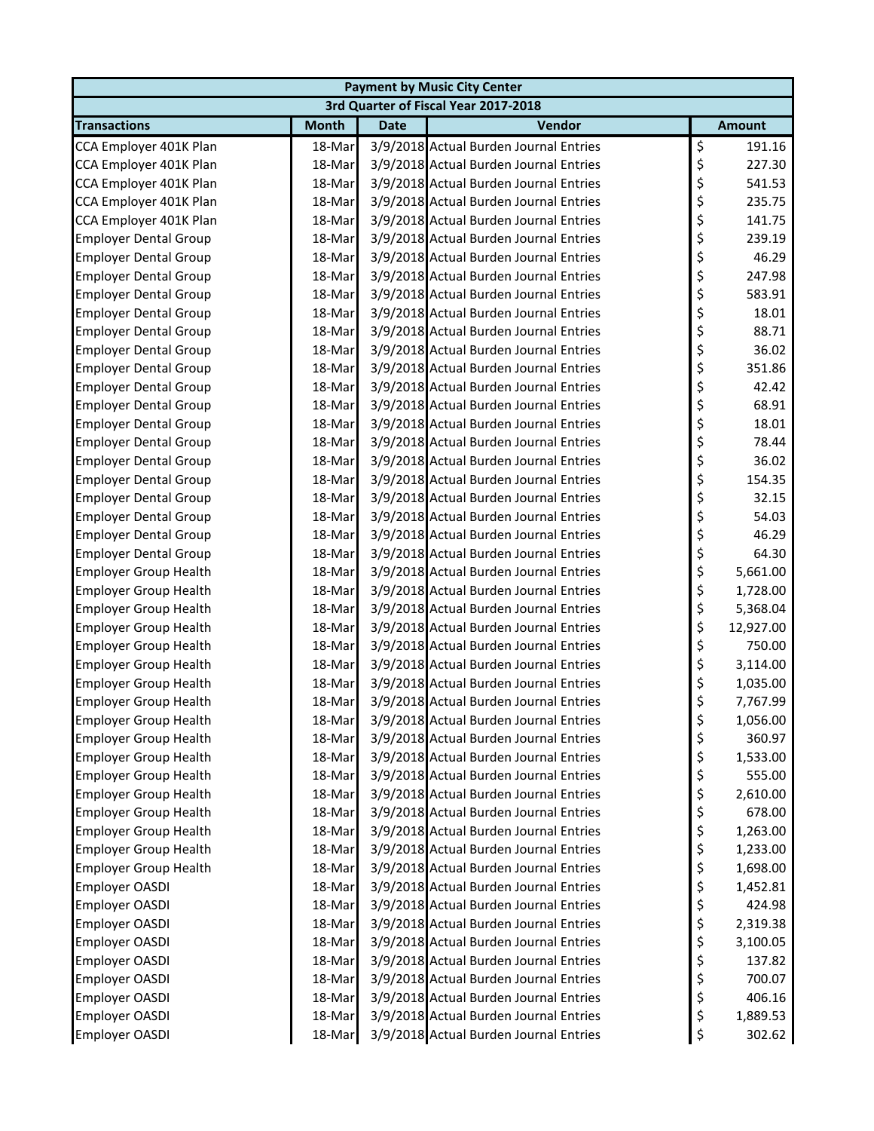| <b>Payment by Music City Center</b>  |              |             |                                        |    |               |  |  |  |
|--------------------------------------|--------------|-------------|----------------------------------------|----|---------------|--|--|--|
| 3rd Quarter of Fiscal Year 2017-2018 |              |             |                                        |    |               |  |  |  |
| <b>Transactions</b>                  | <b>Month</b> | <b>Date</b> | Vendor                                 |    | <b>Amount</b> |  |  |  |
| CCA Employer 401K Plan               | 18-Mar       |             | 3/9/2018 Actual Burden Journal Entries | \$ | 191.16        |  |  |  |
| CCA Employer 401K Plan               | 18-Mar       |             | 3/9/2018 Actual Burden Journal Entries | \$ | 227.30        |  |  |  |
| CCA Employer 401K Plan               | 18-Mar       |             | 3/9/2018 Actual Burden Journal Entries | \$ | 541.53        |  |  |  |
| CCA Employer 401K Plan               | 18-Mar       |             | 3/9/2018 Actual Burden Journal Entries | \$ | 235.75        |  |  |  |
| CCA Employer 401K Plan               | 18-Mar       |             | 3/9/2018 Actual Burden Journal Entries | \$ | 141.75        |  |  |  |
| <b>Employer Dental Group</b>         | 18-Mar       |             | 3/9/2018 Actual Burden Journal Entries | \$ | 239.19        |  |  |  |
| <b>Employer Dental Group</b>         | 18-Mar       |             | 3/9/2018 Actual Burden Journal Entries | \$ | 46.29         |  |  |  |
| <b>Employer Dental Group</b>         | 18-Mar       |             | 3/9/2018 Actual Burden Journal Entries | \$ | 247.98        |  |  |  |
| <b>Employer Dental Group</b>         | 18-Mar       |             | 3/9/2018 Actual Burden Journal Entries | \$ | 583.91        |  |  |  |
| <b>Employer Dental Group</b>         | 18-Mar       |             | 3/9/2018 Actual Burden Journal Entries | \$ | 18.01         |  |  |  |
| <b>Employer Dental Group</b>         | 18-Mar       |             | 3/9/2018 Actual Burden Journal Entries | \$ | 88.71         |  |  |  |
| <b>Employer Dental Group</b>         | 18-Mar       |             | 3/9/2018 Actual Burden Journal Entries | \$ | 36.02         |  |  |  |
| <b>Employer Dental Group</b>         | 18-Mar       |             | 3/9/2018 Actual Burden Journal Entries | \$ | 351.86        |  |  |  |
| <b>Employer Dental Group</b>         | 18-Mar       |             | 3/9/2018 Actual Burden Journal Entries | \$ | 42.42         |  |  |  |
| <b>Employer Dental Group</b>         | 18-Mar       |             | 3/9/2018 Actual Burden Journal Entries | \$ | 68.91         |  |  |  |
| <b>Employer Dental Group</b>         | 18-Mar       |             | 3/9/2018 Actual Burden Journal Entries | \$ | 18.01         |  |  |  |
| <b>Employer Dental Group</b>         | 18-Mar       |             | 3/9/2018 Actual Burden Journal Entries | \$ | 78.44         |  |  |  |
| <b>Employer Dental Group</b>         | 18-Mar       |             | 3/9/2018 Actual Burden Journal Entries | \$ | 36.02         |  |  |  |
| <b>Employer Dental Group</b>         | 18-Mar       |             | 3/9/2018 Actual Burden Journal Entries | \$ | 154.35        |  |  |  |
| <b>Employer Dental Group</b>         | 18-Mar       |             | 3/9/2018 Actual Burden Journal Entries | \$ | 32.15         |  |  |  |
| <b>Employer Dental Group</b>         | 18-Mar       |             | 3/9/2018 Actual Burden Journal Entries | \$ | 54.03         |  |  |  |
| <b>Employer Dental Group</b>         | 18-Mar       |             | 3/9/2018 Actual Burden Journal Entries | \$ | 46.29         |  |  |  |
| <b>Employer Dental Group</b>         | 18-Mar       |             | 3/9/2018 Actual Burden Journal Entries | \$ | 64.30         |  |  |  |
| <b>Employer Group Health</b>         | 18-Mar       |             | 3/9/2018 Actual Burden Journal Entries | \$ | 5,661.00      |  |  |  |
| <b>Employer Group Health</b>         | 18-Mar       |             | 3/9/2018 Actual Burden Journal Entries | \$ | 1,728.00      |  |  |  |
| <b>Employer Group Health</b>         | 18-Mar       |             | 3/9/2018 Actual Burden Journal Entries | \$ | 5,368.04      |  |  |  |
| <b>Employer Group Health</b>         | 18-Mar       |             | 3/9/2018 Actual Burden Journal Entries | \$ | 12,927.00     |  |  |  |
| <b>Employer Group Health</b>         | 18-Mar       |             | 3/9/2018 Actual Burden Journal Entries | \$ | 750.00        |  |  |  |
| <b>Employer Group Health</b>         | 18-Mar       |             | 3/9/2018 Actual Burden Journal Entries | \$ | 3,114.00      |  |  |  |
| <b>Employer Group Health</b>         | 18-Mar       |             | 3/9/2018 Actual Burden Journal Entries | \$ | 1,035.00      |  |  |  |
| <b>Employer Group Health</b>         | 18-Mar       |             | 3/9/2018 Actual Burden Journal Entries | \$ | 7,767.99      |  |  |  |
| <b>Employer Group Health</b>         | 18-Mar       |             | 3/9/2018 Actual Burden Journal Entries | ₹  | 1,056.00      |  |  |  |
| <b>Employer Group Health</b>         | 18-Mar       |             | 3/9/2018 Actual Burden Journal Entries | \$ | 360.97        |  |  |  |
| <b>Employer Group Health</b>         | 18-Mar       |             | 3/9/2018 Actual Burden Journal Entries | \$ | 1,533.00      |  |  |  |
| <b>Employer Group Health</b>         | 18-Mar       |             | 3/9/2018 Actual Burden Journal Entries | \$ | 555.00        |  |  |  |
| <b>Employer Group Health</b>         | 18-Mar       |             | 3/9/2018 Actual Burden Journal Entries | \$ | 2,610.00      |  |  |  |
| <b>Employer Group Health</b>         | 18-Mar       |             | 3/9/2018 Actual Burden Journal Entries | \$ | 678.00        |  |  |  |
| <b>Employer Group Health</b>         | 18-Mar       |             | 3/9/2018 Actual Burden Journal Entries | \$ | 1,263.00      |  |  |  |
| <b>Employer Group Health</b>         | 18-Mar       |             | 3/9/2018 Actual Burden Journal Entries | \$ | 1,233.00      |  |  |  |
| <b>Employer Group Health</b>         | 18-Mar       |             | 3/9/2018 Actual Burden Journal Entries | \$ | 1,698.00      |  |  |  |
| Employer OASDI                       | 18-Mar       |             | 3/9/2018 Actual Burden Journal Entries | \$ | 1,452.81      |  |  |  |
| Employer OASDI                       | 18-Mar       |             | 3/9/2018 Actual Burden Journal Entries | \$ | 424.98        |  |  |  |
| Employer OASDI                       | 18-Mar       |             | 3/9/2018 Actual Burden Journal Entries | \$ | 2,319.38      |  |  |  |
| Employer OASDI                       | 18-Mar       |             | 3/9/2018 Actual Burden Journal Entries | \$ | 3,100.05      |  |  |  |
| Employer OASDI                       | 18-Mar       |             | 3/9/2018 Actual Burden Journal Entries | \$ | 137.82        |  |  |  |
| Employer OASDI                       | 18-Mar       |             | 3/9/2018 Actual Burden Journal Entries | \$ | 700.07        |  |  |  |
| Employer OASDI                       | 18-Mar       |             | 3/9/2018 Actual Burden Journal Entries | \$ | 406.16        |  |  |  |
| Employer OASDI                       | 18-Mar       |             | 3/9/2018 Actual Burden Journal Entries | \$ | 1,889.53      |  |  |  |
| <b>Employer OASDI</b>                | 18-Mar       |             | 3/9/2018 Actual Burden Journal Entries | \$ | 302.62        |  |  |  |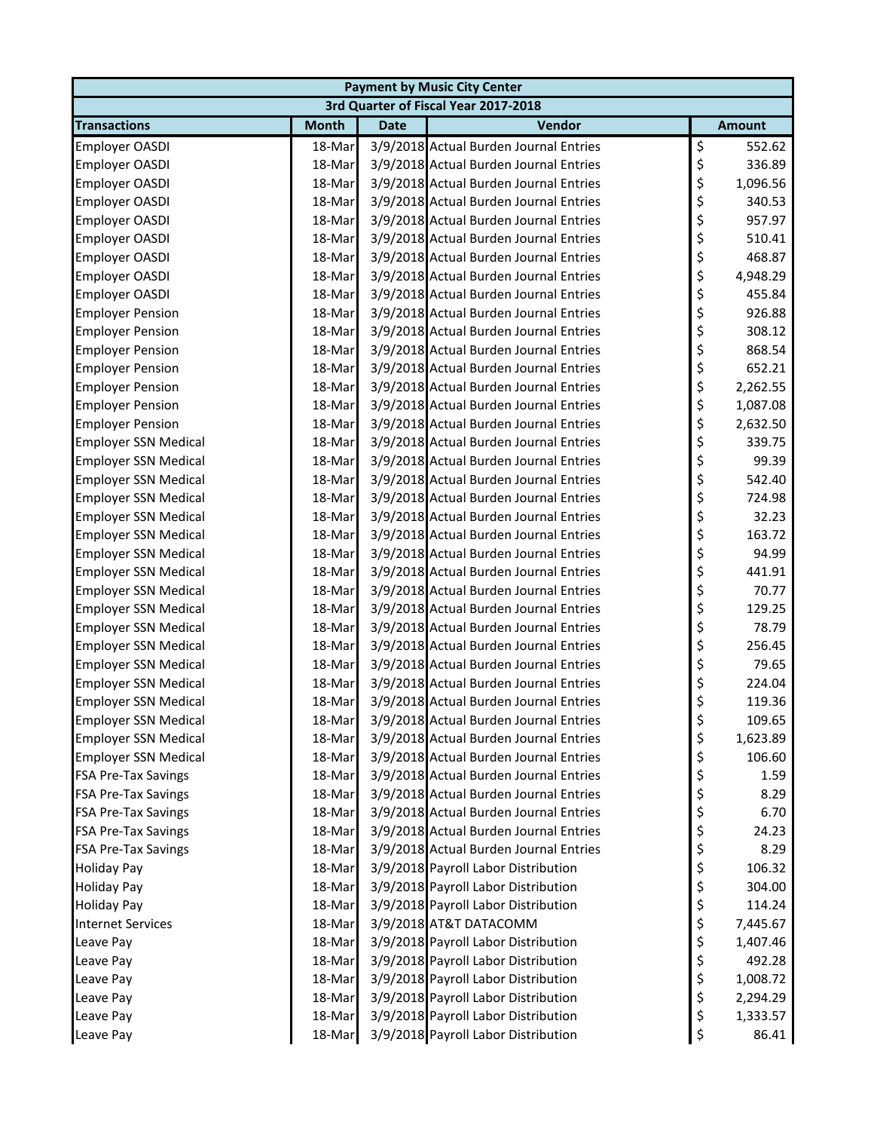| <b>Payment by Music City Center</b> |              |             |                                        |    |               |  |  |
|-------------------------------------|--------------|-------------|----------------------------------------|----|---------------|--|--|
|                                     |              |             | 3rd Quarter of Fiscal Year 2017-2018   |    |               |  |  |
| <b>Transactions</b>                 | <b>Month</b> | <b>Date</b> | Vendor                                 |    | <b>Amount</b> |  |  |
| Employer OASDI                      | 18-Mar       |             | 3/9/2018 Actual Burden Journal Entries | \$ | 552.62        |  |  |
| Employer OASDI                      | 18-Mar       |             | 3/9/2018 Actual Burden Journal Entries | \$ | 336.89        |  |  |
| <b>Employer OASDI</b>               | 18-Mar       |             | 3/9/2018 Actual Burden Journal Entries | \$ | 1,096.56      |  |  |
| Employer OASDI                      | 18-Mar       |             | 3/9/2018 Actual Burden Journal Entries | \$ | 340.53        |  |  |
| Employer OASDI                      | 18-Mar       |             | 3/9/2018 Actual Burden Journal Entries | \$ | 957.97        |  |  |
| <b>Employer OASDI</b>               | 18-Mar       |             | 3/9/2018 Actual Burden Journal Entries | \$ | 510.41        |  |  |
| Employer OASDI                      | 18-Mar       |             | 3/9/2018 Actual Burden Journal Entries | \$ | 468.87        |  |  |
| Employer OASDI                      | 18-Mar       |             | 3/9/2018 Actual Burden Journal Entries | \$ | 4,948.29      |  |  |
| Employer OASDI                      | 18-Mar       |             | 3/9/2018 Actual Burden Journal Entries | \$ | 455.84        |  |  |
| <b>Employer Pension</b>             | 18-Mar       |             | 3/9/2018 Actual Burden Journal Entries | \$ | 926.88        |  |  |
| <b>Employer Pension</b>             | 18-Mar       |             | 3/9/2018 Actual Burden Journal Entries | \$ | 308.12        |  |  |
| <b>Employer Pension</b>             | 18-Mar       |             | 3/9/2018 Actual Burden Journal Entries | \$ | 868.54        |  |  |
| <b>Employer Pension</b>             | 18-Mar       |             | 3/9/2018 Actual Burden Journal Entries | \$ | 652.21        |  |  |
| <b>Employer Pension</b>             | 18-Mar       |             | 3/9/2018 Actual Burden Journal Entries | \$ | 2,262.55      |  |  |
| <b>Employer Pension</b>             | 18-Mar       |             | 3/9/2018 Actual Burden Journal Entries | \$ | 1,087.08      |  |  |
| <b>Employer Pension</b>             | 18-Mar       |             | 3/9/2018 Actual Burden Journal Entries | \$ | 2,632.50      |  |  |
| <b>Employer SSN Medical</b>         | 18-Mar       |             | 3/9/2018 Actual Burden Journal Entries | \$ | 339.75        |  |  |
| <b>Employer SSN Medical</b>         | 18-Mar       |             | 3/9/2018 Actual Burden Journal Entries | \$ | 99.39         |  |  |
| <b>Employer SSN Medical</b>         | 18-Mar       |             | 3/9/2018 Actual Burden Journal Entries | \$ | 542.40        |  |  |
| <b>Employer SSN Medical</b>         | 18-Mar       |             | 3/9/2018 Actual Burden Journal Entries | \$ | 724.98        |  |  |
| <b>Employer SSN Medical</b>         | 18-Mar       |             | 3/9/2018 Actual Burden Journal Entries | \$ | 32.23         |  |  |
| <b>Employer SSN Medical</b>         | 18-Mar       |             | 3/9/2018 Actual Burden Journal Entries | \$ | 163.72        |  |  |
| <b>Employer SSN Medical</b>         | 18-Mar       |             | 3/9/2018 Actual Burden Journal Entries | \$ | 94.99         |  |  |
| <b>Employer SSN Medical</b>         | 18-Mar       |             | 3/9/2018 Actual Burden Journal Entries | \$ | 441.91        |  |  |
| <b>Employer SSN Medical</b>         | 18-Mar       |             | 3/9/2018 Actual Burden Journal Entries | \$ | 70.77         |  |  |
| <b>Employer SSN Medical</b>         | 18-Mar       |             | 3/9/2018 Actual Burden Journal Entries | \$ | 129.25        |  |  |
| <b>Employer SSN Medical</b>         | 18-Mar       |             | 3/9/2018 Actual Burden Journal Entries | \$ | 78.79         |  |  |
| <b>Employer SSN Medical</b>         | 18-Mar       |             | 3/9/2018 Actual Burden Journal Entries | \$ | 256.45        |  |  |
| <b>Employer SSN Medical</b>         | 18-Mar       |             | 3/9/2018 Actual Burden Journal Entries | \$ | 79.65         |  |  |
| <b>Employer SSN Medical</b>         | 18-Mar       |             | 3/9/2018 Actual Burden Journal Entries | \$ | 224.04        |  |  |
| <b>Employer SSN Medical</b>         | 18-Mar       |             | 3/9/2018 Actual Burden Journal Entries | \$ | 119.36        |  |  |
| <b>Employer SSN Medical</b>         | 18-Mar       |             | 3/9/2018 Actual Burden Journal Entries | Ş  | 109.65        |  |  |
| <b>Employer SSN Medical</b>         | 18-Mar       |             | 3/9/2018 Actual Burden Journal Entries | \$ | 1,623.89      |  |  |
| <b>Employer SSN Medical</b>         | 18-Mar       |             | 3/9/2018 Actual Burden Journal Entries | \$ | 106.60        |  |  |
| <b>FSA Pre-Tax Savings</b>          | 18-Mar       |             | 3/9/2018 Actual Burden Journal Entries | \$ | 1.59          |  |  |
| <b>FSA Pre-Tax Savings</b>          | 18-Mar       |             | 3/9/2018 Actual Burden Journal Entries | \$ | 8.29          |  |  |
| <b>FSA Pre-Tax Savings</b>          | 18-Mar       |             | 3/9/2018 Actual Burden Journal Entries | \$ | 6.70          |  |  |
| <b>FSA Pre-Tax Savings</b>          | 18-Mar       |             | 3/9/2018 Actual Burden Journal Entries | \$ | 24.23         |  |  |
| <b>FSA Pre-Tax Savings</b>          | 18-Mar       |             | 3/9/2018 Actual Burden Journal Entries | \$ | 8.29          |  |  |
| <b>Holiday Pay</b>                  | 18-Mar       |             | 3/9/2018 Payroll Labor Distribution    | \$ | 106.32        |  |  |
| <b>Holiday Pay</b>                  | 18-Mar       |             | 3/9/2018 Payroll Labor Distribution    | \$ | 304.00        |  |  |
| <b>Holiday Pay</b>                  | 18-Mar       |             | 3/9/2018 Payroll Labor Distribution    | \$ | 114.24        |  |  |
| <b>Internet Services</b>            | 18-Mar       |             | 3/9/2018 AT&T DATACOMM                 | \$ | 7,445.67      |  |  |
| Leave Pay                           | 18-Mar       |             | 3/9/2018 Payroll Labor Distribution    | \$ | 1,407.46      |  |  |
| Leave Pay                           | 18-Mar       |             | 3/9/2018 Payroll Labor Distribution    | \$ | 492.28        |  |  |
| Leave Pay                           | 18-Mar       |             | 3/9/2018 Payroll Labor Distribution    | \$ | 1,008.72      |  |  |
| Leave Pay                           | 18-Mar       |             | 3/9/2018 Payroll Labor Distribution    | \$ | 2,294.29      |  |  |
| Leave Pay                           | 18-Mar       |             | 3/9/2018 Payroll Labor Distribution    | \$ | 1,333.57      |  |  |
| Leave Pay                           | 18-Mar       |             | 3/9/2018 Payroll Labor Distribution    | \$ | 86.41         |  |  |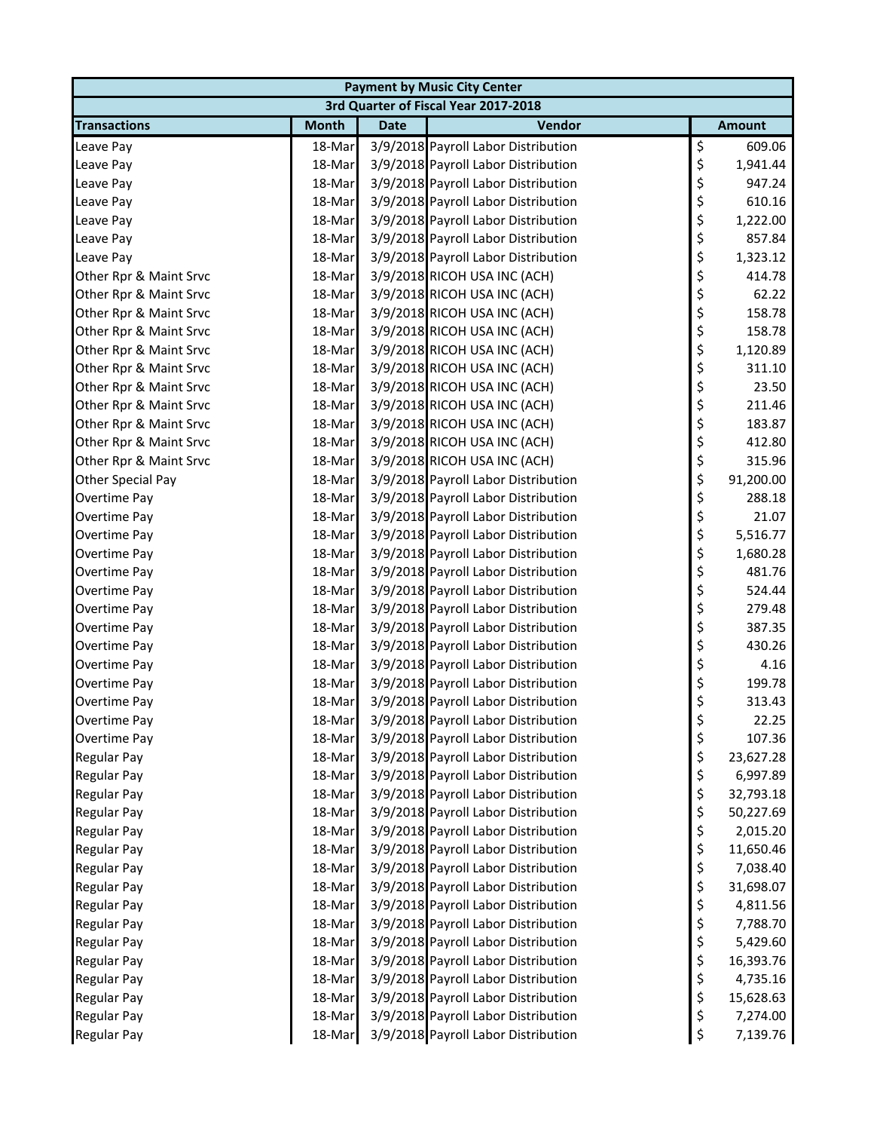| <b>Payment by Music City Center</b> |              |             |                                      |    |               |  |  |  |
|-------------------------------------|--------------|-------------|--------------------------------------|----|---------------|--|--|--|
|                                     |              |             | 3rd Quarter of Fiscal Year 2017-2018 |    |               |  |  |  |
| <b>Transactions</b>                 | <b>Month</b> | <b>Date</b> | Vendor                               |    | <b>Amount</b> |  |  |  |
| Leave Pay                           | 18-Mar       |             | 3/9/2018 Payroll Labor Distribution  | \$ | 609.06        |  |  |  |
| Leave Pay                           | 18-Mar       |             | 3/9/2018 Payroll Labor Distribution  | \$ | 1,941.44      |  |  |  |
| Leave Pay                           | 18-Mar       |             | 3/9/2018 Payroll Labor Distribution  | \$ | 947.24        |  |  |  |
| Leave Pay                           | 18-Mar       |             | 3/9/2018 Payroll Labor Distribution  | \$ | 610.16        |  |  |  |
| Leave Pay                           | 18-Mar       |             | 3/9/2018 Payroll Labor Distribution  | \$ | 1,222.00      |  |  |  |
| Leave Pay                           | 18-Mar       |             | 3/9/2018 Payroll Labor Distribution  | \$ | 857.84        |  |  |  |
| Leave Pay                           | 18-Mar       |             | 3/9/2018 Payroll Labor Distribution  | \$ | 1,323.12      |  |  |  |
| Other Rpr & Maint Srvc              | 18-Mar       |             | 3/9/2018 RICOH USA INC (ACH)         | \$ | 414.78        |  |  |  |
| Other Rpr & Maint Srvc              | 18-Mar       |             | 3/9/2018 RICOH USA INC (ACH)         | \$ | 62.22         |  |  |  |
| Other Rpr & Maint Srvc              | 18-Mar       |             | 3/9/2018 RICOH USA INC (ACH)         | \$ | 158.78        |  |  |  |
| Other Rpr & Maint Srvc              | 18-Mar       |             | 3/9/2018 RICOH USA INC (ACH)         | \$ | 158.78        |  |  |  |
| Other Rpr & Maint Srvc              | 18-Mar       |             | 3/9/2018 RICOH USA INC (ACH)         | \$ | 1,120.89      |  |  |  |
| Other Rpr & Maint Srvc              | 18-Mar       |             | 3/9/2018 RICOH USA INC (ACH)         | \$ | 311.10        |  |  |  |
| Other Rpr & Maint Srvc              | 18-Mar       |             | 3/9/2018 RICOH USA INC (ACH)         | \$ | 23.50         |  |  |  |
| Other Rpr & Maint Srvc              | 18-Mar       |             | 3/9/2018 RICOH USA INC (ACH)         | \$ | 211.46        |  |  |  |
| Other Rpr & Maint Srvc              | 18-Mar       |             | 3/9/2018 RICOH USA INC (ACH)         | \$ | 183.87        |  |  |  |
| Other Rpr & Maint Srvc              | 18-Mar       |             | 3/9/2018 RICOH USA INC (ACH)         | \$ | 412.80        |  |  |  |
| Other Rpr & Maint Srvc              | 18-Mar       |             | 3/9/2018 RICOH USA INC (ACH)         | \$ | 315.96        |  |  |  |
| Other Special Pay                   | 18-Mar       |             | 3/9/2018 Payroll Labor Distribution  | \$ | 91,200.00     |  |  |  |
| Overtime Pay                        | 18-Mar       |             | 3/9/2018 Payroll Labor Distribution  | \$ | 288.18        |  |  |  |
| Overtime Pay                        | 18-Mar       |             | 3/9/2018 Payroll Labor Distribution  | \$ | 21.07         |  |  |  |
| Overtime Pay                        | 18-Mar       |             | 3/9/2018 Payroll Labor Distribution  | \$ | 5,516.77      |  |  |  |
| Overtime Pay                        | 18-Mar       |             | 3/9/2018 Payroll Labor Distribution  | \$ | 1,680.28      |  |  |  |
| Overtime Pay                        | 18-Mar       |             | 3/9/2018 Payroll Labor Distribution  | \$ | 481.76        |  |  |  |
| Overtime Pay                        | 18-Mar       |             | 3/9/2018 Payroll Labor Distribution  | \$ | 524.44        |  |  |  |
| Overtime Pay                        | 18-Mar       |             | 3/9/2018 Payroll Labor Distribution  | \$ | 279.48        |  |  |  |
| Overtime Pay                        | 18-Mar       |             | 3/9/2018 Payroll Labor Distribution  | \$ | 387.35        |  |  |  |
| Overtime Pay                        | 18-Mar       |             | 3/9/2018 Payroll Labor Distribution  | \$ | 430.26        |  |  |  |
| Overtime Pay                        | 18-Mar       |             | 3/9/2018 Payroll Labor Distribution  | \$ | 4.16          |  |  |  |
| Overtime Pay                        | 18-Mar       |             | 3/9/2018 Payroll Labor Distribution  | \$ | 199.78        |  |  |  |
| Overtime Pay                        | 18-Mar       |             | 3/9/2018 Payroll Labor Distribution  | \$ | 313.43        |  |  |  |
| Overtime Pay                        | 18-Mar       |             | 3/9/2018 Payroll Labor Distribution  | Ş  | 22.25         |  |  |  |
| Overtime Pay                        | 18-Mar       |             | 3/9/2018 Payroll Labor Distribution  | \$ | 107.36        |  |  |  |
| <b>Regular Pay</b>                  | 18-Mar       |             | 3/9/2018 Payroll Labor Distribution  | \$ | 23,627.28     |  |  |  |
| <b>Regular Pay</b>                  | 18-Mar       |             | 3/9/2018 Payroll Labor Distribution  | \$ | 6,997.89      |  |  |  |
| <b>Regular Pay</b>                  | 18-Mar       |             | 3/9/2018 Payroll Labor Distribution  | \$ | 32,793.18     |  |  |  |
| <b>Regular Pay</b>                  | 18-Mar       |             | 3/9/2018 Payroll Labor Distribution  | \$ | 50,227.69     |  |  |  |
| <b>Regular Pay</b>                  | 18-Mar       |             | 3/9/2018 Payroll Labor Distribution  | \$ | 2,015.20      |  |  |  |
| Regular Pay                         | 18-Mar       |             | 3/9/2018 Payroll Labor Distribution  | \$ | 11,650.46     |  |  |  |
| Regular Pay                         | 18-Mar       |             | 3/9/2018 Payroll Labor Distribution  | \$ | 7,038.40      |  |  |  |
| Regular Pay                         | 18-Mar       |             | 3/9/2018 Payroll Labor Distribution  | \$ | 31,698.07     |  |  |  |
| Regular Pay                         | 18-Mar       |             | 3/9/2018 Payroll Labor Distribution  | \$ | 4,811.56      |  |  |  |
| <b>Regular Pay</b>                  | 18-Mar       |             | 3/9/2018 Payroll Labor Distribution  | \$ | 7,788.70      |  |  |  |
| <b>Regular Pay</b>                  | 18-Mar       |             | 3/9/2018 Payroll Labor Distribution  | \$ | 5,429.60      |  |  |  |
| Regular Pay                         | 18-Mar       |             | 3/9/2018 Payroll Labor Distribution  | \$ | 16,393.76     |  |  |  |
| <b>Regular Pay</b>                  | 18-Mar       |             | 3/9/2018 Payroll Labor Distribution  | \$ | 4,735.16      |  |  |  |
| <b>Regular Pay</b>                  | 18-Mar       |             | 3/9/2018 Payroll Labor Distribution  | \$ | 15,628.63     |  |  |  |
| <b>Regular Pay</b>                  | 18-Mar       |             | 3/9/2018 Payroll Labor Distribution  | \$ | 7,274.00      |  |  |  |
| Regular Pay                         | 18-Mar       |             | 3/9/2018 Payroll Labor Distribution  | \$ | 7,139.76      |  |  |  |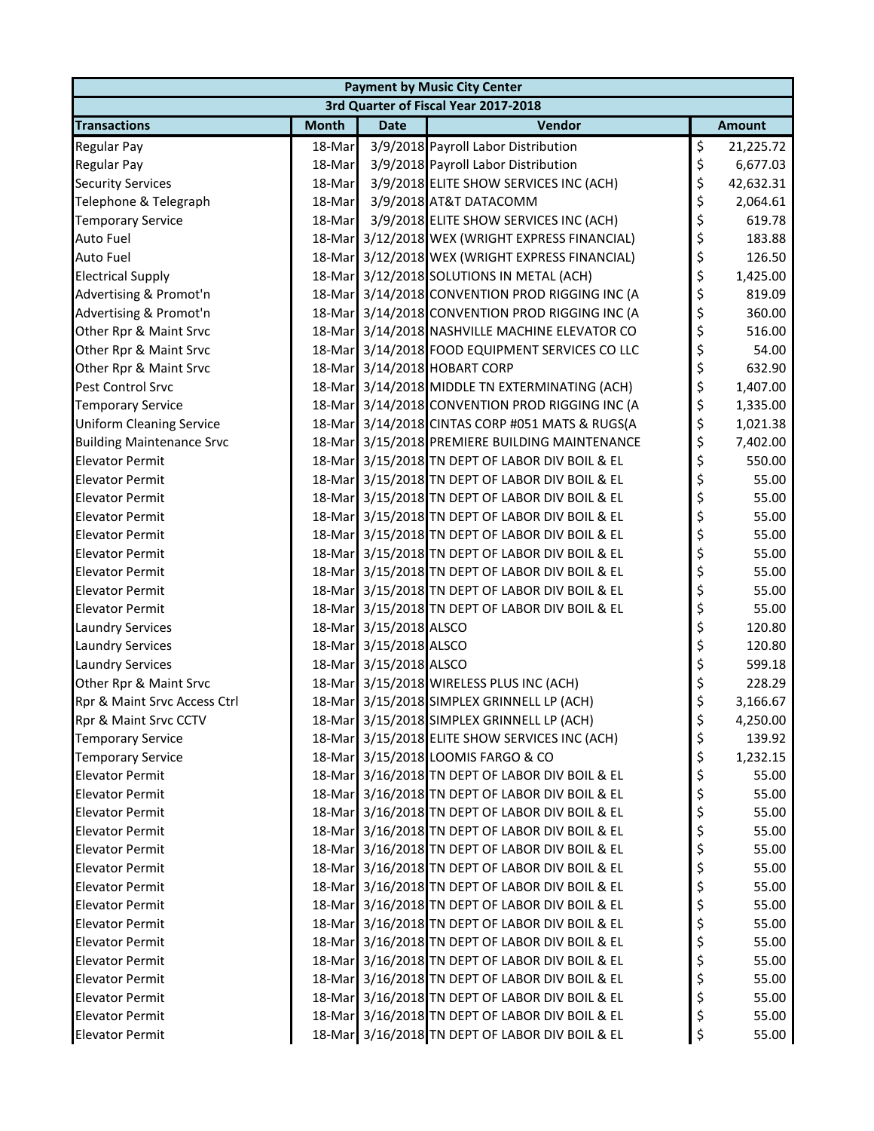| <b>Payment by Music City Center</b> |              |                        |                                                 |    |               |  |  |
|-------------------------------------|--------------|------------------------|-------------------------------------------------|----|---------------|--|--|
|                                     |              |                        | 3rd Quarter of Fiscal Year 2017-2018            |    |               |  |  |
| <b>Transactions</b>                 | <b>Month</b> | <b>Date</b>            | Vendor                                          |    | <b>Amount</b> |  |  |
| <b>Regular Pay</b>                  | 18-Mar       |                        | 3/9/2018 Payroll Labor Distribution             | \$ | 21,225.72     |  |  |
| Regular Pay                         | 18-Mar       |                        | 3/9/2018 Payroll Labor Distribution             | \$ | 6,677.03      |  |  |
| <b>Security Services</b>            | 18-Mar       |                        | 3/9/2018 ELITE SHOW SERVICES INC (ACH)          | \$ | 42,632.31     |  |  |
| Telephone & Telegraph               | 18-Mar       |                        | 3/9/2018 AT&T DATACOMM                          | \$ | 2,064.61      |  |  |
| <b>Temporary Service</b>            | 18-Mar       |                        | 3/9/2018 ELITE SHOW SERVICES INC (ACH)          | \$ | 619.78        |  |  |
| Auto Fuel                           |              |                        | 18-Mar 3/12/2018 WEX (WRIGHT EXPRESS FINANCIAL) | \$ | 183.88        |  |  |
| Auto Fuel                           |              |                        | 18-Mar 3/12/2018 WEX (WRIGHT EXPRESS FINANCIAL) | \$ | 126.50        |  |  |
| <b>Electrical Supply</b>            |              |                        | 18-Mar 3/12/2018 SOLUTIONS IN METAL (ACH)       | \$ | 1,425.00      |  |  |
| Advertising & Promot'n              |              |                        | 18-Mar 3/14/2018 CONVENTION PROD RIGGING INC (A | \$ | 819.09        |  |  |
| Advertising & Promot'n              |              |                        | 18-Mar 3/14/2018 CONVENTION PROD RIGGING INC (A | \$ | 360.00        |  |  |
| Other Rpr & Maint Srvc              |              |                        | 18-Mar 3/14/2018 NASHVILLE MACHINE ELEVATOR CO  | \$ | 516.00        |  |  |
| Other Rpr & Maint Srvc              |              |                        | 18-Mar 3/14/2018 FOOD EQUIPMENT SERVICES CO LLC | \$ | 54.00         |  |  |
| Other Rpr & Maint Srvc              |              |                        | 18-Mar 3/14/2018 HOBART CORP                    | \$ | 632.90        |  |  |
| Pest Control Srvc                   |              |                        | 18-Mar 3/14/2018 MIDDLE TN EXTERMINATING (ACH)  | \$ | 1,407.00      |  |  |
| <b>Temporary Service</b>            |              |                        | 18-Mar 3/14/2018 CONVENTION PROD RIGGING INC (A | \$ | 1,335.00      |  |  |
| <b>Uniform Cleaning Service</b>     |              |                        | 18-Mar 3/14/2018 CINTAS CORP #051 MATS & RUGS(A | \$ | 1,021.38      |  |  |
| <b>Building Maintenance Srvc</b>    |              |                        | 18-Mar 3/15/2018 PREMIERE BUILDING MAINTENANCE  | \$ | 7,402.00      |  |  |
| <b>Elevator Permit</b>              |              |                        | 18-Mar 3/15/2018 TN DEPT OF LABOR DIV BOIL & EL | \$ | 550.00        |  |  |
| <b>Elevator Permit</b>              |              |                        | 18-Mar 3/15/2018 TN DEPT OF LABOR DIV BOIL & EL | \$ | 55.00         |  |  |
| <b>Elevator Permit</b>              |              |                        | 18-Mar 3/15/2018 TN DEPT OF LABOR DIV BOIL & EL | \$ | 55.00         |  |  |
| <b>Elevator Permit</b>              |              |                        | 18-Mar 3/15/2018 TN DEPT OF LABOR DIV BOIL & EL | \$ | 55.00         |  |  |
| <b>Elevator Permit</b>              |              |                        | 18-Mar 3/15/2018 TN DEPT OF LABOR DIV BOIL & EL | \$ | 55.00         |  |  |
| <b>Elevator Permit</b>              |              |                        | 18-Mar 3/15/2018 TN DEPT OF LABOR DIV BOIL & EL | \$ | 55.00         |  |  |
| <b>Elevator Permit</b>              |              |                        | 18-Mar 3/15/2018 TN DEPT OF LABOR DIV BOIL & EL | \$ | 55.00         |  |  |
| <b>Elevator Permit</b>              |              |                        | 18-Mar 3/15/2018 TN DEPT OF LABOR DIV BOIL & EL | \$ | 55.00         |  |  |
| <b>Elevator Permit</b>              |              |                        | 18-Mar 3/15/2018 TN DEPT OF LABOR DIV BOIL & EL | \$ | 55.00         |  |  |
| <b>Laundry Services</b>             |              | 18-Mar 3/15/2018 ALSCO |                                                 | \$ | 120.80        |  |  |
| <b>Laundry Services</b>             |              | 18-Mar 3/15/2018 ALSCO |                                                 | \$ | 120.80        |  |  |
| <b>Laundry Services</b>             |              | 18-Mar 3/15/2018 ALSCO |                                                 | \$ | 599.18        |  |  |
| Other Rpr & Maint Srvc              |              |                        | 18-Mar 3/15/2018 WIRELESS PLUS INC (ACH)        | \$ | 228.29        |  |  |
| Rpr & Maint Srvc Access Ctrl        |              |                        | 18-Mar 3/15/2018 SIMPLEX GRINNELL LP (ACH)      | \$ | 3,166.67      |  |  |
| Rpr & Maint Srvc CCTV               |              |                        | 18-Mar 3/15/2018 SIMPLEX GRINNELL LP (ACH)      | Ş  | 4,250.00      |  |  |
| <b>Temporary Service</b>            |              |                        | 18-Mar 3/15/2018 ELITE SHOW SERVICES INC (ACH)  | \$ | 139.92        |  |  |
| <b>Temporary Service</b>            |              |                        | 18-Mar 3/15/2018 LOOMIS FARGO & CO              | \$ | 1,232.15      |  |  |
| <b>Elevator Permit</b>              |              |                        | 18-Mar 3/16/2018 TN DEPT OF LABOR DIV BOIL & EL | \$ | 55.00         |  |  |
| <b>Elevator Permit</b>              |              |                        | 18-Mar 3/16/2018 TN DEPT OF LABOR DIV BOIL & EL | \$ | 55.00         |  |  |
| <b>Elevator Permit</b>              |              |                        | 18-Mar 3/16/2018 TN DEPT OF LABOR DIV BOIL & EL | \$ | 55.00         |  |  |
| <b>Elevator Permit</b>              |              |                        | 18-Mar 3/16/2018 TN DEPT OF LABOR DIV BOIL & EL | \$ | 55.00         |  |  |
| <b>Elevator Permit</b>              |              |                        | 18-Mar 3/16/2018 TN DEPT OF LABOR DIV BOIL & EL | \$ | 55.00         |  |  |
| <b>Elevator Permit</b>              |              |                        | 18-Mar 3/16/2018 TN DEPT OF LABOR DIV BOIL & EL | \$ | 55.00         |  |  |
| <b>Elevator Permit</b>              |              |                        | 18-Mar 3/16/2018 TN DEPT OF LABOR DIV BOIL & EL | \$ | 55.00         |  |  |
| <b>Elevator Permit</b>              |              |                        | 18-Mar 3/16/2018 TN DEPT OF LABOR DIV BOIL & EL | \$ | 55.00         |  |  |
| <b>Elevator Permit</b>              |              |                        | 18-Mar 3/16/2018 TN DEPT OF LABOR DIV BOIL & EL | \$ | 55.00         |  |  |
| <b>Elevator Permit</b>              |              |                        | 18-Mar 3/16/2018 TN DEPT OF LABOR DIV BOIL & EL | \$ | 55.00         |  |  |
| <b>Elevator Permit</b>              |              |                        | 18-Mar 3/16/2018 TN DEPT OF LABOR DIV BOIL & EL | \$ | 55.00         |  |  |
| <b>Elevator Permit</b>              |              |                        | 18-Mar 3/16/2018 TN DEPT OF LABOR DIV BOIL & EL | \$ | 55.00         |  |  |
| <b>Elevator Permit</b>              |              |                        | 18-Mar 3/16/2018 TN DEPT OF LABOR DIV BOIL & EL | \$ | 55.00         |  |  |
| <b>Elevator Permit</b>              |              |                        | 18-Mar 3/16/2018 TN DEPT OF LABOR DIV BOIL & EL | \$ | 55.00         |  |  |
| <b>Elevator Permit</b>              |              |                        | 18-Mar 3/16/2018 TN DEPT OF LABOR DIV BOIL & EL | \$ | 55.00         |  |  |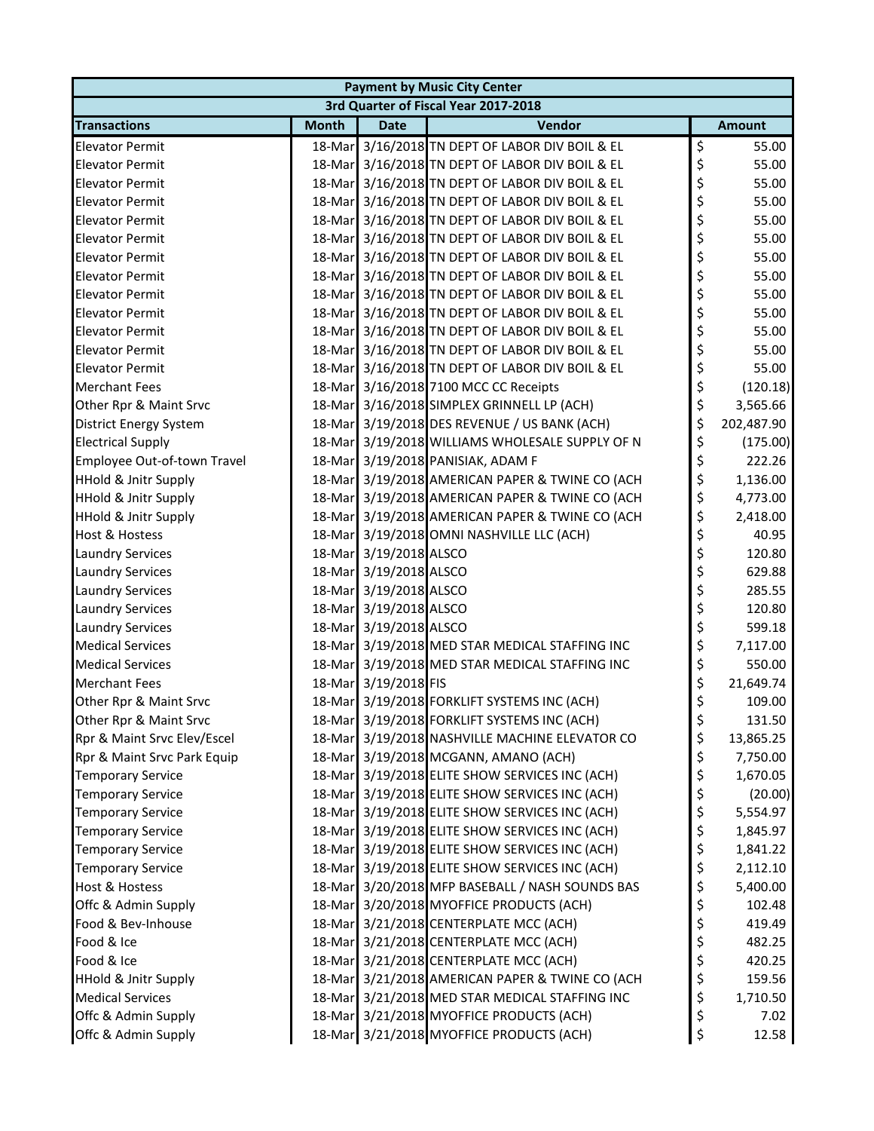| <b>Payment by Music City Center</b> |                                      |                        |                                                 |    |               |  |  |  |
|-------------------------------------|--------------------------------------|------------------------|-------------------------------------------------|----|---------------|--|--|--|
|                                     | 3rd Quarter of Fiscal Year 2017-2018 |                        |                                                 |    |               |  |  |  |
| <b>Transactions</b>                 | <b>Month</b>                         | <b>Date</b>            | Vendor                                          |    | <b>Amount</b> |  |  |  |
| <b>Elevator Permit</b>              |                                      |                        | 18-Mar 3/16/2018 TN DEPT OF LABOR DIV BOIL & EL | \$ | 55.00         |  |  |  |
| <b>Elevator Permit</b>              |                                      |                        | 18-Mar 3/16/2018 TN DEPT OF LABOR DIV BOIL & EL | \$ | 55.00         |  |  |  |
| <b>Elevator Permit</b>              |                                      |                        | 18-Mar 3/16/2018 TN DEPT OF LABOR DIV BOIL & EL | \$ | 55.00         |  |  |  |
| <b>Elevator Permit</b>              |                                      |                        | 18-Mar 3/16/2018 TN DEPT OF LABOR DIV BOIL & EL | \$ | 55.00         |  |  |  |
| <b>Elevator Permit</b>              |                                      |                        | 18-Mar 3/16/2018 TN DEPT OF LABOR DIV BOIL & EL | \$ | 55.00         |  |  |  |
| <b>Elevator Permit</b>              |                                      |                        | 18-Mar 3/16/2018 TN DEPT OF LABOR DIV BOIL & EL | \$ | 55.00         |  |  |  |
| <b>Elevator Permit</b>              |                                      |                        | 18-Mar 3/16/2018 TN DEPT OF LABOR DIV BOIL & EL | \$ | 55.00         |  |  |  |
| <b>Elevator Permit</b>              |                                      |                        | 18-Mar 3/16/2018 TN DEPT OF LABOR DIV BOIL & EL | \$ | 55.00         |  |  |  |
| <b>Elevator Permit</b>              |                                      |                        | 18-Mar 3/16/2018 TN DEPT OF LABOR DIV BOIL & EL | \$ | 55.00         |  |  |  |
| <b>Elevator Permit</b>              |                                      |                        | 18-Mar 3/16/2018 TN DEPT OF LABOR DIV BOIL & EL | \$ | 55.00         |  |  |  |
| <b>Elevator Permit</b>              |                                      |                        | 18-Mar 3/16/2018 TN DEPT OF LABOR DIV BOIL & EL | \$ | 55.00         |  |  |  |
| <b>Elevator Permit</b>              |                                      |                        | 18-Mar 3/16/2018 TN DEPT OF LABOR DIV BOIL & EL | \$ | 55.00         |  |  |  |
| <b>Elevator Permit</b>              |                                      |                        | 18-Mar 3/16/2018 TN DEPT OF LABOR DIV BOIL & EL | \$ | 55.00         |  |  |  |
| <b>Merchant Fees</b>                |                                      |                        | 18-Mar 3/16/2018 7100 MCC CC Receipts           | \$ | (120.18)      |  |  |  |
| Other Rpr & Maint Srvc              |                                      |                        | 18-Mar 3/16/2018 SIMPLEX GRINNELL LP (ACH)      | \$ | 3,565.66      |  |  |  |
| <b>District Energy System</b>       |                                      |                        | 18-Mar 3/19/2018 DES REVENUE / US BANK (ACH)    | \$ | 202,487.90    |  |  |  |
| <b>Electrical Supply</b>            |                                      |                        | 18-Mar 3/19/2018 WILLIAMS WHOLESALE SUPPLY OF N | \$ | (175.00)      |  |  |  |
| Employee Out-of-town Travel         |                                      |                        | 18-Mar 3/19/2018 PANISIAK, ADAM F               | \$ | 222.26        |  |  |  |
| <b>HHold &amp; Jnitr Supply</b>     |                                      |                        | 18-Mar 3/19/2018 AMERICAN PAPER & TWINE CO (ACH | \$ | 1,136.00      |  |  |  |
| <b>HHold &amp; Jnitr Supply</b>     |                                      |                        | 18-Mar 3/19/2018 AMERICAN PAPER & TWINE CO (ACH | \$ | 4,773.00      |  |  |  |
| <b>HHold &amp; Jnitr Supply</b>     |                                      |                        | 18-Mar 3/19/2018 AMERICAN PAPER & TWINE CO (ACH | \$ | 2,418.00      |  |  |  |
| <b>Host &amp; Hostess</b>           |                                      |                        | 18-Mar 3/19/2018 OMNI NASHVILLE LLC (ACH)       | \$ | 40.95         |  |  |  |
| <b>Laundry Services</b>             |                                      | 18-Mar 3/19/2018 ALSCO |                                                 | \$ | 120.80        |  |  |  |
| <b>Laundry Services</b>             |                                      | 18-Mar 3/19/2018 ALSCO |                                                 | \$ | 629.88        |  |  |  |
| <b>Laundry Services</b>             |                                      | 18-Mar 3/19/2018 ALSCO |                                                 | \$ | 285.55        |  |  |  |
| <b>Laundry Services</b>             |                                      | 18-Mar 3/19/2018 ALSCO |                                                 | \$ | 120.80        |  |  |  |
| <b>Laundry Services</b>             |                                      | 18-Mar 3/19/2018 ALSCO |                                                 | \$ | 599.18        |  |  |  |
| <b>Medical Services</b>             |                                      |                        | 18-Mar 3/19/2018 MED STAR MEDICAL STAFFING INC  | \$ | 7,117.00      |  |  |  |
| <b>Medical Services</b>             |                                      |                        | 18-Mar 3/19/2018 MED STAR MEDICAL STAFFING INC  | \$ | 550.00        |  |  |  |
| <b>Merchant Fees</b>                |                                      | 18-Mar 3/19/2018 FIS   |                                                 | \$ | 21,649.74     |  |  |  |
| Other Rpr & Maint Srvc              |                                      |                        | 18-Mar 3/19/2018 FORKLIFT SYSTEMS INC (ACH)     | \$ | 109.00        |  |  |  |
| Other Rpr & Maint Srvc              |                                      |                        | 18-Mar 3/19/2018 FORKLIFT SYSTEMS INC (ACH)     | Ş  | 131.50        |  |  |  |
| Rpr & Maint Srvc Elev/Escel         |                                      |                        | 18-Mar 3/19/2018 NASHVILLE MACHINE ELEVATOR CO  | \$ | 13,865.25     |  |  |  |
| Rpr & Maint Srvc Park Equip         |                                      |                        | 18-Mar 3/19/2018 MCGANN, AMANO (ACH)            | \$ | 7,750.00      |  |  |  |
| <b>Temporary Service</b>            |                                      |                        | 18-Mar 3/19/2018 ELITE SHOW SERVICES INC (ACH)  | \$ | 1,670.05      |  |  |  |
| <b>Temporary Service</b>            |                                      |                        | 18-Mar 3/19/2018 ELITE SHOW SERVICES INC (ACH)  | \$ | (20.00)       |  |  |  |
| <b>Temporary Service</b>            |                                      |                        | 18-Mar 3/19/2018 ELITE SHOW SERVICES INC (ACH)  | \$ | 5,554.97      |  |  |  |
| <b>Temporary Service</b>            |                                      |                        | 18-Mar 3/19/2018 ELITE SHOW SERVICES INC (ACH)  | \$ | 1,845.97      |  |  |  |
| <b>Temporary Service</b>            |                                      |                        | 18-Mar 3/19/2018 ELITE SHOW SERVICES INC (ACH)  | \$ | 1,841.22      |  |  |  |
| <b>Temporary Service</b>            |                                      |                        | 18-Mar 3/19/2018 ELITE SHOW SERVICES INC (ACH)  | \$ | 2,112.10      |  |  |  |
| <b>Host &amp; Hostess</b>           |                                      |                        | 18-Mar 3/20/2018 MFP BASEBALL / NASH SOUNDS BAS | \$ | 5,400.00      |  |  |  |
| Offc & Admin Supply                 |                                      |                        | 18-Mar 3/20/2018 MYOFFICE PRODUCTS (ACH)        | \$ | 102.48        |  |  |  |
| Food & Bev-Inhouse                  |                                      |                        | 18-Mar 3/21/2018 CENTERPLATE MCC (ACH)          | \$ | 419.49        |  |  |  |
| Food & Ice                          |                                      |                        | 18-Mar 3/21/2018 CENTERPLATE MCC (ACH)          | \$ | 482.25        |  |  |  |
| Food & Ice                          |                                      |                        | 18-Mar 3/21/2018 CENTERPLATE MCC (ACH)          | \$ | 420.25        |  |  |  |
| <b>HHold &amp; Jnitr Supply</b>     |                                      |                        | 18-Mar 3/21/2018 AMERICAN PAPER & TWINE CO (ACH | \$ | 159.56        |  |  |  |
| <b>Medical Services</b>             |                                      |                        | 18-Mar 3/21/2018 MED STAR MEDICAL STAFFING INC  | \$ | 1,710.50      |  |  |  |
| Offc & Admin Supply                 |                                      |                        | 18-Mar 3/21/2018 MYOFFICE PRODUCTS (ACH)        | \$ | 7.02          |  |  |  |
| Offc & Admin Supply                 |                                      |                        | 18-Mar 3/21/2018 MYOFFICE PRODUCTS (ACH)        | \$ | 12.58         |  |  |  |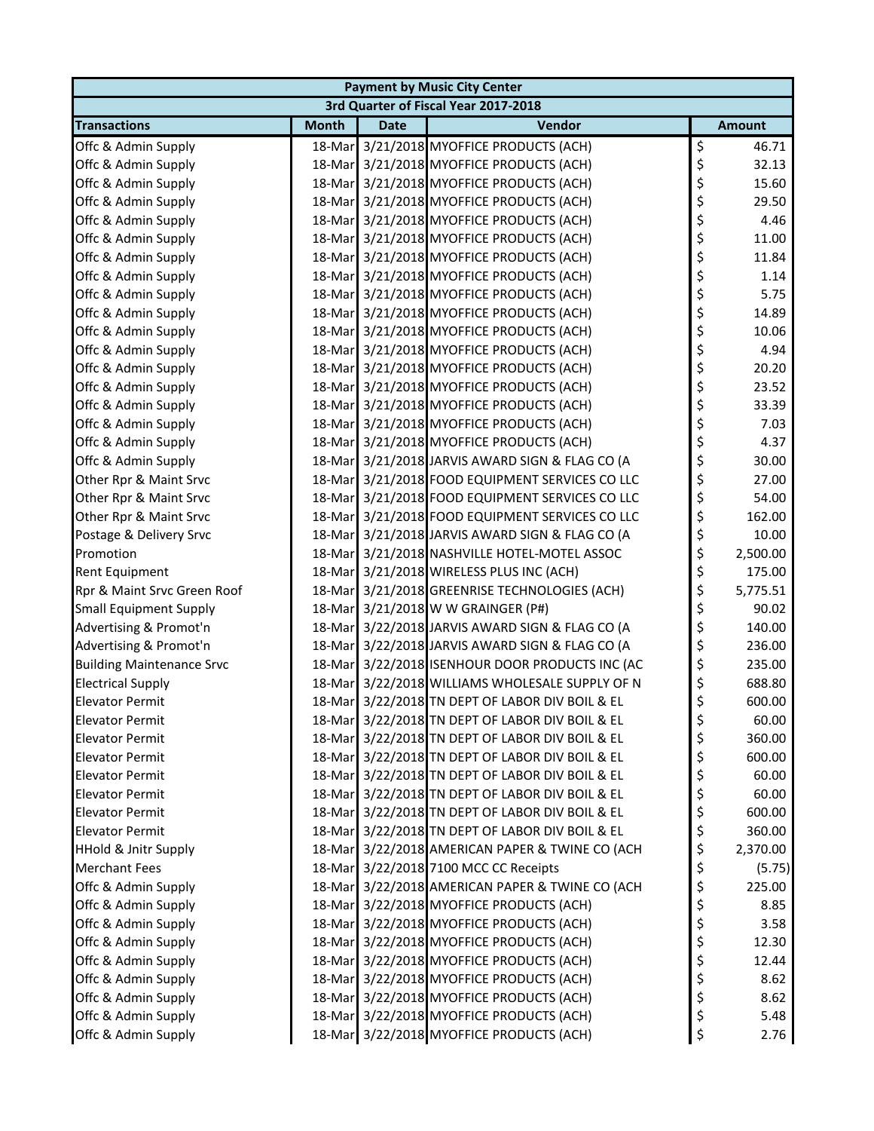| <b>Payment by Music City Center</b> |              |             |                                                 |    |               |  |
|-------------------------------------|--------------|-------------|-------------------------------------------------|----|---------------|--|
|                                     |              |             | 3rd Quarter of Fiscal Year 2017-2018            |    |               |  |
| <b>Transactions</b>                 | <b>Month</b> | <b>Date</b> | Vendor                                          |    | <b>Amount</b> |  |
| Offc & Admin Supply                 |              |             | 18-Mar 3/21/2018 MYOFFICE PRODUCTS (ACH)        | \$ | 46.71         |  |
| Offc & Admin Supply                 |              |             | 18-Mar 3/21/2018 MYOFFICE PRODUCTS (ACH)        | \$ | 32.13         |  |
| Offc & Admin Supply                 |              |             | 18-Mar 3/21/2018 MYOFFICE PRODUCTS (ACH)        | \$ | 15.60         |  |
| Offc & Admin Supply                 |              |             | 18-Mar 3/21/2018 MYOFFICE PRODUCTS (ACH)        | \$ | 29.50         |  |
| Offc & Admin Supply                 |              |             | 18-Mar 3/21/2018 MYOFFICE PRODUCTS (ACH)        | \$ | 4.46          |  |
| Offc & Admin Supply                 |              |             | 18-Mar 3/21/2018 MYOFFICE PRODUCTS (ACH)        | \$ | 11.00         |  |
| Offc & Admin Supply                 |              |             | 18-Mar 3/21/2018 MYOFFICE PRODUCTS (ACH)        | \$ | 11.84         |  |
| Offc & Admin Supply                 |              |             | 18-Mar 3/21/2018 MYOFFICE PRODUCTS (ACH)        | \$ | 1.14          |  |
| Offc & Admin Supply                 |              |             | 18-Mar 3/21/2018 MYOFFICE PRODUCTS (ACH)        | \$ | 5.75          |  |
| Offc & Admin Supply                 |              |             | 18-Mar 3/21/2018 MYOFFICE PRODUCTS (ACH)        | \$ | 14.89         |  |
| Offc & Admin Supply                 |              |             | 18-Mar 3/21/2018 MYOFFICE PRODUCTS (ACH)        | \$ | 10.06         |  |
| Offc & Admin Supply                 |              |             | 18-Mar 3/21/2018 MYOFFICE PRODUCTS (ACH)        | \$ | 4.94          |  |
| Offc & Admin Supply                 |              |             | 18-Mar 3/21/2018 MYOFFICE PRODUCTS (ACH)        | \$ | 20.20         |  |
| Offc & Admin Supply                 |              |             | 18-Mar 3/21/2018 MYOFFICE PRODUCTS (ACH)        | \$ | 23.52         |  |
| Offc & Admin Supply                 |              |             | 18-Mar 3/21/2018 MYOFFICE PRODUCTS (ACH)        | \$ | 33.39         |  |
| Offc & Admin Supply                 |              |             | 18-Mar 3/21/2018 MYOFFICE PRODUCTS (ACH)        | \$ | 7.03          |  |
| Offc & Admin Supply                 |              |             | 18-Mar 3/21/2018 MYOFFICE PRODUCTS (ACH)        | \$ | 4.37          |  |
| Offc & Admin Supply                 |              |             | 18-Mar 3/21/2018 JARVIS AWARD SIGN & FLAG CO (A | \$ | 30.00         |  |
| Other Rpr & Maint Srvc              |              |             | 18-Mar 3/21/2018 FOOD EQUIPMENT SERVICES CO LLC | \$ | 27.00         |  |
| Other Rpr & Maint Srvc              |              |             | 18-Mar 3/21/2018 FOOD EQUIPMENT SERVICES CO LLC | \$ | 54.00         |  |
| Other Rpr & Maint Srvc              |              |             | 18-Mar 3/21/2018 FOOD EQUIPMENT SERVICES CO LLC | \$ | 162.00        |  |
| Postage & Delivery Srvc             |              |             | 18-Mar 3/21/2018 JARVIS AWARD SIGN & FLAG CO (A | \$ | 10.00         |  |
| Promotion                           |              |             | 18-Mar 3/21/2018 NASHVILLE HOTEL-MOTEL ASSOC    | \$ | 2,500.00      |  |
| Rent Equipment                      |              |             | 18-Mar 3/21/2018 WIRELESS PLUS INC (ACH)        | \$ | 175.00        |  |
| Rpr & Maint Srvc Green Roof         |              |             | 18-Mar 3/21/2018 GREENRISE TECHNOLOGIES (ACH)   | \$ | 5,775.51      |  |
| <b>Small Equipment Supply</b>       |              |             | 18-Mar 3/21/2018 W W GRAINGER (P#)              | \$ | 90.02         |  |
| Advertising & Promot'n              |              |             | 18-Mar 3/22/2018 JARVIS AWARD SIGN & FLAG CO (A | \$ | 140.00        |  |
| Advertising & Promot'n              |              |             | 18-Mar 3/22/2018 JARVIS AWARD SIGN & FLAG CO (A | \$ | 236.00        |  |
| <b>Building Maintenance Srvc</b>    |              |             | 18-Mar 3/22/2018 ISENHOUR DOOR PRODUCTS INC (AC | \$ | 235.00        |  |
| <b>Electrical Supply</b>            |              |             | 18-Mar 3/22/2018 WILLIAMS WHOLESALE SUPPLY OF N | \$ | 688.80        |  |
| <b>Elevator Permit</b>              |              |             | 18-Mar 3/22/2018 TN DEPT OF LABOR DIV BOIL & EL | \$ | 600.00        |  |
| <b>Elevator Permit</b>              |              |             | 18-Mar 3/22/2018 TN DEPT OF LABOR DIV BOIL & EL | Ç  | 60.00         |  |
| <b>Elevator Permit</b>              |              |             | 18-Mar 3/22/2018 TN DEPT OF LABOR DIV BOIL & EL | \$ | 360.00        |  |
| <b>Elevator Permit</b>              |              |             | 18-Mar 3/22/2018 TN DEPT OF LABOR DIV BOIL & EL | \$ | 600.00        |  |
| <b>Elevator Permit</b>              |              |             | 18-Mar 3/22/2018 TN DEPT OF LABOR DIV BOIL & EL | \$ | 60.00         |  |
| <b>Elevator Permit</b>              |              |             | 18-Mar 3/22/2018 TN DEPT OF LABOR DIV BOIL & EL | \$ | 60.00         |  |
| <b>Elevator Permit</b>              |              |             | 18-Mar 3/22/2018 TN DEPT OF LABOR DIV BOIL & EL | \$ | 600.00        |  |
| <b>Elevator Permit</b>              |              |             | 18-Mar 3/22/2018 TN DEPT OF LABOR DIV BOIL & EL | \$ | 360.00        |  |
| <b>HHold &amp; Jnitr Supply</b>     |              |             | 18-Mar 3/22/2018 AMERICAN PAPER & TWINE CO (ACH | \$ | 2,370.00      |  |
| <b>Merchant Fees</b>                |              |             | 18-Mar 3/22/2018 7100 MCC CC Receipts           | \$ | (5.75)        |  |
| Offc & Admin Supply                 |              |             | 18-Mar 3/22/2018 AMERICAN PAPER & TWINE CO (ACH | \$ | 225.00        |  |
| Offc & Admin Supply                 |              |             | 18-Mar 3/22/2018 MYOFFICE PRODUCTS (ACH)        | \$ | 8.85          |  |
| Offc & Admin Supply                 |              |             | 18-Mar 3/22/2018 MYOFFICE PRODUCTS (ACH)        | \$ | 3.58          |  |
| Offc & Admin Supply                 |              |             | 18-Mar 3/22/2018 MYOFFICE PRODUCTS (ACH)        | \$ | 12.30         |  |
| Offc & Admin Supply                 |              |             | 18-Mar 3/22/2018 MYOFFICE PRODUCTS (ACH)        | \$ | 12.44         |  |
| Offc & Admin Supply                 |              |             | 18-Mar 3/22/2018 MYOFFICE PRODUCTS (ACH)        | \$ | 8.62          |  |
| Offc & Admin Supply                 |              |             | 18-Mar 3/22/2018 MYOFFICE PRODUCTS (ACH)        | \$ | 8.62          |  |
| Offc & Admin Supply                 |              |             | 18-Mar 3/22/2018 MYOFFICE PRODUCTS (ACH)        | \$ | 5.48          |  |
| Offc & Admin Supply                 |              |             | 18-Mar 3/22/2018 MYOFFICE PRODUCTS (ACH)        | \$ | 2.76          |  |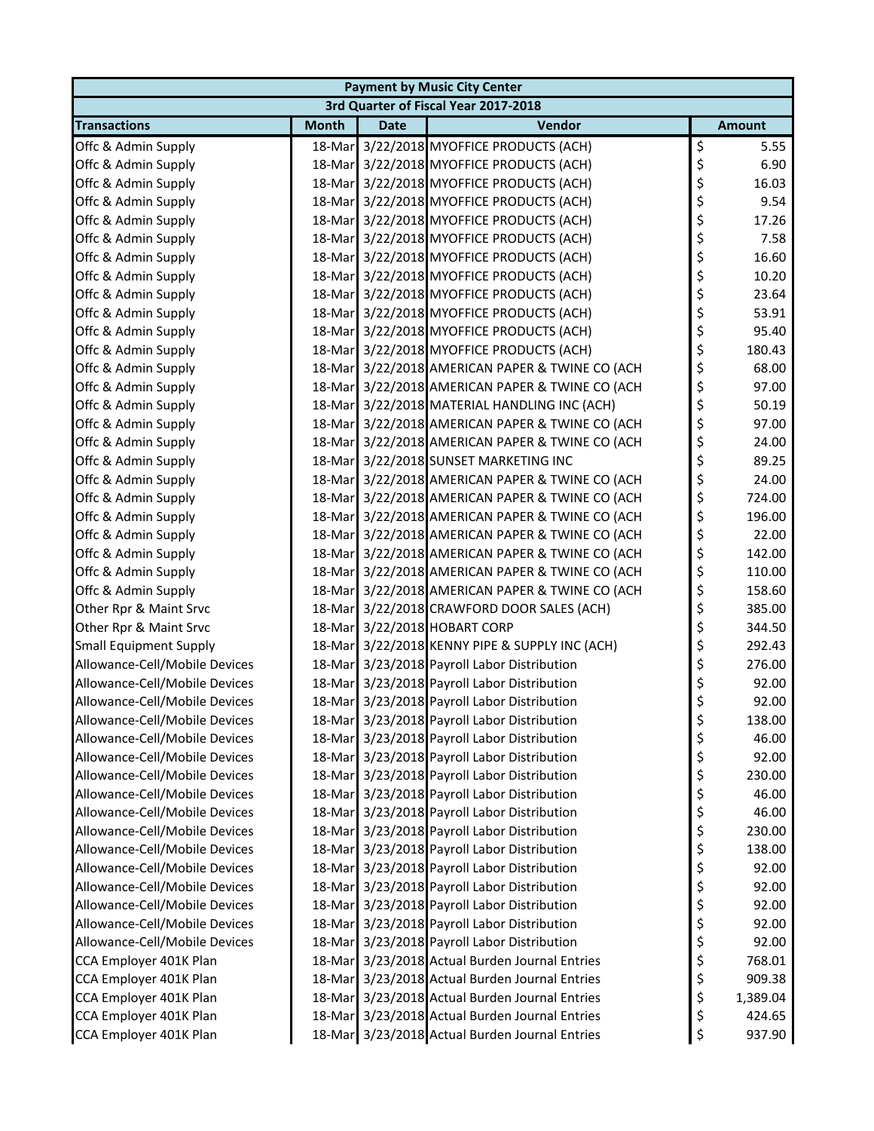| <b>Payment by Music City Center</b>  |              |             |                                                 |    |               |  |  |
|--------------------------------------|--------------|-------------|-------------------------------------------------|----|---------------|--|--|
| 3rd Quarter of Fiscal Year 2017-2018 |              |             |                                                 |    |               |  |  |
| <b>Transactions</b>                  | <b>Month</b> | <b>Date</b> | Vendor                                          |    | <b>Amount</b> |  |  |
| Offc & Admin Supply                  |              |             | 18-Mar 3/22/2018 MYOFFICE PRODUCTS (ACH)        | \$ | 5.55          |  |  |
| Offc & Admin Supply                  |              |             | 18-Mar 3/22/2018 MYOFFICE PRODUCTS (ACH)        | \$ | 6.90          |  |  |
| Offc & Admin Supply                  |              |             | 18-Mar 3/22/2018 MYOFFICE PRODUCTS (ACH)        | \$ | 16.03         |  |  |
| Offc & Admin Supply                  |              |             | 18-Mar 3/22/2018 MYOFFICE PRODUCTS (ACH)        | \$ | 9.54          |  |  |
| Offc & Admin Supply                  |              |             | 18-Mar 3/22/2018 MYOFFICE PRODUCTS (ACH)        | \$ | 17.26         |  |  |
| Offc & Admin Supply                  |              |             | 18-Mar 3/22/2018 MYOFFICE PRODUCTS (ACH)        | \$ | 7.58          |  |  |
| Offc & Admin Supply                  |              |             | 18-Mar 3/22/2018 MYOFFICE PRODUCTS (ACH)        | \$ | 16.60         |  |  |
| Offc & Admin Supply                  |              |             | 18-Mar 3/22/2018 MYOFFICE PRODUCTS (ACH)        | \$ | 10.20         |  |  |
| Offc & Admin Supply                  |              |             | 18-Mar 3/22/2018 MYOFFICE PRODUCTS (ACH)        | \$ | 23.64         |  |  |
| Offc & Admin Supply                  |              |             | 18-Mar 3/22/2018 MYOFFICE PRODUCTS (ACH)        | \$ | 53.91         |  |  |
| Offc & Admin Supply                  |              |             | 18-Mar 3/22/2018 MYOFFICE PRODUCTS (ACH)        | \$ | 95.40         |  |  |
| Offc & Admin Supply                  |              |             | 18-Mar 3/22/2018 MYOFFICE PRODUCTS (ACH)        | \$ | 180.43        |  |  |
| Offc & Admin Supply                  |              |             | 18-Mar 3/22/2018 AMERICAN PAPER & TWINE CO (ACH | \$ | 68.00         |  |  |
| Offc & Admin Supply                  |              |             | 18-Mar 3/22/2018 AMERICAN PAPER & TWINE CO (ACH | \$ | 97.00         |  |  |
| Offc & Admin Supply                  |              |             | 18-Mar 3/22/2018 MATERIAL HANDLING INC (ACH)    | \$ | 50.19         |  |  |
| Offc & Admin Supply                  |              |             | 18-Mar 3/22/2018 AMERICAN PAPER & TWINE CO (ACH | \$ | 97.00         |  |  |
| Offc & Admin Supply                  |              |             | 18-Mar 3/22/2018 AMERICAN PAPER & TWINE CO (ACH | \$ | 24.00         |  |  |
| Offc & Admin Supply                  |              |             | 18-Mar 3/22/2018 SUNSET MARKETING INC           | \$ | 89.25         |  |  |
| Offc & Admin Supply                  |              |             | 18-Mar 3/22/2018 AMERICAN PAPER & TWINE CO (ACH | \$ | 24.00         |  |  |
| Offc & Admin Supply                  |              |             | 18-Mar 3/22/2018 AMERICAN PAPER & TWINE CO (ACH | \$ | 724.00        |  |  |
| Offc & Admin Supply                  |              |             | 18-Mar 3/22/2018 AMERICAN PAPER & TWINE CO (ACH | \$ | 196.00        |  |  |
| Offc & Admin Supply                  |              |             | 18-Mar 3/22/2018 AMERICAN PAPER & TWINE CO (ACH | \$ | 22.00         |  |  |
| Offc & Admin Supply                  |              |             | 18-Mar 3/22/2018 AMERICAN PAPER & TWINE CO (ACH | \$ | 142.00        |  |  |
| Offc & Admin Supply                  |              |             | 18-Mar 3/22/2018 AMERICAN PAPER & TWINE CO (ACH | \$ | 110.00        |  |  |
| Offc & Admin Supply                  |              |             | 18-Mar 3/22/2018 AMERICAN PAPER & TWINE CO (ACH | \$ | 158.60        |  |  |
| Other Rpr & Maint Srvc               |              |             | 18-Mar 3/22/2018 CRAWFORD DOOR SALES (ACH)      | \$ | 385.00        |  |  |
| Other Rpr & Maint Srvc               |              |             | 18-Mar 3/22/2018 HOBART CORP                    | \$ | 344.50        |  |  |
| <b>Small Equipment Supply</b>        |              |             | 18-Mar 3/22/2018 KENNY PIPE & SUPPLY INC (ACH)  | \$ | 292.43        |  |  |
| Allowance-Cell/Mobile Devices        |              |             | 18-Mar 3/23/2018 Payroll Labor Distribution     | \$ | 276.00        |  |  |
| Allowance-Cell/Mobile Devices        |              |             | 18-Mar 3/23/2018 Payroll Labor Distribution     | \$ | 92.00         |  |  |
| Allowance-Cell/Mobile Devices        |              |             | 18-Mar 3/23/2018 Payroll Labor Distribution     | \$ | 92.00         |  |  |
| Allowance-Cell/Mobile Devices        |              |             | 18-Mar 3/23/2018 Payroll Labor Distribution     | ⊋  | 138.00        |  |  |
| Allowance-Cell/Mobile Devices        |              |             | 18-Mar 3/23/2018 Payroll Labor Distribution     | \$ | 46.00         |  |  |
| Allowance-Cell/Mobile Devices        |              |             | 18-Mar 3/23/2018 Payroll Labor Distribution     | \$ | 92.00         |  |  |
| Allowance-Cell/Mobile Devices        |              |             | 18-Mar 3/23/2018 Payroll Labor Distribution     | \$ | 230.00        |  |  |
| Allowance-Cell/Mobile Devices        |              |             | 18-Mar 3/23/2018 Payroll Labor Distribution     | \$ | 46.00         |  |  |
| Allowance-Cell/Mobile Devices        |              |             | 18-Mar 3/23/2018 Payroll Labor Distribution     | \$ | 46.00         |  |  |
| Allowance-Cell/Mobile Devices        |              |             | 18-Mar 3/23/2018 Payroll Labor Distribution     | \$ | 230.00        |  |  |
| Allowance-Cell/Mobile Devices        |              |             | 18-Mar 3/23/2018 Payroll Labor Distribution     | \$ | 138.00        |  |  |
| Allowance-Cell/Mobile Devices        |              |             | 18-Mar 3/23/2018 Payroll Labor Distribution     | \$ | 92.00         |  |  |
| Allowance-Cell/Mobile Devices        |              |             | 18-Mar 3/23/2018 Payroll Labor Distribution     | \$ | 92.00         |  |  |
| Allowance-Cell/Mobile Devices        |              |             | 18-Mar 3/23/2018 Payroll Labor Distribution     | \$ | 92.00         |  |  |
| Allowance-Cell/Mobile Devices        |              |             | 18-Mar 3/23/2018 Payroll Labor Distribution     | \$ | 92.00         |  |  |
| Allowance-Cell/Mobile Devices        |              |             | 18-Mar 3/23/2018 Payroll Labor Distribution     | \$ | 92.00         |  |  |
| CCA Employer 401K Plan               |              |             | 18-Mar 3/23/2018 Actual Burden Journal Entries  | \$ | 768.01        |  |  |
| CCA Employer 401K Plan               |              |             | 18-Mar 3/23/2018 Actual Burden Journal Entries  | \$ | 909.38        |  |  |
| CCA Employer 401K Plan               |              |             | 18-Mar 3/23/2018 Actual Burden Journal Entries  | \$ | 1,389.04      |  |  |
| CCA Employer 401K Plan               |              |             | 18-Mar 3/23/2018 Actual Burden Journal Entries  | \$ | 424.65        |  |  |
| CCA Employer 401K Plan               |              |             | 18-Mar 3/23/2018 Actual Burden Journal Entries  | \$ | 937.90        |  |  |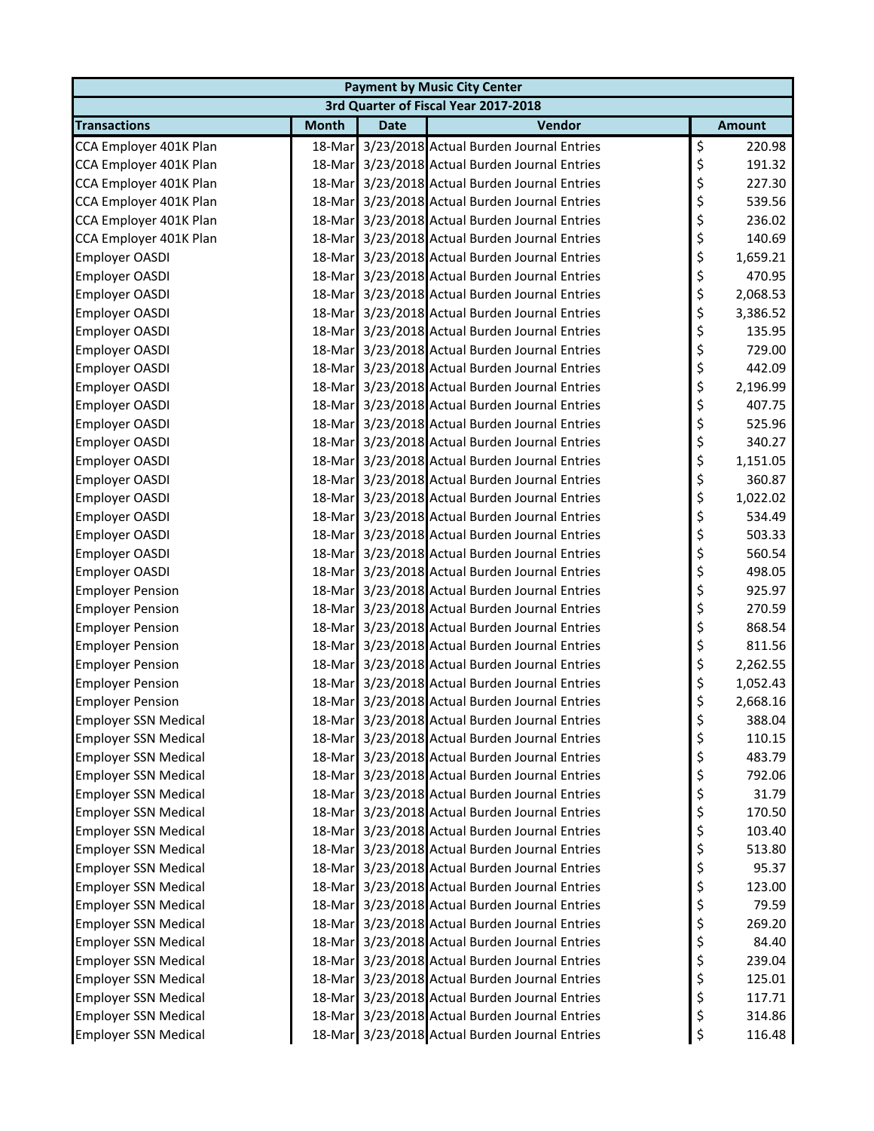| <b>Payment by Music City Center</b>  |              |             |                                                |    |               |  |  |
|--------------------------------------|--------------|-------------|------------------------------------------------|----|---------------|--|--|
| 3rd Quarter of Fiscal Year 2017-2018 |              |             |                                                |    |               |  |  |
| <b>Transactions</b>                  | <b>Month</b> | <b>Date</b> | Vendor                                         |    | <b>Amount</b> |  |  |
| CCA Employer 401K Plan               |              |             | 18-Mar 3/23/2018 Actual Burden Journal Entries | \$ | 220.98        |  |  |
| CCA Employer 401K Plan               |              |             | 18-Mar 3/23/2018 Actual Burden Journal Entries | \$ | 191.32        |  |  |
| CCA Employer 401K Plan               | 18-Mar       |             | 3/23/2018 Actual Burden Journal Entries        | \$ | 227.30        |  |  |
| CCA Employer 401K Plan               | 18-Mar       |             | 3/23/2018 Actual Burden Journal Entries        | \$ | 539.56        |  |  |
| CCA Employer 401K Plan               |              |             | 18-Mar 3/23/2018 Actual Burden Journal Entries | \$ | 236.02        |  |  |
| CCA Employer 401K Plan               |              |             | 18-Mar 3/23/2018 Actual Burden Journal Entries | \$ | 140.69        |  |  |
| <b>Employer OASDI</b>                |              |             | 18-Mar 3/23/2018 Actual Burden Journal Entries | \$ | 1,659.21      |  |  |
| <b>Employer OASDI</b>                |              |             | 18-Mar 3/23/2018 Actual Burden Journal Entries | \$ | 470.95        |  |  |
| <b>Employer OASDI</b>                |              |             | 18-Mar 3/23/2018 Actual Burden Journal Entries | \$ | 2,068.53      |  |  |
| <b>Employer OASDI</b>                |              |             | 18-Mar 3/23/2018 Actual Burden Journal Entries | \$ | 3,386.52      |  |  |
| Employer OASDI                       |              |             | 18-Mar 3/23/2018 Actual Burden Journal Entries | \$ | 135.95        |  |  |
| Employer OASDI                       |              |             | 18-Mar 3/23/2018 Actual Burden Journal Entries | \$ | 729.00        |  |  |
| <b>Employer OASDI</b>                |              |             | 18-Mar 3/23/2018 Actual Burden Journal Entries | \$ | 442.09        |  |  |
| Employer OASDI                       |              |             | 18-Mar 3/23/2018 Actual Burden Journal Entries | \$ | 2,196.99      |  |  |
| Employer OASDI                       |              |             | 18-Mar 3/23/2018 Actual Burden Journal Entries | \$ | 407.75        |  |  |
| Employer OASDI                       |              |             | 18-Mar 3/23/2018 Actual Burden Journal Entries | \$ | 525.96        |  |  |
| Employer OASDI                       |              |             | 18-Mar 3/23/2018 Actual Burden Journal Entries | \$ | 340.27        |  |  |
| Employer OASDI                       |              |             | 18-Mar 3/23/2018 Actual Burden Journal Entries | \$ | 1,151.05      |  |  |
| Employer OASDI                       |              |             | 18-Mar 3/23/2018 Actual Burden Journal Entries | \$ | 360.87        |  |  |
| Employer OASDI                       |              |             | 18-Mar 3/23/2018 Actual Burden Journal Entries | \$ | 1,022.02      |  |  |
| Employer OASDI                       |              |             | 18-Mar 3/23/2018 Actual Burden Journal Entries | \$ | 534.49        |  |  |
| <b>Employer OASDI</b>                |              |             | 18-Mar 3/23/2018 Actual Burden Journal Entries | \$ | 503.33        |  |  |
| <b>Employer OASDI</b>                |              |             | 18-Mar 3/23/2018 Actual Burden Journal Entries | \$ | 560.54        |  |  |
| <b>Employer OASDI</b>                |              |             | 18-Mar 3/23/2018 Actual Burden Journal Entries | \$ | 498.05        |  |  |
| <b>Employer Pension</b>              |              |             | 18-Mar 3/23/2018 Actual Burden Journal Entries | \$ | 925.97        |  |  |
| <b>Employer Pension</b>              |              |             | 18-Mar 3/23/2018 Actual Burden Journal Entries | \$ | 270.59        |  |  |
| <b>Employer Pension</b>              |              |             | 18-Mar 3/23/2018 Actual Burden Journal Entries | \$ | 868.54        |  |  |
| <b>Employer Pension</b>              |              |             | 18-Mar 3/23/2018 Actual Burden Journal Entries | \$ | 811.56        |  |  |
| <b>Employer Pension</b>              |              |             | 18-Mar 3/23/2018 Actual Burden Journal Entries | \$ | 2,262.55      |  |  |
| <b>Employer Pension</b>              |              |             | 18-Mar 3/23/2018 Actual Burden Journal Entries | \$ | 1,052.43      |  |  |
| <b>Employer Pension</b>              |              |             | 18-Mar 3/23/2018 Actual Burden Journal Entries | \$ | 2,668.16      |  |  |
| <b>Employer SSN Medical</b>          |              |             | 18-Mar 3/23/2018 Actual Burden Journal Entries | \$ | 388.04        |  |  |
| <b>Employer SSN Medical</b>          |              |             | 18-Mar 3/23/2018 Actual Burden Journal Entries | \$ | 110.15        |  |  |
| <b>Employer SSN Medical</b>          |              |             | 18-Mar 3/23/2018 Actual Burden Journal Entries | \$ | 483.79        |  |  |
| <b>Employer SSN Medical</b>          |              |             | 18-Mar 3/23/2018 Actual Burden Journal Entries | \$ | 792.06        |  |  |
| <b>Employer SSN Medical</b>          |              |             | 18-Mar 3/23/2018 Actual Burden Journal Entries | \$ | 31.79         |  |  |
| <b>Employer SSN Medical</b>          |              |             | 18-Mar 3/23/2018 Actual Burden Journal Entries | \$ | 170.50        |  |  |
| <b>Employer SSN Medical</b>          |              |             | 18-Mar 3/23/2018 Actual Burden Journal Entries | \$ | 103.40        |  |  |
| <b>Employer SSN Medical</b>          |              |             | 18-Mar 3/23/2018 Actual Burden Journal Entries | \$ | 513.80        |  |  |
| <b>Employer SSN Medical</b>          |              |             | 18-Mar 3/23/2018 Actual Burden Journal Entries | \$ | 95.37         |  |  |
| <b>Employer SSN Medical</b>          |              |             | 18-Mar 3/23/2018 Actual Burden Journal Entries | \$ | 123.00        |  |  |
| <b>Employer SSN Medical</b>          |              |             | 18-Mar 3/23/2018 Actual Burden Journal Entries | \$ | 79.59         |  |  |
| <b>Employer SSN Medical</b>          |              |             | 18-Mar 3/23/2018 Actual Burden Journal Entries | \$ | 269.20        |  |  |
| <b>Employer SSN Medical</b>          |              |             | 18-Mar 3/23/2018 Actual Burden Journal Entries | \$ | 84.40         |  |  |
| <b>Employer SSN Medical</b>          |              |             | 18-Mar 3/23/2018 Actual Burden Journal Entries | \$ | 239.04        |  |  |
| <b>Employer SSN Medical</b>          |              |             | 18-Mar 3/23/2018 Actual Burden Journal Entries | \$ | 125.01        |  |  |
| <b>Employer SSN Medical</b>          | 18-Mar       |             | 3/23/2018 Actual Burden Journal Entries        | \$ | 117.71        |  |  |
| <b>Employer SSN Medical</b>          |              |             | 18-Mar 3/23/2018 Actual Burden Journal Entries | \$ | 314.86        |  |  |
| <b>Employer SSN Medical</b>          |              |             | 18-Mar 3/23/2018 Actual Burden Journal Entries | \$ | 116.48        |  |  |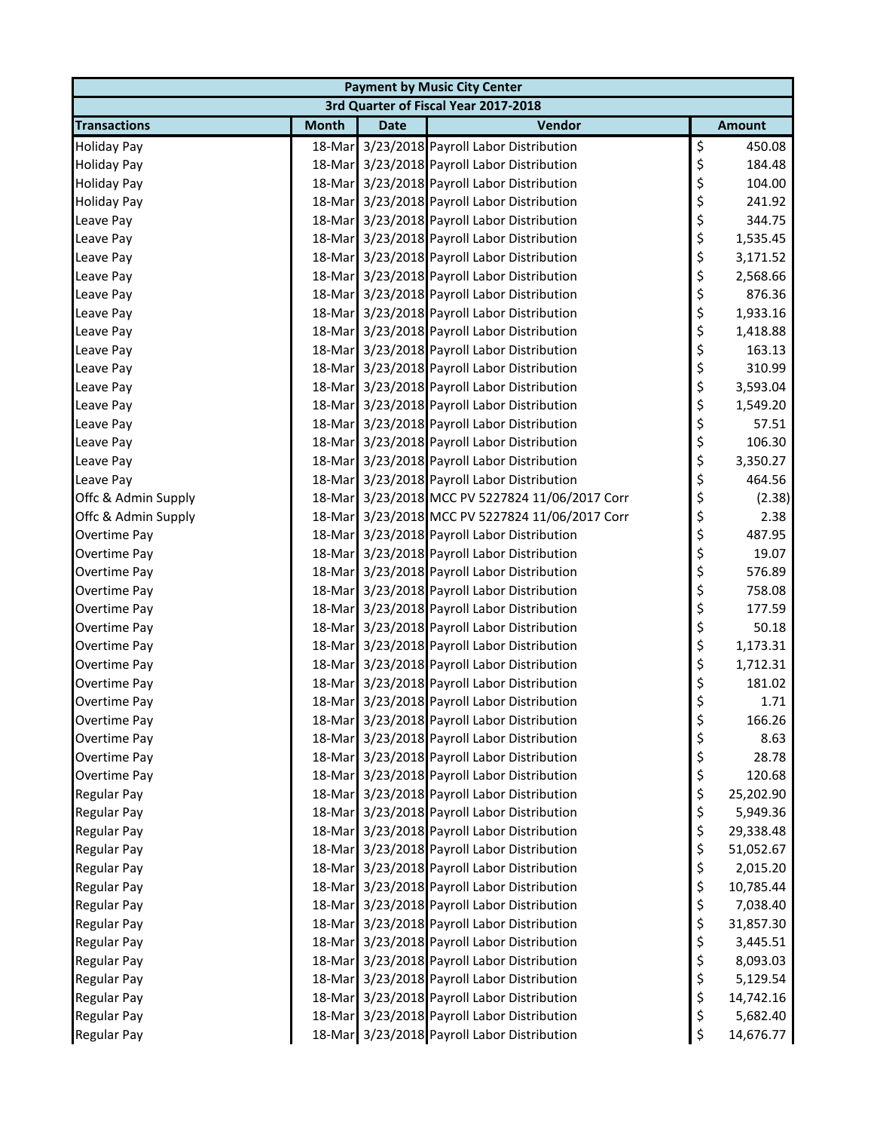| <b>Payment by Music City Center</b>  |              |             |                                                 |    |               |  |
|--------------------------------------|--------------|-------------|-------------------------------------------------|----|---------------|--|
| 3rd Quarter of Fiscal Year 2017-2018 |              |             |                                                 |    |               |  |
| <b>Transactions</b>                  | <b>Month</b> | <b>Date</b> | Vendor                                          |    | <b>Amount</b> |  |
| <b>Holiday Pay</b>                   |              |             | 18-Mar 3/23/2018 Payroll Labor Distribution     | \$ | 450.08        |  |
| <b>Holiday Pay</b>                   |              |             | 18-Mar 3/23/2018 Payroll Labor Distribution     | \$ | 184.48        |  |
| <b>Holiday Pay</b>                   |              |             | 18-Mar 3/23/2018 Payroll Labor Distribution     | \$ | 104.00        |  |
| <b>Holiday Pay</b>                   |              |             | 18-Mar 3/23/2018 Payroll Labor Distribution     | \$ | 241.92        |  |
| Leave Pay                            |              |             | 18-Mar 3/23/2018 Payroll Labor Distribution     | \$ | 344.75        |  |
| Leave Pay                            |              |             | 18-Mar 3/23/2018 Payroll Labor Distribution     | \$ | 1,535.45      |  |
| Leave Pay                            |              |             | 18-Mar 3/23/2018 Payroll Labor Distribution     | \$ | 3,171.52      |  |
| Leave Pay                            |              |             | 18-Mar 3/23/2018 Payroll Labor Distribution     | \$ | 2,568.66      |  |
| Leave Pay                            |              |             | 18-Mar 3/23/2018 Payroll Labor Distribution     | \$ | 876.36        |  |
| Leave Pay                            |              |             | 18-Mar 3/23/2018 Payroll Labor Distribution     | \$ | 1,933.16      |  |
| Leave Pay                            |              |             | 18-Mar 3/23/2018 Payroll Labor Distribution     | \$ | 1,418.88      |  |
| Leave Pay                            |              |             | 18-Mar 3/23/2018 Payroll Labor Distribution     | \$ | 163.13        |  |
| Leave Pay                            |              |             | 18-Mar 3/23/2018 Payroll Labor Distribution     | \$ | 310.99        |  |
| Leave Pay                            |              |             | 18-Mar 3/23/2018 Payroll Labor Distribution     | \$ | 3,593.04      |  |
| Leave Pay                            |              |             | 18-Mar 3/23/2018 Payroll Labor Distribution     | \$ | 1,549.20      |  |
| Leave Pay                            |              |             | 18-Mar 3/23/2018 Payroll Labor Distribution     | \$ | 57.51         |  |
| Leave Pay                            |              |             | 18-Mar 3/23/2018 Payroll Labor Distribution     | \$ | 106.30        |  |
| Leave Pay                            |              |             | 18-Mar 3/23/2018 Payroll Labor Distribution     | \$ | 3,350.27      |  |
| Leave Pay                            |              |             | 18-Mar 3/23/2018 Payroll Labor Distribution     | \$ | 464.56        |  |
| Offc & Admin Supply                  |              |             | 18-Mar 3/23/2018 MCC PV 5227824 11/06/2017 Corr | \$ | (2.38)        |  |
| Offc & Admin Supply                  |              |             | 18-Mar 3/23/2018 MCC PV 5227824 11/06/2017 Corr | \$ | 2.38          |  |
| Overtime Pay                         |              |             | 18-Mar 3/23/2018 Payroll Labor Distribution     | \$ | 487.95        |  |
| Overtime Pay                         |              |             | 18-Mar 3/23/2018 Payroll Labor Distribution     | \$ | 19.07         |  |
| Overtime Pay                         |              |             | 18-Mar 3/23/2018 Payroll Labor Distribution     | \$ | 576.89        |  |
| Overtime Pay                         |              |             | 18-Mar 3/23/2018 Payroll Labor Distribution     | \$ | 758.08        |  |
| Overtime Pay                         |              |             | 18-Mar 3/23/2018 Payroll Labor Distribution     | \$ | 177.59        |  |
| Overtime Pay                         |              |             | 18-Mar 3/23/2018 Payroll Labor Distribution     | \$ | 50.18         |  |
| Overtime Pay                         |              |             | 18-Mar 3/23/2018 Payroll Labor Distribution     | \$ | 1,173.31      |  |
| Overtime Pay                         |              |             | 18-Mar 3/23/2018 Payroll Labor Distribution     | \$ | 1,712.31      |  |
| Overtime Pay                         |              |             | 18-Mar 3/23/2018 Payroll Labor Distribution     | \$ | 181.02        |  |
| Overtime Pay                         |              |             | 18-Mar 3/23/2018 Payroll Labor Distribution     | \$ | 1.71          |  |
| Overtime Pay                         |              |             | 18-Mar 3/23/2018 Payroll Labor Distribution     | Ş  | 166.26        |  |
| Overtime Pay                         |              |             | 18-Mar 3/23/2018 Payroll Labor Distribution     | \$ | 8.63          |  |
| Overtime Pay                         |              |             | 18-Mar 3/23/2018 Payroll Labor Distribution     | \$ | 28.78         |  |
| Overtime Pay                         |              |             | 18-Mar 3/23/2018 Payroll Labor Distribution     | \$ | 120.68        |  |
| Regular Pay                          |              |             | 18-Mar 3/23/2018 Payroll Labor Distribution     | \$ | 25,202.90     |  |
| <b>Regular Pay</b>                   |              |             | 18-Mar 3/23/2018 Payroll Labor Distribution     | \$ | 5,949.36      |  |
| Regular Pay                          |              |             | 18-Mar 3/23/2018 Payroll Labor Distribution     | \$ | 29,338.48     |  |
| Regular Pay                          |              |             | 18-Mar 3/23/2018 Payroll Labor Distribution     | \$ | 51,052.67     |  |
| <b>Regular Pay</b>                   |              |             | 18-Mar 3/23/2018 Payroll Labor Distribution     | \$ | 2,015.20      |  |
| Regular Pay                          |              |             | 18-Mar 3/23/2018 Payroll Labor Distribution     | \$ | 10,785.44     |  |
| Regular Pay                          |              |             | 18-Mar 3/23/2018 Payroll Labor Distribution     | \$ | 7,038.40      |  |
| Regular Pay                          |              |             | 18-Mar 3/23/2018 Payroll Labor Distribution     | \$ | 31,857.30     |  |
| <b>Regular Pay</b>                   |              |             | 18-Mar 3/23/2018 Payroll Labor Distribution     | \$ | 3,445.51      |  |
| Regular Pay                          |              |             | 18-Mar 3/23/2018 Payroll Labor Distribution     | \$ | 8,093.03      |  |
| Regular Pay                          |              |             | 18-Mar 3/23/2018 Payroll Labor Distribution     | \$ | 5,129.54      |  |
| Regular Pay                          |              |             | 18-Mar 3/23/2018 Payroll Labor Distribution     | \$ | 14,742.16     |  |
| Regular Pay                          |              |             | 18-Mar 3/23/2018 Payroll Labor Distribution     | \$ | 5,682.40      |  |
| Regular Pay                          |              |             | 18-Mar 3/23/2018 Payroll Labor Distribution     | \$ | 14,676.77     |  |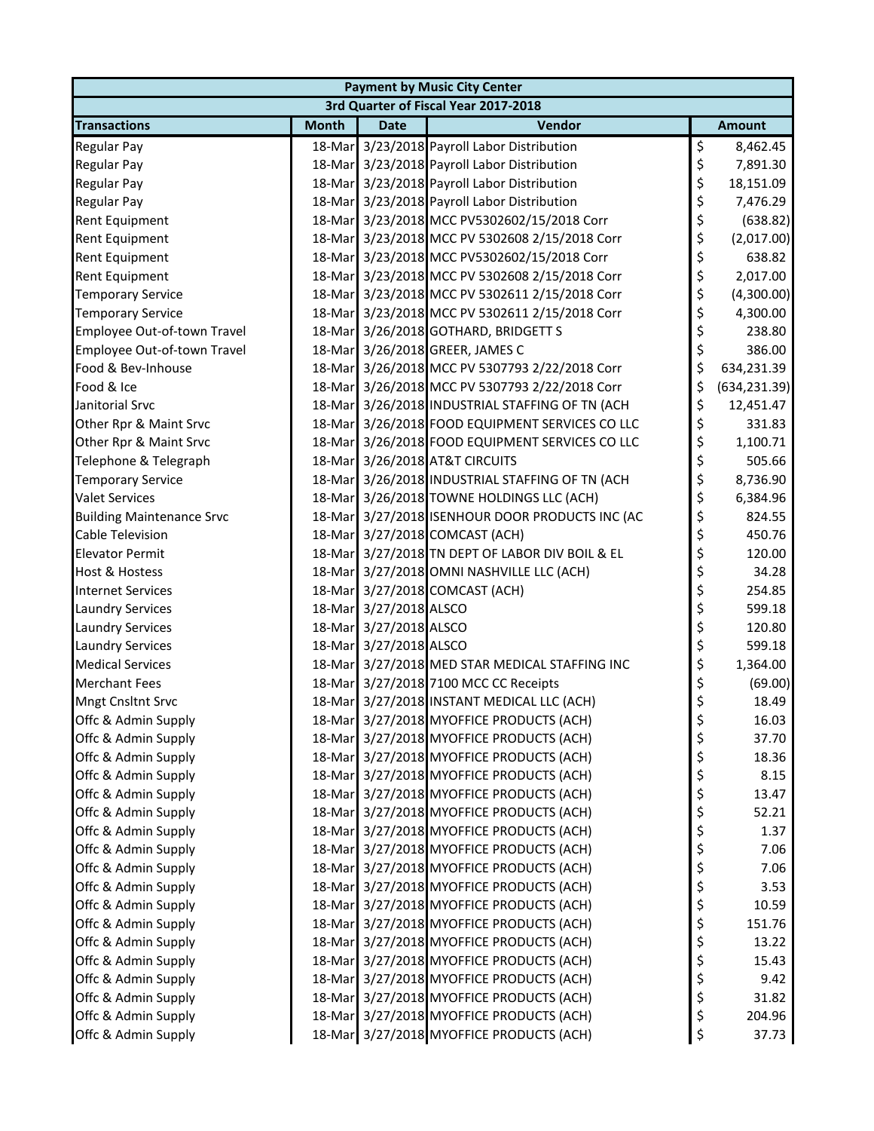| <b>Payment by Music City Center</b>  |              |                        |                                                 |    |               |  |  |
|--------------------------------------|--------------|------------------------|-------------------------------------------------|----|---------------|--|--|
| 3rd Quarter of Fiscal Year 2017-2018 |              |                        |                                                 |    |               |  |  |
| <b>Transactions</b>                  | <b>Month</b> | <b>Date</b>            | Vendor                                          |    | <b>Amount</b> |  |  |
| <b>Regular Pay</b>                   |              |                        | 18-Mar 3/23/2018 Payroll Labor Distribution     | \$ | 8,462.45      |  |  |
| Regular Pay                          |              |                        | 18-Mar 3/23/2018 Payroll Labor Distribution     | \$ | 7,891.30      |  |  |
| <b>Regular Pay</b>                   |              |                        | 18-Mar 3/23/2018 Payroll Labor Distribution     | \$ | 18,151.09     |  |  |
| Regular Pay                          |              |                        | 18-Mar 3/23/2018 Payroll Labor Distribution     | \$ | 7,476.29      |  |  |
| Rent Equipment                       |              |                        | 18-Mar 3/23/2018 MCC PV5302602/15/2018 Corr     | \$ | (638.82)      |  |  |
| Rent Equipment                       |              |                        | 18-Mar 3/23/2018 MCC PV 5302608 2/15/2018 Corr  | \$ | (2,017.00)    |  |  |
| <b>Rent Equipment</b>                |              |                        | 18-Mar 3/23/2018 MCC PV5302602/15/2018 Corr     | \$ | 638.82        |  |  |
| Rent Equipment                       |              |                        | 18-Mar 3/23/2018 MCC PV 5302608 2/15/2018 Corr  | \$ | 2,017.00      |  |  |
| <b>Temporary Service</b>             |              |                        | 18-Mar 3/23/2018 MCC PV 5302611 2/15/2018 Corr  | \$ | (4,300.00)    |  |  |
| <b>Temporary Service</b>             |              |                        | 18-Mar 3/23/2018 MCC PV 5302611 2/15/2018 Corr  | \$ | 4,300.00      |  |  |
| Employee Out-of-town Travel          |              |                        | 18-Mar 3/26/2018 GOTHARD, BRIDGETT S            | \$ | 238.80        |  |  |
| Employee Out-of-town Travel          |              |                        | 18-Mar 3/26/2018 GREER, JAMES C                 | \$ | 386.00        |  |  |
| Food & Bev-Inhouse                   |              |                        | 18-Mar 3/26/2018 MCC PV 5307793 2/22/2018 Corr  | \$ | 634,231.39    |  |  |
| Food & Ice                           |              |                        | 18-Mar 3/26/2018 MCC PV 5307793 2/22/2018 Corr  | \$ | (634, 231.39) |  |  |
| Janitorial Srvc                      |              |                        | 18-Mar 3/26/2018 INDUSTRIAL STAFFING OF TN (ACH | \$ | 12,451.47     |  |  |
| Other Rpr & Maint Srvc               |              |                        | 18-Mar 3/26/2018 FOOD EQUIPMENT SERVICES CO LLC | \$ | 331.83        |  |  |
| Other Rpr & Maint Srvc               |              |                        | 18-Mar 3/26/2018 FOOD EQUIPMENT SERVICES CO LLC | \$ | 1,100.71      |  |  |
| Telephone & Telegraph                |              |                        | 18-Mar 3/26/2018 AT&T CIRCUITS                  | \$ | 505.66        |  |  |
| <b>Temporary Service</b>             |              |                        | 18-Mar 3/26/2018 INDUSTRIAL STAFFING OF TN (ACH | \$ | 8,736.90      |  |  |
| <b>Valet Services</b>                |              |                        | 18-Mar 3/26/2018 TOWNE HOLDINGS LLC (ACH)       | \$ | 6,384.96      |  |  |
| <b>Building Maintenance Srvc</b>     |              |                        | 18-Mar 3/27/2018 ISENHOUR DOOR PRODUCTS INC (AC | \$ | 824.55        |  |  |
| <b>Cable Television</b>              |              |                        | 18-Mar 3/27/2018 COMCAST (ACH)                  | \$ | 450.76        |  |  |
| <b>Elevator Permit</b>               |              |                        | 18-Mar 3/27/2018 TN DEPT OF LABOR DIV BOIL & EL | \$ | 120.00        |  |  |
| <b>Host &amp; Hostess</b>            |              |                        | 18-Mar 3/27/2018 OMNI NASHVILLE LLC (ACH)       | \$ | 34.28         |  |  |
| <b>Internet Services</b>             |              |                        | 18-Mar 3/27/2018 COMCAST (ACH)                  | \$ | 254.85        |  |  |
| <b>Laundry Services</b>              |              | 18-Mar 3/27/2018 ALSCO |                                                 | \$ | 599.18        |  |  |
| <b>Laundry Services</b>              |              | 18-Mar 3/27/2018 ALSCO |                                                 | \$ | 120.80        |  |  |
| <b>Laundry Services</b>              |              | 18-Mar 3/27/2018 ALSCO |                                                 | \$ | 599.18        |  |  |
| <b>Medical Services</b>              |              |                        | 18-Mar 3/27/2018 MED STAR MEDICAL STAFFING INC  | \$ | 1,364.00      |  |  |
| <b>Merchant Fees</b>                 |              |                        | 18-Mar 3/27/2018 7100 MCC CC Receipts           | \$ | (69.00)       |  |  |
| <b>Mngt Cnsltnt Srvc</b>             |              |                        | 18-Mar 3/27/2018 INSTANT MEDICAL LLC (ACH)      | \$ | 18.49         |  |  |
| Offc & Admin Supply                  |              |                        | 18-Mar 3/27/2018 MYOFFICE PRODUCTS (ACH)        | Ş  | 16.03         |  |  |
| Offc & Admin Supply                  |              |                        | 18-Mar 3/27/2018 MYOFFICE PRODUCTS (ACH)        | \$ | 37.70         |  |  |
| Offc & Admin Supply                  |              |                        | 18-Mar 3/27/2018 MYOFFICE PRODUCTS (ACH)        | \$ | 18.36         |  |  |
| Offc & Admin Supply                  |              |                        | 18-Mar 3/27/2018 MYOFFICE PRODUCTS (ACH)        | \$ | 8.15          |  |  |
| Offc & Admin Supply                  |              |                        | 18-Mar 3/27/2018 MYOFFICE PRODUCTS (ACH)        | \$ | 13.47         |  |  |
| Offc & Admin Supply                  |              |                        | 18-Mar 3/27/2018 MYOFFICE PRODUCTS (ACH)        | \$ | 52.21         |  |  |
| Offc & Admin Supply                  |              |                        | 18-Mar 3/27/2018 MYOFFICE PRODUCTS (ACH)        | \$ | 1.37          |  |  |
| Offc & Admin Supply                  |              |                        | 18-Mar 3/27/2018 MYOFFICE PRODUCTS (ACH)        | \$ | 7.06          |  |  |
| Offc & Admin Supply                  |              |                        | 18-Mar 3/27/2018 MYOFFICE PRODUCTS (ACH)        | \$ | 7.06          |  |  |
| Offc & Admin Supply                  |              |                        | 18-Mar 3/27/2018 MYOFFICE PRODUCTS (ACH)        | \$ | 3.53          |  |  |
| Offc & Admin Supply                  |              |                        | 18-Mar 3/27/2018 MYOFFICE PRODUCTS (ACH)        | \$ | 10.59         |  |  |
| Offc & Admin Supply                  |              |                        | 18-Mar 3/27/2018 MYOFFICE PRODUCTS (ACH)        | \$ | 151.76        |  |  |
| Offc & Admin Supply                  |              |                        | 18-Mar 3/27/2018 MYOFFICE PRODUCTS (ACH)        | \$ | 13.22         |  |  |
| Offc & Admin Supply                  |              |                        | 18-Mar 3/27/2018 MYOFFICE PRODUCTS (ACH)        | \$ | 15.43         |  |  |
| Offc & Admin Supply                  |              |                        | 18-Mar 3/27/2018 MYOFFICE PRODUCTS (ACH)        | \$ | 9.42          |  |  |
| Offc & Admin Supply                  |              |                        | 18-Mar 3/27/2018 MYOFFICE PRODUCTS (ACH)        | \$ | 31.82         |  |  |
| Offc & Admin Supply                  |              |                        | 18-Mar 3/27/2018 MYOFFICE PRODUCTS (ACH)        | \$ | 204.96        |  |  |
| Offc & Admin Supply                  |              |                        | 18-Mar 3/27/2018 MYOFFICE PRODUCTS (ACH)        | \$ | 37.73         |  |  |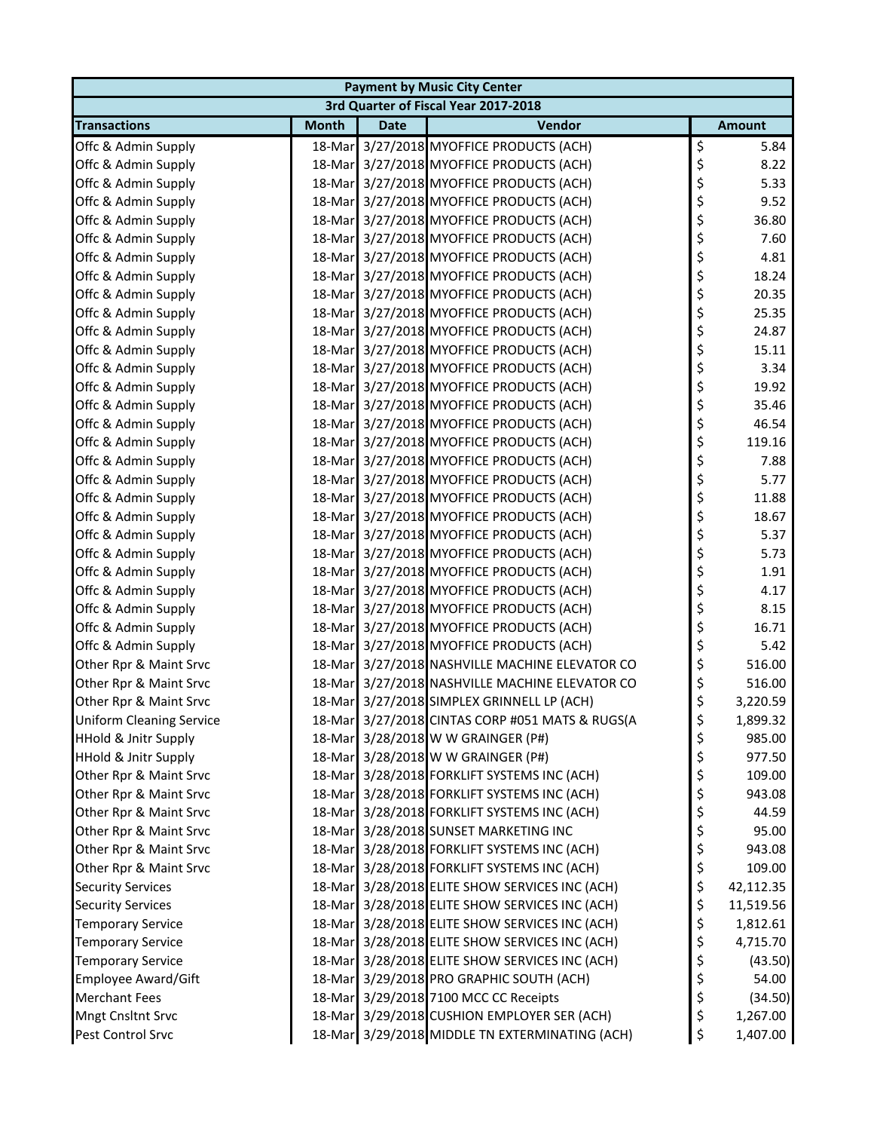| <b>Payment by Music City Center</b>  |              |             |                                                 |    |               |  |  |
|--------------------------------------|--------------|-------------|-------------------------------------------------|----|---------------|--|--|
| 3rd Quarter of Fiscal Year 2017-2018 |              |             |                                                 |    |               |  |  |
| <b>Transactions</b>                  | <b>Month</b> | <b>Date</b> | Vendor                                          |    | <b>Amount</b> |  |  |
| Offc & Admin Supply                  |              |             | 18-Mar 3/27/2018 MYOFFICE PRODUCTS (ACH)        | \$ | 5.84          |  |  |
| Offc & Admin Supply                  |              |             | 18-Mar 3/27/2018 MYOFFICE PRODUCTS (ACH)        | \$ | 8.22          |  |  |
| Offc & Admin Supply                  |              |             | 18-Mar 3/27/2018 MYOFFICE PRODUCTS (ACH)        | \$ | 5.33          |  |  |
| Offc & Admin Supply                  |              |             | 18-Mar 3/27/2018 MYOFFICE PRODUCTS (ACH)        | \$ | 9.52          |  |  |
| Offc & Admin Supply                  |              |             | 18-Mar 3/27/2018 MYOFFICE PRODUCTS (ACH)        | \$ | 36.80         |  |  |
| Offc & Admin Supply                  |              |             | 18-Mar 3/27/2018 MYOFFICE PRODUCTS (ACH)        | \$ | 7.60          |  |  |
| Offc & Admin Supply                  |              |             | 18-Mar 3/27/2018 MYOFFICE PRODUCTS (ACH)        | \$ | 4.81          |  |  |
| Offc & Admin Supply                  |              |             | 18-Mar 3/27/2018 MYOFFICE PRODUCTS (ACH)        | \$ | 18.24         |  |  |
| Offc & Admin Supply                  |              |             | 18-Mar 3/27/2018 MYOFFICE PRODUCTS (ACH)        | \$ | 20.35         |  |  |
| Offc & Admin Supply                  |              |             | 18-Mar 3/27/2018 MYOFFICE PRODUCTS (ACH)        | \$ | 25.35         |  |  |
| Offc & Admin Supply                  |              |             | 18-Mar 3/27/2018 MYOFFICE PRODUCTS (ACH)        | \$ | 24.87         |  |  |
| Offc & Admin Supply                  |              |             | 18-Mar 3/27/2018 MYOFFICE PRODUCTS (ACH)        | \$ | 15.11         |  |  |
| Offc & Admin Supply                  |              |             | 18-Mar 3/27/2018 MYOFFICE PRODUCTS (ACH)        | \$ | 3.34          |  |  |
| Offc & Admin Supply                  |              |             | 18-Mar 3/27/2018 MYOFFICE PRODUCTS (ACH)        | \$ | 19.92         |  |  |
| Offc & Admin Supply                  |              |             | 18-Mar 3/27/2018 MYOFFICE PRODUCTS (ACH)        | \$ | 35.46         |  |  |
| Offc & Admin Supply                  |              |             | 18-Mar 3/27/2018 MYOFFICE PRODUCTS (ACH)        | \$ | 46.54         |  |  |
| Offc & Admin Supply                  |              |             | 18-Mar 3/27/2018 MYOFFICE PRODUCTS (ACH)        | \$ | 119.16        |  |  |
| Offc & Admin Supply                  |              |             | 18-Mar 3/27/2018 MYOFFICE PRODUCTS (ACH)        | \$ | 7.88          |  |  |
| Offc & Admin Supply                  |              |             | 18-Mar 3/27/2018 MYOFFICE PRODUCTS (ACH)        | \$ | 5.77          |  |  |
| Offc & Admin Supply                  |              |             | 18-Mar 3/27/2018 MYOFFICE PRODUCTS (ACH)        | \$ | 11.88         |  |  |
| Offc & Admin Supply                  |              |             | 18-Mar 3/27/2018 MYOFFICE PRODUCTS (ACH)        | \$ | 18.67         |  |  |
| Offc & Admin Supply                  |              |             | 18-Mar 3/27/2018 MYOFFICE PRODUCTS (ACH)        | \$ | 5.37          |  |  |
| Offc & Admin Supply                  |              |             | 18-Mar 3/27/2018 MYOFFICE PRODUCTS (ACH)        | \$ | 5.73          |  |  |
| Offc & Admin Supply                  |              |             | 18-Mar 3/27/2018 MYOFFICE PRODUCTS (ACH)        | \$ | 1.91          |  |  |
| Offc & Admin Supply                  |              |             | 18-Mar 3/27/2018 MYOFFICE PRODUCTS (ACH)        | \$ | 4.17          |  |  |
| Offc & Admin Supply                  |              |             | 18-Mar 3/27/2018 MYOFFICE PRODUCTS (ACH)        | \$ | 8.15          |  |  |
| Offc & Admin Supply                  |              |             | 18-Mar 3/27/2018 MYOFFICE PRODUCTS (ACH)        | \$ | 16.71         |  |  |
| Offc & Admin Supply                  |              |             | 18-Mar 3/27/2018 MYOFFICE PRODUCTS (ACH)        | \$ | 5.42          |  |  |
| Other Rpr & Maint Srvc               |              |             | 18-Mar 3/27/2018 NASHVILLE MACHINE ELEVATOR CO  | \$ | 516.00        |  |  |
| Other Rpr & Maint Srvc               |              |             | 18-Mar 3/27/2018 NASHVILLE MACHINE ELEVATOR CO  | \$ | 516.00        |  |  |
| Other Rpr & Maint Srvc               |              |             | 18-Mar 3/27/2018 SIMPLEX GRINNELL LP (ACH)      | \$ | 3,220.59      |  |  |
| <b>Uniform Cleaning Service</b>      |              |             | 18-Mar 3/27/2018 CINTAS CORP #051 MATS & RUGS(A | Ş  | 1,899.32      |  |  |
| <b>HHold &amp; Jnitr Supply</b>      |              |             | 18-Mar 3/28/2018 W W GRAINGER (P#)              | \$ | 985.00        |  |  |
| <b>HHold &amp; Jnitr Supply</b>      |              |             | 18-Mar 3/28/2018 W W GRAINGER (P#)              | \$ | 977.50        |  |  |
| Other Rpr & Maint Srvc               |              |             | 18-Mar 3/28/2018 FORKLIFT SYSTEMS INC (ACH)     | \$ | 109.00        |  |  |
| Other Rpr & Maint Srvc               |              |             | 18-Mar 3/28/2018 FORKLIFT SYSTEMS INC (ACH)     | \$ | 943.08        |  |  |
| Other Rpr & Maint Srvc               |              |             | 18-Mar 3/28/2018 FORKLIFT SYSTEMS INC (ACH)     | \$ | 44.59         |  |  |
| Other Rpr & Maint Srvc               |              |             | 18-Mar 3/28/2018 SUNSET MARKETING INC           | \$ | 95.00         |  |  |
| Other Rpr & Maint Srvc               |              |             | 18-Mar 3/28/2018 FORKLIFT SYSTEMS INC (ACH)     | \$ | 943.08        |  |  |
| Other Rpr & Maint Srvc               |              |             | 18-Mar 3/28/2018 FORKLIFT SYSTEMS INC (ACH)     | \$ | 109.00        |  |  |
| <b>Security Services</b>             |              |             | 18-Mar 3/28/2018 ELITE SHOW SERVICES INC (ACH)  | \$ | 42,112.35     |  |  |
| <b>Security Services</b>             |              |             | 18-Mar 3/28/2018 ELITE SHOW SERVICES INC (ACH)  | \$ | 11,519.56     |  |  |
| <b>Temporary Service</b>             |              |             | 18-Mar 3/28/2018 ELITE SHOW SERVICES INC (ACH)  | \$ | 1,812.61      |  |  |
| <b>Temporary Service</b>             |              |             | 18-Mar 3/28/2018 ELITE SHOW SERVICES INC (ACH)  | \$ | 4,715.70      |  |  |
| <b>Temporary Service</b>             |              |             | 18-Mar 3/28/2018 ELITE SHOW SERVICES INC (ACH)  | \$ | (43.50)       |  |  |
| Employee Award/Gift                  |              |             | 18-Mar 3/29/2018 PRO GRAPHIC SOUTH (ACH)        | \$ | 54.00         |  |  |
| <b>Merchant Fees</b>                 |              |             | 18-Mar 3/29/2018 7100 MCC CC Receipts           | \$ | (34.50)       |  |  |
| Mngt Cnsltnt Srvc                    |              |             | 18-Mar 3/29/2018 CUSHION EMPLOYER SER (ACH)     | \$ | 1,267.00      |  |  |
| Pest Control Srvc                    |              |             | 18-Mar 3/29/2018 MIDDLE TN EXTERMINATING (ACH)  | \$ | 1,407.00      |  |  |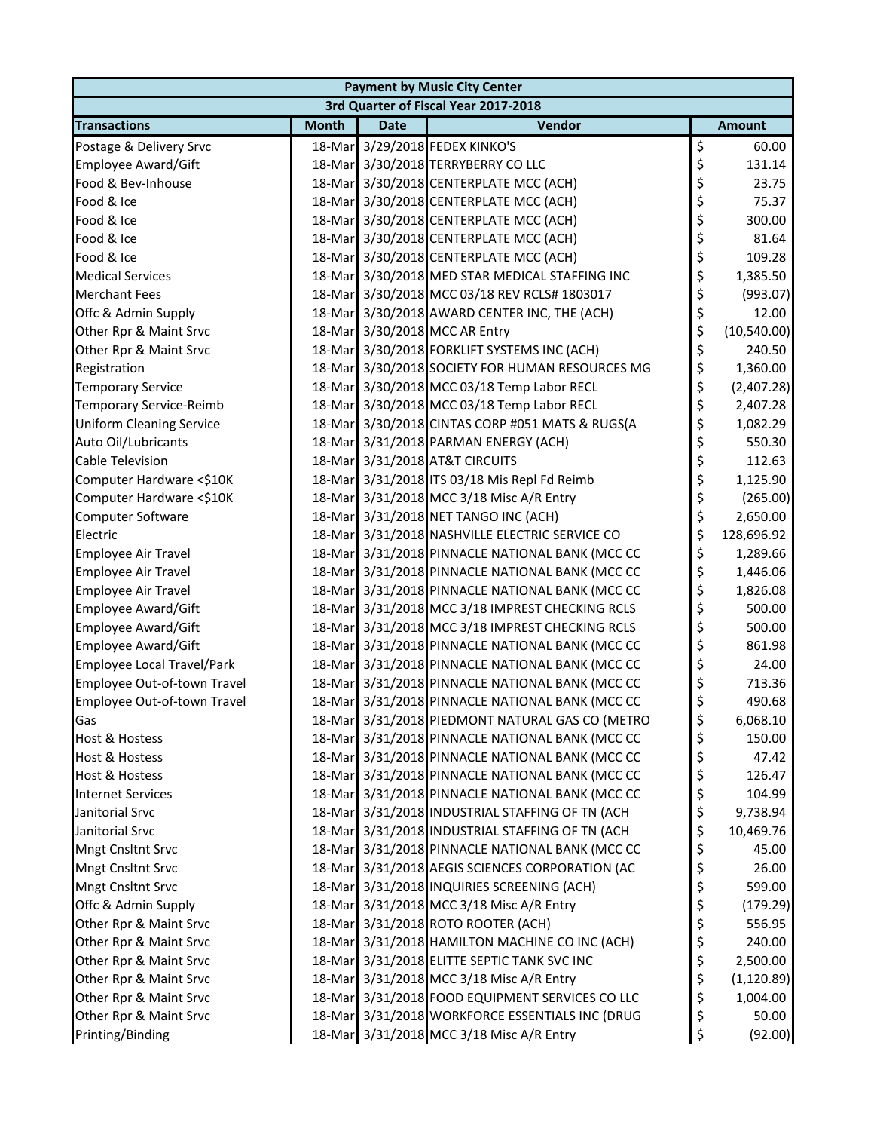| 3rd Quarter of Fiscal Year 2017-2018<br>Vendor<br><b>Month</b><br><b>Transactions</b><br><b>Date</b><br><b>Amount</b><br>\$<br>18-Mar 3/29/2018 FEDEX KINKO'S<br>Postage & Delivery Srvc<br>60.00<br>\$<br>Employee Award/Gift<br>18-Mar 3/30/2018 TERRYBERRY CO LLC<br>131.14<br>\$<br>Food & Bev-Inhouse<br>18-Mar 3/30/2018 CENTERPLATE MCC (ACH)<br>23.75<br>\$<br>18-Mar 3/30/2018 CENTERPLATE MCC (ACH)<br>Food & Ice<br>75.37<br>\$<br>Food & Ice<br>18-Mar 3/30/2018 CENTERPLATE MCC (ACH)<br>300.00<br>\$<br>18-Mar 3/30/2018 CENTERPLATE MCC (ACH)<br>Food & Ice<br>81.64<br>\$<br>Food & Ice<br>18-Mar 3/30/2018 CENTERPLATE MCC (ACH)<br>109.28<br>\$<br><b>Medical Services</b><br>18-Mar 3/30/2018 MED STAR MEDICAL STAFFING INC<br>1,385.50<br>\$<br>18-Mar 3/30/2018 MCC 03/18 REV RCLS# 1803017<br><b>Merchant Fees</b><br>\$<br>18-Mar 3/30/2018 AWARD CENTER INC, THE (ACH)<br>Offc & Admin Supply<br>12.00<br>\$<br>18-Mar 3/30/2018 MCC AR Entry<br>Other Rpr & Maint Srvc<br>\$<br>18-Mar 3/30/2018 FORKLIFT SYSTEMS INC (ACH)<br>240.50<br>Other Rpr & Maint Srvc<br>\$<br>18-Mar 3/30/2018 SOCIETY FOR HUMAN RESOURCES MG<br>Registration<br>1,360.00<br>\$<br>18-Mar 3/30/2018 MCC 03/18 Temp Labor RECL<br><b>Temporary Service</b><br>\$<br>18-Mar 3/30/2018 MCC 03/18 Temp Labor RECL<br>Temporary Service-Reimb<br>2,407.28<br>\$<br>18-Mar 3/30/2018 CINTAS CORP #051 MATS & RUGS(A<br><b>Uniform Cleaning Service</b><br>1,082.29<br>\$<br>Auto Oil/Lubricants<br>18-Mar 3/31/2018 PARMAN ENERGY (ACH)<br>550.30<br>\$<br>18-Mar 3/31/2018 AT&T CIRCUITS<br>Cable Television<br>112.63<br>\$<br>Computer Hardware <\$10K<br>18-Mar 3/31/2018 ITS 03/18 Mis Repl Fd Reimb<br>1,125.90<br>\$<br>18-Mar 3/31/2018 MCC 3/18 Misc A/R Entry<br>Computer Hardware <\$10K<br>(265.00)<br>\$<br>18-Mar 3/31/2018 NET TANGO INC (ACH)<br>Computer Software<br>2,650.00<br>\$<br>18-Mar 3/31/2018 NASHVILLE ELECTRIC SERVICE CO<br>Electric<br>128,696.92<br>\$<br>18-Mar 3/31/2018 PINNACLE NATIONAL BANK (MCC CC<br>Employee Air Travel<br>1,289.66<br>\$<br>18-Mar 3/31/2018 PINNACLE NATIONAL BANK (MCC CC<br>Employee Air Travel<br>1,446.06<br>\$<br>18-Mar 3/31/2018 PINNACLE NATIONAL BANK (MCC CC<br>Employee Air Travel<br>1,826.08<br>\$<br>18-Mar 3/31/2018 MCC 3/18 IMPREST CHECKING RCLS<br>Employee Award/Gift<br>500.00<br>\$<br>Employee Award/Gift<br>18-Mar 3/31/2018 MCC 3/18 IMPREST CHECKING RCLS<br>500.00<br>\$<br>18-Mar 3/31/2018 PINNACLE NATIONAL BANK (MCC CC<br>Employee Award/Gift<br>861.98<br>\$<br>Employee Local Travel/Park<br>18-Mar 3/31/2018 PINNACLE NATIONAL BANK (MCC CC<br>24.00<br>\$<br>18-Mar 3/31/2018 PINNACLE NATIONAL BANK (MCC CC<br>713.36<br>Employee Out-of-town Travel<br>\$<br>18-Mar 3/31/2018 PINNACLE NATIONAL BANK (MCC CC<br>Employee Out-of-town Travel<br>490.68<br>18-Mar 3/31/2018 PIEDMONT NATURAL GAS CO (METRO<br>6,068.10<br>asט<br>Ş<br>\$<br>18-Mar 3/31/2018 PINNACLE NATIONAL BANK (MCC CC<br>150.00<br><b>Host &amp; Hostess</b><br>\$<br><b>Host &amp; Hostess</b><br>18-Mar 3/31/2018 PINNACLE NATIONAL BANK (MCC CC<br>47.42<br>\$<br>18-Mar 3/31/2018 PINNACLE NATIONAL BANK (MCC CC<br><b>Host &amp; Hostess</b><br>126.47<br>\$<br>18-Mar 3/31/2018 PINNACLE NATIONAL BANK (MCC CC<br><b>Internet Services</b><br>104.99<br>\$<br>18-Mar 3/31/2018 INDUSTRIAL STAFFING OF TN (ACH<br>Janitorial Srvc<br>9,738.94<br>\$<br>18-Mar 3/31/2018 INDUSTRIAL STAFFING OF TN (ACH<br>Janitorial Srvc<br>10,469.76<br>\$<br>Mngt Cnsltnt Srvc<br>18-Mar 3/31/2018 PINNACLE NATIONAL BANK (MCC CC<br>45.00<br>\$<br>18-Mar 3/31/2018 AEGIS SCIENCES CORPORATION (AC<br><b>Mngt Cnsltnt Srvc</b><br>26.00<br>\$<br><b>Mngt Cnsltnt Srvc</b><br>18-Mar 3/31/2018 INQUIRIES SCREENING (ACH)<br>599.00<br>\$<br>18-Mar 3/31/2018 MCC 3/18 Misc A/R Entry<br>Offc & Admin Supply<br>\$<br>18-Mar 3/31/2018 ROTO ROOTER (ACH)<br>Other Rpr & Maint Srvc<br>556.95<br>\$<br>18-Mar 3/31/2018 HAMILTON MACHINE CO INC (ACH)<br>Other Rpr & Maint Srvc<br>240.00 | <b>Payment by Music City Center</b> |  |  |  |  |  |  |
|----------------------------------------------------------------------------------------------------------------------------------------------------------------------------------------------------------------------------------------------------------------------------------------------------------------------------------------------------------------------------------------------------------------------------------------------------------------------------------------------------------------------------------------------------------------------------------------------------------------------------------------------------------------------------------------------------------------------------------------------------------------------------------------------------------------------------------------------------------------------------------------------------------------------------------------------------------------------------------------------------------------------------------------------------------------------------------------------------------------------------------------------------------------------------------------------------------------------------------------------------------------------------------------------------------------------------------------------------------------------------------------------------------------------------------------------------------------------------------------------------------------------------------------------------------------------------------------------------------------------------------------------------------------------------------------------------------------------------------------------------------------------------------------------------------------------------------------------------------------------------------------------------------------------------------------------------------------------------------------------------------------------------------------------------------------------------------------------------------------------------------------------------------------------------------------------------------------------------------------------------------------------------------------------------------------------------------------------------------------------------------------------------------------------------------------------------------------------------------------------------------------------------------------------------------------------------------------------------------------------------------------------------------------------------------------------------------------------------------------------------------------------------------------------------------------------------------------------------------------------------------------------------------------------------------------------------------------------------------------------------------------------------------------------------------------------------------------------------------------------------------------------------------------------------------------------------------------------------------------------------------------------------------------------------------------------------------------------------------------------------------------------------------------------------------------------------------------------------------------------------------------------------------------------------------------------------------------------------------------------------------------------------------------------------------------------------------------------------------------------------------------------------------------------------------------------------------------------------------------------------------------------------------------------------------------------------------------------------------------------------------------------------------------------------|-------------------------------------|--|--|--|--|--|--|
| (993.07)<br>(10,540.00)<br>(2,407.28)<br>(179.29)                                                                                                                                                                                                                                                                                                                                                                                                                                                                                                                                                                                                                                                                                                                                                                                                                                                                                                                                                                                                                                                                                                                                                                                                                                                                                                                                                                                                                                                                                                                                                                                                                                                                                                                                                                                                                                                                                                                                                                                                                                                                                                                                                                                                                                                                                                                                                                                                                                                                                                                                                                                                                                                                                                                                                                                                                                                                                                                                                                                                                                                                                                                                                                                                                                                                                                                                                                                                                                                                                                                                                                                                                                                                                                                                                                                                                                                                                                                                                                                                  |                                     |  |  |  |  |  |  |
|                                                                                                                                                                                                                                                                                                                                                                                                                                                                                                                                                                                                                                                                                                                                                                                                                                                                                                                                                                                                                                                                                                                                                                                                                                                                                                                                                                                                                                                                                                                                                                                                                                                                                                                                                                                                                                                                                                                                                                                                                                                                                                                                                                                                                                                                                                                                                                                                                                                                                                                                                                                                                                                                                                                                                                                                                                                                                                                                                                                                                                                                                                                                                                                                                                                                                                                                                                                                                                                                                                                                                                                                                                                                                                                                                                                                                                                                                                                                                                                                                                                    |                                     |  |  |  |  |  |  |
|                                                                                                                                                                                                                                                                                                                                                                                                                                                                                                                                                                                                                                                                                                                                                                                                                                                                                                                                                                                                                                                                                                                                                                                                                                                                                                                                                                                                                                                                                                                                                                                                                                                                                                                                                                                                                                                                                                                                                                                                                                                                                                                                                                                                                                                                                                                                                                                                                                                                                                                                                                                                                                                                                                                                                                                                                                                                                                                                                                                                                                                                                                                                                                                                                                                                                                                                                                                                                                                                                                                                                                                                                                                                                                                                                                                                                                                                                                                                                                                                                                                    |                                     |  |  |  |  |  |  |
|                                                                                                                                                                                                                                                                                                                                                                                                                                                                                                                                                                                                                                                                                                                                                                                                                                                                                                                                                                                                                                                                                                                                                                                                                                                                                                                                                                                                                                                                                                                                                                                                                                                                                                                                                                                                                                                                                                                                                                                                                                                                                                                                                                                                                                                                                                                                                                                                                                                                                                                                                                                                                                                                                                                                                                                                                                                                                                                                                                                                                                                                                                                                                                                                                                                                                                                                                                                                                                                                                                                                                                                                                                                                                                                                                                                                                                                                                                                                                                                                                                                    |                                     |  |  |  |  |  |  |
|                                                                                                                                                                                                                                                                                                                                                                                                                                                                                                                                                                                                                                                                                                                                                                                                                                                                                                                                                                                                                                                                                                                                                                                                                                                                                                                                                                                                                                                                                                                                                                                                                                                                                                                                                                                                                                                                                                                                                                                                                                                                                                                                                                                                                                                                                                                                                                                                                                                                                                                                                                                                                                                                                                                                                                                                                                                                                                                                                                                                                                                                                                                                                                                                                                                                                                                                                                                                                                                                                                                                                                                                                                                                                                                                                                                                                                                                                                                                                                                                                                                    |                                     |  |  |  |  |  |  |
|                                                                                                                                                                                                                                                                                                                                                                                                                                                                                                                                                                                                                                                                                                                                                                                                                                                                                                                                                                                                                                                                                                                                                                                                                                                                                                                                                                                                                                                                                                                                                                                                                                                                                                                                                                                                                                                                                                                                                                                                                                                                                                                                                                                                                                                                                                                                                                                                                                                                                                                                                                                                                                                                                                                                                                                                                                                                                                                                                                                                                                                                                                                                                                                                                                                                                                                                                                                                                                                                                                                                                                                                                                                                                                                                                                                                                                                                                                                                                                                                                                                    |                                     |  |  |  |  |  |  |
|                                                                                                                                                                                                                                                                                                                                                                                                                                                                                                                                                                                                                                                                                                                                                                                                                                                                                                                                                                                                                                                                                                                                                                                                                                                                                                                                                                                                                                                                                                                                                                                                                                                                                                                                                                                                                                                                                                                                                                                                                                                                                                                                                                                                                                                                                                                                                                                                                                                                                                                                                                                                                                                                                                                                                                                                                                                                                                                                                                                                                                                                                                                                                                                                                                                                                                                                                                                                                                                                                                                                                                                                                                                                                                                                                                                                                                                                                                                                                                                                                                                    |                                     |  |  |  |  |  |  |
|                                                                                                                                                                                                                                                                                                                                                                                                                                                                                                                                                                                                                                                                                                                                                                                                                                                                                                                                                                                                                                                                                                                                                                                                                                                                                                                                                                                                                                                                                                                                                                                                                                                                                                                                                                                                                                                                                                                                                                                                                                                                                                                                                                                                                                                                                                                                                                                                                                                                                                                                                                                                                                                                                                                                                                                                                                                                                                                                                                                                                                                                                                                                                                                                                                                                                                                                                                                                                                                                                                                                                                                                                                                                                                                                                                                                                                                                                                                                                                                                                                                    |                                     |  |  |  |  |  |  |
|                                                                                                                                                                                                                                                                                                                                                                                                                                                                                                                                                                                                                                                                                                                                                                                                                                                                                                                                                                                                                                                                                                                                                                                                                                                                                                                                                                                                                                                                                                                                                                                                                                                                                                                                                                                                                                                                                                                                                                                                                                                                                                                                                                                                                                                                                                                                                                                                                                                                                                                                                                                                                                                                                                                                                                                                                                                                                                                                                                                                                                                                                                                                                                                                                                                                                                                                                                                                                                                                                                                                                                                                                                                                                                                                                                                                                                                                                                                                                                                                                                                    |                                     |  |  |  |  |  |  |
|                                                                                                                                                                                                                                                                                                                                                                                                                                                                                                                                                                                                                                                                                                                                                                                                                                                                                                                                                                                                                                                                                                                                                                                                                                                                                                                                                                                                                                                                                                                                                                                                                                                                                                                                                                                                                                                                                                                                                                                                                                                                                                                                                                                                                                                                                                                                                                                                                                                                                                                                                                                                                                                                                                                                                                                                                                                                                                                                                                                                                                                                                                                                                                                                                                                                                                                                                                                                                                                                                                                                                                                                                                                                                                                                                                                                                                                                                                                                                                                                                                                    |                                     |  |  |  |  |  |  |
|                                                                                                                                                                                                                                                                                                                                                                                                                                                                                                                                                                                                                                                                                                                                                                                                                                                                                                                                                                                                                                                                                                                                                                                                                                                                                                                                                                                                                                                                                                                                                                                                                                                                                                                                                                                                                                                                                                                                                                                                                                                                                                                                                                                                                                                                                                                                                                                                                                                                                                                                                                                                                                                                                                                                                                                                                                                                                                                                                                                                                                                                                                                                                                                                                                                                                                                                                                                                                                                                                                                                                                                                                                                                                                                                                                                                                                                                                                                                                                                                                                                    |                                     |  |  |  |  |  |  |
|                                                                                                                                                                                                                                                                                                                                                                                                                                                                                                                                                                                                                                                                                                                                                                                                                                                                                                                                                                                                                                                                                                                                                                                                                                                                                                                                                                                                                                                                                                                                                                                                                                                                                                                                                                                                                                                                                                                                                                                                                                                                                                                                                                                                                                                                                                                                                                                                                                                                                                                                                                                                                                                                                                                                                                                                                                                                                                                                                                                                                                                                                                                                                                                                                                                                                                                                                                                                                                                                                                                                                                                                                                                                                                                                                                                                                                                                                                                                                                                                                                                    |                                     |  |  |  |  |  |  |
|                                                                                                                                                                                                                                                                                                                                                                                                                                                                                                                                                                                                                                                                                                                                                                                                                                                                                                                                                                                                                                                                                                                                                                                                                                                                                                                                                                                                                                                                                                                                                                                                                                                                                                                                                                                                                                                                                                                                                                                                                                                                                                                                                                                                                                                                                                                                                                                                                                                                                                                                                                                                                                                                                                                                                                                                                                                                                                                                                                                                                                                                                                                                                                                                                                                                                                                                                                                                                                                                                                                                                                                                                                                                                                                                                                                                                                                                                                                                                                                                                                                    |                                     |  |  |  |  |  |  |
|                                                                                                                                                                                                                                                                                                                                                                                                                                                                                                                                                                                                                                                                                                                                                                                                                                                                                                                                                                                                                                                                                                                                                                                                                                                                                                                                                                                                                                                                                                                                                                                                                                                                                                                                                                                                                                                                                                                                                                                                                                                                                                                                                                                                                                                                                                                                                                                                                                                                                                                                                                                                                                                                                                                                                                                                                                                                                                                                                                                                                                                                                                                                                                                                                                                                                                                                                                                                                                                                                                                                                                                                                                                                                                                                                                                                                                                                                                                                                                                                                                                    |                                     |  |  |  |  |  |  |
|                                                                                                                                                                                                                                                                                                                                                                                                                                                                                                                                                                                                                                                                                                                                                                                                                                                                                                                                                                                                                                                                                                                                                                                                                                                                                                                                                                                                                                                                                                                                                                                                                                                                                                                                                                                                                                                                                                                                                                                                                                                                                                                                                                                                                                                                                                                                                                                                                                                                                                                                                                                                                                                                                                                                                                                                                                                                                                                                                                                                                                                                                                                                                                                                                                                                                                                                                                                                                                                                                                                                                                                                                                                                                                                                                                                                                                                                                                                                                                                                                                                    |                                     |  |  |  |  |  |  |
|                                                                                                                                                                                                                                                                                                                                                                                                                                                                                                                                                                                                                                                                                                                                                                                                                                                                                                                                                                                                                                                                                                                                                                                                                                                                                                                                                                                                                                                                                                                                                                                                                                                                                                                                                                                                                                                                                                                                                                                                                                                                                                                                                                                                                                                                                                                                                                                                                                                                                                                                                                                                                                                                                                                                                                                                                                                                                                                                                                                                                                                                                                                                                                                                                                                                                                                                                                                                                                                                                                                                                                                                                                                                                                                                                                                                                                                                                                                                                                                                                                                    |                                     |  |  |  |  |  |  |
|                                                                                                                                                                                                                                                                                                                                                                                                                                                                                                                                                                                                                                                                                                                                                                                                                                                                                                                                                                                                                                                                                                                                                                                                                                                                                                                                                                                                                                                                                                                                                                                                                                                                                                                                                                                                                                                                                                                                                                                                                                                                                                                                                                                                                                                                                                                                                                                                                                                                                                                                                                                                                                                                                                                                                                                                                                                                                                                                                                                                                                                                                                                                                                                                                                                                                                                                                                                                                                                                                                                                                                                                                                                                                                                                                                                                                                                                                                                                                                                                                                                    |                                     |  |  |  |  |  |  |
|                                                                                                                                                                                                                                                                                                                                                                                                                                                                                                                                                                                                                                                                                                                                                                                                                                                                                                                                                                                                                                                                                                                                                                                                                                                                                                                                                                                                                                                                                                                                                                                                                                                                                                                                                                                                                                                                                                                                                                                                                                                                                                                                                                                                                                                                                                                                                                                                                                                                                                                                                                                                                                                                                                                                                                                                                                                                                                                                                                                                                                                                                                                                                                                                                                                                                                                                                                                                                                                                                                                                                                                                                                                                                                                                                                                                                                                                                                                                                                                                                                                    |                                     |  |  |  |  |  |  |
|                                                                                                                                                                                                                                                                                                                                                                                                                                                                                                                                                                                                                                                                                                                                                                                                                                                                                                                                                                                                                                                                                                                                                                                                                                                                                                                                                                                                                                                                                                                                                                                                                                                                                                                                                                                                                                                                                                                                                                                                                                                                                                                                                                                                                                                                                                                                                                                                                                                                                                                                                                                                                                                                                                                                                                                                                                                                                                                                                                                                                                                                                                                                                                                                                                                                                                                                                                                                                                                                                                                                                                                                                                                                                                                                                                                                                                                                                                                                                                                                                                                    |                                     |  |  |  |  |  |  |
|                                                                                                                                                                                                                                                                                                                                                                                                                                                                                                                                                                                                                                                                                                                                                                                                                                                                                                                                                                                                                                                                                                                                                                                                                                                                                                                                                                                                                                                                                                                                                                                                                                                                                                                                                                                                                                                                                                                                                                                                                                                                                                                                                                                                                                                                                                                                                                                                                                                                                                                                                                                                                                                                                                                                                                                                                                                                                                                                                                                                                                                                                                                                                                                                                                                                                                                                                                                                                                                                                                                                                                                                                                                                                                                                                                                                                                                                                                                                                                                                                                                    |                                     |  |  |  |  |  |  |
|                                                                                                                                                                                                                                                                                                                                                                                                                                                                                                                                                                                                                                                                                                                                                                                                                                                                                                                                                                                                                                                                                                                                                                                                                                                                                                                                                                                                                                                                                                                                                                                                                                                                                                                                                                                                                                                                                                                                                                                                                                                                                                                                                                                                                                                                                                                                                                                                                                                                                                                                                                                                                                                                                                                                                                                                                                                                                                                                                                                                                                                                                                                                                                                                                                                                                                                                                                                                                                                                                                                                                                                                                                                                                                                                                                                                                                                                                                                                                                                                                                                    |                                     |  |  |  |  |  |  |
|                                                                                                                                                                                                                                                                                                                                                                                                                                                                                                                                                                                                                                                                                                                                                                                                                                                                                                                                                                                                                                                                                                                                                                                                                                                                                                                                                                                                                                                                                                                                                                                                                                                                                                                                                                                                                                                                                                                                                                                                                                                                                                                                                                                                                                                                                                                                                                                                                                                                                                                                                                                                                                                                                                                                                                                                                                                                                                                                                                                                                                                                                                                                                                                                                                                                                                                                                                                                                                                                                                                                                                                                                                                                                                                                                                                                                                                                                                                                                                                                                                                    |                                     |  |  |  |  |  |  |
|                                                                                                                                                                                                                                                                                                                                                                                                                                                                                                                                                                                                                                                                                                                                                                                                                                                                                                                                                                                                                                                                                                                                                                                                                                                                                                                                                                                                                                                                                                                                                                                                                                                                                                                                                                                                                                                                                                                                                                                                                                                                                                                                                                                                                                                                                                                                                                                                                                                                                                                                                                                                                                                                                                                                                                                                                                                                                                                                                                                                                                                                                                                                                                                                                                                                                                                                                                                                                                                                                                                                                                                                                                                                                                                                                                                                                                                                                                                                                                                                                                                    |                                     |  |  |  |  |  |  |
|                                                                                                                                                                                                                                                                                                                                                                                                                                                                                                                                                                                                                                                                                                                                                                                                                                                                                                                                                                                                                                                                                                                                                                                                                                                                                                                                                                                                                                                                                                                                                                                                                                                                                                                                                                                                                                                                                                                                                                                                                                                                                                                                                                                                                                                                                                                                                                                                                                                                                                                                                                                                                                                                                                                                                                                                                                                                                                                                                                                                                                                                                                                                                                                                                                                                                                                                                                                                                                                                                                                                                                                                                                                                                                                                                                                                                                                                                                                                                                                                                                                    |                                     |  |  |  |  |  |  |
|                                                                                                                                                                                                                                                                                                                                                                                                                                                                                                                                                                                                                                                                                                                                                                                                                                                                                                                                                                                                                                                                                                                                                                                                                                                                                                                                                                                                                                                                                                                                                                                                                                                                                                                                                                                                                                                                                                                                                                                                                                                                                                                                                                                                                                                                                                                                                                                                                                                                                                                                                                                                                                                                                                                                                                                                                                                                                                                                                                                                                                                                                                                                                                                                                                                                                                                                                                                                                                                                                                                                                                                                                                                                                                                                                                                                                                                                                                                                                                                                                                                    |                                     |  |  |  |  |  |  |
|                                                                                                                                                                                                                                                                                                                                                                                                                                                                                                                                                                                                                                                                                                                                                                                                                                                                                                                                                                                                                                                                                                                                                                                                                                                                                                                                                                                                                                                                                                                                                                                                                                                                                                                                                                                                                                                                                                                                                                                                                                                                                                                                                                                                                                                                                                                                                                                                                                                                                                                                                                                                                                                                                                                                                                                                                                                                                                                                                                                                                                                                                                                                                                                                                                                                                                                                                                                                                                                                                                                                                                                                                                                                                                                                                                                                                                                                                                                                                                                                                                                    |                                     |  |  |  |  |  |  |
|                                                                                                                                                                                                                                                                                                                                                                                                                                                                                                                                                                                                                                                                                                                                                                                                                                                                                                                                                                                                                                                                                                                                                                                                                                                                                                                                                                                                                                                                                                                                                                                                                                                                                                                                                                                                                                                                                                                                                                                                                                                                                                                                                                                                                                                                                                                                                                                                                                                                                                                                                                                                                                                                                                                                                                                                                                                                                                                                                                                                                                                                                                                                                                                                                                                                                                                                                                                                                                                                                                                                                                                                                                                                                                                                                                                                                                                                                                                                                                                                                                                    |                                     |  |  |  |  |  |  |
|                                                                                                                                                                                                                                                                                                                                                                                                                                                                                                                                                                                                                                                                                                                                                                                                                                                                                                                                                                                                                                                                                                                                                                                                                                                                                                                                                                                                                                                                                                                                                                                                                                                                                                                                                                                                                                                                                                                                                                                                                                                                                                                                                                                                                                                                                                                                                                                                                                                                                                                                                                                                                                                                                                                                                                                                                                                                                                                                                                                                                                                                                                                                                                                                                                                                                                                                                                                                                                                                                                                                                                                                                                                                                                                                                                                                                                                                                                                                                                                                                                                    |                                     |  |  |  |  |  |  |
|                                                                                                                                                                                                                                                                                                                                                                                                                                                                                                                                                                                                                                                                                                                                                                                                                                                                                                                                                                                                                                                                                                                                                                                                                                                                                                                                                                                                                                                                                                                                                                                                                                                                                                                                                                                                                                                                                                                                                                                                                                                                                                                                                                                                                                                                                                                                                                                                                                                                                                                                                                                                                                                                                                                                                                                                                                                                                                                                                                                                                                                                                                                                                                                                                                                                                                                                                                                                                                                                                                                                                                                                                                                                                                                                                                                                                                                                                                                                                                                                                                                    |                                     |  |  |  |  |  |  |
|                                                                                                                                                                                                                                                                                                                                                                                                                                                                                                                                                                                                                                                                                                                                                                                                                                                                                                                                                                                                                                                                                                                                                                                                                                                                                                                                                                                                                                                                                                                                                                                                                                                                                                                                                                                                                                                                                                                                                                                                                                                                                                                                                                                                                                                                                                                                                                                                                                                                                                                                                                                                                                                                                                                                                                                                                                                                                                                                                                                                                                                                                                                                                                                                                                                                                                                                                                                                                                                                                                                                                                                                                                                                                                                                                                                                                                                                                                                                                                                                                                                    |                                     |  |  |  |  |  |  |
|                                                                                                                                                                                                                                                                                                                                                                                                                                                                                                                                                                                                                                                                                                                                                                                                                                                                                                                                                                                                                                                                                                                                                                                                                                                                                                                                                                                                                                                                                                                                                                                                                                                                                                                                                                                                                                                                                                                                                                                                                                                                                                                                                                                                                                                                                                                                                                                                                                                                                                                                                                                                                                                                                                                                                                                                                                                                                                                                                                                                                                                                                                                                                                                                                                                                                                                                                                                                                                                                                                                                                                                                                                                                                                                                                                                                                                                                                                                                                                                                                                                    |                                     |  |  |  |  |  |  |
|                                                                                                                                                                                                                                                                                                                                                                                                                                                                                                                                                                                                                                                                                                                                                                                                                                                                                                                                                                                                                                                                                                                                                                                                                                                                                                                                                                                                                                                                                                                                                                                                                                                                                                                                                                                                                                                                                                                                                                                                                                                                                                                                                                                                                                                                                                                                                                                                                                                                                                                                                                                                                                                                                                                                                                                                                                                                                                                                                                                                                                                                                                                                                                                                                                                                                                                                                                                                                                                                                                                                                                                                                                                                                                                                                                                                                                                                                                                                                                                                                                                    |                                     |  |  |  |  |  |  |
|                                                                                                                                                                                                                                                                                                                                                                                                                                                                                                                                                                                                                                                                                                                                                                                                                                                                                                                                                                                                                                                                                                                                                                                                                                                                                                                                                                                                                                                                                                                                                                                                                                                                                                                                                                                                                                                                                                                                                                                                                                                                                                                                                                                                                                                                                                                                                                                                                                                                                                                                                                                                                                                                                                                                                                                                                                                                                                                                                                                                                                                                                                                                                                                                                                                                                                                                                                                                                                                                                                                                                                                                                                                                                                                                                                                                                                                                                                                                                                                                                                                    |                                     |  |  |  |  |  |  |
|                                                                                                                                                                                                                                                                                                                                                                                                                                                                                                                                                                                                                                                                                                                                                                                                                                                                                                                                                                                                                                                                                                                                                                                                                                                                                                                                                                                                                                                                                                                                                                                                                                                                                                                                                                                                                                                                                                                                                                                                                                                                                                                                                                                                                                                                                                                                                                                                                                                                                                                                                                                                                                                                                                                                                                                                                                                                                                                                                                                                                                                                                                                                                                                                                                                                                                                                                                                                                                                                                                                                                                                                                                                                                                                                                                                                                                                                                                                                                                                                                                                    |                                     |  |  |  |  |  |  |
|                                                                                                                                                                                                                                                                                                                                                                                                                                                                                                                                                                                                                                                                                                                                                                                                                                                                                                                                                                                                                                                                                                                                                                                                                                                                                                                                                                                                                                                                                                                                                                                                                                                                                                                                                                                                                                                                                                                                                                                                                                                                                                                                                                                                                                                                                                                                                                                                                                                                                                                                                                                                                                                                                                                                                                                                                                                                                                                                                                                                                                                                                                                                                                                                                                                                                                                                                                                                                                                                                                                                                                                                                                                                                                                                                                                                                                                                                                                                                                                                                                                    |                                     |  |  |  |  |  |  |
|                                                                                                                                                                                                                                                                                                                                                                                                                                                                                                                                                                                                                                                                                                                                                                                                                                                                                                                                                                                                                                                                                                                                                                                                                                                                                                                                                                                                                                                                                                                                                                                                                                                                                                                                                                                                                                                                                                                                                                                                                                                                                                                                                                                                                                                                                                                                                                                                                                                                                                                                                                                                                                                                                                                                                                                                                                                                                                                                                                                                                                                                                                                                                                                                                                                                                                                                                                                                                                                                                                                                                                                                                                                                                                                                                                                                                                                                                                                                                                                                                                                    |                                     |  |  |  |  |  |  |
|                                                                                                                                                                                                                                                                                                                                                                                                                                                                                                                                                                                                                                                                                                                                                                                                                                                                                                                                                                                                                                                                                                                                                                                                                                                                                                                                                                                                                                                                                                                                                                                                                                                                                                                                                                                                                                                                                                                                                                                                                                                                                                                                                                                                                                                                                                                                                                                                                                                                                                                                                                                                                                                                                                                                                                                                                                                                                                                                                                                                                                                                                                                                                                                                                                                                                                                                                                                                                                                                                                                                                                                                                                                                                                                                                                                                                                                                                                                                                                                                                                                    |                                     |  |  |  |  |  |  |
|                                                                                                                                                                                                                                                                                                                                                                                                                                                                                                                                                                                                                                                                                                                                                                                                                                                                                                                                                                                                                                                                                                                                                                                                                                                                                                                                                                                                                                                                                                                                                                                                                                                                                                                                                                                                                                                                                                                                                                                                                                                                                                                                                                                                                                                                                                                                                                                                                                                                                                                                                                                                                                                                                                                                                                                                                                                                                                                                                                                                                                                                                                                                                                                                                                                                                                                                                                                                                                                                                                                                                                                                                                                                                                                                                                                                                                                                                                                                                                                                                                                    |                                     |  |  |  |  |  |  |
|                                                                                                                                                                                                                                                                                                                                                                                                                                                                                                                                                                                                                                                                                                                                                                                                                                                                                                                                                                                                                                                                                                                                                                                                                                                                                                                                                                                                                                                                                                                                                                                                                                                                                                                                                                                                                                                                                                                                                                                                                                                                                                                                                                                                                                                                                                                                                                                                                                                                                                                                                                                                                                                                                                                                                                                                                                                                                                                                                                                                                                                                                                                                                                                                                                                                                                                                                                                                                                                                                                                                                                                                                                                                                                                                                                                                                                                                                                                                                                                                                                                    |                                     |  |  |  |  |  |  |
|                                                                                                                                                                                                                                                                                                                                                                                                                                                                                                                                                                                                                                                                                                                                                                                                                                                                                                                                                                                                                                                                                                                                                                                                                                                                                                                                                                                                                                                                                                                                                                                                                                                                                                                                                                                                                                                                                                                                                                                                                                                                                                                                                                                                                                                                                                                                                                                                                                                                                                                                                                                                                                                                                                                                                                                                                                                                                                                                                                                                                                                                                                                                                                                                                                                                                                                                                                                                                                                                                                                                                                                                                                                                                                                                                                                                                                                                                                                                                                                                                                                    |                                     |  |  |  |  |  |  |
|                                                                                                                                                                                                                                                                                                                                                                                                                                                                                                                                                                                                                                                                                                                                                                                                                                                                                                                                                                                                                                                                                                                                                                                                                                                                                                                                                                                                                                                                                                                                                                                                                                                                                                                                                                                                                                                                                                                                                                                                                                                                                                                                                                                                                                                                                                                                                                                                                                                                                                                                                                                                                                                                                                                                                                                                                                                                                                                                                                                                                                                                                                                                                                                                                                                                                                                                                                                                                                                                                                                                                                                                                                                                                                                                                                                                                                                                                                                                                                                                                                                    |                                     |  |  |  |  |  |  |
|                                                                                                                                                                                                                                                                                                                                                                                                                                                                                                                                                                                                                                                                                                                                                                                                                                                                                                                                                                                                                                                                                                                                                                                                                                                                                                                                                                                                                                                                                                                                                                                                                                                                                                                                                                                                                                                                                                                                                                                                                                                                                                                                                                                                                                                                                                                                                                                                                                                                                                                                                                                                                                                                                                                                                                                                                                                                                                                                                                                                                                                                                                                                                                                                                                                                                                                                                                                                                                                                                                                                                                                                                                                                                                                                                                                                                                                                                                                                                                                                                                                    |                                     |  |  |  |  |  |  |
|                                                                                                                                                                                                                                                                                                                                                                                                                                                                                                                                                                                                                                                                                                                                                                                                                                                                                                                                                                                                                                                                                                                                                                                                                                                                                                                                                                                                                                                                                                                                                                                                                                                                                                                                                                                                                                                                                                                                                                                                                                                                                                                                                                                                                                                                                                                                                                                                                                                                                                                                                                                                                                                                                                                                                                                                                                                                                                                                                                                                                                                                                                                                                                                                                                                                                                                                                                                                                                                                                                                                                                                                                                                                                                                                                                                                                                                                                                                                                                                                                                                    |                                     |  |  |  |  |  |  |
|                                                                                                                                                                                                                                                                                                                                                                                                                                                                                                                                                                                                                                                                                                                                                                                                                                                                                                                                                                                                                                                                                                                                                                                                                                                                                                                                                                                                                                                                                                                                                                                                                                                                                                                                                                                                                                                                                                                                                                                                                                                                                                                                                                                                                                                                                                                                                                                                                                                                                                                                                                                                                                                                                                                                                                                                                                                                                                                                                                                                                                                                                                                                                                                                                                                                                                                                                                                                                                                                                                                                                                                                                                                                                                                                                                                                                                                                                                                                                                                                                                                    |                                     |  |  |  |  |  |  |
|                                                                                                                                                                                                                                                                                                                                                                                                                                                                                                                                                                                                                                                                                                                                                                                                                                                                                                                                                                                                                                                                                                                                                                                                                                                                                                                                                                                                                                                                                                                                                                                                                                                                                                                                                                                                                                                                                                                                                                                                                                                                                                                                                                                                                                                                                                                                                                                                                                                                                                                                                                                                                                                                                                                                                                                                                                                                                                                                                                                                                                                                                                                                                                                                                                                                                                                                                                                                                                                                                                                                                                                                                                                                                                                                                                                                                                                                                                                                                                                                                                                    |                                     |  |  |  |  |  |  |
|                                                                                                                                                                                                                                                                                                                                                                                                                                                                                                                                                                                                                                                                                                                                                                                                                                                                                                                                                                                                                                                                                                                                                                                                                                                                                                                                                                                                                                                                                                                                                                                                                                                                                                                                                                                                                                                                                                                                                                                                                                                                                                                                                                                                                                                                                                                                                                                                                                                                                                                                                                                                                                                                                                                                                                                                                                                                                                                                                                                                                                                                                                                                                                                                                                                                                                                                                                                                                                                                                                                                                                                                                                                                                                                                                                                                                                                                                                                                                                                                                                                    |                                     |  |  |  |  |  |  |
| \$<br>18-Mar 3/31/2018 ELITTE SEPTIC TANK SVC INC<br>Other Rpr & Maint Srvc<br>2,500.00                                                                                                                                                                                                                                                                                                                                                                                                                                                                                                                                                                                                                                                                                                                                                                                                                                                                                                                                                                                                                                                                                                                                                                                                                                                                                                                                                                                                                                                                                                                                                                                                                                                                                                                                                                                                                                                                                                                                                                                                                                                                                                                                                                                                                                                                                                                                                                                                                                                                                                                                                                                                                                                                                                                                                                                                                                                                                                                                                                                                                                                                                                                                                                                                                                                                                                                                                                                                                                                                                                                                                                                                                                                                                                                                                                                                                                                                                                                                                            |                                     |  |  |  |  |  |  |
| \$<br>18-Mar 3/31/2018 MCC 3/18 Misc A/R Entry<br>Other Rpr & Maint Srvc<br>(1, 120.89)                                                                                                                                                                                                                                                                                                                                                                                                                                                                                                                                                                                                                                                                                                                                                                                                                                                                                                                                                                                                                                                                                                                                                                                                                                                                                                                                                                                                                                                                                                                                                                                                                                                                                                                                                                                                                                                                                                                                                                                                                                                                                                                                                                                                                                                                                                                                                                                                                                                                                                                                                                                                                                                                                                                                                                                                                                                                                                                                                                                                                                                                                                                                                                                                                                                                                                                                                                                                                                                                                                                                                                                                                                                                                                                                                                                                                                                                                                                                                            |                                     |  |  |  |  |  |  |
| \$<br>18-Mar 3/31/2018 FOOD EQUIPMENT SERVICES CO LLC<br>Other Rpr & Maint Srvc<br>1,004.00                                                                                                                                                                                                                                                                                                                                                                                                                                                                                                                                                                                                                                                                                                                                                                                                                                                                                                                                                                                                                                                                                                                                                                                                                                                                                                                                                                                                                                                                                                                                                                                                                                                                                                                                                                                                                                                                                                                                                                                                                                                                                                                                                                                                                                                                                                                                                                                                                                                                                                                                                                                                                                                                                                                                                                                                                                                                                                                                                                                                                                                                                                                                                                                                                                                                                                                                                                                                                                                                                                                                                                                                                                                                                                                                                                                                                                                                                                                                                        |                                     |  |  |  |  |  |  |
| \$<br>18-Mar 3/31/2018 WORKFORCE ESSENTIALS INC (DRUG<br>Other Rpr & Maint Srvc<br>50.00                                                                                                                                                                                                                                                                                                                                                                                                                                                                                                                                                                                                                                                                                                                                                                                                                                                                                                                                                                                                                                                                                                                                                                                                                                                                                                                                                                                                                                                                                                                                                                                                                                                                                                                                                                                                                                                                                                                                                                                                                                                                                                                                                                                                                                                                                                                                                                                                                                                                                                                                                                                                                                                                                                                                                                                                                                                                                                                                                                                                                                                                                                                                                                                                                                                                                                                                                                                                                                                                                                                                                                                                                                                                                                                                                                                                                                                                                                                                                           |                                     |  |  |  |  |  |  |
| \$<br>Printing/Binding<br>18-Mar 3/31/2018 MCC 3/18 Misc A/R Entry<br>(92.00)                                                                                                                                                                                                                                                                                                                                                                                                                                                                                                                                                                                                                                                                                                                                                                                                                                                                                                                                                                                                                                                                                                                                                                                                                                                                                                                                                                                                                                                                                                                                                                                                                                                                                                                                                                                                                                                                                                                                                                                                                                                                                                                                                                                                                                                                                                                                                                                                                                                                                                                                                                                                                                                                                                                                                                                                                                                                                                                                                                                                                                                                                                                                                                                                                                                                                                                                                                                                                                                                                                                                                                                                                                                                                                                                                                                                                                                                                                                                                                      |                                     |  |  |  |  |  |  |